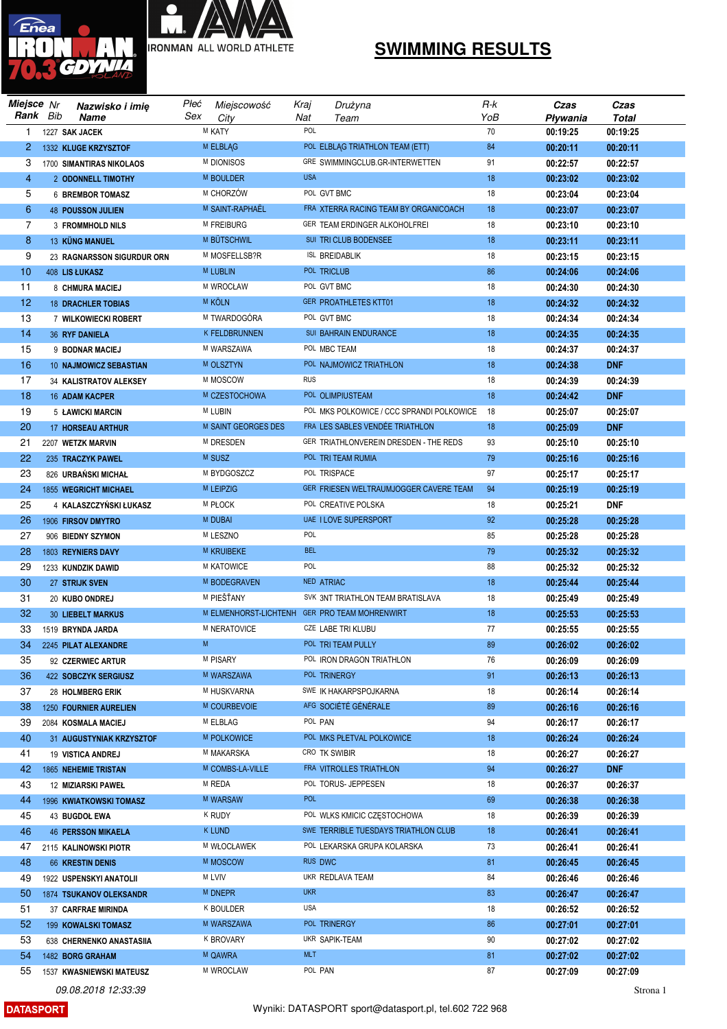



## **SWIMMING RESULTS**

|                | Miejsce Nr | Nazwisko i imię             | Płeć | Miejscowość          | Kraj       | Drużyna                                       | R-k | Czas     | Czas       |
|----------------|------------|-----------------------------|------|----------------------|------------|-----------------------------------------------|-----|----------|------------|
|                | Rank Bib   | <b>Name</b>                 | Sex  | City                 | Nat        | Team                                          | YoB | Pływania | Total      |
| 1              |            | 1227 SAK JACEK              |      | M KATY               | POL        |                                               | 70  | 00:19:25 | 00:19:25   |
| $\overline{2}$ |            | 1332 KLUGE KRZYSZTOF        |      | M ELBLĄG             |            | POL ELBLAG TRIATHLON TEAM (ETT)               | 84  | 00:20:11 | 00:20:11   |
| 3              |            | 1700 SIMANTIRAS NIKOLAOS    |      | M DIONISOS           |            | GRE SWIMMINGCLUB.GR-INTERWETTEN               | 91  | 00:22:57 | 00:22:57   |
| 4              |            | 2 ODONNELL TIMOTHY          |      | M BOULDER            | <b>USA</b> |                                               | 18  | 00:23:02 | 00:23:02   |
| 5              |            | <b>6 BREMBOR TOMASZ</b>     |      | M CHORZÓW            |            | POL GVT BMC                                   | 18  | 00:23:04 | 00:23:04   |
| 6              |            | <b>48 POUSSON JULIEN</b>    |      | M SAINT-RAPHAËL      |            | FRA XTERRA RACING TEAM BY ORGANICOACH         | 18  | 00:23:07 | 00:23:07   |
| $\overline{7}$ |            | <b>3 FROMMHOLD NILS</b>     |      | M FREIBURG           |            | GER TEAM ERDINGER ALKOHOLFREI                 | 18  | 00:23:10 | 00:23:10   |
| 8              |            | 13 KÜNG MANUEL              |      | M BÜTSCHWIL          |            | SUI TRI CLUB BODENSEE                         | 18  | 00:23:11 | 00:23:11   |
| 9              |            | 23 RAGNARSSON SIGURDUR ORN  |      | M MOSFELLSB?R        |            | <b>ISL BREIDABLIK</b>                         | 18  | 00:23:15 | 00:23:15   |
| 10             |            | 408 LIS ŁUKASZ              |      | <b>M LUBLIN</b>      |            | POL TRICLUB                                   | 86  | 00:24:06 | 00:24:06   |
| 11             |            | 8 CHMURA MACIEJ             |      | M WROCŁAW            |            | POL GVT BMC                                   | 18  | 00:24:30 | 00:24:30   |
| 12             |            | <b>18 DRACHLER TOBIAS</b>   |      | <b>M KOLN</b>        |            | <b>GER PROATHLETES KTT01</b>                  | 18  | 00:24:32 | 00:24:32   |
| 13             |            | 7 WILKOWIECKI ROBERT        |      | M TWARDOGÓRA         |            | POL GVT BMC                                   | 18  | 00:24:34 | 00:24:34   |
| 14             |            | <b>36 RYF DANIELA</b>       |      | <b>K FELDBRUNNEN</b> |            | SUI BAHRAIN ENDURANCE                         | 18  | 00:24:35 | 00:24:35   |
| 15             |            | 9 BODNAR MACIEJ             |      | M WARSZAWA           |            | POL MBC TEAM                                  | 18  | 00:24:37 | 00:24:37   |
| 16             |            | 10 NAJMOWICZ SEBASTIAN      |      | M OLSZTYN            |            | POL NAJMOWICZ TRIATHLON                       | 18  | 00:24:38 | <b>DNF</b> |
| 17             |            | 34 KALISTRATOV ALEKSEY      |      | M MOSCOW             | <b>RUS</b> |                                               | 18  | 00:24:39 | 00:24:39   |
| 18             |            | 16 ADAM KACPER              |      | M CZESTOCHOWA        |            | POL OLIMPIUSTEAM                              | 18  | 00:24:42 | <b>DNF</b> |
| 19             |            | 5 ŁAWICKI MARCIN            |      | M LUBIN              |            | POL MKS POLKOWICE / CCC SPRANDI POLKOWICE     | 18  | 00:25:07 | 00:25:07   |
| 20             |            | 17 HORSEAU ARTHUR           |      | M SAINT GEORGES DES  |            | FRA LES SABLES VENDÉE TRIATHLON               | 18  | 00:25:09 | <b>DNF</b> |
| 21             |            | 2207 WETZK MARVIN           |      | M DRESDEN            |            | GER TRIATHLONVEREIN DRESDEN - THE REDS        | 93  | 00:25:10 | 00:25:10   |
| 22             |            | 235 TRACZYK PAWEL           |      | M SUSZ               |            | POL TRI TEAM RUMIA                            | 79  | 00:25:16 | 00:25:16   |
| 23             |            | 826 URBAŃSKI MICHAŁ         |      | M BYDGOSZCZ          |            | POL TRISPACE                                  | 97  | 00:25:17 | 00:25:17   |
| 24             |            | 1855 WEGRICHT MICHAEL       |      | <b>M LEIPZIG</b>     |            | GER FRIESEN WELTRAUMJOGGER CAVERE TEAM        | 94  | 00:25:19 | 00:25:19   |
| 25             |            | 4 KALASZCZYŃSKI ŁUKASZ      |      | <b>M PŁOCK</b>       |            | POL CREATIVE POLSKA                           | 18  | 00:25:21 | <b>DNF</b> |
| 26             |            | 1906 FIRSOV DMYTRO          |      | <b>M DUBAI</b>       |            | UAE I LOVE SUPERSPORT                         | 92  | 00:25:28 | 00:25:28   |
| 27             |            | 906 BIEDNY SZYMON           |      | M LESZNO             | POL        |                                               | 85  | 00:25:28 | 00:25:28   |
| 28             |            | 1803 REYNIERS DAVY          |      | M KRUIBEKE           | <b>BEL</b> |                                               | 79  | 00:25:32 | 00:25:32   |
| 29             |            | 1233 KUNDZIK DAWID          |      | M KATOWICE           | POL        |                                               | 88  | 00:25:32 | 00:25:32   |
| 30             |            | 27 STRIJK SVEN              |      | M BODEGRAVEN         |            | NED ATRIAC                                    | 18  | 00:25:44 | 00:25:44   |
| 31             |            | 20 KUBO ONDREJ              |      | M PIEŠŤANY           |            | SVK 3NT TRIATHLON TEAM BRATISLAVA             | 18  | 00:25:49 | 00:25:49   |
| 32             |            | <b>30 LIEBELT MARKUS</b>    |      |                      |            | M ELMENHORST-LICHTENH GER PRO TEAM MOHRENWIRT | 18  | 00:25:53 | 00:25:53   |
| 33             |            | 1519 BRYNDA JARDA           |      | M NERATOVICE         |            | CZE LABE TRI KLUBU                            | 77  | 00:25:55 | 00:25:55   |
| 34             |            | 2245 PILAT ALEXANDRE        | M    |                      |            | POL TRI TEAM PULLY                            | 89  | 00:26:02 | 00:26:02   |
| 35             |            | 92 CZERWIEC ARTUR           |      | M PISARY             |            | POL IRON DRAGON TRIATHLON                     | 76  | 00:26:09 | 00:26:09   |
| 36             |            | 422 SOBCZYK SERGIUSZ        |      | M WARSZAWA           |            | POL TRINERGY                                  | 91  | 00:26:13 | 00:26:13   |
| 37             |            | 28 HOLMBERG ERIK            |      | M HUSKVARNA          |            | SWE IK HAKARPSPOJKARNA                        | 18  | 00:26:14 | 00:26:14   |
| 38             |            | 1250 FOURNIER AURELIEN      |      | M COURBEVOIE         |            | AFG SOCIÉTÉ GÉNÉRALE                          | 89  | 00:26:16 | 00:26:16   |
| 39             |            | 2084 KOSMALA MACIEJ         |      | M ELBLAG             |            | POL PAN                                       | 94  | 00:26:17 | 00:26:17   |
| 40             |            | 31 AUGUSTYNIAK KRZYSZTOF    |      | <b>M POLKOWICE</b>   |            | POL MKS PŁETVAL POLKOWICE                     | 18  | 00:26:24 | 00:26:24   |
| 41             |            | 19 VISTICA ANDREJ           |      | M MAKARSKA           |            | CRO TK SWIBIR                                 | 18  | 00:26:27 | 00:26:27   |
| 42             |            | <b>1865 NEHEMIE TRISTAN</b> |      | M COMBS-LA-VILLE     |            | FRA VITROLLES TRIATHLON                       | 94  | 00:26:27 | <b>DNF</b> |
| 43             |            | <b>12 MIZIARSKI PAWEŁ</b>   |      | M REDA               |            | POL TORUS- JEPPESEN                           | 18  | 00:26:37 | 00:26:37   |
| 44             |            | 1996 KWIATKOWSKI TOMASZ     |      | M WARSAW             | <b>POL</b> |                                               | 69  | 00:26:38 | 00:26:38   |
| 45             |            | 43 BUGDOL EWA               |      | K RUDY               |            | POL WLKS KMICIC CZĘSTOCHOWA                   | 18  | 00:26:39 | 00:26:39   |
| 46             |            | <b>46 PERSSON MIKAELA</b>   |      | K LUND               |            | SWE TERRIBLE TUESDAYS TRIATHLON CLUB          | 18  | 00:26:41 | 00:26:41   |
| 47             |            | 2115 KALINOWSKI PIOTR       |      | M WŁOCŁAWEK          |            | POL LEKARSKA GRUPA KOLARSKA                   | 73  | 00:26:41 | 00:26:41   |
| 48             |            | 66 KRESTIN DENIS            |      | M MOSCOW             |            | RUS DWC                                       | 81  | 00:26:45 | 00:26:45   |
| 49             |            | 1922 USPENSKYI ANATOLII     |      | M LVIV               |            | UKR REDLAVA TEAM                              | 84  | 00:26:46 | 00:26:46   |
| 50             |            | 1874 TSUKANOV OLEKSANDR     |      | M DNEPR              | <b>UKR</b> |                                               | 83  | 00:26:47 | 00:26:47   |
| 51             |            | 37 CARFRAE MIRINDA          |      | K BOULDER            | <b>USA</b> |                                               | 18  | 00:26:52 | 00:26:52   |
| 52             |            | 199 KOWALSKI TOMASZ         |      | M WARSZAWA           |            | POL TRINERGY                                  | 86  | 00:27:01 | 00:27:01   |
| 53             |            | 638 CHERNENKO ANASTASIIA    |      | K BROVARY            |            | UKR SAPIK-TEAM                                | 90  | 00:27:02 | 00:27:02   |
| 54             |            | 1482 BORG GRAHAM            |      | m Qawra              | <b>MLT</b> |                                               | 81  | 00:27:02 | 00:27:02   |
| 55             |            | 1537 KWASNIEWSKI MATEUSZ    |      | M WROCLAW            |            | POL PAN                                       | 87  | 00:27:09 | 00:27:09   |
|                |            |                             |      |                      |            |                                               |     |          |            |

09.08.2018 12:33:39

**DATASPORT**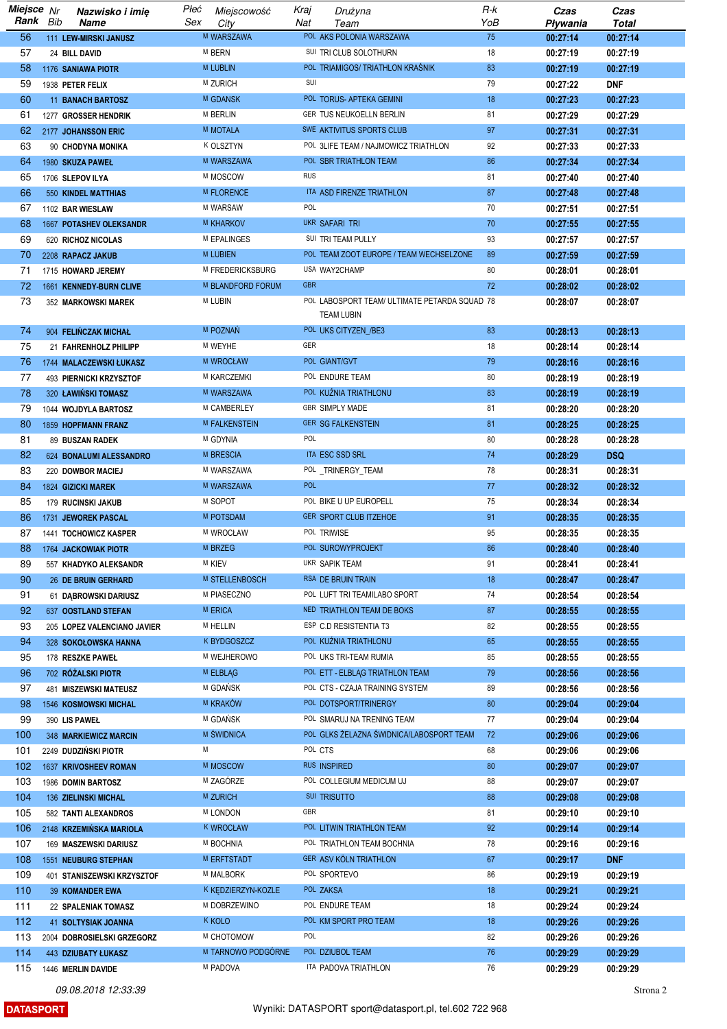| Miejsce Nr<br>Rank | Bib | Nazwisko i imię<br>Name                            | Płeć<br>Sex | Miejscowość<br>City  | Kraj<br>Nat | Drużyna<br>Team                                                    | R-k<br>YoB | Czas<br>Pływania     | Czas<br><b>Total</b> |
|--------------------|-----|----------------------------------------------------|-------------|----------------------|-------------|--------------------------------------------------------------------|------------|----------------------|----------------------|
| 56                 |     | 111 LEW-MIRSKI JANUSZ                              |             | M WARSZAWA           |             | POL AKS POLONIA WARSZAWA                                           | 75         | 00:27:14             | 00:27:14             |
| 57                 |     | 24 BILL DAVID                                      |             | M BERN               |             | SUI TRI CLUB SOLOTHURN                                             | 18         | 00:27:19             | 00:27:19             |
| 58                 |     | 1176 SANIAWA PIOTR                                 |             | <b>M LUBLIN</b>      |             | POL TRIAMIGOS/ TRIATHLON KRAŚNIK                                   | 83         | 00:27:19             | 00:27:19             |
| 59                 |     | 1938 PETER FELIX                                   |             | M ZURICH             | SUI         |                                                                    | 79         | 00:27:22             | <b>DNF</b>           |
| 60                 |     | <b>11 BANACH BARTOSZ</b>                           |             | <b>M GDANSK</b>      |             | POL TORUS- APTEKA GEMINI                                           | 18         | 00:27:23             | 00:27:23             |
| 61                 |     | 1277 GROSSER HENDRIK                               |             | M BERLIN             |             | GER TUS NEUKOELLN BERLIN                                           | 81         | 00:27:29             | 00:27:29             |
| 62                 |     | 2177 JOHANSSON ERIC                                |             | <b>M MOTALA</b>      |             | SWE AKTIVITUS SPORTS CLUB                                          | 97         | 00:27:31             | 00:27:31             |
| 63                 |     | 90 CHODYNA MONIKA                                  |             | K OLSZTYN            |             | POL 3LIFE TEAM / NAJMOWICZ TRIATHLON                               | 92         | 00:27:33             | 00:27:33             |
| 64                 |     | 1980 SKUZA PAWEŁ                                   |             | M WARSZAWA           |             | POL SBR TRIATHLON TEAM                                             | 86         | 00:27:34             | 00:27:34             |
| 65                 |     | 1706 SLEPOV ILYA                                   |             | M MOSCOW             | <b>RUS</b>  |                                                                    | 81         | 00:27:40             | 00:27:40             |
| 66                 |     | 550 KINDEL MATTHIAS                                |             | M FLORENCE           |             | ITA ASD FIRENZE TRIATHLON                                          | 87         | 00:27:48             | 00:27:48             |
| 67                 |     | 1102 BAR WIESLAW                                   |             | M WARSAW             | <b>POL</b>  |                                                                    | 70         | 00:27:51             | 00:27:51             |
| 68                 |     | 1667 POTASHEV OLEKSANDR                            |             | <b>M KHARKOV</b>     |             | UKR SAFARI TRI                                                     | 70         | 00:27:55             | 00:27:55             |
| 69                 |     | 620 RICHOZ NICOLAS                                 |             | M EPALINGES          |             | SUI TRI TEAM PULLY                                                 | 93         | 00:27:57             | 00:27:57             |
| 70                 |     | 2208 RAPACZ JAKUB                                  |             | <b>M LUBIEN</b>      |             | POL TEAM ZOOT EUROPE / TEAM WECHSELZONE                            | 89         | 00:27:59             | 00:27:59             |
| 71                 |     | 1715 HOWARD JEREMY                                 |             | M FREDERICKSBURG     |             | USA WAY2CHAMP                                                      | 80         | 00:28:01             | 00:28:01             |
| 72                 |     | 1661 KENNEDY-BURN CLIVE                            |             | M BLANDFORD FORUM    | <b>GBR</b>  |                                                                    | 72         | 00:28:02             | 00:28:02             |
| 73                 |     | 352 MARKOWSKI MAREK                                |             | M LUBIN              |             | POL LABOSPORT TEAM/ ULTIMATE PETARDA SQUAD 78                      |            | 00:28:07             | 00:28:07             |
|                    |     |                                                    |             |                      |             | <b>TEAM LUBIN</b>                                                  |            |                      |                      |
| 74                 |     | 904 FELIŃCZAK MICHAŁ                               |             | M POZNAŃ             |             | POL UKS CITYZEN_/BE3                                               | 83         | 00:28:13             | 00:28:13             |
| 75                 |     | 21 FAHRENHOLZ PHILIPP                              |             | M WEYHE              | <b>GER</b>  |                                                                    | 18         | 00:28:14             | 00:28:14             |
| 76                 |     | 1744 MALACZEWSKI ŁUKASZ                            |             | M WROCŁAW            |             | POL GIANT/GVT                                                      | 79         | 00:28:16             | 00:28:16             |
| 77                 |     | 493 PIERNICKI KRZYSZTOF                            |             | M KARCZEMKI          |             | POL ENDURE TEAM                                                    | 80         | 00:28:19             | 00:28:19             |
| 78                 |     | 320 ŁAWIŃSKI TOMASZ                                |             | M WARSZAWA           |             | POL KUŻNIA TRIATHLONU                                              | 83         | 00:28:19             | 00:28:19             |
| 79                 |     | 1044 WOJDYLA BARTOSZ                               |             | M CAMBERLEY          |             | <b>GBR SIMPLY MADE</b>                                             | 81         | 00:28:20             | 00:28:20             |
| 80                 |     | 1859 HOPFMANN FRANZ                                |             | <b>M FALKENSTEIN</b> |             | <b>GER SG FALKENSTEIN</b>                                          | 81         | 00:28:25             | 00:28:25             |
| 81                 |     | 89 BUSZAN RADEK                                    |             | M GDYNIA             | POL         |                                                                    | 80         | 00:28:28             | 00:28:28             |
| 82                 |     | 624 BONALUMI ALESSANDRO                            |             | M BRESCIA            |             | ITA ESC SSD SRL                                                    | 74         | 00:28:29             | <b>DSQ</b>           |
| 83                 |     | 220 DOWBOR MACIEJ                                  |             | M WARSZAWA           |             | POL _TRINERGY_TEAM                                                 | 78         | 00:28:31             | 00:28:31             |
| 84                 |     | 1824 GIZICKI MAREK                                 |             | M WARSZAWA           | <b>POL</b>  |                                                                    | 77         | 00:28:32             | 00:28:32             |
| 85                 |     | 179 RUCINSKI JAKUB                                 |             | M SOPOT              |             | POL BIKE U UP EUROPELL                                             | 75         | 00:28:34             | 00:28:34             |
| 86                 |     | 1731 JEWOREK PASCAL                                |             | M POTSDAM            |             | GER SPORT CLUB ITZEHOE                                             | 91         | 00:28:35             | 00:28:35             |
| 87                 |     | 1441 TOCHOWICZ KASPER                              |             | M WROCŁAW            |             | POL TRIWISE                                                        | 95         | 00:28:35             | 00:28:35             |
| 88                 |     | 1764 JACKOWIAK PIOTR                               |             | M BRZEG              |             | POL SUROWYPROJEKT                                                  | 86         | 00:28:40             | 00:28:40             |
| 89                 |     | 557 KHADYKO ALEKSANDR                              |             | <b>M KIEV</b>        |             | UKR SAPIK TEAM                                                     | 91         | 00:28:41             | 00:28:41             |
| 90                 |     | <b>26 DE BRUIN GERHARD</b>                         |             | M STELLENBOSCH       |             | RSA DE BRUIN TRAIN                                                 | 18         | 00:28:47             | 00:28:47             |
| 91                 |     | 61 DĄBROWSKI DARIUSZ                               |             | M PIASECZNO          |             | POL LUFT TRI TEAMILABO SPORT                                       | 74         | 00:28:54             | 00:28:54             |
| 92                 |     | 637 OOSTLAND STEFAN                                |             | M ERICA              |             | NED TRIATHLON TEAM DE BOKS                                         | 87         | 00:28:55             | 00:28:55             |
| 93                 |     | 205 LOPEZ VALENCIANO JAVIER                        |             | <b>M HELLIN</b>      |             | ESP C.D RESISTENTIA T3                                             | 82         | 00:28:55             | 00:28:55             |
| 94                 |     | 328 SOKOŁOWSKA HANNA                               |             | <b>K BYDGOSZCZ</b>   |             | POL KUŽNIA TRIATHLONU                                              | 65         | 00:28:55             | 00:28:55             |
| 95                 |     | 178 RESZKE PAWEŁ                                   |             | M WEJHEROWO          |             | POL UKS TRI-TEAM RUMIA                                             | 85         | 00:28:55             | 00:28:55             |
| 96<br>97           |     | 702 RÓŻALSKI PIOTR<br><b>481 MISZEWSKI MATEUSZ</b> |             | M ELBLAG<br>M GDAŃSK |             | POL ETT - ELBLAG TRIATHLON TEAM<br>POL CTS - CZAJA TRAINING SYSTEM | 79<br>89   | 00:28:56<br>00:28:56 | 00:28:56<br>00:28:56 |
| 98                 |     |                                                    |             | M KRAKÓW             |             | POL DOTSPORT/TRINERGY                                              | 80         |                      | 00:29:04             |
| 99                 |     | <b>1546 KOSMOWSKI MICHAL</b><br>390 LIS PAWEŁ      |             | M GDAŃSK             |             | POL SMARUJ NA TRENING TEAM                                         | 77         | 00:29:04<br>00:29:04 | 00:29:04             |
| 100                |     | 348 MARKIEWICZ MARCIN                              |             | M ŚWIDNICA           |             | <sup>POL</sup> GLKS ŻELAZNA ŚWIDNICA/LABOSPORT TEAM                | 72         | 00:29:06             | 00:29:06             |
| 101                |     | 2249 DUDZIŃSKI PIOTR                               | M           |                      |             | POL CTS                                                            | 68         | 00:29:06             | 00:29:06             |
| 102                |     | 1637 KRIVOSHEEV ROMAN                              |             | M MOSCOW             |             | RUS INSPIRED                                                       | 80         | 00:29:07             | 00:29:07             |
| 103                |     | 1986 DOMIN BARTOSZ                                 |             | M ZAGÓRZE            |             | POL COLLEGIUM MEDICUM UJ                                           | 88         | 00:29:07             | 00:29:07             |
| 104                |     | <b>136 ZIELINSKI MICHAL</b>                        |             | <b>M ZURICH</b>      |             | SUI TRISUTTO                                                       | 88         | 00:29:08             | 00:29:08             |
| 105                |     | 582 TANTI ALEXANDROS                               |             | <b>M LONDON</b>      | GBR         |                                                                    | 81         | 00:29:10             | 00:29:10             |
| 106                |     | 2148 KRZEMIŃSKA MARIOLA                            |             | <b>K WROCŁAW</b>     |             | POL LITWIN TRIATHLON TEAM                                          | 92         | 00:29:14             | 00:29:14             |
| 107                |     | 169 MASZEWSKI DARIUSZ                              |             | M BOCHNIA            |             | POL TRIATHLON TEAM BOCHNIA                                         | 78         | 00:29:16             | 00:29:16             |
| 108                |     | 1551 NEUBURG STEPHAN                               |             | M ERFTSTADT          |             | <b>GER ASV KOLN TRIATHLON</b>                                      | 67         | 00:29:17             | <b>DNF</b>           |
| 109                |     | 401 STANISZEWSKI KRZYSZTOF                         |             | M MALBORK            |             | POL SPORTEVO                                                       | 86         | 00:29:19             | 00:29:19             |
| 110                |     | 39 KOMANDER EWA                                    |             | K KĘDZIERZYN-KOZLE   |             | POL ZAKSA                                                          | 18         | 00:29:21             | 00:29:21             |
| 111                |     | 22 SPALENIAK TOMASZ                                |             | M DOBRZEWINO         |             | POL ENDURE TEAM                                                    | 18         | 00:29:24             | 00:29:24             |
| 112                |     | 41 SOLTYSIAK JOANNA                                |             | <b>K KOLO</b>        |             | POL KM SPORT PRO TEAM                                              | 18         | 00:29:26             | 00:29:26             |
| 113                |     | 2004 DOBROSIELSKI GRZEGORZ                         |             | M CHOTOMOW           | POL         |                                                                    | 82         | 00:29:26             | 00:29:26             |
| 114                |     | <b>443 DZIUBATY ŁUKASZ</b>                         |             | M TARNOWO PODGÓRNE   |             | POL DZIUBOL TEAM                                                   | 76         | 00:29:29             | 00:29:29             |
| 115                |     | 1446 MERLIN DAVIDE                                 |             | M PADOVA             |             | ITA PADOVA TRIATHLON                                               | 76         | 00:29:29             | 00:29:29             |

**DATASPORT**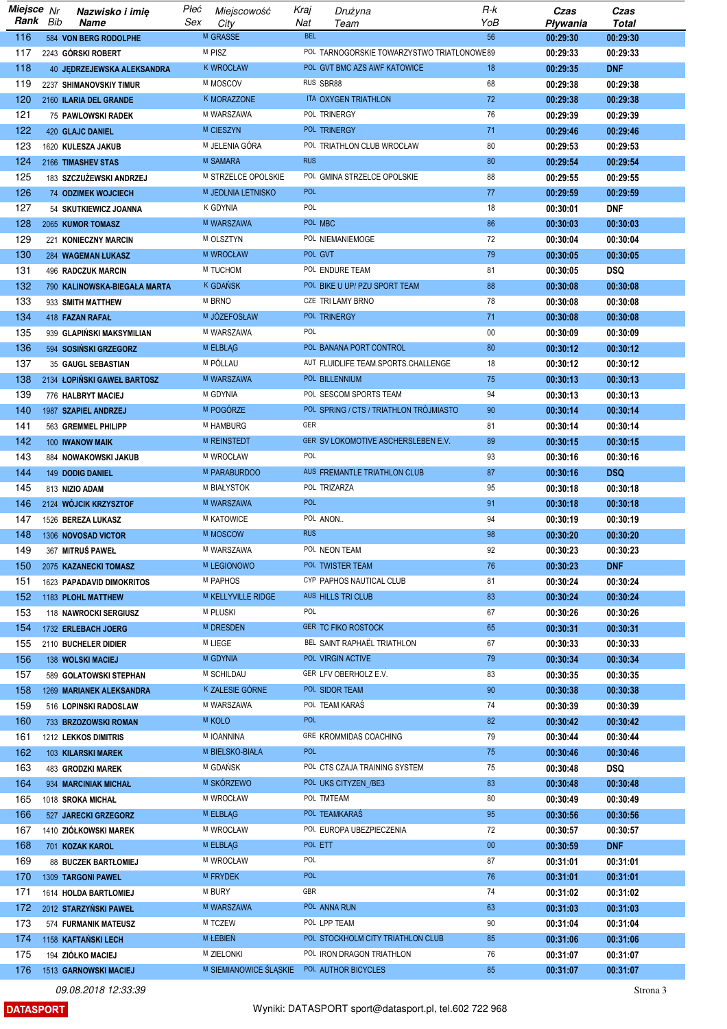| Miejsce Nr |     | Nazwisko i imię              | Płeć | Miejscowość            | Kraj              | Drużyna                                    | R-k    | Czas     | Czas         |
|------------|-----|------------------------------|------|------------------------|-------------------|--------------------------------------------|--------|----------|--------------|
| Rank       | Bib | Name                         | Sex  | City                   | Nat<br><b>BEL</b> | Team                                       | YoB    | Pływania | <b>Total</b> |
| 116        |     | 584 VON BERG RODOLPHE        |      | M GRASSE               |                   |                                            | 56     | 00:29:30 | 00:29:30     |
| 117        |     | 2243 GÓRSKI ROBERT           |      | M PISZ                 |                   | POL TARNOGORSKIE TOWARZYSTWO TRIATLONOWE89 |        | 00:29:33 | 00:29:33     |
| 118        |     | 40 JEDRZEJEWSKA ALEKSANDRA   |      | <b>K WROCŁAW</b>       |                   | POL GVT BMC AZS AWF KATOWICE               | 18     | 00:29:35 | <b>DNF</b>   |
| 119        |     | 2237 SHIMANOVSKIY TIMUR      |      | M MOSCOV               |                   | RUS SBR88                                  | 68     | 00:29:38 | 00:29:38     |
| 120        |     | 2160 ILARIA DEL GRANDE       |      | K MORAZZONE            |                   | ITA OXYGEN TRIATHLON                       | 72     | 00:29:38 | 00:29:38     |
| 121        |     | 75 PAWLOWSKI RADEK           |      | M WARSZAWA             |                   | POL TRINERGY                               | 76     | 00:29:39 | 00:29:39     |
| 122        |     | <b>420 GLAJC DANIEL</b>      |      | M CIESZYN              |                   | POL TRINERGY                               | 71     | 00:29:46 | 00:29:46     |
| 123        |     | 1620 KULESZA JAKUB           |      | M JELENIA GÓRA         |                   | POL TRIATHLON CLUB WROCŁAW                 | 80     | 00:29:53 | 00:29:53     |
| 124        |     | 2166 TIMASHEV STAS           |      | <b>M SAMARA</b>        | <b>RUS</b>        |                                            | 80     | 00:29:54 | 00:29:54     |
| 125        |     | 183 SZCZUŻEWSKI ANDRZEJ      |      | M STRZELCE OPOLSKIE    |                   | POL GMINA STRZELCE OPOLSKIE                | 88     | 00:29:55 | 00:29:55     |
| 126        |     | 74 ODZIMEK WOJCIECH          |      | M JEDLNIA LETNISKO     | <b>POL</b>        |                                            | 77     | 00:29:59 | 00:29:59     |
| 127        |     | 54 SKUTKIEWICZ JOANNA        |      | K GDYNIA               | POL               |                                            | 18     | 00:30:01 | DNF          |
| 128        |     | 2065 KUMOR TOMASZ            |      | M WARSZAWA             |                   | POL MBC                                    | 86     | 00:30:03 | 00:30:03     |
| 129        |     | 221 KONIECZNY MARCIN         |      | M OLSZTYN              |                   | POL NIEMANIEMOGE                           | 72     | 00:30:04 | 00:30:04     |
| 130        |     | 284 WAGEMAN ŁUKASZ           |      | M WROCŁAW              |                   | POL GVT                                    | 79     | 00:30:05 | 00:30:05     |
| 131        |     | <b>496 RADCZUK MARCIN</b>    |      | M TUCHOM               |                   | POL ENDURE TEAM                            | 81     | 00:30:05 | <b>DSQ</b>   |
| 132        |     | 790 KALINOWSKA-BIEGAŁA MARTA |      | <b>K GDANSK</b>        |                   | POL BIKE U UP/ PZU SPORT TEAM              | 88     | 00:30:08 | 00:30:08     |
| 133        |     | 933 SMITH MATTHEW            |      | M BRNO                 |                   | CZE TRI LAMY BRNO                          | 78     | 00:30:08 | 00:30:08     |
| 134        |     | 418 FAZAN RAFAŁ              |      | M JÓZEFOSŁAW           |                   | POL TRINERGY                               | 71     | 00:30:08 | 00:30:08     |
| 135        |     | 939 GLAPIŃSKI MAKSYMILIAN    |      | M WARSZAWA             | POL               |                                            | $00\,$ | 00:30:09 | 00:30:09     |
| 136        |     | 594 SOSIŃSKI GRZEGORZ        |      | M ELBLAG               |                   | POL BANANA PORT CONTROL                    | 80     | 00:30:12 | 00:30:12     |
| 137        |     | 35 GAUGL SEBASTIAN           |      | M PÖLLAU               |                   | AUT FLUIDLIFE TEAM.SPORTS.CHALLENGE        | 18     | 00:30:12 | 00:30:12     |
| 138        |     | 2134 ŁOPIŃSKI GAWEŁ BARTOSZ  |      | M WARSZAWA             |                   | POL BILLENNIUM                             | 75     | 00:30:13 | 00:30:13     |
| 139        |     | 776 HALBRYT MACIEJ           |      | M GDYNIA               |                   | POL SESCOM SPORTS TEAM                     | 94     | 00:30:13 | 00:30:13     |
| 140        |     | 1987 SZAPIEL ANDRZEJ         |      | M POGÓRZE              |                   | POL SPRING / CTS / TRIATHLON TROJMIASTO    | 90     | 00:30:14 | 00:30:14     |
| 141        |     | 563 GREMMEL PHILIPP          |      | M HAMBURG              | GER               |                                            | 81     | 00:30:14 | 00:30:14     |
| 142        |     | 100 IWANOW MAIK              |      | M REINSTEDT            |                   | GER SV LOKOMOTIVE ASCHERSLEBEN E.V.        | 89     | 00:30:15 | 00:30:15     |
| 143        |     | 884 NOWAKOWSKI JAKUB         |      | M WROCŁAW              | POL               |                                            | 93     | 00:30:16 | 00:30:16     |
| 144        |     | 149 DODIG DANIEL             |      | M PARABURDOO           |                   | AUS FREMANTLE TRIATHLON CLUB               | 87     | 00:30:16 | <b>DSQ</b>   |
| 145        |     | 813 NIZIO ADAM               |      | M BIAŁYSTOK            |                   | POL TRIZARZA                               | 95     | 00:30:18 | 00:30:18     |
| 146        |     | 2124 WÓJCIK KRZYSZTOF        |      | M WARSZAWA             | <b>POL</b>        |                                            | 91     | 00:30:18 | 00:30:18     |
| 147        |     | 1526 BEREZA LUKASZ           |      | M KATOWICE             |                   | POL ANON                                   | 94     | 00:30:19 | 00:30:19     |
| 148        |     | 1306 NOVOSAD VICTOR          |      | M MOSCOW               | <b>RUS</b>        |                                            | 98     | 00:30:20 | 00:30:20     |
| 149        |     | 367 MITRUŚ PAWEŁ             |      | M WARSZAWA             |                   | POL NEON TEAM                              | 92     | 00:30:23 | 00:30:23     |
| 150        |     | 2075 KAZANECKI TOMASZ        |      | M LEGIONOWO            |                   | POL TWISTER TEAM                           | 76     | 00:30:23 | <b>DNF</b>   |
| 151        |     | 1623 PAPADAVID DIMOKRITOS    |      | M PAPHOS               |                   | CYP PAPHOS NAUTICAL CLUB                   | 81     | 00:30:24 | 00:30:24     |
| 152        |     | 1183 PLOHL MATTHEW           |      | M KELLYVILLE RIDGE     |                   | AUS HILLS TRI CLUB                         | 83     | 00:30:24 | 00:30:24     |
| 153        |     | 118 NAWROCKI SERGIUSZ        |      | <b>M PLUSKI</b>        | POL               |                                            | 67     | 00:30:26 | 00:30:26     |
| 154        |     | 1732 ERLEBACH JOERG          |      | <b>M DRESDEN</b>       |                   | <b>GER TC FIKO ROSTOCK</b>                 | 65     | 00:30:31 | 00:30:31     |
| 155        |     | 2110 BUCHELER DIDIER         |      | M LIEGE                |                   | BEL SAINT RAPHAËL TRIATHLON                | 67     | 00:30:33 | 00:30:33     |
| 156        |     | 138 WOLSKI MACIEJ            |      | M GDYNIA               |                   | POL VIRGIN ACTIVE                          | 79     | 00:30:34 | 00:30:34     |
| 157        |     | 589 GOLATOWSKI STEPHAN       |      | M SCHILDAU             |                   | GER LFV OBERHOLZ E.V.                      | 83     | 00:30:35 | 00:30:35     |
| 158        |     | 1269 MARIANEK ALEKSANDRA     |      | K ZALESIE GÓRNE        |                   | POL SIDOR TEAM                             | 90     | 00:30:38 | 00:30:38     |
| 159        |     | 516 LOPINSKI RADOSLAW        |      | M WARSZAWA             |                   | POL TEAM KARAS                             | 74     | 00:30:39 | 00:30:39     |
| 160        |     | 733 BRZOZOWSKI ROMAN         |      | <b>M KOLO</b>          | <b>POL</b>        |                                            | 82     | 00:30:42 | 00:30:42     |
| 161        |     | 1212 LEKKOS DIMITRIS         |      | M IOANNINA             |                   | GRE KROMMIDAS COACHING                     | 79     | 00:30:44 | 00:30:44     |
| 162        |     | 103 KILARSKI MAREK           |      | M BIELSKO-BIAŁA        | <b>POL</b>        |                                            | 75     | 00:30:46 | 00:30:46     |
| 163        |     | 483 GRODZKI MAREK            |      | M GDAŃSK               |                   | POL CTS CZAJA TRAINING SYSTEM              | 75     | 00:30:48 | <b>DSQ</b>   |
| 164        |     | 934 MARCINIAK MICHAŁ         |      | M SKÓRZEWO             |                   | POL UKS CITYZEN_/BE3                       | 83     | 00:30:48 | 00:30:48     |
| 165        |     | 1018 SROKA MICHAL            |      | M WROCŁAW              |                   | POL TMTEAM                                 | 80     | 00:30:49 | 00:30:49     |
| 166        |     | 527 JARECKI GRZEGORZ         |      | M ELBLAG               |                   | POL TEAMKARAŚ                              | 95     | 00:30:56 | 00:30:56     |
| 167        |     | 1410 ZIÓŁKOWSKI MAREK        |      | M WROCŁAW              |                   | POL EUROPA UBEZPIECZENIA                   | 72     | 00:30:57 | 00:30:57     |
| 168        |     | 701 KOZAK KAROL              |      | M ELBLAG               |                   | POL ETT                                    | $00\,$ | 00:30:59 | <b>DNF</b>   |
| 169        |     | <b>88 BUCZEK BARTŁOMIEJ</b>  |      | M WROCŁAW              | POL               |                                            | 87     | 00:31:01 | 00:31:01     |
| 170        |     | 1309 TARGONI PAWEL           |      | M FRYDEK               | <b>POL</b><br>GBR |                                            | 76     | 00:31:01 | 00:31:01     |
| 171        |     | 1614 HOLDA BARTLOMIEJ        |      | M BURY                 |                   |                                            | 74     | 00:31:02 | 00:31:02     |
| 172        |     | 2012 STARZYŃSKI PAWEŁ        |      | M WARSZAWA             |                   | POL ANNA RUN                               | 63     | 00:31:03 | 00:31:03     |
| 173        |     | 574 FURMANIK MATEUSZ         |      | M TCZEW                |                   | POL LPP TEAM                               | 90     | 00:31:04 | 00:31:04     |
| 174        |     | 1158 KAFTAŃSKI LECH          |      | M ŁEBIEŃ               |                   | POL STOCKHOLM CITY TRIATHLON CLUB          | 85     | 00:31:06 | 00:31:06     |
| 175        |     | 194 ZIÓŁKO MACIEJ            |      | M ZIELONKI             |                   | POL IRON DRAGON TRIATHLON                  | 76     | 00:31:07 | 00:31:07     |
| 176        |     | 1513 GARNOWSKI MACIEJ        |      | M SIEMIANOWICE ŚLĄSKIE |                   | POL AUTHOR BICYCLES                        | 85     | 00:31:07 | 00:31:07     |

**DATASPORT**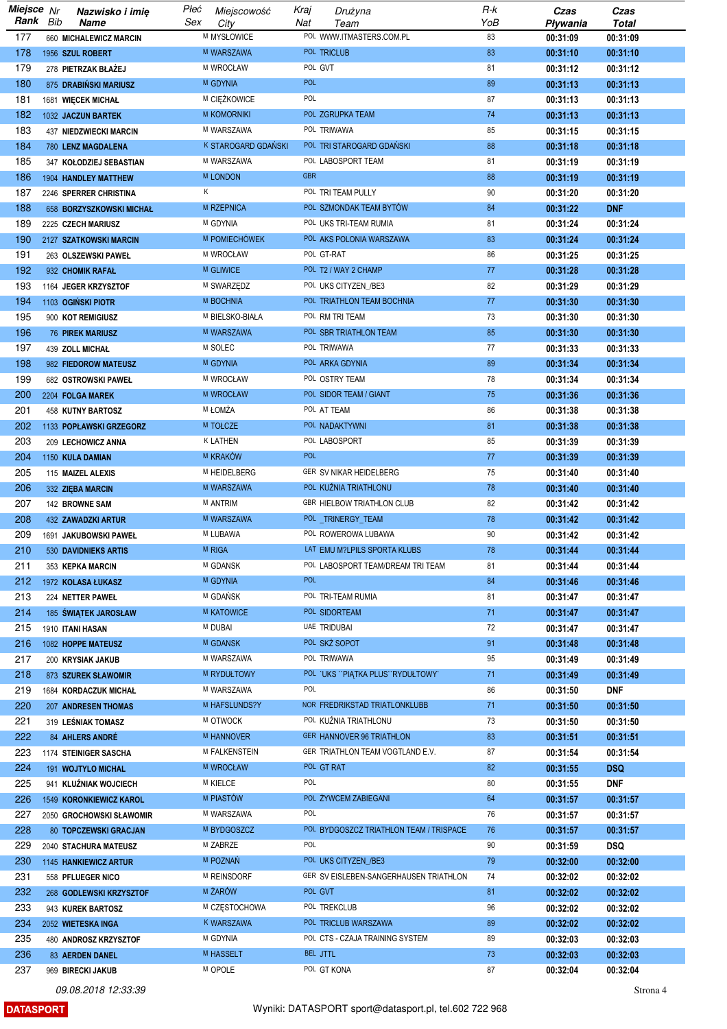| Miejsce Nr |     | Nazwisko i imię                        | Płeć | Miejscowość         | Kraj       | Drużyna                                 | R-k | Czas                 | Czas         |
|------------|-----|----------------------------------------|------|---------------------|------------|-----------------------------------------|-----|----------------------|--------------|
| Rank       | Bib | <b>Name</b>                            | Sex  | City                | Nat        | Team                                    | YoB | Pływania             | <b>Total</b> |
| 177        |     | 660 MICHALEWICZ MARCIN                 |      | M MYSŁOWICE         |            | POL WWW.ITMASTERS.COM.PL                | 83  | 00:31:09             | 00:31:09     |
| 178        |     | 1956 SZUL ROBERT                       |      | M WARSZAWA          |            | POL TRICLUB                             | 83  | 00:31:10             | 00:31:10     |
| 179        |     | 278 PIETRZAK BŁAŻEJ                    |      | M WROCŁAW           |            | POL GVT                                 | 81  | 00:31:12             | 00:31:12     |
| 180        |     | 875 DRABIŃSKI MARIUSZ                  |      | M GDYNIA            | <b>POL</b> |                                         | 89  | 00:31:13             | 00:31:13     |
| 181        |     | 1681 WIĘCEK MICHAŁ                     |      | M CIĘŻKOWICE        | POL        |                                         | 87  | 00:31:13             | 00:31:13     |
| 182        |     | 1032 JACZUN BARTEK                     |      | <b>M KOMORNIKI</b>  |            | POL ZGRUPKA TEAM                        | 74  | 00:31:13             | 00:31:13     |
| 183        |     | 437 NIEDZWIECKI MARCIN                 |      | M WARSZAWA          |            | POL TRIWAWA                             | 85  | 00:31:15             | 00:31:15     |
| 184        |     | <b>780 LENZ MAGDALENA</b>              |      | K STAROGARD GDAŃSKI |            | POL TRI STAROGARD GDAŃSKI               | 88  | 00:31:18             | 00:31:18     |
| 185        |     | 347 KOŁODZIEJ SEBASTIAN                |      | M WARSZAWA          |            | POL LABOSPORT TEAM                      | 81  | 00:31:19             | 00:31:19     |
| 186        |     | 1904 HANDLEY MATTHEW                   |      | <b>M LONDON</b>     | <b>GBR</b> |                                         | 88  | 00:31:19             | 00:31:19     |
| 187        |     | 2246 SPERRER CHRISTINA                 | Κ    |                     |            | POL TRI TEAM PULLY                      | 90  | 00:31:20             | 00:31:20     |
| 188        |     | 658 BORZYSZKOWSKI MICHAŁ               |      | M RZEPNICA          |            | POL SZMONDAK TEAM BYTÓW                 | 84  | 00:31:22             | <b>DNF</b>   |
| 189        |     | 2225 CZECH MARIUSZ                     |      | M GDYNIA            |            | POL UKS TRI-TEAM RUMIA                  | 81  | 00:31:24             | 00:31:24     |
| 190        |     | 2127 SZATKOWSKI MARCIN                 |      | M POMIECHÓWEK       |            | POL AKS POLONIA WARSZAWA                | 83  | 00:31:24             | 00:31:24     |
| 191        |     | 263 OLSZEWSKI PAWEŁ                    |      | M WROCŁAW           |            | POL GT-RAT                              | 86  | 00:31:25             | 00:31:25     |
| 192        |     | 932 CHOMIK RAFAŁ                       |      | M GLIWICE           |            | POL T2 / WAY 2 CHAMP                    | 77  | 00:31:28             | 00:31:28     |
| 193        |     | 1164 JEGER KRZYSZTOF                   |      | M SWARZĘDZ          |            | POL UKS CITYZEN_/BE3                    | 82  | 00:31:29             | 00:31:29     |
| 194        |     | 1103 OGINSKI PIOTR                     |      | M BOCHNIA           |            | POL TRIATHLON TEAM BOCHNIA              | 77  | 00:31:30             | 00:31:30     |
| 195        |     | 900 KOT REMIGIUSZ                      |      | M BIELSKO-BIAŁA     |            | POL RM TRI TEAM                         | 73  | 00:31:30             | 00:31:30     |
| 196        |     | <b>76 PIREK MARIUSZ</b>                |      | M WARSZAWA          |            | POL SBR TRIATHLON TEAM                  | 85  | 00:31:30             | 00:31:30     |
| 197        |     | 439 ZOLL MICHAŁ                        |      | M SOLEC             |            | POL TRIWAWA                             | 77  | 00:31:33             | 00:31:33     |
| 198        |     | 982 FIEDOROW MATEUSZ                   |      | M GDYNIA            |            | POL ARKA GDYNIA                         | 89  | 00:31:34             | 00:31:34     |
| 199        |     | 682 OSTROWSKI PAWEŁ                    |      | M WROCŁAW           |            | POL OSTRY TEAM                          | 78  | 00:31:34             | 00:31:34     |
| 200        |     | 2204 FOLGA MAREK                       |      | <b>M WROCŁAW</b>    |            | POL SIDOR TEAM / GIANT                  | 75  | 00:31:36             | 00:31:36     |
| 201        |     | 458 KUTNY BARTOSZ                      |      | M ŁOMŻA             |            | POL AT TEAM                             | 86  | 00:31:38             | 00:31:38     |
| 202        |     | 1133 POPŁAWSKI GRZEGORZ                |      | M TOŁCZE            |            | POL NADAKTYWNI                          | 81  | 00:31:38             | 00:31:38     |
| 203        |     | 209 LECHOWICZ ANNA                     |      | K LATHEN            |            | POL LABOSPORT                           | 85  | 00:31:39             | 00:31:39     |
| 204        |     |                                        |      | M KRAKÓW            | <b>POL</b> |                                         | 77  | 00:31:39             | 00:31:39     |
| 205        |     | 1150 KULA DAMIAN                       |      | M HEIDELBERG        |            | GER SV NIKAR HEIDELBERG                 | 75  | 00:31:40             | 00:31:40     |
| 206        |     | 115 MAIZEL ALEXIS                      |      | M WARSZAWA          |            | POL KUŽNIA TRIATHLONU                   | 78  | 00:31:40             | 00:31:40     |
| 207        |     | 332 ZIĘBA MARCIN<br>142 BROWNE SAM     |      | M ANTRIM            |            | GBR HIELBOW TRIATHLON CLUB              | 82  | 00:31:42             | 00:31:42     |
| 208        |     | <b>432 ZAWADZKI ARTUR</b>              |      | M WARSZAWA          |            | POL TRINERGY TEAM                       | 78  | 00:31:42             | 00:31:42     |
| 209        |     | 1691 JAKUBOWSKI PAWEŁ                  |      | M LUBAWA            |            | POL ROWEROWA LUBAWA                     | 90  |                      | 00:31:42     |
| 210        |     |                                        |      | <b>M RIGA</b>       |            | LAT EMU M?LPILS SPORTA KLUBS            | 78  | 00:31:42<br>00:31:44 | 00:31:44     |
| 211        |     | 530 DAVIDNIEKS ARTIS                   |      | M GDANSK            |            | POL LABOSPORT TEAM/DREAM TRI TEAM       | 81  |                      | 00:31:44     |
| 212        |     | 353 KEPKA MARCIN<br>1972 KOLASA ŁUKASZ |      | M GDYNIA            | <b>POL</b> |                                         | 84  | 00:31:44<br>00:31:46 | 00:31:46     |
| 213        |     |                                        |      | M GDAŃSK            |            | POL TRI-TEAM RUMIA                      | 81  | 00:31:47             | 00:31:47     |
|            |     | 224 NETTER PAWEŁ                       |      | <b>M KATOWICE</b>   |            | POL SIDORTEAM                           | 71  |                      | 00:31:47     |
| 214        |     | 185 ŚWIATEK JAROSŁAW                   |      | M DUBAI             |            | UAE TRIDUBAI                            |     | 00:31:47             |              |
| 215        |     | 1910 ITANI HASAN                       |      |                     |            |                                         | 72  | 00:31:47             | 00:31:47     |
| 216        |     | 1082 HOPPE MATEUSZ                     |      | M GDANSK            |            | POL SKŻ SOPOT<br>POL TRIWAWA            | 91  | 00:31:48             | 00:31:48     |
| 217        |     | 200 KRYSIAK JAKUB                      |      | M WARSZAWA          |            |                                         | 95  | 00:31:49             | 00:31:49     |
| 218        |     | 873 SZUREK SŁAWOMIR                    |      | M RYDUŁTOWY         | POL        | POL 'UKS ''PIATKA PLUS''RYDUŁTOWY'      | 71  | 00:31:49             | 00:31:49     |
| 219        |     | 1684 KORDACZUK MICHAŁ                  |      | M WARSZAWA          |            |                                         | 86  | 00:31:50             | <b>DNF</b>   |
| 220        |     | 207 ANDRESEN THOMAS                    |      | M HAFSLUNDS?Y       |            | NOR FREDRIKSTAD TRIATLONKLUBB           | 71  | 00:31:50             | 00:31:50     |
| 221        |     | 319 LEŚNIAK TOMASZ                     |      | M OTWOCK            |            | POL KUŹNIA TRIATHLONU                   | 73  | 00:31:50             | 00:31:50     |
| 222        |     | 84 AHLERS ANDRÉ                        |      | M HANNOVER          |            | GER HANNOVER 96 TRIATHLON               | 83  | 00:31:51             | 00:31:51     |
| 223        |     | 1174 STEINIGER SASCHA                  |      | M FALKENSTEIN       |            | GER TRIATHLON TEAM VOGTLAND E.V.        | 87  | 00:31:54             | 00:31:54     |
| 224        |     | 191 WOJTYLO MICHAL                     |      | M WROCŁAW           |            | POL GT RAT                              | 82  | 00:31:55             | <b>DSQ</b>   |
| 225        |     | 941 KLUŹNIAK WOJCIECH                  |      | <b>M KIELCE</b>     | POL        |                                         | 80  | 00:31:55             | <b>DNF</b>   |
| 226        |     | 1549 KORONKIEWICZ KAROL                |      | M PIASTÓW           |            | POL ŻYWCEM ZABIEGANI                    | 64  | 00:31:57             | 00:31:57     |
| 227        |     | 2050 GROCHOWSKI SŁAWOMIR               |      | M WARSZAWA          | POL        |                                         | 76  | 00:31:57             | 00:31:57     |
| 228        |     | 80 TOPCZEWSKI GRACJAN                  |      | M BYDGOSZCZ         |            | POL BYDGOSZCZ TRIATHLON TEAM / TRISPACE | 76  | 00:31:57             | 00:31:57     |
| 229        |     | 2040 STACHURA MATEUSZ                  |      | M ZABRZE            | POL        |                                         | 90  | 00:31:59             | <b>DSQ</b>   |
| 230        |     | 1145 HANKIEWICZ ARTUR                  |      | M POZNAŃ            |            | POL UKS CITYZEN /BE3                    | 79  | 00:32:00             | 00:32:00     |
| 231        |     | 558 PFLUEGER NICO                      |      | M REINSDORF         |            | GER SV EISLEBEN-SANGERHAUSEN TRIATHLON  | 74  | 00:32:02             | 00:32:02     |
| 232        |     | 268 GODLEWSKI KRZYSZTOF                |      | M ŻARÓW             |            | POL GVT                                 | 81  | 00:32:02             | 00:32:02     |
| 233        |     | 943 KUREK BARTOSZ                      |      | M CZĘSTOCHOWA       |            | POL TREKCLUB                            | 96  | 00:32:02             | 00:32:02     |
| 234        |     | 2052 WIETESKA INGA                     |      | K WARSZAWA          |            | POL TRICLUB WARSZAWA                    | 89  | 00:32:02             | 00:32:02     |
| 235        |     | 480 ANDROSZ KRZYSZTOF                  |      | M GDYNIA            |            | POL CTS - CZAJA TRAINING SYSTEM         | 89  | 00:32:03             | 00:32:03     |
| 236        |     | 83 AERDEN DANEL                        |      | M HASSELT           |            | BEL JTTL                                | 73  | 00:32:03             | 00:32:03     |
| 237        |     | 969 BIRECKI JAKUB                      |      | M OPOLE             |            | POL GT KONA                             | 87  | 00:32:04             | 00:32:04     |

**DATASPORT**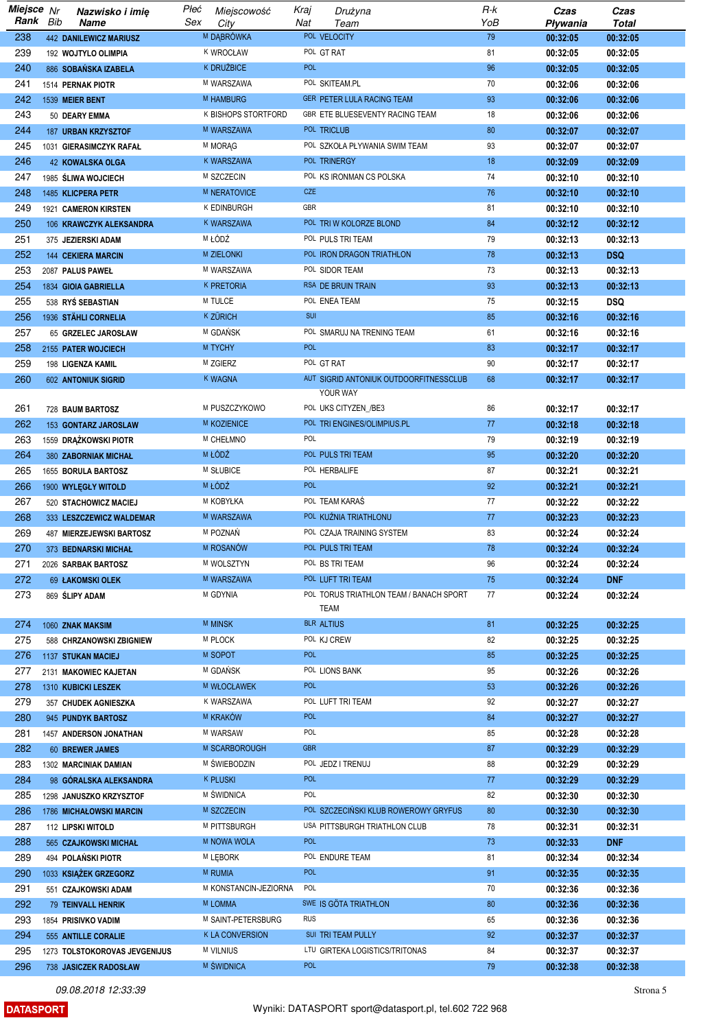| Miejsce Nr |     | Nazwisko i imię                             | Płeć | Miejscowość                      | Kraj       | Drużyna                                            | R-k | Czas     | Czas         |
|------------|-----|---------------------------------------------|------|----------------------------------|------------|----------------------------------------------------|-----|----------|--------------|
| Rank       | Bib | Name                                        | Sex  | City                             | Nat        | Team                                               | YoB | Pływania | <b>Total</b> |
| 238        |     | <b>442 DANILEWICZ MARIUSZ</b>               |      | M DABRÓWKA                       |            | POL VELOCITY                                       | 79  | 00:32:05 | 00:32:05     |
| 239        |     | 192 WOJTYLO OLIMPIA                         |      | K WROCŁAW                        |            | POL GT RAT                                         | 81  | 00:32:05 | 00:32:05     |
| 240        |     | 886 SOBAŃSKA IZABELA                        |      | K DRUŽBICE                       | <b>POL</b> |                                                    | 96  | 00:32:05 | 00:32:05     |
| 241        |     | 1514 PERNAK PIOTR                           |      | M WARSZAWA                       |            | POL SKITEAM.PL                                     | 70  | 00:32:06 | 00:32:06     |
| 242        |     | 1539 MEIER BENT                             |      | <b>M HAMBURG</b>                 |            | GER PETER LULA RACING TEAM                         | 93  | 00:32:06 | 00:32:06     |
| 243        |     | 50 DEARY EMMA                               |      | K BISHOPS STORTFORD              |            | GBR ETE BLUESEVENTY RACING TEAM                    | 18  | 00:32:06 | 00:32:06     |
| 244        |     |                                             |      | M WARSZAWA                       |            | POL TRICLUB                                        | 80  | 00:32:07 | 00:32:07     |
| 245        |     | 187 URBAN KRZYSZTOF                         |      |                                  |            |                                                    | 93  |          |              |
|            |     | 1031 GIERASIMCZYK RAFAŁ                     |      | M MORAG                          |            | POL SZKOŁA PŁYWANIA SWIM TEAM                      |     | 00:32:07 | 00:32:07     |
| 246        |     | 42 KOWALSKA OLGA                            |      | <b>K WARSZAWA</b>                |            | POL TRINERGY                                       | 18  | 00:32:09 | 00:32:09     |
| 247        |     | 1985 ŚLIWA WOJCIECH                         |      | M SZCZECIN                       |            | POL KS IRONMAN CS POLSKA                           | 74  | 00:32:10 | 00:32:10     |
| 248        |     | 1485 KLICPERA PETR                          |      | M NERATOVICE                     | <b>CZE</b> |                                                    | 76  | 00:32:10 | 00:32:10     |
| 249        |     | 1921 CAMERON KIRSTEN                        |      | K EDINBURGH                      | GBR        |                                                    | 81  | 00:32:10 | 00:32:10     |
| 250        |     | 106 KRAWCZYK ALEKSANDRA                     |      | K WARSZAWA                       |            | POL TRIW KOLORZE BLOND                             | 84  | 00:32:12 | 00:32:12     |
| 251        |     | 375 JEZIERSKI ADAM                          |      | M ŁÓDŹ                           |            | POL PULS TRI TEAM                                  | 79  | 00:32:13 | 00:32:13     |
| 252        |     | <b>144 CEKIERA MARCIN</b>                   |      | M ZIELONKI                       |            | POL IRON DRAGON TRIATHLON                          | 78  | 00:32:13 | <b>DSQ</b>   |
| 253        |     | 2087 PALUS PAWEŁ                            |      | M WARSZAWA                       |            | POL SIDOR TEAM                                     | 73  | 00:32:13 | 00:32:13     |
| 254        |     | 1834 GIOIA GABRIELLA                        |      | <b>K PRETORIA</b>                |            | RSA DE BRUIN TRAIN                                 | 93  | 00:32:13 | 00:32:13     |
| 255        |     | 538 RYS SEBASTIAN                           |      | M TULCE                          |            | POL ENEA TEAM                                      | 75  | 00:32:15 | <b>DSQ</b>   |
| 256        |     | 1936 STÄHLI CORNELIA                        |      | <b>K ZURICH</b>                  | SUI        |                                                    | 85  | 00:32:16 | 00:32:16     |
| 257        |     | 65 GRZELEC JAROSŁAW                         |      | M GDAŃSK                         |            | POL SMARUJ NA TRENING TEAM                         | 61  | 00:32:16 | 00:32:16     |
| 258        |     | 2155 PATER WOJCIECH                         |      | M TYCHY                          | <b>POL</b> |                                                    | 83  | 00:32:17 | 00:32:17     |
| 259        |     |                                             |      | M ZGIERZ                         |            | POL GT RAT                                         | 90  | 00:32:17 | 00:32:17     |
|            |     | 198 LIGENZA KAMIL                           |      |                                  |            |                                                    |     |          |              |
| 260        |     | 602 ANTONIUK SIGRID                         |      | <b>K WAGNA</b>                   |            | AUT SIGRID ANTONIUK OUTDOORFITNESSCLUB<br>YOUR WAY | 68  | 00:32:17 | 00:32:17     |
|            |     |                                             |      |                                  |            |                                                    |     |          |              |
| 261        |     | 728 BAUM BARTOSZ                            |      | M PUSZCZYKOWO                    |            | POL UKS CITYZEN_/BE3                               | 86  | 00:32:17 | 00:32:17     |
| 262        |     | 153 GONTARZ JAROSLAW                        |      | <b>M KOZIENICE</b>               |            | POL TRI ENGINES/OLIMPIUS.PL                        | 77  | 00:32:18 | 00:32:18     |
| 263        |     | 1559 DRĄŻKOWSKI PIOTR                       |      | M CHEŁMNO                        | POL        |                                                    | 79  | 00:32:19 | 00:32:19     |
| 264        |     | 380 ZABORNIAK MICHAŁ                        |      | M ŁÓDŹ                           |            | POL PULS TRI TEAM                                  | 95  | 00:32:20 | 00:32:20     |
| 265        |     | 1655 BORULA BARTOSZ                         |      | M SŁUBICE                        |            | POL HERBALIFE                                      | 87  | 00:32:21 | 00:32:21     |
| 266        |     | 1900 WYLEGŁY WITOLD                         |      | M ŁODŻ                           | <b>POL</b> |                                                    | 92  | 00:32:21 | 00:32:21     |
| 267        |     | 520 STACHOWICZ MACIEJ                       |      | M KOBYŁKA                        |            | POL TEAM KARAS                                     | 77  | 00:32:22 | 00:32:22     |
| 268        |     | 333 LESZCZEWICZ WALDEMAR                    |      | M WARSZAWA                       |            | POL KUŹNIA TRIATHLONU                              | 77  | 00:32:23 | 00:32:23     |
| 269        |     | <b>487 MIERZEJEWSKI BARTOSZ</b>             |      | M POZNAŃ                         |            | POL CZAJA TRAINING SYSTEM                          | 83  | 00:32:24 | 00:32:24     |
| 270        |     | 373 BEDNARSKI MICHAŁ                        |      | M ROSANÓW                        |            | POL PULS TRI TEAM                                  | 78  | 00:32:24 | 00:32:24     |
| 271        |     | 2026 SARBAK BARTOSZ                         |      | M WOLSZTYN                       |            | POL BS TRI TEAM                                    | 96  | 00:32:24 | 00:32:24     |
| 272        |     | 69 ŁAKOMSKI OLEK                            |      | M WARSZAWA                       |            | POL LUFT TRI TEAM                                  | 75  | 00:32:24 | <b>DNF</b>   |
| 273        |     | 869 SLIPY ADAM                              |      | M GDYNIA                         |            | POL TORUS TRIATHLON TEAM / BANACH SPORT            | 77  | 00:32:24 | 00:32:24     |
|            |     |                                             |      |                                  |            | TEAM                                               |     |          |              |
| 274        |     | 1060 ZNAK MAKSIM                            |      | <b>M MINSK</b>                   |            | BLR ALTIUS                                         | 81  | 00:32:25 | 00:32:25     |
| 275        |     | 588 CHRZANOWSKI ZBIGNIEW                    |      | M PLOCK                          |            | POL KJ CREW                                        | 82  | 00:32:25 | 00:32:25     |
| 276        |     |                                             |      | M SOPOT                          | POL        |                                                    | 85  | 00:32:25 | 00:32:25     |
| 277        |     | 1137 STUKAN MACIEJ<br>2131 MAKOWIEC KAJETAN |      | M GDAŃSK                         |            | POL LIONS BANK                                     | 95  | 00:32:26 | 00:32:26     |
|            |     |                                             |      |                                  |            |                                                    |     |          |              |
| 278        |     | 1310 KUBICKI LESZEK                         |      | <b>M WŁOCŁAWEK</b><br>K WARSZAWA | POL        | POL LUFT TRI TEAM                                  | 53  | 00:32:26 | 00:32:26     |
| 279        |     | 357 CHUDEK AGNIESZKA                        |      |                                  |            |                                                    | 92  | 00:32:27 | 00:32:27     |
| 280        |     | 945 PUNDYK BARTOSZ                          |      | M KRAKÓW                         | <b>POL</b> |                                                    | 84  | 00:32:27 | 00:32:27     |
| 281        |     | 1457 ANDERSON JONATHAN                      |      | M WARSAW                         | POL        |                                                    | 85  | 00:32:28 | 00:32:28     |
| 282        |     | <b>60 BREWER JAMES</b>                      |      | M SCARBOROUGH                    | <b>GBR</b> |                                                    | 87  | 00:32:29 | 00:32:29     |
| 283        |     | 1302 MARCINIAK DAMIAN                       |      | M ŚWIEBODZIN                     |            | POL JEDZ I TRENUJ                                  | 88  | 00:32:29 | 00:32:29     |
| 284        |     | 98 GÓRALSKA ALEKSANDRA                      |      | <b>K PLUSKI</b>                  | <b>POL</b> |                                                    | 77  | 00:32:29 | 00:32:29     |
| 285        |     | 1298 JANUSZKO KRZYSZTOF                     |      | M ŚWIDNICA                       | POL        |                                                    | 82  | 00:32:30 | 00:32:30     |
| 286        |     | 1786 MICHAŁOWSKI MARCIN                     |      | M SZCZECIN                       |            | <sup>POL</sup> SZCZECIŃSKI KLUB ROWEROWY GRYFUS    | 80  | 00:32:30 | 00:32:30     |
| 287        |     | 112 LIPSKI WITOLD                           |      | M PITTSBURGH                     |            | USA PITTSBURGH TRIATHLON CLUB                      | 78  | 00:32:31 | 00:32:31     |
| 288        |     | 565 CZAJKOWSKI MICHAŁ                       |      | M NOWA WOLA                      | <b>POL</b> |                                                    | 73  | 00:32:33 | <b>DNF</b>   |
| 289        |     | 494 POLAŃSKI PIOTR                          |      | <b>M LEBORK</b>                  |            | POL ENDURE TEAM                                    | 81  | 00:32:34 | 00:32:34     |
| 290        |     | 1033 KSIĄŻEK GRZEGORZ                       |      | <b>M RUMIA</b>                   | <b>POL</b> |                                                    | 91  | 00:32:35 | 00:32:35     |
| 291        |     | 551 CZAJKOWSKI ADAM                         |      | M KONSTANCIN-JEZIORNA            | POL        |                                                    | 70  | 00:32:36 | 00:32:36     |
| 292        |     | 79 TEINVALL HENRIK                          |      | M LOMMA                          |            | SWE IS GOTA TRIATHLON                              | 80  | 00:32:36 | 00:32:36     |
|            |     |                                             |      | M SAINT-PETERSBURG               | <b>RUS</b> |                                                    | 65  |          |              |
| 293        |     | 1854 PRISIVKO VADIM                         |      |                                  |            |                                                    |     | 00:32:36 | 00:32:36     |
| 294        |     | 555 ANTILLE CORALIE                         |      | K LA CONVERSION                  |            | SUI TRI TEAM PULLY                                 | 92  | 00:32:37 | 00:32:37     |
| 295        |     | 1273 TOLSTOKOROVAS JEVGENIJUS               |      | <b>M VILNIUS</b>                 |            | LTU GIRTEKA LOGISTICS/TRITONAS                     | 84  | 00:32:37 | 00:32:37     |
| 296        |     | 738 JASICZEK RADOSŁAW                       |      | M ŚWIDNICA                       | <b>POL</b> |                                                    | 79  | 00:32:38 | 00:32:38     |

**DATASPORT**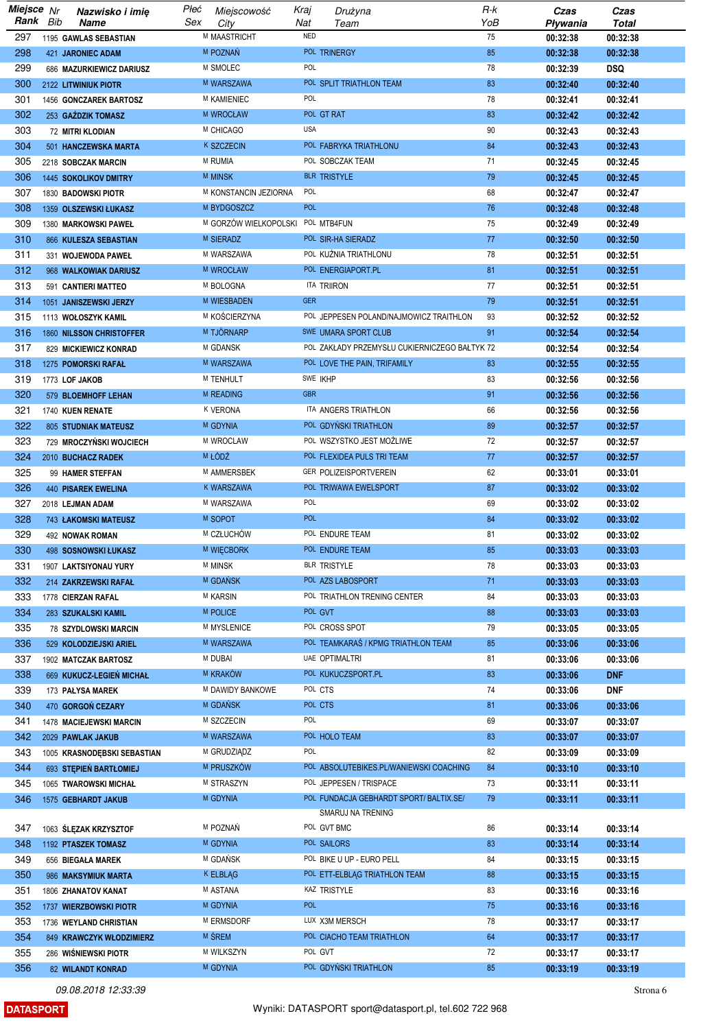| Miejsce Nr | Nazwisko i imie                 | Płeć | Miejscowość                       | Kraj       | Drużyna                                                      | R-k | Czas     | Czas         |
|------------|---------------------------------|------|-----------------------------------|------------|--------------------------------------------------------------|-----|----------|--------------|
| Rank Bib   | Name                            | Sex  | City                              | Nat        | Team                                                         | YoB | Pływania | <b>Total</b> |
| 297        | 1195 GAWLAS SEBASTIAN           |      | M MAASTRICHT                      | <b>NED</b> |                                                              | 75  | 00:32:38 | 00:32:38     |
| 298        | 421 JARONIEC ADAM               |      | M POZNAŃ                          |            | POL TRINERGY                                                 | 85  | 00:32:38 | 00:32:38     |
| 299        | 686 MAZURKIEWICZ DARIUSZ        |      | M SMOLEC                          | POL        |                                                              | 78  | 00:32:39 | <b>DSQ</b>   |
| 300        | 2122 LITWINIUK PIOTR            |      | M WARSZAWA                        |            | POL SPLIT TRIATHLON TEAM                                     | 83  | 00:32:40 | 00:32:40     |
| 301        | 1456 GONCZAREK BARTOSZ          |      | <b>M KAMIENIEC</b>                | POL        |                                                              | 78  | 00:32:41 | 00:32:41     |
| 302        | 253 GAŹDZIK TOMASZ              |      | M WROCŁAW                         |            | POL GT RAT                                                   | 83  | 00:32:42 | 00:32:42     |
| 303        | 72 MITRI KLODIAN                |      | M CHICAGO                         | <b>USA</b> |                                                              | 90  | 00:32:43 | 00:32:43     |
| 304        | 501 HANCZEWSKA MARTA            |      | <b>K SZCZECIN</b>                 |            | POL FABRYKA TRIATHLONU                                       | 84  | 00:32:43 | 00:32:43     |
| 305        | 2218 SOBCZAK MARCIN             |      | <b>M RUMIA</b>                    |            | POL SOBCZAK TEAM                                             | 71  | 00:32:45 | 00:32:45     |
| 306        | <b>1445 SOKOLIKOV DMITRY</b>    |      | <b>M MINSK</b>                    |            | <b>BLR TRISTYLE</b>                                          | 79  | 00:32:45 | 00:32:45     |
| 307        | 1830 BADOWSKI PIOTR             |      | M KONSTANCIN JEZIORNA             | POL        |                                                              | 68  | 00:32:47 | 00:32:47     |
|            |                                 |      | M BYDGOSZCZ                       | <b>POL</b> |                                                              | 76  |          |              |
| 308        | 1359 OLSZEWSKI ŁUKASZ           |      |                                   |            |                                                              |     | 00:32:48 | 00:32:48     |
| 309        | 1380 MARKOWSKI PAWEŁ            |      | M GORZÓW WIELKOPOLSKI POL MTB4FUN |            |                                                              | 75  | 00:32:49 | 00:32:49     |
| 310        | 866 KULESZA SEBASTIAN           |      | M SIERADZ                         |            | POL SIR-HA SIERADZ                                           | 77  | 00:32:50 | 00:32:50     |
| 311        | 331 WOJEWODA PAWEŁ              |      | M WARSZAWA                        |            | POL KUŹNIA TRIATHLONU                                        | 78  | 00:32:51 | 00:32:51     |
| 312        | 968 WALKOWIAK DARIUSZ           |      | M WROCŁAW                         |            | POL ENERGIAPORT.PL                                           | 81  | 00:32:51 | 00:32:51     |
| 313        | 591 CANTIERI MATTEO             |      | M BOLOGNA                         |            | ITA TRIIRON                                                  | 77  | 00:32:51 | 00:32:51     |
| 314        | 1051 JANISZEWSKI JERZY          |      | M WIESBADEN                       | <b>GER</b> |                                                              | 79  | 00:32:51 | 00:32:51     |
| 315        | 1113 WOŁOSZYK KAMIL             |      | M KOŚCIERZYNA                     |            | POL JEPPESEN POLAND/NAJMOWICZ TRAITHLON                      | 93  | 00:32:52 | 00:32:52     |
| 316        | <b>1860 NILSSON CHRISTOFFER</b> |      | <b>M TJORNARP</b>                 |            | SWE UMARA SPORT CLUB                                         | 91  | 00:32:54 | 00:32:54     |
| 317        | 829 MICKIEWICZ KONRAD           |      | M GDANSK                          |            | POL ZAKŁADY PRZEMYSŁU CUKIERNICZEGO BAŁTYK 72                |     | 00:32:54 | 00:32:54     |
| 318        | 1275 POMORSKI RAFAŁ             |      | M WARSZAWA                        |            | POL LOVE THE PAIN, TRIFAMILY                                 | 83  | 00:32:55 | 00:32:55     |
| 319        | 1773 LOF JAKOB                  |      | M TENHULT                         |            | SWE IKHP                                                     | 83  | 00:32:56 | 00:32:56     |
| 320        | 579 BLOEMHOFF LEHAN             |      | <b>M READING</b>                  | <b>GBR</b> |                                                              | 91  | 00:32:56 | 00:32:56     |
| 321        | 1740 KUEN RENATE                |      | <b>K VERONA</b>                   |            | ITA ANGERS TRIATHLON                                         | 66  | 00:32:56 | 00:32:56     |
| 322        | <b>805 STUDNIAK MATEUSZ</b>     |      | M GDYNIA                          |            | POL GDYŃSKI TRIATHLON                                        | 89  | 00:32:57 | 00:32:57     |
| 323        | 729 MROCZYŃSKI WOJCIECH         |      | M WROCLAW                         |            | POL WSZYSTKO JEST MOŻLIWE                                    | 72  | 00:32:57 | 00:32:57     |
| 324        |                                 |      | M ŁÓDŹ                            |            | POL FLEXIDEA PULS TRI TEAM                                   | 77  |          |              |
|            | 2010 BUCHACZ RADEK              |      |                                   |            |                                                              |     | 00:32:57 | 00:32:57     |
| 325        | 99 HAMER STEFFAN                |      | M AMMERSBEK                       |            | GER POLIZEISPORTVEREIN                                       | 62  | 00:33:01 | 00:33:01     |
| 326        | <b>440 PISAREK EWELINA</b>      |      | <b>K WARSZAWA</b>                 |            | POL TRIWAWA EWELSPORT                                        | 87  | 00:33:02 | 00:33:02     |
| 327        | 2018 LEJMAN ADAM                |      | M WARSZAWA                        | POL        |                                                              | 69  | 00:33:02 | 00:33:02     |
| 328        | <b>743 ŁAKOMSKI MATEUSZ</b>     |      | M SOPOT                           | <b>POL</b> |                                                              | 84  | 00:33:02 | 00:33:02     |
| 329        | 492 NOWAK ROMAN                 |      | M CZŁUCHÓW                        |            | POL ENDURE TEAM                                              | 81  | 00:33:02 | 00:33:02     |
| 330        | 498 SOSNOWSKI ŁUKASZ            |      | M WIĘCBORK                        |            | POL ENDURE TEAM                                              | 85  | 00:33:03 | 00:33:03     |
| 331        | 1907 LAKTSIYONAU YURY           |      | <b>M MINSK</b>                    |            | BLR TRISTYLE                                                 | 78  | 00:33:03 | 00:33:03     |
| 332        | 214 ZAKRZEWSKI RAFAŁ            |      | M GDAŃSK                          |            | POL AZS LABOSPORT                                            | 71  | 00:33:03 | 00:33:03     |
| 333        | 1778 CIERZAN RAFAL              |      | <b>M KARSIN</b>                   |            | POL TRIATHLON TRENING CENTER                                 | 84  | 00:33:03 | 00:33:03     |
| 334        | 283 SZUKALSKI KAMIL             |      | M POLICE                          |            | POL GVT                                                      | 88  | 00:33:03 | 00:33:03     |
| 335        | 78 SZYDLOWSKI MARCIN            |      | M MYSLENICE                       |            | POL CROSS SPOT                                               | 79  | 00:33:05 | 00:33:05     |
| 336        | 529 KOLODZIEJSKI ARIEL          |      | M WARSZAWA                        |            | POL TEAMKARAŚ / KPMG TRIATHLON TEAM                          | 85  | 00:33:06 | 00:33:06     |
| 337        | 1902 MATCZAK BARTOSZ            |      | M DUBAI                           |            | UAE OPTIMALTRI                                               | 81  | 00:33:06 | 00:33:06     |
| 338        | 669 KUKUCZ-LEGIEŃ MICHAŁ        |      | M KRAKÓW                          |            | POL KUKUCZSPORT.PL                                           | 83  | 00:33:06 | <b>DNF</b>   |
| 339        | 173 PAŁYSA MAREK                |      | M DAWIDY BANKOWE                  |            | POL CTS                                                      | 74  | 00:33:06 | <b>DNF</b>   |
| 340        | 470 GORGOŃ CEZARY               |      | M GDANSK                          |            | POL CTS                                                      | 81  | 00:33:06 | 00:33:06     |
| 341        | 1478 MACIEJEWSKI MARCIN         |      | M SZCZECIN                        | POL        |                                                              | 69  | 00:33:07 | 00:33:07     |
| 342        | 2029 PAWLAK JAKUB               |      | M WARSZAWA                        |            | POL HOLO TEAM                                                | 83  | 00:33:07 | 00:33:07     |
| 343        |                                 |      | M GRUDZIĄDZ                       | <b>POL</b> |                                                              | 82  | 00:33:09 | 00:33:09     |
| 344        | 1005 KRASNODĘBSKI SEBASTIAN     |      | M PRUSZKÓW                        |            | POL ABSOLUTEBIKES.PL/WANIEWSKI COACHING                      | 84  |          |              |
| 345        | 693 STEPIEN BARTŁOMIEJ          |      | M STRASZYN                        |            | POL JEPPESEN / TRISPACE                                      | 73  | 00:33:10 | 00:33:10     |
|            | 1065 TWAROWSKI MICHAŁ           |      |                                   |            |                                                              |     | 00:33:11 | 00:33:11     |
| 346        | 1575 GEBHARDT JAKUB             |      | <b>M GDYNIA</b>                   |            | POL FUNDACJA GEBHARDT SPORT/ BALTIX.SE/<br>SMARUJ NA TRENING | 79  | 00:33:11 | 00:33:11     |
|            |                                 |      |                                   |            |                                                              |     |          |              |
| 347        | 1063 ŚLĘZAK KRZYSZTOF           |      | M POZNAŃ                          |            | POL GVT BMC                                                  | 86  | 00:33:14 | 00:33:14     |
| 348        | 1192 PTASZEK TOMASZ             |      | <b>M GDYNIA</b>                   |            | POL SAILORS                                                  | 83  | 00:33:14 | 00:33:14     |
| 349        | 656 BIEGAŁA MAREK               |      | M GDAŃSK                          |            | POL BIKE U UP - EURO PELL                                    | 84  | 00:33:15 | 00:33:15     |
| 350        | 986 MAKSYMIUK MARTA             |      | K ELBLAG                          |            | POL ETT-ELBLAG TRIATHLON TEAM                                | 88  | 00:33:15 | 00:33:15     |
| 351        | 1806 ZHANATOV KANAT             |      | M ASTANA                          |            | KAZ TRISTYLE                                                 | 83  | 00:33:16 | 00:33:16     |
| 352        | 1737 WIERZBOWSKI PIOTR          |      | M GDYNIA                          | <b>POL</b> |                                                              | 75  | 00:33:16 | 00:33:16     |
| 353        | 1736 WEYLAND CHRISTIAN          |      | M ERMSDORF                        |            | LUX X3M MERSCH                                               | 78  | 00:33:17 | 00:33:17     |
| 354        | 849 KRAWCZYK WŁODZIMIERZ        |      | M ŚREM                            |            | POL CIACHO TEAM TRIATHLON                                    | 64  | 00:33:17 | 00:33:17     |
| 355        | 286 WIŚNIEWSKI PIOTR            |      | M WILKSZYN                        |            | POL GVT                                                      | 72  | 00:33:17 | 00:33:17     |
| 356        | 82 WILANDT KONRAD               |      | M GDYNIA                          |            | POL GDYŃSKI TRIATHLON                                        | 85  | 00:33:19 | 00:33:19     |

**DATASPORT**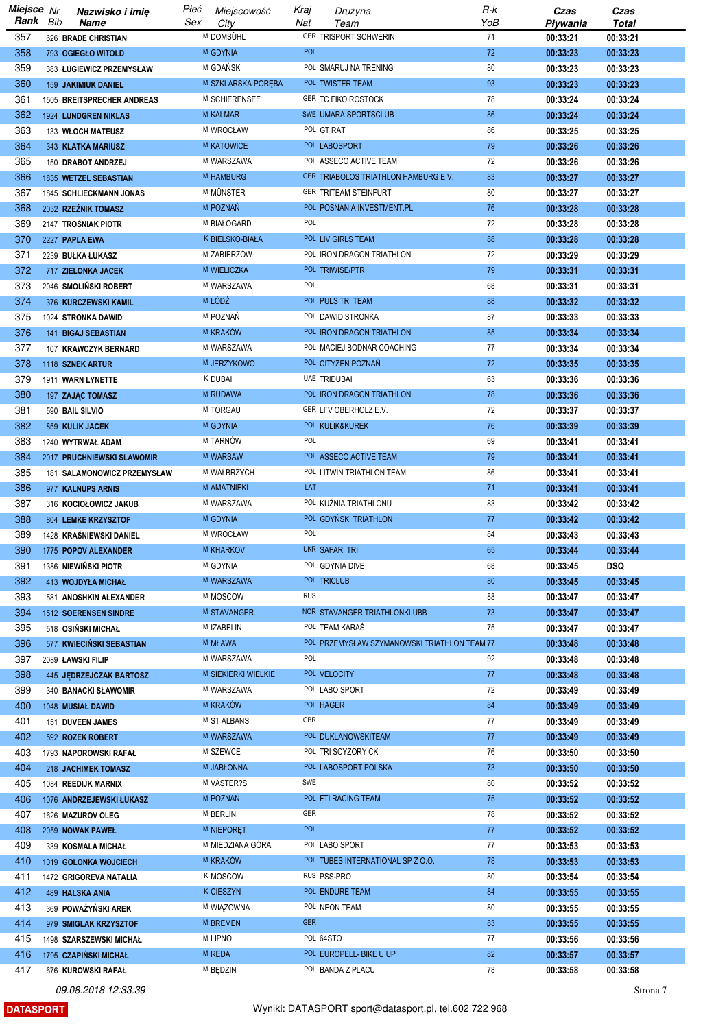| Miejsce Nr |     | Nazwisko i imię             | Płeć | Miejscowość         | Kraj       | Drużyna                                      | R-k | Czas     | Czas         |
|------------|-----|-----------------------------|------|---------------------|------------|----------------------------------------------|-----|----------|--------------|
| Rank       | Bib | Name                        | Sex  | City                | Nat        | Team                                         | YoB | Pływania | <b>Total</b> |
| 357        |     | 626 BRADE CHRISTIAN         |      | M DOMSÜHL           |            | GER TRISPORT SCHWERIN                        | 71  | 00:33:21 | 00:33:21     |
| 358        |     | 793 OGIEGŁO WITOLD          |      | M GDYNIA            | <b>POL</b> |                                              | 72  | 00:33:23 | 00:33:23     |
| 359        |     | 383 ŁUGIEWICZ PRZEMYSŁAW    |      | M GDAŃSK            |            | POL SMARUJ NA TRENING                        | 80  | 00:33:23 | 00:33:23     |
| 360        |     |                             |      | M SZKLARSKA PORĘBA  |            | POL TWISTER TEAM                             | 93  |          |              |
|            |     | 159 JAKIMIUK DANIEL         |      |                     |            |                                              |     | 00:33:23 | 00:33:23     |
| 361        |     | 1505 BREITSPRECHER ANDREAS  |      | M SCHIERENSEE       |            | GER TC FIKO ROSTOCK                          | 78  | 00:33:24 | 00:33:24     |
| 362        |     | 1924 LUNDGREN NIKLAS        |      | <b>M KALMAR</b>     |            | SWE UMARA SPORTSCLUB                         | 86  | 00:33:24 | 00:33:24     |
| 363        |     | 133 WŁOCH MATEUSZ           |      | M WROCŁAW           |            | POL GT RAT                                   | 86  | 00:33:25 | 00:33:25     |
| 364        |     | 343 KLATKA MARIUSZ          |      | <b>M KATOWICE</b>   |            | POL LABOSPORT                                | 79  | 00:33:26 | 00:33:26     |
| 365        |     | 150 DRABOT ANDRZEJ          |      | M WARSZAWA          |            | POL ASSECO ACTIVE TEAM                       | 72  | 00:33:26 | 00:33:26     |
| 366        |     | 1835 WETZEL SEBASTIAN       |      | <b>M HAMBURG</b>    |            | GER TRIABOLOS TRIATHLON HAMBURG E.V.         | 83  | 00:33:27 | 00:33:27     |
| 367        |     | 1845 SCHLIECKMANN JONAS     |      | M MUNSTER           |            | GER TRITEAM STEINFURT                        | 80  | 00:33:27 | 00:33:27     |
| 368        |     | 2032 RZEŹNIK TOMASZ         |      | M POZNAŃ            |            | POL POSNANIA INVESTMENT.PL                   | 76  | 00:33:28 | 00:33:28     |
| 369        |     | 2147 TROŚNIAK PIOTR         |      | M BIAŁOGARD         | POL        |                                              | 72  | 00:33:28 | 00:33:28     |
|            |     |                             |      | K BIELSKO-BIAŁA     |            |                                              | 88  |          |              |
| 370        |     | 2227 PAPLA EWA              |      |                     |            | POL LIV GIRLS TEAM                           |     | 00:33:28 | 00:33:28     |
| 371        |     | 2239 BUŁKA ŁUKASZ           |      | M ZABIERZÓW         |            | POL IRON DRAGON TRIATHLON                    | 72  | 00:33:29 | 00:33:29     |
| 372        |     | 717 ZIELONKA JACEK          |      | M WIELICZKA         |            | POL TRIWISE/PTR                              | 79  | 00:33:31 | 00:33:31     |
| 373        |     | 2046 SMOLINSKI ROBERT       |      | M WARSZAWA          | POL        |                                              | 68  | 00:33:31 | 00:33:31     |
| 374        |     | 376 KURCZEWSKI KAMIL        |      | M ŁÓDŹ              |            | POL PULS TRI TEAM                            | 88  | 00:33:32 | 00:33:32     |
| 375        |     | 1024 STRONKA DAWID          |      | M POZNAŃ            |            | POL DAWID STRONKA                            | 87  | 00:33:33 | 00:33:33     |
| 376        |     | 141 BIGAJ SEBASTIAN         |      | <b>M KRAKOW</b>     |            | POL IRON DRAGON TRIATHLON                    | 85  | 00:33:34 | 00:33:34     |
| 377        |     | 107 KRAWCZYK BERNARD        |      | M WARSZAWA          |            | POL MACIEJ BODNAR COACHING                   | 77  | 00:33:34 | 00:33:34     |
| 378        |     | 1118 SZNEK ARTUR            |      | M JERZYKOWO         |            | POL CITYZEN POZNAŃ                           | 72  | 00:33:35 | 00:33:35     |
| 379        |     | 1911 WARN LYNETTE           |      | <b>K DUBAI</b>      |            | <b>UAE TRIDUBAI</b>                          | 63  | 00:33:36 | 00:33:36     |
| 380        |     | 197 ZAJĄC TOMASZ            |      | M RUDAWA            |            | POL IRON DRAGON TRIATHLON                    | 78  | 00:33:36 | 00:33:36     |
| 381        |     | 590 BAIL SILVIO             |      | M TORGAU            |            | GER LFV OBERHOLZ E.V.                        | 72  | 00:33:37 | 00:33:37     |
| 382        |     |                             |      | M GDYNIA            |            | POL KULIK&KUREK                              | 76  |          | 00:33:39     |
|            |     | 859 KULIK JACEK             |      |                     | POL        |                                              |     | 00:33:39 |              |
| 383        |     | 1240 WYTRWAŁ ADAM           |      | M TARNÓW            |            |                                              | 69  | 00:33:41 | 00:33:41     |
| 384        |     | 2017 PRUCHNIEWSKI SLAWOMIR  |      | M WARSAW            |            | POL ASSECO ACTIVE TEAM                       | 79  | 00:33:41 | 00:33:41     |
| 385        |     | 181 SALAMONOWICZ PRZEMYSŁAW |      | M WAŁBRZYCH         |            | POL LITWIN TRIATHLON TEAM                    | 86  | 00:33:41 | 00:33:41     |
| 386        |     | 977 KALNUPS ARNIS           |      | M AMATNIEKI         | LAT        |                                              | 71  | 00:33:41 | 00:33:41     |
| 387        |     | 316 KOCIOŁOWICZ JAKUB       |      | M WARSZAWA          |            | POL KUŹNIA TRIATHLONU                        | 83  | 00:33:42 | 00:33:42     |
| 388        |     | 804 LEMKE KRZYSZTOF         |      | M GDYNIA            |            | POL GDYNSKI TRIATHLON                        | 77  | 00:33:42 | 00:33:42     |
| 389        |     | 1428 KRAŚNIEWSKI DANIEL     |      | M WROCŁAW           | POL        |                                              | 84  | 00:33:43 | 00:33:43     |
| 390        |     | 1775 POPOV ALEXANDER        |      | <b>M KHARKOV</b>    |            | UKR SAFARITRI                                | 65  | 00:33:44 | 00:33:44     |
| 391        |     | 1386 NIEWIŃSKI PIOTR        |      | M GDYNIA            |            | POL GDYNIA DIVE                              | 68  | 00:33:45 | <b>DSQ</b>   |
| 392        |     | 413 WOJDYŁA MICHAŁ          |      | M WARSZAWA          |            | POL TRICLUB                                  | 80  | 00:33:45 | 00:33:45     |
| 393        |     | 581 ANOSHKIN ALEXANDER      |      | M MOSCOW            | <b>RUS</b> |                                              | 88  | 00:33:47 | 00:33:47     |
| 394        |     | 1512 SOERENSEN SINDRE       |      | <b>M STAVANGER</b>  |            | NOR STAVANGER TRIATHLONKLUBB                 | 73  | 00:33:47 | 00:33:47     |
| 395        |     | 518 OSIŃSKI MICHAŁ          |      | M IZABELIN          |            | POL TEAM KARAS                               | 75  | 00:33:47 | 00:33:47     |
| 396        |     | 577 KWIECIŃSKI SEBASTIAN    |      | M MŁAWA             |            | POL PRZEMYSŁAW SZYMANOWSKI TRIATHLON TEAM 77 |     |          |              |
|            |     |                             |      | M WARSZAWA          | POL        |                                              |     | 00:33:48 | 00:33:48     |
| 397        |     | 2089 ŁAWSKI FILIP           |      |                     |            |                                              | 92  | 00:33:48 | 00:33:48     |
| 398        |     | 445 JEDRZEJCZAK BARTOSZ     |      | M SIEKIERKI WIELKIE |            | POL VELOCITY                                 | 77  | 00:33:48 | 00:33:48     |
| 399        |     | 340 BANACKI SŁAWOMIR        |      | M WARSZAWA          |            | POL LABO SPORT                               | 72  | 00:33:49 | 00:33:49     |
| 400        |     | 1048 MUSIAŁ DAWID           |      | M KRAKÓW            |            | POL HAGER                                    | 84  | 00:33:49 | 00:33:49     |
| 401        |     | 151 DUVEEN JAMES            |      | M ST ALBANS         | GBR        |                                              | 77  | 00:33:49 | 00:33:49     |
| 402        |     | 592 ROZEK ROBERT            |      | M WARSZAWA          |            | POL DUKLANOWSKITEAM                          | 77  | 00:33:49 | 00:33:49     |
| 403        |     | 1793 NAPOROWSKI RAFAŁ       |      | M SZEWCE            |            | POL TRI SCYZORY CK                           | 76  | 00:33:50 | 00:33:50     |
| 404        |     | 218 JACHIMEK TOMASZ         |      | M JABŁONNA          |            | POL LABOSPORT POLSKA                         | 73  | 00:33:50 | 00:33:50     |
| 405        |     | 1084 REEDIJK MARNIX         |      | M VÄSTER?S          | SWE        |                                              | 80  | 00:33:52 | 00:33:52     |
| 406        |     | 1076 ANDRZEJEWSKI ŁUKASZ    |      | M POZNAŃ            |            | POL FTI RACING TEAM                          | 75  | 00:33:52 | 00:33:52     |
| 407        |     | 1626 MAZUROV OLEG           |      | M BERLIN            | GER        |                                              | 78  | 00:33:52 | 00:33:52     |
| 408        |     | 2059 NOWAK PAWEŁ            |      | <b>M NIEPORET</b>   | <b>POL</b> |                                              | 77  | 00:33:52 | 00:33:52     |
| 409        |     | 339 KOSMALA MICHAŁ          |      | M MIEDZIANA GÓRA    |            | POL LABO SPORT                               | 77  | 00:33:53 | 00:33:53     |
| 410        |     | 1019 GOLONKA WOJCIECH       |      | M KRAKÓW            |            | POL TUBES INTERNATIONAL SP Z O.O.            | 78  | 00:33:53 | 00:33:53     |
|            |     |                             |      |                     |            | RUS PSS-PRO                                  |     |          |              |
| 411        |     | 1472 GRIGOREVA NATALIA      |      | <b>K MOSCOW</b>     |            |                                              | 80  | 00:33:54 | 00:33:54     |
| 412        |     | <b>489 HALSKA ANIA</b>      |      | K CIESZYN           |            | POL ENDURE TEAM                              | 84  | 00:33:55 | 00:33:55     |
| 413        |     | 369 POWAŻYŃSKI AREK         |      | M WIĄZOWNA          |            | POL NEON TEAM                                | 80  | 00:33:55 | 00:33:55     |
| 414        |     | 979 SMIGLAK KRZYSZTOF       |      | M BREMEN            | <b>GER</b> |                                              | 83  | 00:33:55 | 00:33:55     |
| 415        |     | 1498 SZARSZEWSKI MICHAŁ     |      | <b>M LIPNO</b>      |            | POL 64STO                                    | 77  | 00:33:56 | 00:33:56     |
| 416        |     | 1795 CZAPIŃSKI MICHAŁ       |      | M REDA              |            | POL EUROPELL- BIKE U UP                      | 82  | 00:33:57 | 00:33:57     |
| 417        |     | 676 KUROWSKI RAFAŁ          |      | M BEDZIN            |            | POL BANDA Z PLACU                            | 78  | 00:33:58 | 00:33:58     |

**DATASPORT**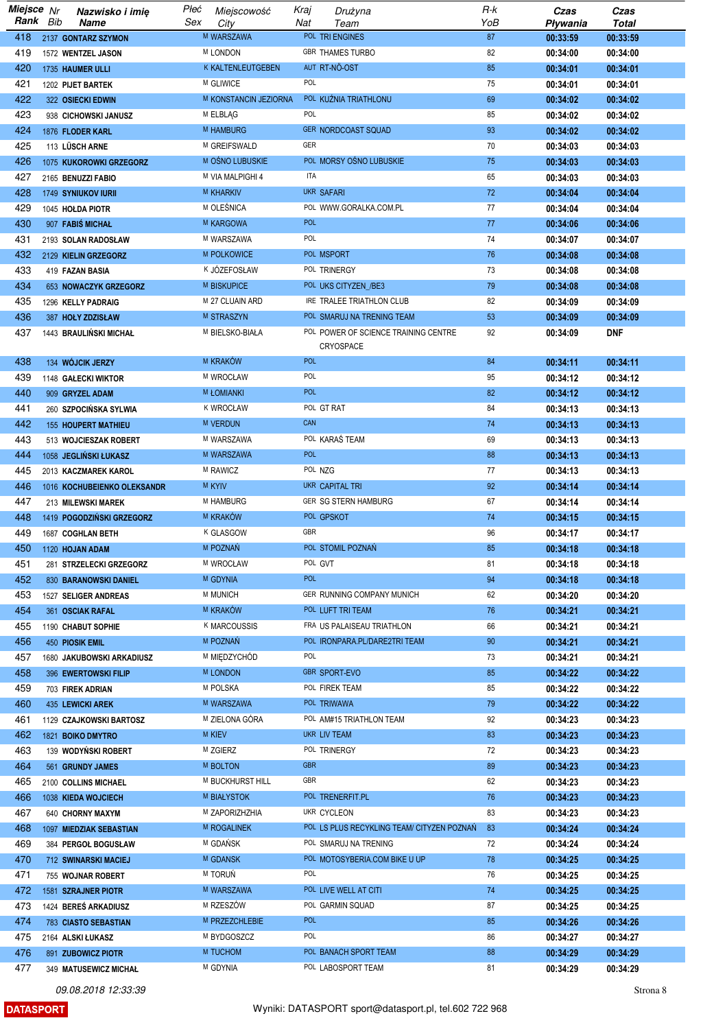| Miejsce Nr | Nazwisko i imię             | Płeć | Miejscowość           | Kraj       | Drużyna                                    | R-k | Czas     | Czas         |
|------------|-----------------------------|------|-----------------------|------------|--------------------------------------------|-----|----------|--------------|
| Rank Bib   | Name                        | Sex  | City                  | Nat        | Team                                       | YoB | Pływania | <b>Total</b> |
| 418        | 2137 GONTARZ SZYMON         |      | M WARSZAWA            |            | POL TRI ENGINES                            | 87  | 00:33:59 | 00:33:59     |
| 419        | 1572 WENTZEL JASON          |      | <b>M LONDON</b>       |            | <b>GBR THAMES TURBO</b>                    | 82  | 00:34:00 | 00:34:00     |
| 420        |                             |      | K KALTENLEUTGEBEN     |            | AUT RT-NO-OST                              | 85  |          | 00:34:01     |
|            | 1735 HAUMER ULLI            |      |                       |            |                                            |     | 00:34:01 |              |
| 421        | 1202 PIJET BARTEK           |      | M GLIWICE             | POL        |                                            | 75  | 00:34:01 | 00:34:01     |
| 422        | 322 OSIECKI EDWIN           |      | M KONSTANCIN JEZIORNA |            | POL KUŻNIA TRIATHLONU                      | 69  | 00:34:02 | 00:34:02     |
| 423        | 938 CICHOWSKI JANUSZ        |      | M ELBLAG              | POL        |                                            | 85  | 00:34:02 | 00:34:02     |
| 424        | 1876 FLODER KARL            |      | <b>M HAMBURG</b>      |            | <b>GER NORDCOAST SQUAD</b>                 | 93  | 00:34:02 | 00:34:02     |
| 425        | 113 LÜSCH ARNE              |      | M GREIFSWALD          | GER        |                                            | 70  | 00:34:03 | 00:34:03     |
| 426        | 1075 KUKOROWKI GRZEGORZ     |      | M OŚNO LUBUSKIE       |            | POL MORSY OŚNO LUBUSKIE                    | 75  | 00:34:03 | 00:34:03     |
|            |                             |      |                       | ITA        |                                            |     |          |              |
| 427        | 2165 BENUZZI FABIO          |      | M VIA MALPIGHI 4      |            |                                            | 65  | 00:34:03 | 00:34:03     |
| 428        | <b>1749 SYNIUKOV IURII</b>  |      | M KHARKIV             |            | UKR SAFARI                                 | 72  | 00:34:04 | 00:34:04     |
| 429        | 1045 HOLDA PIOTR            |      | M OLEŚNICA            |            | POL WWW.GORALKA.COM.PL                     | 77  | 00:34:04 | 00:34:04     |
| 430        | 907 FABIS MICHAL            |      | M KARGOWA             | <b>POL</b> |                                            | 77  | 00:34:06 | 00:34:06     |
| 431        | 2193 SOLAN RADOSŁAW         |      | M WARSZAWA            | POL        |                                            | 74  | 00:34:07 | 00:34:07     |
| 432        | 2129 KIELIN GRZEGORZ        |      | M POLKOWICE           |            | POL MSPORT                                 | 76  | 00:34:08 | 00:34:08     |
| 433        |                             |      | K JÓZEFOSŁAW          |            | POL TRINERGY                               |     |          |              |
|            | 419 FAZAN BASIA             |      |                       |            |                                            | 73  | 00:34:08 | 00:34:08     |
| 434        | 653 NOWACZYK GRZEGORZ       |      | M BISKUPICE           |            | POL UKS CITYZEN_/BE3                       | 79  | 00:34:08 | 00:34:08     |
| 435        | 1296 KELLY PADRAIG          |      | M 27 CLUAIN ARD       |            | IRE TRALEE TRIATHLON CLUB                  | 82  | 00:34:09 | 00:34:09     |
| 436        | 387 HOLY ZDZISŁAW           |      | M STRASZYN            |            | POL SMARUJ NA TRENING TEAM                 | 53  | 00:34:09 | 00:34:09     |
| 437        | 1443 BRAULINSKI MICHAŁ      |      | M BIELSKO-BIAŁA       |            | POL POWER OF SCIENCE TRAINING CENTRE       | 92  | 00:34:09 | <b>DNF</b>   |
|            |                             |      |                       |            | CRYOSPACE                                  |     |          |              |
| 438        | 134 WÓJCIK JERZY            |      | <b>M KRAKÓW</b>       | <b>POL</b> |                                            | 84  | 00:34:11 | 00:34:11     |
|            |                             |      |                       | POL        |                                            |     |          |              |
| 439        | 1148 GALECKI WIKTOR         |      | M WROCŁAW             |            |                                            | 95  | 00:34:12 | 00:34:12     |
| 440        | 909 GRYZEL ADAM             |      | <b>M ŁOMIANKI</b>     | <b>POL</b> |                                            | 82  | 00:34:12 | 00:34:12     |
| 441        | 260 SZPOCIŃSKA SYLWIA       |      | <b>K WROCŁAW</b>      |            | POL GT RAT                                 | 84  | 00:34:13 | 00:34:13     |
| 442        | <b>155 HOUPERT MATHIEU</b>  |      | <b>M VERDUN</b>       | CAN        |                                            | 74  | 00:34:13 | 00:34:13     |
| 443        | 513 WOJCIESZAK ROBERT       |      | M WARSZAWA            |            | POL KARAŚ TEAM                             | 69  | 00:34:13 | 00:34:13     |
| 444        | 1058 JEGLIŃSKI ŁUKASZ       |      | M WARSZAWA            | <b>POL</b> |                                            | 88  | 00:34:13 | 00:34:13     |
|            |                             |      | M RAWICZ              |            | POL NZG                                    | 77  |          |              |
| 445        | 2013 KACZMAREK KAROL        |      |                       |            |                                            |     | 00:34:13 | 00:34:13     |
| 446        | 1016 KOCHUBEIENKO OLEKSANDR |      | M KYIV                |            | UKR CAPITAL TRI                            | 92  | 00:34:14 | 00:34:14     |
| 447        | 213 MILEWSKI MAREK          |      | M HAMBURG             |            | GER SG STERN HAMBURG                       | 67  | 00:34:14 | 00:34:14     |
| 448        | 1419 POGODZIŃSKI GRZEGORZ   |      | M KRAKÓW              |            | POL GPSKOT                                 | 74  | 00:34:15 | 00:34:15     |
| 449        | 1687 COGHLAN BETH           |      | <b>K GLASGOW</b>      | GBR        |                                            | 96  | 00:34:17 | 00:34:17     |
| 450        | 1120 HOJAN ADAM             |      | M POZNAŃ              |            | POL STOMIL POZNAŃ                          | 85  | 00:34:18 | 00:34:18     |
| 451        | 281 STRZELECKI GRZEGORZ     |      | M WROCŁAW             |            | POL GVT                                    | 81  | 00:34:18 | 00:34:18     |
|            |                             |      |                       | POL        |                                            |     |          |              |
| 452        | 830 BARANOWSKI DANIEL       |      | M GDYNIA              |            |                                            | 94  | 00:34:18 | 00:34:18     |
| 453        | 1527 SELIGER ANDREAS        |      | <b>M MUNICH</b>       |            | GER RUNNING COMPANY MUNICH                 | 62  | 00:34:20 | 00:34:20     |
| 454        | 361 OSCIAK RAFAL            |      | M KRAKÓW              |            | POL LUFT TRI TEAM                          | 76  | 00:34:21 | 00:34:21     |
| 455        | 1190 CHABUT SOPHIE          |      | K MARCOUSSIS          |            | FRA US PALAISEAU TRIATHLON                 | 66  | 00:34:21 | 00:34:21     |
| 456        | 450 PIOSIK EMIL             |      | M POZNAŃ              |            | POL IRONPARA.PL/DARE2TRI TEAM              | 90  | 00:34:21 | 00:34:21     |
| 457        | 1680 JAKUBOWSKI ARKADIUSZ   |      | M MIEDZYCHÓD          | POL        |                                            | 73  | 00:34:21 | 00:34:21     |
|            |                             |      | <b>M LONDON</b>       |            | <b>GBR SPORT-EVO</b>                       |     |          |              |
| 458        | 396 EWERTOWSKI FILIP        |      |                       |            |                                            | 85  | 00:34:22 | 00:34:22     |
| 459        | 703 FIREK ADRIAN            |      | M POLSKA              |            | POL FIREK TEAM                             | 85  | 00:34:22 | 00:34:22     |
| 460        | <b>435 LEWICKI AREK</b>     |      | M WARSZAWA            |            | POL TRIWAWA                                | 79  | 00:34:22 | 00:34:22     |
| 461        | 1129 CZAJKOWSKI BARTOSZ     |      | M ZIELONA GÓRA        |            | POL AM#15 TRIATHLON TEAM                   | 92  | 00:34:23 | 00:34:23     |
| 462        | 1821 BOIKO DMYTRO           |      | m Kiev                |            | UKR LIV TEAM                               | 83  | 00:34:23 | 00:34:23     |
| 463        | 139 WODYNSKI ROBERT         |      | M ZGIERZ              |            | POL TRINERGY                               | 72  | 00:34:23 | 00:34:23     |
| 464        | 561 GRUNDY JAMES            |      | <b>M BOLTON</b>       | <b>GBR</b> |                                            | 89  | 00:34:23 | 00:34:23     |
| 465        |                             |      | M BUCKHURST HILL      | GBR        |                                            | 62  |          |              |
|            | 2100 COLLINS MICHAEL        |      |                       |            |                                            |     | 00:34:23 | 00:34:23     |
| 466        | 1038 KIEDA WOJCIECH         |      | <b>M BIAŁYSTOK</b>    |            | POL TRENERFIT.PL                           | 76  | 00:34:23 | 00:34:23     |
| 467        | 640 CHORNY MAXYM            |      | M ZAPORIZHZHIA        |            | UKR CYCLEON                                | 83  | 00:34:23 | 00:34:23     |
| 468        | 1097 MIEDZIAK SEBASTIAN     |      | M ROGALINEK           |            | POL LS PLUS RECYKLING TEAM/ CITYZEN POZNAŃ | 83  | 00:34:24 | 00:34:24     |
| 469        | 384 PERGOL BOGUSŁAW         |      | M GDAŃSK              |            | POL SMARUJ NA TRENING                      | 72  | 00:34:24 | 00:34:24     |
| 470        | 712 SWINARSKI MACIEJ        |      | M GDANSK              |            | POL MOTOSYBERIA.COM BIKE U UP              | 78  | 00:34:25 | 00:34:25     |
| 471        |                             |      | M TORUN               | POL        |                                            | 76  |          |              |
|            | 755 WOJNAR ROBERT           |      |                       |            |                                            |     | 00:34:25 | 00:34:25     |
| 472        | 1581 SZRAJNER PIOTR         |      | M WARSZAWA            |            | POL LIVE WELL AT CITI                      | 74  | 00:34:25 | 00:34:25     |
| 473        | 1424 BERES ARKADIUSZ        |      | M RZESZÓW             |            | POL GARMIN SQUAD                           | 87  | 00:34:25 | 00:34:25     |
| 474        | <b>783 CIASTO SEBASTIAN</b> |      | M PRZEZCHLEBIE        | <b>POL</b> |                                            | 85  | 00:34:26 | 00:34:26     |
| 475        | 2164 ALSKI ŁUKASZ           |      | M BYDGOSZCZ           | POL        |                                            | 86  | 00:34:27 | 00:34:27     |
| 476        | 891 ZUBOWICZ PIOTR          |      | M TUCHOM              |            | POL BANACH SPORT TEAM                      | 88  | 00:34:29 | 00:34:29     |
| 477        | 349 MATUSEWICZ MICHAŁ       |      | M GDYNIA              |            | POL LABOSPORT TEAM                         | 81  | 00:34:29 | 00:34:29     |
|            |                             |      |                       |            |                                            |     |          |              |

**DATASPORT**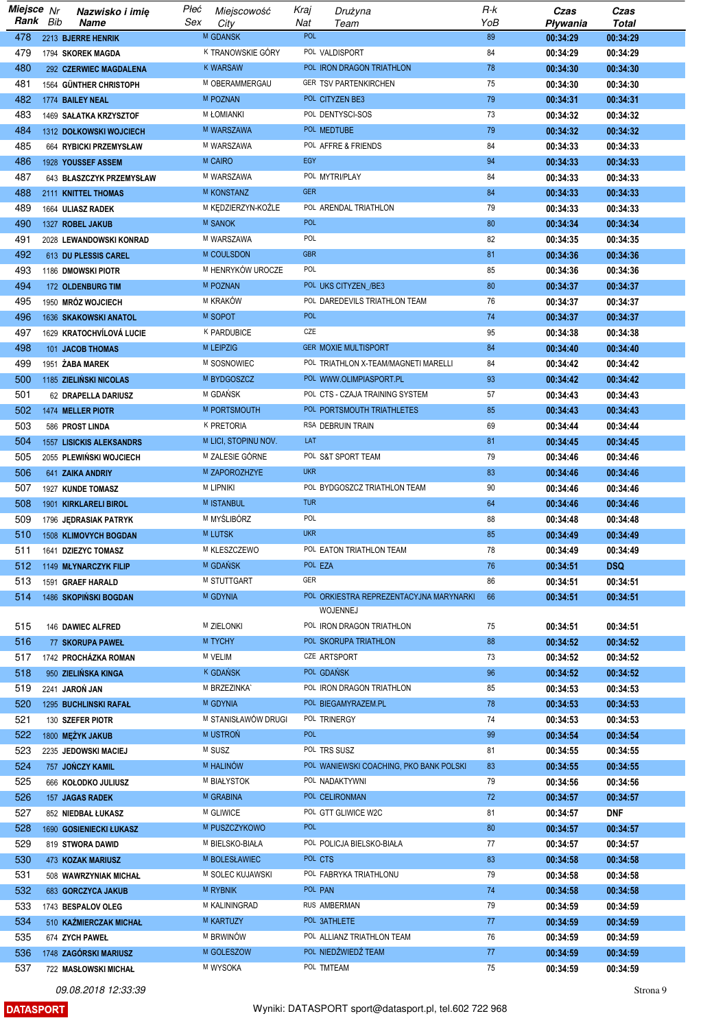| Miejsce Nr |     | Nazwisko i imię                 | Płeć | Miejscowość          | Kraj       | Drużyna                                 | R-k | Czas     | Czas       |
|------------|-----|---------------------------------|------|----------------------|------------|-----------------------------------------|-----|----------|------------|
| Rank       | Bib | Name                            | Sex  | City                 | Nat        | Team                                    | YoB | Pływania | Total      |
| 478        |     | 2213 BJERRE HENRIK              |      | M GDANSK             | <b>POL</b> |                                         | 89  | 00:34:29 | 00:34:29   |
| 479        |     | 1794 SKOREK MAGDA               |      | K TRANOWSKIE GÓRY    |            | POL VALDISPORT                          | 84  | 00:34:29 | 00:34:29   |
| 480        |     | 292 CZERWIEC MAGDALENA          |      | <b>K WARSAW</b>      |            | POL IRON DRAGON TRIATHLON               | 78  | 00:34:30 | 00:34:30   |
|            |     |                                 |      |                      |            |                                         |     |          |            |
| 481        |     | 1564 GÜNTHER CHRISTOPH          |      | M OBERAMMERGAU       |            | GER TSV PARTENKIRCHEN                   | 75  | 00:34:30 | 00:34:30   |
| 482        |     | 1774 BAILEY NEAL                |      | M POZNAN             |            | POL CITYZEN BE3                         | 79  | 00:34:31 | 00:34:31   |
| 483        |     | 1469 SAŁATKA KRZYSZTOF          |      | <b>M ŁOMIANKI</b>    |            | POL DENTYSCI-SOS                        | 73  | 00:34:32 | 00:34:32   |
| 484        |     | 1312 DOŁKOWSKI WOJCIECH         |      | M WARSZAWA           |            | POL MEDTUBE                             | 79  | 00:34:32 | 00:34:32   |
| 485        |     | 664 RYBICKI PRZEMYSŁAW          |      | M WARSZAWA           |            | POL AFFRE & FRIENDS                     | 84  | 00:34:33 | 00:34:33   |
| 486        |     | 1928 YOUSSEF ASSEM              |      | <b>M CAIRO</b>       | <b>EGY</b> |                                         | 94  | 00:34:33 | 00:34:33   |
|            |     |                                 |      |                      |            |                                         |     |          |            |
| 487        |     | 643 BŁASZCZYK PRZEMYSŁAW        |      | M WARSZAWA           |            | POL MYTRI/PLAY                          | 84  | 00:34:33 | 00:34:33   |
| 488        |     | 2111 KNITTEL THOMAS             |      | M KONSTANZ           | <b>GER</b> |                                         | 84  | 00:34:33 | 00:34:33   |
| 489        |     | 1664 ULIASZ RADEK               |      | M KEDZIERZYN-KOŻLE   |            | POL ARENDAL TRIATHLON                   | 79  | 00:34:33 | 00:34:33   |
| 490        |     | 1327 ROBEL JAKUB                |      | M SANOK              | <b>POL</b> |                                         | 80  | 00:34:34 | 00:34:34   |
| 491        |     | 2028 LEWANDOWSKI KONRAD         |      | M WARSZAWA           | POL        |                                         | 82  | 00:34:35 | 00:34:35   |
| 492        |     | 613 DU PLESSIS CAREL            |      | M COULSDON           | <b>GBR</b> |                                         | 81  | 00:34:36 | 00:34:36   |
|            |     |                                 |      |                      | POL        |                                         |     |          |            |
| 493        |     | 1186 DMOWSKI PIOTR              |      | M HENRYKÓW UROCZE    |            |                                         | 85  | 00:34:36 | 00:34:36   |
| 494        |     | 172 OLDENBURG TIM               |      | M POZNAN             |            | POL UKS CITYZEN_/BE3                    | 80  | 00:34:37 | 00:34:37   |
| 495        |     | 1950 MRÓZ WOJCIECH              |      | M KRAKÓW             |            | POL DAREDEVILS TRIATHLON TEAM           | 76  | 00:34:37 | 00:34:37   |
| 496        |     | 1636 SKAKOWSKI ANATOL           |      | M SOPOT              | <b>POL</b> |                                         | 74  | 00:34:37 | 00:34:37   |
| 497        |     | 1629 KRATOCHVÍLOVÁ LUCIE        |      | K PARDUBICE          | CZE        |                                         | 95  | 00:34:38 | 00:34:38   |
| 498        |     | 101 JACOB THOMAS                |      | <b>M LEIPZIG</b>     |            | <b>GER MOXIE MULTISPORT</b>             | 84  | 00:34:40 | 00:34:40   |
|            |     |                                 |      |                      |            |                                         |     |          |            |
| 499        |     | 1951 ŻABA MAREK                 |      | M SOSNOWIEC          |            | POL TRIATHLON X-TEAM/MAGNETI MARELLI    | 84  | 00:34:42 | 00:34:42   |
| 500        |     | 1185 ZIELIŃSKI NICOLAS          |      | M BYDGOSZCZ          |            | POL WWW.OLIMPIASPORT.PL                 | 93  | 00:34:42 | 00:34:42   |
| 501        |     | 62 DRAPELLA DARIUSZ             |      | M GDAŃSK             |            | POL CTS - CZAJA TRAINING SYSTEM         | 57  | 00:34:43 | 00:34:43   |
| 502        |     | 1474 MELLER PIOTR               |      | M PORTSMOUTH         |            | POL PORTSMOUTH TRIATHLETES              | 85  | 00:34:43 | 00:34:43   |
| 503        |     | 586 PROST LINDA                 |      | K PRETORIA           |            | RSA DEBRUIN TRAIN                       | 69  | 00:34:44 | 00:34:44   |
| 504        |     | <b>1557 LISICKIS ALEKSANDRS</b> |      | M LICI, STOPINU NOV. | LAT        |                                         | 81  | 00:34:45 | 00:34:45   |
|            |     |                                 |      |                      |            |                                         |     |          |            |
| 505        |     | 2055 PLEWIŃSKI WOJCIECH         |      | M ZALESIE GÓRNE      |            | POL S&T SPORT TEAM                      | 79  | 00:34:46 | 00:34:46   |
| 506        |     | 641 ZAIKA ANDRIY                |      | M ZAPOROZHZYE        | <b>UKR</b> |                                         | 83  | 00:34:46 | 00:34:46   |
| 507        |     | 1927 KUNDE TOMASZ               |      | <b>M LIPNIKI</b>     |            | POL BYDGOSZCZ TRIATHLON TEAM            | 90  | 00:34:46 | 00:34:46   |
| 508        |     | 1901 KIRKLARELI BIROL           |      | <b>M ISTANBUL</b>    | <b>TUR</b> |                                         | 64  | 00:34:46 | 00:34:46   |
| 509        |     | 1796 JEDRASIAK PATRYK           |      | M MYŚLIBÓRZ          | POL        |                                         | 88  | 00:34:48 | 00:34:48   |
| 510        |     | 1508 KLIMOVYCH BOGDAN           |      | <b>MLUTSK</b>        | <b>UKR</b> |                                         | 85  | 00:34:49 | 00:34:49   |
|            |     |                                 |      |                      |            |                                         |     |          |            |
| 511        |     | 1641 DZIEZYC TOMASZ             |      | M KLESZCZEWO         |            | POL EATON TRIATHLON TEAM                | 78  | 00:34:49 | 00:34:49   |
| 512        |     | 1149 MŁYNARCZYK FILIP           |      | M GDAŃSK             |            | POL EZA                                 | 76  | 00:34:51 | <b>DSQ</b> |
| 513        |     | 1591 GRAEF HARALD               |      | M STUTTGART          | GER        |                                         | 86  | 00:34:51 | 00:34:51   |
| 514        |     | 1486 SKOPIŃSKI BOGDAN           |      | M GDYNIA             |            | POL ORKIESTRA REPREZENTACYJNA MARYNARKI | 66  | 00:34:51 | 00:34:51   |
|            |     |                                 |      |                      |            | WOJENNEJ                                |     |          |            |
| 515        |     | 146 DAWIEC ALFRED               |      | M ZIELONKI           |            | POL IRON DRAGON TRIATHLON               | 75  | 00:34:51 | 00:34:51   |
| 516        |     | 77 SKORUPA PAWEŁ                |      | M TYCHY              |            | POL SKORUPA TRIATHLON                   | 88  | 00:34:52 | 00:34:52   |
|            |     |                                 |      | M VELIM              |            | CZE ARTSPORT                            | 73  |          |            |
| 517        |     | 1742 PROCHÁZKA ROMAN            |      |                      |            |                                         |     | 00:34:52 | 00:34:52   |
| 518        |     | 950 ZIELIŃSKA KINGA             |      | K GDAŃSK             |            | POL GDAŃSK                              | 96  | 00:34:52 | 00:34:52   |
| 519        |     | 2241 JAROŃ JAN                  |      | M BRZEZINKA'         |            | POL IRON DRAGON TRIATHLON               | 85  | 00:34:53 | 00:34:53   |
| 520        |     | 1295 BUCHLINSKI RAFAŁ           |      | M GDYNIA             |            | POL BIEGAMYRAZEM.PL                     | 78  | 00:34:53 | 00:34:53   |
| 521        |     | 130 SZEFER PIOTR                |      | M STANISŁAWÓW DRUGI  |            | POL TRINERGY                            | 74  | 00:34:53 | 00:34:53   |
| 522        |     | 1800 MEŻYK JAKUB                |      | M USTRON             | <b>POL</b> |                                         | 99  | 00:34:54 | 00:34:54   |
| 523        |     |                                 |      | M SUSZ               |            | POL TRS SUSZ                            | 81  |          |            |
|            |     | 2235 JEDOWSKI MACIEJ            |      |                      |            |                                         |     | 00:34:55 | 00:34:55   |
| 524        |     | 757 JOŃCZY KAMIL                |      | <b>M HALINÓW</b>     |            | POL WANIEWSKI COACHING, PKO BANK POLSKI | 83  | 00:34:55 | 00:34:55   |
| 525        |     | 666 KOŁODKO JULIUSZ             |      | M BIAŁYSTOK          |            | POL NADAKTYWNI                          | 79  | 00:34:56 | 00:34:56   |
| 526        |     | 157 JAGAS RADEK                 |      | M GRABINA            |            | POL CELIRONMAN                          | 72  | 00:34:57 | 00:34:57   |
| 527        |     | 852 NIEDBAŁ ŁUKASZ              |      | M GLIWICE            |            | POL GTT GLIWICE W2C                     | 81  | 00:34:57 | <b>DNF</b> |
| 528        |     | 1690 GOSIENIECKI ŁUKASZ         |      | M PUSZCZYKOWO        | POL        |                                         | 80  | 00:34:57 | 00:34:57   |
|            |     |                                 |      | M BIELSKO-BIAŁA      |            | POL POLICJA BIELSKO-BIAŁA               | 77  |          |            |
| 529        |     | 819 STWORA DAWID                |      |                      |            |                                         |     | 00:34:57 | 00:34:57   |
| 530        |     | 473 KOZAK MARIUSZ               |      | M BOLESŁAWIEC        |            | POL CTS                                 | 83  | 00:34:58 | 00:34:58   |
| 531        |     | 508 WAWRZYNIAK MICHAŁ           |      | M SOLEC KUJAWSKI     |            | POL FABRYKA TRIATHLONU                  | 79  | 00:34:58 | 00:34:58   |
| 532        |     | 683 GORCZYCA JAKUB              |      | <b>M RYBNIK</b>      |            | POL PAN                                 | 74  | 00:34:58 | 00:34:58   |
| 533        |     | 1743 BESPALOV OLEG              |      | M KALININGRAD        |            | RUS AMBERMAN                            | 79  | 00:34:59 | 00:34:59   |
| 534        |     | 510 KAŹMIERCZAK MICHAŁ          |      | <b>M KARTUZY</b>     |            | POL 3ATHLETE                            | 77  | 00:34:59 | 00:34:59   |
| 535        |     |                                 |      | M BRWINÓW            |            | POL ALLIANZ TRIATHLON TEAM              | 76  |          | 00:34:59   |
|            |     | 674 ZYCH PAWEŁ                  |      |                      |            |                                         |     | 00:34:59 |            |
| 536        |     | 1748 ZAGÓRSKI MARIUSZ           |      | M GOLESZOW           |            | POL NIEDŹWIEDŹ TEAM                     | 77  | 00:34:59 | 00:34:59   |
| 537        |     | 722 MASŁOWSKI MICHAŁ            |      | M WYSOKA             |            | POL TMTEAM                              | 75  | 00:34:59 | 00:34:59   |

**DATASPORT**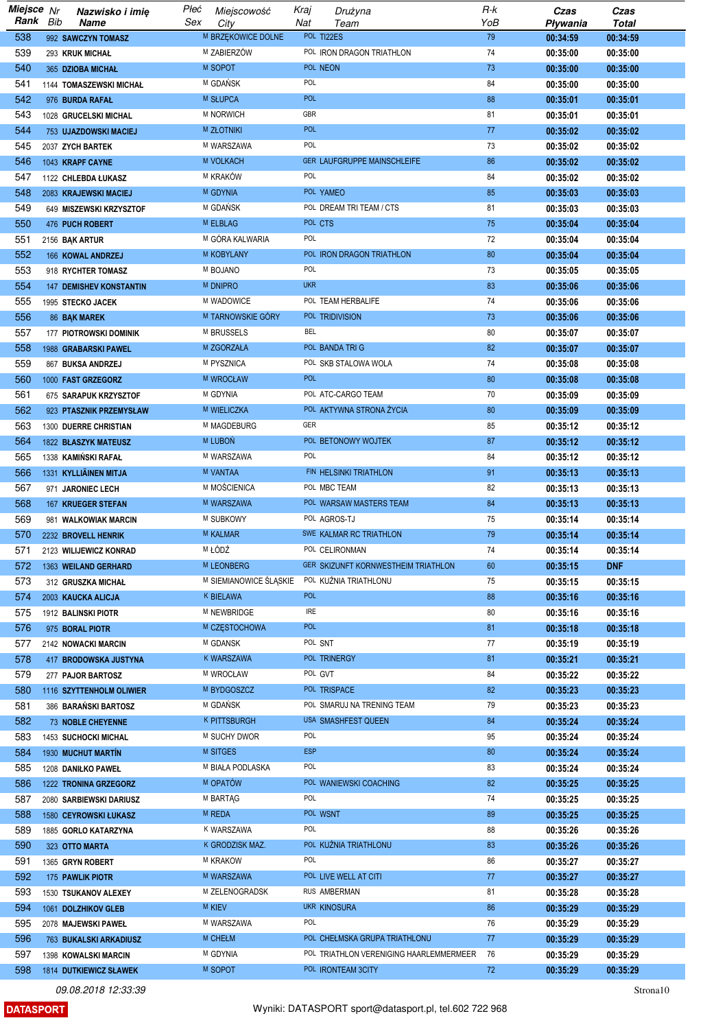| Miejsce Nr |     | Nazwisko i imię                | Płeć | Miejscowość            | Kraj       | Drużyna                                 | R-k | Czas     | Czas         |
|------------|-----|--------------------------------|------|------------------------|------------|-----------------------------------------|-----|----------|--------------|
| Rank       | Bib | <b>Name</b>                    | Sex  | City                   | Nat        | Team                                    | YoB | Pływania | <b>Total</b> |
| 538        |     | 992 SAWCZYN TOMASZ             |      | M BRZEKOWICE DOLNE     |            | POL TI22ES                              | 79  | 00:34:59 | 00:34:59     |
| 539        |     | 293 KRUK MICHAŁ                |      | M ZABIERZÓW            |            | POL IRON DRAGON TRIATHLON               | 74  | 00:35:00 | 00:35:00     |
| 540        |     | 365 DZIOBA MICHAŁ              |      | M SOPOT                |            | POL NEON                                | 73  | 00:35:00 | 00:35:00     |
|            |     |                                |      | M GDAŃSK               | POL        |                                         | 84  |          |              |
| 541        |     | 1144 TOMASZEWSKI MICHAŁ        |      |                        |            |                                         |     | 00:35:00 | 00:35:00     |
| 542        |     | 976 BURDA RAFAŁ                |      | M SŁUPCA               | <b>POL</b> |                                         | 88  | 00:35:01 | 00:35:01     |
| 543        |     | 1028 GRUCELSKI MICHAL          |      | M NORWICH              | GBR        |                                         | 81  | 00:35:01 | 00:35:01     |
| 544        |     | 753 UJAZDOWSKI MACIEJ          |      | <b>M ZŁOTNIKI</b>      | <b>POL</b> |                                         | 77  | 00:35:02 | 00:35:02     |
| 545        |     | 2037 ZYCH BARTEK               |      | M WARSZAWA             | POL        |                                         | 73  | 00:35:02 | 00:35:02     |
| 546        |     | 1043 KRAPF CAYNE               |      | <b>M VOLKACH</b>       |            | <b>GER LAUFGRUPPE MAINSCHLEIFE</b>      | 86  | 00:35:02 | 00:35:02     |
| 547        |     | 1122 CHLEBDA ŁUKASZ            |      | M KRAKÓW               | POL        |                                         | 84  | 00:35:02 | 00:35:02     |
| 548        |     | 2083 KRAJEWSKI MACIEJ          |      | M GDYNIA               |            | POL YAMEO                               | 85  | 00:35:03 | 00:35:03     |
|            |     |                                |      | M GDAŃSK               |            | POL DREAM TRI TEAM / CTS                | 81  |          |              |
| 549        |     | 649 MISZEWSKI KRZYSZTOF        |      |                        |            |                                         |     | 00:35:03 | 00:35:03     |
| 550        |     | 476 PUCH ROBERT                |      | M ELBLAG               |            | POL CTS                                 | 75  | 00:35:04 | 00:35:04     |
| 551        |     | 2156 BAK ARTUR                 |      | M GÓRA KALWARIA        | POL        |                                         | 72  | 00:35:04 | 00:35:04     |
| 552        |     | 166 KOWAL ANDRZEJ              |      | M KOBYLANY             |            | POL IRON DRAGON TRIATHLON               | 80  | 00:35:04 | 00:35:04     |
| 553        |     | 918 RYCHTER TOMASZ             |      | M BOJANO               | POL        |                                         | 73  | 00:35:05 | 00:35:05     |
| 554        |     | <b>147 DEMISHEV KONSTANTIN</b> |      | M DNIPRO               | <b>UKR</b> |                                         | 83  | 00:35:06 | 00:35:06     |
| 555        |     | 1995 STECKO JACEK              |      | M WADOWICE             |            | POL TEAM HERBALIFE                      | 74  | 00:35:06 | 00:35:06     |
| 556        |     | 86 BAK MAREK                   |      | M TARNOWSKIE GÓRY      |            | POL TRIDIVISION                         | 73  | 00:35:06 | 00:35:06     |
| 557        |     |                                |      | M BRUSSELS             | <b>BEL</b> |                                         | 80  |          |              |
|            |     | 177 PIOTROWSKI DOMINIK         |      |                        |            |                                         |     | 00:35:07 | 00:35:07     |
| 558        |     | 1988 GRABARSKI PAWEL           |      | M ZGORZAŁA             |            | POL BANDA TRI G                         | 82  | 00:35:07 | 00:35:07     |
| 559        |     | 867 BUKSA ANDRZEJ              |      | M PYSZNICA             |            | POL SKB STALOWA WOLA                    | 74  | 00:35:08 | 00:35:08     |
| 560        |     | 1000 FAST GRZEGORZ             |      | M WROCŁAW              | <b>POL</b> |                                         | 80  | 00:35:08 | 00:35:08     |
| 561        |     | 675 SARAPUK KRZYSZTOF          |      | M GDYNIA               |            | POL ATC-CARGO TEAM                      | 70  | 00:35:09 | 00:35:09     |
| 562        |     | 923 PTASZNIK PRZEMYSŁAW        |      | M WIELICZKA            |            | POL AKTYWNA STRONA ŻYCIA                | 80  | 00:35:09 | 00:35:09     |
| 563        |     | 1300 DUERRE CHRISTIAN          |      | M MAGDEBURG            | GER        |                                         | 85  | 00:35:12 | 00:35:12     |
| 564        |     | 1822 BŁASZYK MATEUSZ           |      | <b>M LUBON</b>         |            | POL BETONOWY WOJTEK                     | 87  | 00:35:12 | 00:35:12     |
| 565        |     | 1338 KAMIŃSKI RAFAŁ            |      | M WARSZAWA             | POL        |                                         | 84  | 00:35:12 | 00:35:12     |
|            |     |                                |      |                        |            |                                         |     |          |              |
| 566        |     | 1331 KYLLIÄINEN MITJA          |      | M VANTAA               |            | FIN HELSINKI TRIATHLON                  | 91  | 00:35:13 | 00:35:13     |
| 567        |     | 971 JARONIEC LECH              |      | M MOŚCIENICA           |            | POL MBC TEAM                            | 82  | 00:35:13 | 00:35:13     |
| 568        |     | 167 KRUEGER STEFAN             |      | M WARSZAWA             |            | POL WARSAW MASTERS TEAM                 | 84  | 00:35:13 | 00:35:13     |
| 569        |     | 981 WALKOWIAK MARCIN           |      | M SUBKOWY              |            | POL AGROS-TJ                            | 75  | 00:35:14 | 00:35:14     |
| 570        |     | 2232 BROVELL HENRIK            |      | <b>M KALMAR</b>        |            | SWE KALMAR RC TRIATHLON                 | 79  | 00:35:14 | 00:35:14     |
| 571        |     | 2123 WILIJEWICZ KONRAD         |      | M ŁÓDŹ                 |            | POL CELIRONMAN                          | 74  | 00:35:14 | 00:35:14     |
| 572        |     | 1363 WEILAND GERHARD           |      | <b>M LEONBERG</b>      |            | GER SKIZUNFT KORNWESTHEIM TRIATHLON     | 60  | 00:35:15 | <b>DNF</b>   |
| 573        |     | 312 GRUSZKA MICHAŁ             |      | M SIEMIANOWICE ŚLĄSKIE |            | POL KUŻNIA TRIATHLONU                   | 75  | 00:35:15 | 00:35:15     |
|            |     |                                |      | K BIELAWA              | <b>POL</b> |                                         |     |          |              |
| 574        |     | 2003 KAUCKA ALICJA             |      |                        |            |                                         | 88  | 00:35:16 | 00:35:16     |
| 575        |     | 1912 BALINSKI PIOTR            |      | M NEWBRIDGE            | IRE        |                                         | 80  | 00:35:16 | 00:35:16     |
| 576        |     | 975 BORAL PIOTR                |      | M CZĘSTOCHOWA          | <b>POL</b> |                                         | 81  | 00:35:18 | 00:35:18     |
| 577        |     | 2142 NOWACKI MARCIN            |      | M GDANSK               |            | POL SNT                                 | 77  | 00:35:19 | 00:35:19     |
| 578        |     | 417 BRODOWSKA JUSTYNA          |      | K WARSZAWA             |            | POL TRINERGY                            | 81  | 00:35:21 | 00:35:21     |
| 579        |     | 277 PAJOR BARTOSZ              |      | M WROCŁAW              |            | POL GVT                                 | 84  | 00:35:22 | 00:35:22     |
| 580        |     | 1116 SZYTTENHOLM OLIWIER       |      | M BYDGOSZCZ            |            | POL TRISPACE                            | 82  | 00:35:23 | 00:35:23     |
| 581        |     | 386 BARAŃSKI BARTOSZ           |      | M GDAŃSK               |            | POL SMARUJ NA TRENING TEAM              | 79  | 00:35:23 | 00:35:23     |
| 582        |     | 73 NOBLE CHEYENNE              |      | <b>K PITTSBURGH</b>    |            | USA SMASHFEST QUEEN                     | 84  | 00:35:24 | 00:35:24     |
|            |     |                                |      |                        |            |                                         |     |          |              |
| 583        |     | 1453 SUCHOCKI MICHAL           |      | M SUCHY DWOR           | POL        |                                         | 95  | 00:35:24 | 00:35:24     |
| 584        |     | 1930 MUCHUT MARTÍN             |      | M SITGES               | <b>ESP</b> |                                         | 80  | 00:35:24 | 00:35:24     |
| 585        |     | 1208 DANIŁKO PAWEŁ             |      | M BIAŁA PODLASKA       | POL        |                                         | 83  | 00:35:24 | 00:35:24     |
| 586        |     | 1222 TRONINA GRZEGORZ          |      | M OPATÓW               |            | POL WANIEWSKI COACHING                  | 82  | 00:35:25 | 00:35:25     |
| 587        |     | 2080 SARBIEWSKI DARIUSZ        |      | M BARTAG               | POL        |                                         | 74  | 00:35:25 | 00:35:25     |
| 588        |     | 1580 CEYROWSKI ŁUKASZ          |      | M REDA                 |            | POL WSNT                                | 89  | 00:35:25 | 00:35:25     |
| 589        |     | 1885 GORLO KATARZYNA           |      | K WARSZAWA             | POL        |                                         | 88  | 00:35:26 | 00:35:26     |
| 590        |     | 323 OTTO MARTA                 |      | K GRODZISK MAZ.        |            | POL KUŻNIA TRIATHLONU                   | 83  | 00:35:26 | 00:35:26     |
|            |     |                                |      | M KRAKOW               | POL        |                                         | 86  |          |              |
| 591        |     | 1365 GRYN ROBERT               |      |                        |            |                                         |     | 00:35:27 | 00:35:27     |
| 592        |     | 175 PAWLIK PIOTR               |      | M WARSZAWA             |            | POL LIVE WELL AT CITI                   | 77  | 00:35:27 | 00:35:27     |
| 593        |     | 1530 TSUKANOV ALEXEY           |      | M ZELENOGRADSK         |            | RUS AMBERMAN                            | 81  | 00:35:28 | 00:35:28     |
| 594        |     | 1061 DOLZHIKOV GLEB            |      | <b>M KIEV</b>          |            | <b>UKR KINOSURA</b>                     | 86  | 00:35:29 | 00:35:29     |
| 595        |     | 2078 MAJEWSKI PAWEŁ            |      | M WARSZAWA             | POL        |                                         | 76  | 00:35:29 | 00:35:29     |
| 596        |     | 763 BUKALSKI ARKADIUSZ         |      | <b>M CHEŁM</b>         |            | POL CHEŁMSKA GRUPA TRIATHLONU           | 77  | 00:35:29 | 00:35:29     |
| 597        |     | 1398 KOWALSKI MARCIN           |      | M GDYNIA               |            | POL TRIATHLON VERENIGING HAARLEMMERMEER | 76  | 00:35:29 | 00:35:29     |
| 598        |     | 1814 DUTKIEWICZ SŁAWEK         |      | M SOPOT                |            | POL IRONTEAM 3CITY                      | 72  | 00:35:29 | 00:35:29     |
|            |     |                                |      |                        |            |                                         |     |          |              |

**DATASPORT**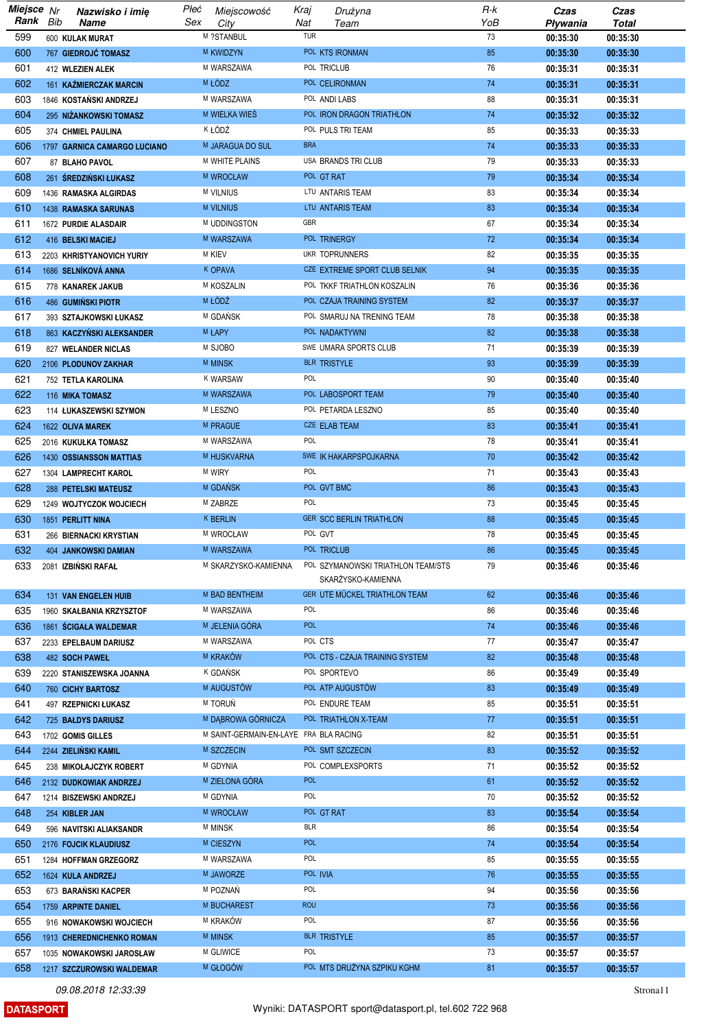| Miejsce Nr |     | Nazwisko i imię                | Płeć | Miejscowość                            | Kraj       | Drużyna                            | R-k | Czas     | Czas         |
|------------|-----|--------------------------------|------|----------------------------------------|------------|------------------------------------|-----|----------|--------------|
| Rank       | Bib | Name                           | Sex  | City                                   | Nat        | Team                               | YoB | Pływania | <b>Total</b> |
| 599        |     | 600 KULAK MURAT                |      | M ?STANBUL                             | TUR        |                                    | 73  | 00:35:30 | 00:35:30     |
| 600        |     | 767 GIEDROJĆ TOMASZ            |      | M KWIDZYN                              |            | POL KTS IRONMAN                    | 85  | 00:35:30 | 00:35:30     |
| 601        |     | 412 WLEZIEN ALEK               |      | M WARSZAWA                             |            | POL TRICLUB                        | 76  | 00:35:31 | 00:35:31     |
| 602        |     | 161 KAŹMIERCZAK MARCIN         |      | M ŁODZ                                 |            | POL CELIRONMAN                     | 74  | 00:35:31 | 00:35:31     |
| 603        |     |                                |      | M WARSZAWA                             |            | POL ANDI LABS                      | 88  |          |              |
|            |     | 1846 KOSTAŃSKI ANDRZEJ         |      |                                        |            |                                    |     | 00:35:31 | 00:35:31     |
| 604        |     | 295 NIŻANKOWSKI TOMASZ         |      | M WIELKA WIES                          |            | POL IRON DRAGON TRIATHLON          | 74  | 00:35:32 | 00:35:32     |
| 605        |     | 374 CHMIEL PAULINA             |      | K ŁÓDŹ                                 |            | POL PULS TRI TEAM                  | 85  | 00:35:33 | 00:35:33     |
| 606        |     | 1797 GARNICA CAMARGO LUCIANO   |      | <b>M JARAGUA DO SUL</b>                | <b>BRA</b> |                                    | 74  | 00:35:33 | 00:35:33     |
| 607        |     | 87 BLAHO PAVOL                 |      | M WHITE PLAINS                         |            | USA BRANDS TRI CLUB                | 79  | 00:35:33 | 00:35:33     |
| 608        |     | 261 ŚREDZIŃSKI ŁUKASZ          |      | M WROCŁAW                              |            | POL GT RAT                         | 79  | 00:35:34 | 00:35:34     |
| 609        |     | 1436 RAMASKA ALGIRDAS          |      | <b>M VILNIUS</b>                       |            | LTU ANTARIS TEAM                   | 83  | 00:35:34 | 00:35:34     |
| 610        |     | <b>1438 RAMASKA SARUNAS</b>    |      | M VILNIUS                              |            | LTU ANTARIS TEAM                   | 83  | 00:35:34 | 00:35:34     |
| 611        |     | 1672 PURDIE ALASDAIR           |      | M UDDINGSTON                           | GBR        |                                    | 67  | 00:35:34 | 00:35:34     |
| 612        |     | 416 BELSKI MACIEJ              |      | M WARSZAWA                             |            | POL TRINERGY                       | 72  | 00:35:34 | 00:35:34     |
| 613        |     | 2203 KHRISTYANOVICH YURIY      |      | <b>M KIEV</b>                          |            | UKR TOPRUNNERS                     | 82  | 00:35:35 | 00:35:35     |
| 614        |     | 1686 SELNÍKOVÁ ANNA            |      | K OPAVA                                |            | CZE EXTREME SPORT CLUB SELNIK      | 94  | 00:35:35 | 00:35:35     |
| 615        |     | 778 KANAREK JAKUB              |      | M KOSZALIN                             |            | POL TKKF TRIATHLON KOSZALIN        | 76  | 00:35:36 | 00:35:36     |
| 616        |     | <b>486 GUMIŃSKI PIOTR</b>      |      | M ŁÓDŹ                                 |            | POL CZAJA TRAINING SYSTEM          | 82  | 00:35:37 | 00:35:37     |
| 617        |     | 393 SZTAJKOWSKI ŁUKASZ         |      | M GDAŃSK                               |            | POL SMARUJ NA TRENING TEAM         | 78  | 00:35:38 | 00:35:38     |
| 618        |     |                                |      | M ŁAPY                                 |            | POL NADAKTYWNI                     | 82  |          |              |
|            |     | 863 KACZYŃSKI ALEKSANDER       |      |                                        |            |                                    |     | 00:35:38 | 00:35:38     |
| 619        |     | 827 WELANDER NICLAS            |      | M SJOBO                                |            | SWE UMARA SPORTS CLUB              | 71  | 00:35:39 | 00:35:39     |
| 620        |     | 2106 PLODUNOV ZAKHAR           |      | <b>M MINSK</b>                         |            | <b>BLR TRISTYLE</b>                | 93  | 00:35:39 | 00:35:39     |
| 621        |     | 752 TETLA KAROLINA             |      | <b>K WARSAW</b>                        | POL        |                                    | 90  | 00:35:40 | 00:35:40     |
| 622        |     | 116 MIKA TOMASZ                |      | M WARSZAWA                             |            | POL LABOSPORT TEAM                 | 79  | 00:35:40 | 00:35:40     |
| 623        |     | 114 ŁUKASZEWSKI SZYMON         |      | M LESZNO                               |            | POL PETARDA LESZNO                 | 85  | 00:35:40 | 00:35:40     |
| 624        |     | 1622 OLIVA MAREK               |      | M PRAGUE                               |            | CZE ELAB TEAM                      | 83  | 00:35:41 | 00:35:41     |
| 625        |     | 2016 KUKUŁKA TOMASZ            |      | M WARSZAWA                             | POL        |                                    | 78  | 00:35:41 | 00:35:41     |
| 626        |     | <b>1430 OSSIANSSON MATTIAS</b> |      | M HUSKVARNA                            |            | SWE IK HAKARPSPOJKARNA             | 70  | 00:35:42 | 00:35:42     |
| 627        |     | 1304 LAMPRECHT KAROL           |      | <b>M WIRY</b>                          | POL        |                                    | 71  | 00:35:43 | 00:35:43     |
| 628        |     | 288 PETELSKI MATEUSZ           |      | M GDAŃSK                               |            | POL GVT BMC                        | 86  | 00:35:43 | 00:35:43     |
| 629        |     | 1249 WOJTYCZOK WOJCIECH        |      | M ZABRZE                               | POL        |                                    | 73  | 00:35:45 | 00:35:45     |
| 630        |     | 1851 PERLITT NINA              |      | <b>K BERLIN</b>                        |            | <b>GER SCC BERLIN TRIATHLON</b>    | 88  | 00:35:45 | 00:35:45     |
| 631        |     | 266 BIERNACKI KRYSTIAN         |      | M WROCŁAW                              |            | POL GVT                            | 78  | 00:35:45 | 00:35:45     |
| 632        |     | 404 JANKOWSKI DAMIAN           |      | M WARSZAWA                             |            | POL TRICLUB                        | 86  | 00:35:45 | 00:35:45     |
| 633        |     |                                |      | M SKARZYSKO-KAMIENNA                   |            | POL SZYMANOWSKI TRIATHLON TEAM/STS | 79  | 00:35:46 | 00:35:46     |
|            |     | 2081 IZBINSKI RAFAŁ            |      |                                        |            | SKARŻYSKO-KAMIENNA                 |     |          |              |
| 634        |     |                                |      | M BAD BENTHEIM                         |            | GER UTE MUCKEL TRIATHLON TEAM      | 62  |          | 00:35:46     |
|            |     | 131 VAN ENGELEN HUIB           |      | M WARSZAWA                             | POL        |                                    | 86  | 00:35:46 |              |
| 635        |     | 1960 SKAŁBANIA KRZYSZTOF       |      |                                        |            |                                    |     | 00:35:46 | 00:35:46     |
| 636        |     | 1861 SCIGAŁA WALDEMAR          |      | M JELENIA GÓRA                         | POL        |                                    | 74  | 00:35:46 | 00:35:46     |
| 637        |     | 2233 EPELBAUM DARIUSZ          |      | M WARSZAWA                             |            | POL CTS                            | 77  | 00:35:47 | 00:35:47     |
| 638        |     | 482 SOCH PAWEŁ                 |      | M KRAKÓW                               |            | POL CTS - CZAJA TRAINING SYSTEM    | 82  | 00:35:48 | 00:35:48     |
| 639        |     | 2220 STANISZEWSKA JOANNA       |      | K GDAŃSK                               |            | POL SPORTEVO                       | 86  | 00:35:49 | 00:35:49     |
| 640        |     | 760 CICHY BARTOSZ              |      | M AUGUSTÓW                             |            | POL ATP AUGUSTÓW                   | 83  | 00:35:49 | 00:35:49     |
| 641        |     | 497 RZEPNICKI ŁUKASZ           |      | M TORUŃ                                |            | POL ENDURE TEAM                    | 85  | 00:35:51 | 00:35:51     |
| 642        |     | 725 BALDYS DARIUSZ             |      | M DABROWA GÓRNICZA                     |            | POL TRIATHLON X-TEAM               | 77  | 00:35:51 | 00:35:51     |
| 643        |     | 1702 GOMIS GILLES              |      | M SAINT-GERMAIN-EN-LAYE FRA BLA RACING |            |                                    | 82  | 00:35:51 | 00:35:51     |
| 644        |     | 2244 ZIELIŃSKI KAMIL           |      | M SZCZECIN                             |            | POL SMT SZCZECIN                   | 83  | 00:35:52 | 00:35:52     |
| 645        |     | 238 MIKOŁAJCZYK ROBERT         |      | M GDYNIA                               |            | POL COMPLEXSPORTS                  | 71  | 00:35:52 | 00:35:52     |
| 646        |     | 2132 DUDKOWIAK ANDRZEJ         |      | M ZIELONA GÓRA                         | <b>POL</b> |                                    | 61  | 00:35:52 | 00:35:52     |
| 647        |     | 1214 BISZEWSKI ANDRZEJ         |      | M GDYNIA                               | POL        |                                    | 70  | 00:35:52 | 00:35:52     |
| 648        |     | 254 KIBLER JAN                 |      | M WROCŁAW                              |            | POL GT RAT                         | 83  | 00:35:54 | 00:35:54     |
| 649        |     | 596 NAVITSKI ALIAKSANDR        |      | <b>M MINSK</b>                         | <b>BLR</b> |                                    | 86  | 00:35:54 | 00:35:54     |
| 650        |     | 2176 FOJCIK KLAUDIUSZ          |      | M CIESZYN                              | <b>POL</b> |                                    | 74  | 00:35:54 | 00:35:54     |
| 651        |     | 1284 HOFFMAN GRZEGORZ          |      | M WARSZAWA                             | POL        |                                    | 85  | 00:35:55 | 00:35:55     |
| 652        |     | 1624 KULA ANDRZEJ              |      | M JAWORZE                              |            | POL IVIA                           | 76  | 00:35:55 | 00:35:55     |
| 653        |     |                                |      | M POZNAŃ                               | POL        |                                    | 94  |          |              |
|            |     | 673 BARAŃSKI KACPER            |      | M BUCHAREST                            | <b>ROU</b> |                                    |     | 00:35:56 | 00:35:56     |
| 654        |     | 1759 ARPINTE DANIEL            |      |                                        |            |                                    | 73  | 00:35:56 | 00:35:56     |
| 655        |     | 916 NOWAKOWSKI WOJCIECH        |      | M KRAKÓW                               | <b>POL</b> |                                    | 87  | 00:35:56 | 00:35:56     |
| 656        |     | 1913 CHEREDNICHENKO ROMAN      |      | <b>M MINSK</b>                         |            | <b>BLR TRISTYLE</b>                | 85  | 00:35:57 | 00:35:57     |
| 657        |     | 1035 NOWAKOWSKI JAROSŁAW       |      | M GLIWICE                              | POL        |                                    | 73  | 00:35:57 | 00:35:57     |
| 658        |     | 1217 SZCZUROWSKI WALDEMAR      |      | M GŁOGÓW                               |            | POL MTS DRUŻYNA SZPIKU KGHM        | 81  | 00:35:57 | 00:35:57     |

**DATASPORT**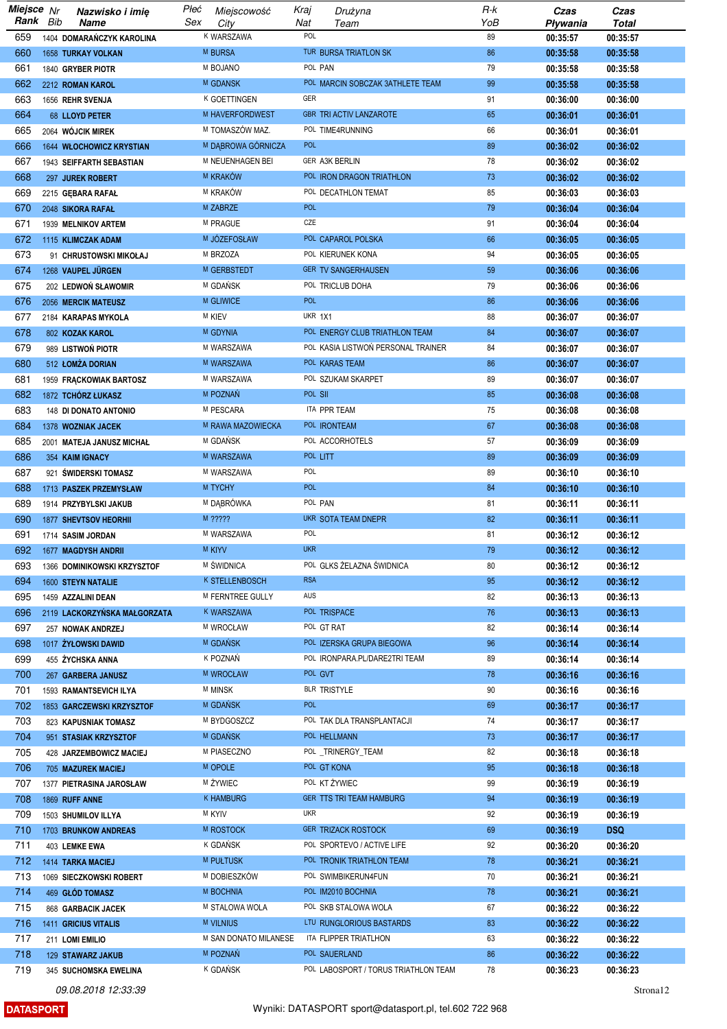| Miejsce Nr | Nazwisko i imię              | Płeć | Miejscowość           | Kraj           | Drużyna                              | R-k | Czas     | Czas         |
|------------|------------------------------|------|-----------------------|----------------|--------------------------------------|-----|----------|--------------|
| Rank Bib   | Name                         | Sex  | City                  | Nat            | Team                                 | YoB | Pływania | <b>Total</b> |
| 659        | 1404 DOMARAŃCZYK KAROLINA    |      | K WARSZAWA            | POL            |                                      | 89  | 00:35:57 | 00:35:57     |
| 660        | 1658 TURKAY VOLKAN           |      | M BURSA               |                | TUR BURSA TRIATLON SK                | 86  | 00:35:58 | 00:35:58     |
| 661        | 1840 GRYBER PIOTR            |      | M BOJANO              | POL PAN        |                                      | 79  | 00:35:58 | 00:35:58     |
|            |                              |      | M GDANSK              |                | POL MARCIN SOBCZAK 3ATHLETE TEAM     | 99  |          |              |
| 662        | 2212 ROMAN KAROL             |      |                       |                |                                      |     | 00:35:58 | 00:35:58     |
| 663        | 1656 REHR SVENJA             |      | K GOETTINGEN          | GER            |                                      | 91  | 00:36:00 | 00:36:00     |
| 664        | 68 LLOYD PETER               |      | M HAVERFORDWEST       |                | <b>GBR TRI ACTIV LANZAROTE</b>       | 65  | 00:36:01 | 00:36:01     |
| 665        | 2064 WÓJCIK MIREK            |      | M TOMASZÓW MAZ.       |                | POL TIME4RUNNING                     | 66  | 00:36:01 | 00:36:01     |
| 666        | 1644 WŁOCHOWICZ KRYSTIAN     |      | M DĄBROWA GÓRNICZA    | <b>POL</b>     |                                      | 89  | 00:36:02 | 00:36:02     |
| 667        | 1943 SEIFFARTH SEBASTIAN     |      | M NEUENHAGEN BEI      |                | GER A3K BERLIN                       | 78  | 00:36:02 | 00:36:02     |
| 668        | 297 JUREK ROBERT             |      | M KRAKÓW              |                | POL IRON DRAGON TRIATHLON            | 73  | 00:36:02 | 00:36:02     |
|            |                              |      |                       |                | POL DECATHLON TEMAT                  |     |          |              |
| 669        | 2215 GEBARA RAFAL            |      | M KRAKÓW              |                |                                      | 85  | 00:36:03 | 00:36:03     |
| 670        | 2048 SIKORA RAFAL            |      | M ZABRZE              | <b>POL</b>     |                                      | 79  | 00:36:04 | 00:36:04     |
| 671        | 1939 MELNIKOV ARTEM          |      | M PRAGUE              | CZE            |                                      | 91  | 00:36:04 | 00:36:04     |
| 672        | 1115 KLIMCZAK ADAM           |      | M JÓZEFOSŁAW          |                | POL CAPAROL POLSKA                   | 66  | 00:36:05 | 00:36:05     |
| 673        | 91 CHRUSTOWSKI MIKOŁAJ       |      | M BRZOZA              |                | POL KIERUNEK KONA                    | 94  | 00:36:05 | 00:36:05     |
| 674        | 1268 VAUPEL JÜRGEN           |      | M GERBSTEDT           |                | <b>GER TV SANGERHAUSEN</b>           | 59  | 00:36:06 | 00:36:06     |
| 675        | 202 LEDWOŃ SŁAWOMIR          |      | M GDAŃSK              |                | POL TRICLUB DOHA                     | 79  | 00:36:06 | 00:36:06     |
| 676        | 2056 MERCIK MATEUSZ          |      | M GLIWICE             | <b>POL</b>     |                                      | 86  |          |              |
|            |                              |      |                       |                |                                      |     | 00:36:06 | 00:36:06     |
| 677        | 2184 KARAPAS MYKOLA          |      | <b>M KIEV</b>         | <b>UKR 1X1</b> |                                      | 88  | 00:36:07 | 00:36:07     |
| 678        | 802 KOZAK KAROL              |      | <b>M GDYNIA</b>       |                | POL ENERGY CLUB TRIATHLON TEAM       | 84  | 00:36:07 | 00:36:07     |
| 679        | 989 LISTWOŃ PIOTR            |      | M WARSZAWA            |                | POL KASIA LISTWOŃ PERSONAL TRAINER   | 84  | 00:36:07 | 00:36:07     |
| 680        | 512 ŁOMŻA DORIAN             |      | M WARSZAWA            |                | POL KARAS TEAM                       | 86  | 00:36:07 | 00:36:07     |
| 681        | 1959 FRACKOWIAK BARTOSZ      |      | M WARSZAWA            |                | POL SZUKAM SKARPET                   | 89  | 00:36:07 | 00:36:07     |
| 682        | 1872 TCHÓRZ ŁUKASZ           |      | M POZNAŃ              | POL SII        |                                      | 85  | 00:36:08 | 00:36:08     |
| 683        |                              |      | M PESCARA             |                | ITA PPR TEAM                         | 75  | 00:36:08 | 00:36:08     |
|            | 148 DI DONATO ANTONIO        |      |                       |                |                                      |     |          |              |
| 684        | 1378 WOZNIAK JACEK           |      | M RAWA MAZOWIECKA     |                | POL <b>IRONTEAM</b>                  | 67  | 00:36:08 | 00:36:08     |
| 685        | 2001 MATEJA JANUSZ MICHAŁ    |      | M GDAŃSK              |                | POL ACCORHOTELS                      | 57  | 00:36:09 | 00:36:09     |
| 686        | 354 KAIM IGNACY              |      | M WARSZAWA            | POL LITT       |                                      | 89  | 00:36:09 | 00:36:09     |
| 687        | 921 ŚWIDERSKI TOMASZ         |      | M WARSZAWA            | POL            |                                      | 89  | 00:36:10 | 00:36:10     |
| 688        | 1713 PASZEK PRZEMYSŁAW       |      | M TYCHY               | <b>POL</b>     |                                      | 84  | 00:36:10 | 00:36:10     |
| 689        | 1914 PRZYBYLSKI JAKUB        |      | M DĄBRÓWKA            | POL PAN        |                                      | 81  | 00:36:11 | 00:36:11     |
| 690        | 1877 SHEVTSOV HEORHII        |      | M ?????               |                | UKR SOTA TEAM DNEPR                  | 82  | 00:36:11 | 00:36:11     |
| 691        |                              |      | M WARSZAWA            | POL            |                                      | 81  |          |              |
|            | 1714 SASIM JORDAN            |      |                       |                |                                      |     | 00:36:12 | 00:36:12     |
| 692        | 1677 MAGDYSH ANDRII          |      | <b>M KIYV</b>         | <b>UKR</b>     |                                      | 79  | 00:36:12 | 00:36:12     |
| 693        | 1366 DOMINIKOWSKI KRZYSZTOF  |      | M ŚWIDNICA            |                | POL GLKS ŻELAZNA ŚWIDNICA            | 80  | 00:36:12 | 00:36:12     |
| 694        | 1600 STEYN NATALIE           |      | K STELLENBOSCH        | <b>RSA</b>     |                                      | 95  | 00:36:12 | 00:36:12     |
| 695        | 1459 AZZALINI DEAN           |      | M FERNTREE GULLY      | AUS            |                                      | 82  | 00:36:13 | 00:36:13     |
| 696        | 2119 LACKORZYŃSKA MAŁGORZATA |      | K WARSZAWA            |                | POL TRISPACE                         | 76  | 00:36:13 | 00:36:13     |
| 697        | 257 NOWAK ANDRZEJ            |      | M WROCŁAW             |                | POL GT RAT                           | 82  | 00:36:14 | 00:36:14     |
| 698        | 1017 ŻYŁOWSKI DAWID          |      | M GDAŃSK              |                | POL IZERSKA GRUPA BIEGOWA            | 96  | 00:36:14 | 00:36:14     |
|            |                              |      |                       |                |                                      |     |          |              |
| 699        | 455 ŻYCHSKA ANNA             |      | K POZNAŃ              |                | POL IRONPARA.PL/DARE2TRI TEAM        | 89  | 00:36:14 | 00:36:14     |
| 700        | 267 GARBERA JANUSZ           |      | M WROCŁAW             | POL GVT        |                                      | 78  | 00:36:16 | 00:36:16     |
| 701        | 1593 RAMANTSEVICH ILYA       |      | M MINSK               |                | BLR TRISTYLE                         | 90  | 00:36:16 | 00:36:16     |
| 702        | 1853 GARCZEWSKI KRZYSZTOF    |      | M GDAŃSK              | <b>POL</b>     |                                      | 69  | 00:36:17 | 00:36:17     |
| 703        | 823 KAPUSNIAK TOMASZ         |      | M BYDGOSZCZ           |                | POL TAK DLA TRANSPLANTACJI           | 74  | 00:36:17 | 00:36:17     |
| 704        | 951 STASIAK KRZYSZTOF        |      | M GDAŃSK              |                | POL HELLMANN                         | 73  | 00:36:17 | 00:36:17     |
| 705        | 428 JARZEMBOWICZ MACIEJ      |      | M PIASECZNO           |                | POL_TRINERGY_TEAM                    | 82  | 00:36:18 | 00:36:18     |
| 706        | 705 MAZUREK MACIEJ           |      | M OPOLE               |                | POL GT KONA                          | 95  | 00:36:18 | 00:36:18     |
|            |                              |      | M ŻYWIEC              |                | POL KT ŻYWIEC                        | 99  |          |              |
| 707        | 1377 PIETRASINA JAROSŁAW     |      |                       |                |                                      |     | 00:36:19 | 00:36:19     |
| 708        | 1869 RUFF ANNE               |      | <b>K HAMBURG</b>      |                | GER TTS TRI TEAM HAMBURG             | 94  | 00:36:19 | 00:36:19     |
| 709        | 1503 SHUMILOV ILLYA          |      | <b>M KYIV</b>         | <b>UKR</b>     |                                      | 92  | 00:36:19 | 00:36:19     |
| 710        | 1703 BRUNKOW ANDREAS         |      | <b>M ROSTOCK</b>      |                | <b>GER TRIZACK ROSTOCK</b>           | 69  | 00:36:19 | <b>DSQ</b>   |
| 711        | 403 LEMKE EWA                |      | K GDAŃSK              |                | POL SPORTEVO / ACTIVE LIFE           | 92  | 00:36:20 | 00:36:20     |
| 712        | 1414 TARKA MACIEJ            |      | M PUŁTUSK             |                | POL TRONIK TRIATHLON TEAM            | 78  | 00:36:21 | 00:36:21     |
| 713        | 1069 SIECZKOWSKI ROBERT      |      | M DOBIESZKÓW          |                | POL SWIMBIKERUN4FUN                  | 70  | 00:36:21 | 00:36:21     |
| 714        |                              |      | M BOCHNIA             |                | POL IM2010 BOCHNIA                   | 78  |          | 00:36:21     |
|            | 469 GŁÓD TOMASZ              |      |                       |                |                                      |     | 00:36:21 |              |
| 715        | 868 GARBACIK JACEK           |      | M STALOWA WOLA        |                | POL SKB STALOWA WOLA                 | 67  | 00:36:22 | 00:36:22     |
| 716        | <b>1411 GRICIUS VITALIS</b>  |      | M VILNIUS             |                | LTU RUNGLORIOUS BASTARDS             | 83  | 00:36:22 | 00:36:22     |
| 717        | 211 LOMI EMILIO              |      | M SAN DONATO MILANESE |                | ITA FLIPPER TRIATLHON                | 63  | 00:36:22 | 00:36:22     |
| 718        | 129 STAWARZ JAKUB            |      | M POZNAŃ              |                | POL SAUERLAND                        | 86  | 00:36:22 | 00:36:22     |
| 719        | 345 SUCHOMSKA EWELINA        |      | K GDAŃSK              |                | POL LABOSPORT / TORUS TRIATHLON TEAM | 78  | 00:36:23 | 00:36:23     |

**DATASPORT**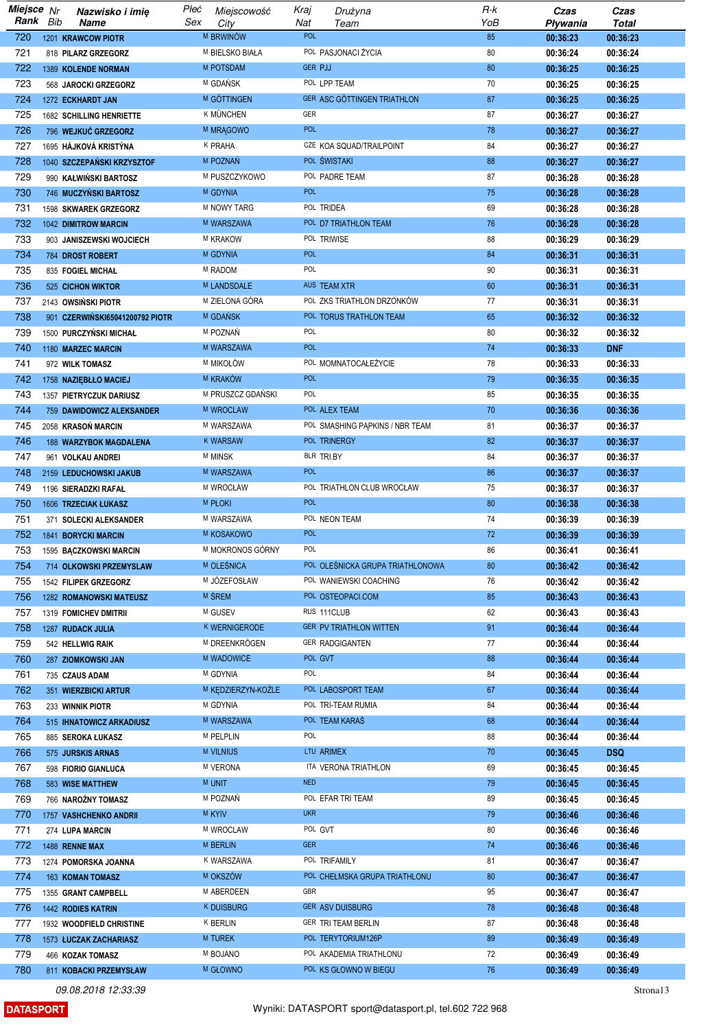| Miejsce Nr |     | Nazwisko i imię                 | Płeć | Miejscowość        | Kraj           | Drużyna                          | R-k | Czas     | Czas         |
|------------|-----|---------------------------------|------|--------------------|----------------|----------------------------------|-----|----------|--------------|
| Rank       | Bib | Name                            | Sex  | City               | Nat            | Team                             | YoB | Pływania | <b>Total</b> |
| 720        |     | 1201 KRAWCOW PIOTR              |      | M BRWINÓW          | POL            |                                  | 85  | 00:36:23 | 00:36:23     |
| 721        |     | 818 PILARZ GRZEGORZ             |      | M BIELSKO BIAŁA    |                | POL PASJONACI ŻYCIA              | 80  | 00:36:24 | 00:36:24     |
| 722        |     | 1389 KOLENDE NORMAN             |      | M POTSDAM          | <b>GER PJJ</b> |                                  | 80  | 00:36:25 | 00:36:25     |
| 723        |     | 568 JAROCKI GRZEGORZ            |      | M GDAŃSK           |                | POL LPP TEAM                     | 70  | 00:36:25 | 00:36:25     |
| 724        |     | 1272 ECKHARDT JAN               |      | M GÖTTINGEN        |                | GER ASC GÖTTINGEN TRIATHLON      | 87  | 00:36:25 | 00:36:25     |
| 725        |     | 1682 SCHILLING HENRIETTE        |      | K MÜNCHEN          | GER            |                                  | 87  | 00:36:27 | 00:36:27     |
| 726        |     | 796 WEJKUĆ GRZEGORZ             |      | M MRAGOWO          | <b>POL</b>     |                                  | 78  | 00:36:27 | 00:36:27     |
| 727        |     | 1695 HÁJKOVÁ KRISTÝNA           |      | K PRAHA            |                | CZE KOA SQUAD/TRAILPOINT         | 84  | 00:36:27 | 00:36:27     |
|            |     |                                 |      | M POZNAŃ           |                | POL ŚWISTAKI                     | 88  |          |              |
| 728        |     | 1040 SZCZEPAŃSKI KRZYSZTOF      |      |                    |                |                                  |     | 00:36:27 | 00:36:27     |
| 729        |     | 990 KAŁWIŃSKI BARTOSZ           |      | M PUSZCZYKOWO      |                | POL PADRE TEAM                   | 87  | 00:36:28 | 00:36:28     |
| 730        |     | 746 MUCZYŃSKI BARTOSZ           |      | M GDYNIA           | <b>POL</b>     |                                  | 75  | 00:36:28 | 00:36:28     |
| 731        |     | 1598 SKWAREK GRZEGORZ           |      | M NOWY TARG        |                | POL TRIDEA                       | 69  | 00:36:28 | 00:36:28     |
| 732        |     | 1042 DIMITROW MARCIN            |      | M WARSZAWA         |                | POL D7 TRIATHLON TEAM            | 76  | 00:36:28 | 00:36:28     |
| 733        |     | 903 JANISZEWSKI WOJCIECH        |      | M KRAKOW           |                | POL TRIWISE                      | 88  | 00:36:29 | 00:36:29     |
| 734        |     | 784 DROST ROBERT                |      | M GDYNIA           | <b>POL</b>     |                                  | 84  | 00:36:31 | 00:36:31     |
| 735        |     | 835 FOGIEL MICHAŁ               |      | M RADOM            | POL            |                                  | 90  | 00:36:31 | 00:36:31     |
| 736        |     | 525 CICHON WIKTOR               |      | M LANDSDALE        |                | AUS TEAM XTR                     | 60  | 00:36:31 | 00:36:31     |
| 737        |     | 2143 OWSIŃSKI PIOTR             |      | M ZIELONA GÓRA     |                | POL ZKS TRIATHLON DRZONKÓW       | 77  | 00:36:31 | 00:36:31     |
| 738        |     | 901 CZERWIŃSKI65041200792 PIOTR |      | M GDANSK           |                | POL TORUS TRATHLON TEAM          | 65  | 00:36:32 | 00:36:32     |
| 739        |     | 1500 PURCZYŃSKI MICHAŁ          |      | M POZNAŃ           | POL            |                                  | 80  | 00:36:32 | 00:36:32     |
| 740        |     | 1180 MARZEC MARCIN              |      | M WARSZAWA         | <b>POL</b>     |                                  | 74  | 00:36:33 | <b>DNF</b>   |
| 741        |     | 972 WILK TOMASZ                 |      | M MIKOŁÓW          |                | POL MOMNATOCALEZYCIE             | 78  | 00:36:33 | 00:36:33     |
| 742        |     | 1758 NAZIĘBŁŁO MACIEJ           |      | M KRAKÓW           | <b>POL</b>     |                                  | 79  | 00:36:35 | 00:36:35     |
| 743        |     | 1357 PIETRYCZUK DARIUSZ         |      | M PRUSZCZ GDAŃSKI  | POL            |                                  | 85  | 00:36:35 | 00:36:35     |
| 744        |     | 759 DAWIDOWICZ ALEKSANDER       |      | M WROCLAW          |                | POL ALEX TEAM                    | 70  | 00:36:36 | 00:36:36     |
| 745        |     | 2058 KRASOŃ MARCIN              |      | M WARSZAWA         |                | POL SMASHING PAPKINS / NBR TEAM  | 81  | 00:36:37 | 00:36:37     |
| 746        |     | <b>188 WARZYBOK MAGDALENA</b>   |      | <b>K WARSAW</b>    |                | POL TRINERGY                     | 82  | 00:36:37 | 00:36:37     |
| 747        |     |                                 |      | M MINSK            |                | BLR TRI.BY                       | 84  |          |              |
|            |     | 961 VOLKAU ANDREI               |      |                    | <b>POL</b>     |                                  |     | 00:36:37 | 00:36:37     |
| 748        |     | 2159 LEDUCHOWSKI JAKUB          |      | M WARSZAWA         |                |                                  | 86  | 00:36:37 | 00:36:37     |
| 749        |     | 1196 SIERADZKI RAFAŁ            |      | M WROCŁAW          |                | POL TRIATHLON CLUB WROCŁAW       | 75  | 00:36:37 | 00:36:37     |
| 750        |     | 1606 TRZECIAK ŁUKASZ            |      | <b>M PŁOKI</b>     | <b>POL</b>     |                                  | 80  | 00:36:38 | 00:36:38     |
| 751        |     | 371 SOLECKI ALEKSANDER          |      | M WARSZAWA         |                | POL NEON TEAM                    | 74  | 00:36:39 | 00:36:39     |
| 752        |     | <b>1841 BORYCKI MARCIN</b>      |      | M KOSAKOWO         | <b>POL</b>     |                                  | 72  | 00:36:39 | 00:36:39     |
| 753        |     | 1595 BĄCZKOWSKI MARCIN          |      | M MOKRONOS GÓRNY   | POL            |                                  | 86  | 00:36:41 | 00:36:41     |
| 754        |     | 714 OLKOWSKI PRZEMYSLAW         |      | M OLESNICA         |                | POL OLEŚNICKA GRUPA TRIATHLONOWA | 80  | 00:36:42 | 00:36:42     |
| 755        |     | 1542 FILIPEK GRZEGORZ           |      | M JÓZEFOSŁAW       |                | POL WANIEWSKI COACHING           | 76  | 00:36:42 | 00:36:42     |
| 756        |     | <b>1282 ROMANOWSKI MATEUSZ</b>  |      | M SREM             |                | POL OSTEOPACI.COM                | 85  | 00:36:43 | 00:36:43     |
| 757        |     | 1319 FOMICHEV DMITRII           |      | M GUSEV            |                | RUS 111CLUB                      | 62  | 00:36:43 | 00:36:43     |
| 758        |     | 1287 RUDACK JULIA               |      | K WERNIGERODE      |                | GER PV TRIATHLON WITTEN          | 91  | 00:36:44 | 00:36:44     |
| 759        |     | 542 HELLWIG RAIK                |      | M DREENKRÖGEN      |                | GER RADGIGANTEN                  | 77  | 00:36:44 | 00:36:44     |
| 760        |     | 287 ZIOMKOWSKI JAN              |      | M WADOWICE         |                | POL GVT                          | 88  | 00:36:44 | 00:36:44     |
| 761        |     | 735 CZAUS ADAM                  |      | M GDYNIA           | POL            |                                  | 84  | 00:36:44 | 00:36:44     |
| 762        |     | 351 WIERZBICKI ARTUR            |      | M KEDZIERZYN-KOŹLE |                | POL LABOSPORT TEAM               | 67  | 00:36:44 | 00:36:44     |
| 763        |     | 233 WINNIK PIOTR                |      | M GDYNIA           |                | POL TRI-TEAM RUMIA               | 84  | 00:36:44 | 00:36:44     |
| 764        |     | 515 IHNATOWICZ ARKADIUSZ        |      | M WARSZAWA         |                | POL TEAM KARAS                   | 68  | 00:36:44 | 00:36:44     |
| 765        |     | 885 SEROKA ŁUKASZ               |      | M PELPLIN          | POL            |                                  | 88  | 00:36:44 | 00:36:44     |
| 766        |     | 575 JURSKIS ARNAS               |      | <b>M VILNIUS</b>   |                | LTU ARIMEX                       | 70  | 00:36:45 | <b>DSQ</b>   |
| 767        |     | 598 FIORIO GIANLUCA             |      | M VERONA           |                | ITA VERONA TRIATHLON             | 69  | 00:36:45 | 00:36:45     |
| 768        |     |                                 |      | <b>M UNIT</b>      | <b>NED</b>     |                                  | 79  | 00:36:45 | 00:36:45     |
|            |     | 583 WISE MATTHEW                |      | M POZNAŃ           |                | POL EFAR TRI TEAM                | 89  |          |              |
| 769        |     | 766 NAROŻNY TOMASZ              |      |                    |                |                                  |     | 00:36:45 | 00:36:45     |
| 770        |     | 1757 VASHCHENKO ANDRII          |      | <b>M KYIV</b>      | <b>UKR</b>     |                                  | 79  | 00:36:46 | 00:36:46     |
| 771        |     | 274 LUPA MARCIN                 |      | M WROCLAW          |                | POL GVT                          | 80  | 00:36:46 | 00:36:46     |
| 772        |     | 1488 RENNE MAX                  |      | <b>M BERLIN</b>    | <b>GER</b>     |                                  | 74  | 00:36:46 | 00:36:46     |
| 773        |     | 1274 POMORSKA JOANNA            |      | K WARSZAWA         |                | POL TRIFAMILY                    | 81  | 00:36:47 | 00:36:47     |
| 774        |     | 163 KOMAN TOMASZ                |      | M OKSZÓW           |                | POL CHEŁMSKA GRUPA TRIATHLONU    | 80  | 00:36:47 | 00:36:47     |
| 775        |     | 1355 GRANT CAMPBELL             |      | M ABERDEEN         | GBR            |                                  | 95  | 00:36:47 | 00:36:47     |
| 776        |     | 1442 RODIES KATRIN              |      | <b>K DUISBURG</b>  |                | <b>GER ASV DUISBURG</b>          | 78  | 00:36:48 | 00:36:48     |
| 777        |     | 1932 WOODFIELD CHRISTINE        |      | <b>K BERLIN</b>    |                | GER TRI TEAM BERLIN              | 87  | 00:36:48 | 00:36:48     |
| 778        |     | 1573 ŁUCZAK ZACHARIASZ          |      | M TUREK            |                | POL TERYTORIUM126P               | 89  | 00:36:49 | 00:36:49     |
| 779        |     | 466 KOZAK TOMASZ                |      | M BOJANO           |                | POL AKADEMIA TRIATHLONU          | 72  | 00:36:49 | 00:36:49     |
| 780        |     | 811 KOBACKI PRZEMYSŁAW          |      | M GŁOWNO           |                | POL KS GŁOWNO W BIEGU            | 76  | 00:36:49 | 00:36:49     |

**DATASPORT**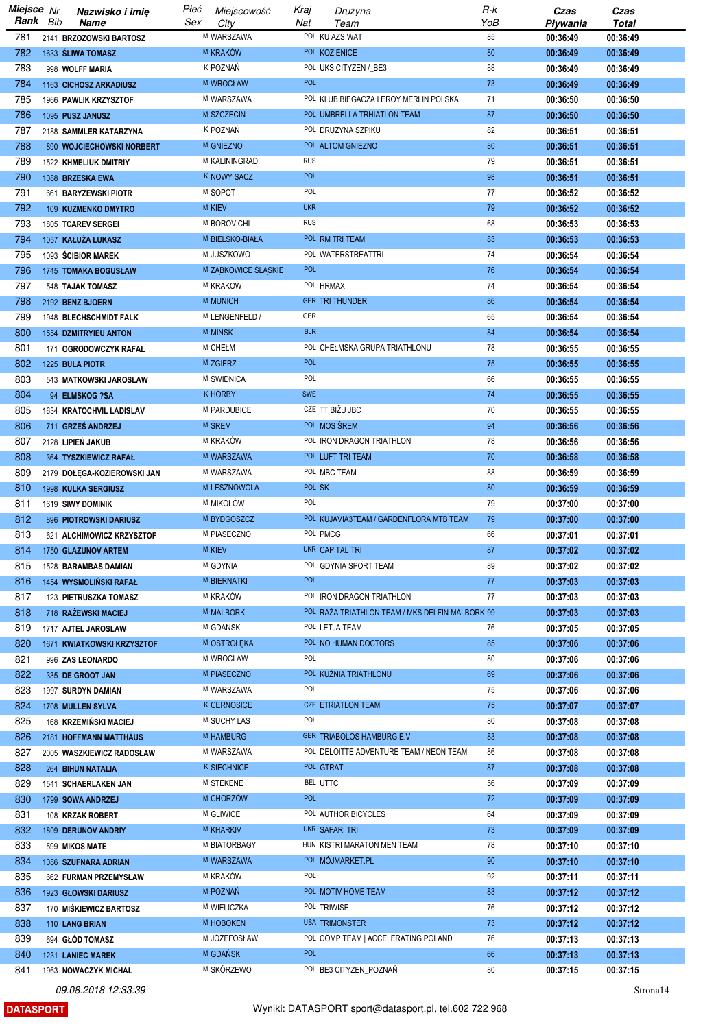| Miejsce Nr |     | Nazwisko i imię              | Płeć | Miejscowość         | Kraj       | Drużyna                                         | R-k | Czas     | Czas         |
|------------|-----|------------------------------|------|---------------------|------------|-------------------------------------------------|-----|----------|--------------|
| Rank       | Bib | Name                         | Sex  | City                | Nat        | Team                                            | YoB | Pływania | <b>Total</b> |
| 781        |     | 2141 BRZOZOWSKI BARTOSZ      |      | M WARSZAWA          |            | POL KU AZS WAT                                  | 85  | 00:36:49 | 00:36:49     |
| 782        |     | 1633 SLIWA TOMASZ            |      | M KRAKÓW            |            | POL KOZIENICE                                   | 80  | 00:36:49 | 00:36:49     |
| 783        |     | 998 WOLFF MARIA              |      | K POZNAŃ            |            | POL UKS CITYZEN / BE3                           | 88  | 00:36:49 | 00:36:49     |
| 784        |     | 1163 CICHOSZ ARKADIUSZ       |      | M WROCŁAW           | <b>POL</b> |                                                 | 73  | 00:36:49 | 00:36:49     |
| 785        |     | 1966 PAWLIK KRZYSZTOF        |      | M WARSZAWA          |            | POL KLUB BIEGACZA LEROY MERLIN POLSKA           | 71  | 00:36:50 | 00:36:50     |
| 786        |     | 1095 PUSZ JANUSZ             |      | M SZCZECIN          |            | POL UMBRELLA TRHIATLON TEAM                     | 87  | 00:36:50 | 00:36:50     |
| 787        |     | 2188 SAMMLER KATARZYNA       |      | K POZNAŃ            |            | POL DRUŻYNA SZPIKU                              | 82  | 00:36:51 | 00:36:51     |
| 788        |     | 890 WOJCIECHOWSKI NORBERT    |      | <b>M GNIEZNO</b>    |            | POL ALTOM GNIEZNO                               | 80  | 00:36:51 | 00:36:51     |
| 789        |     | 1522 KHMELIUK DMITRIY        |      | M KALININGRAD       | <b>RUS</b> |                                                 | 79  | 00:36:51 | 00:36:51     |
| 790        |     | 1088 BRZESKA EWA             |      | <b>K NOWY SACZ</b>  | <b>POL</b> |                                                 | 98  | 00:36:51 | 00:36:51     |
| 791        |     | 661 BARYŻEWSKI PIOTR         |      | M SOPOT             | POL        |                                                 | 77  | 00:36:52 | 00:36:52     |
| 792        |     | 109 KUZMENKO DMYTRO          |      | <b>M KIEV</b>       | <b>UKR</b> |                                                 | 79  | 00:36:52 | 00:36:52     |
| 793        |     | 1805 TCAREV SERGEI           |      | M BOROVICHI         | <b>RUS</b> |                                                 | 68  | 00:36:53 | 00:36:53     |
| 794        |     | 1057 KAŁUŻA ŁUKASZ           |      | M BIELSKO-BIAŁA     |            | POL RM TRI TEAM                                 | 83  | 00:36:53 | 00:36:53     |
| 795        |     | 1093 ŚCIBIOR MAREK           |      | M JUSZKOWO          |            | POL WATERSTREATTRI                              | 74  | 00:36:54 | 00:36:54     |
| 796        |     | 1745 TOMAKA BOGUSŁAW         |      | M ZĄBKOWICE ŚLĄSKIE | <b>POL</b> |                                                 | 76  | 00:36:54 | 00:36:54     |
| 797        |     | 548 TAJAK TOMASZ             |      | M KRAKOW            |            | POL HRMAX                                       | 74  | 00:36:54 | 00:36:54     |
| 798        |     | 2192 BENZ BJOERN             |      | M MUNICH            |            | <b>GER TRI THUNDER</b>                          | 86  | 00:36:54 | 00:36:54     |
| 799        |     | 1948 BLECHSCHMIDT FALK       |      | M LENGENFELD /      | GER        |                                                 | 65  | 00:36:54 | 00:36:54     |
| 800        |     | <b>1554 DZMITRYIEU ANTON</b> |      | <b>M MINSK</b>      | <b>BLR</b> |                                                 | 84  | 00:36:54 | 00:36:54     |
| 801        |     | 171 OGRODOWCZYK RAFAŁ        |      | M CHEŁM             |            | POL CHEŁMSKA GRUPA TRIATHLONU                   | 78  | 00:36:55 | 00:36:55     |
| 802        |     | 1225 BULA PIOTR              |      | M ZGIERZ            | <b>POL</b> |                                                 | 75  | 00:36:55 | 00:36:55     |
| 803        |     | 543 MATKOWSKI JAROSŁAW       |      | M ŚWIDNICA          | POL        |                                                 | 66  | 00:36:55 | 00:36:55     |
| 804        |     | 94 ELMSKOG ?SA               |      | <b>K HÖRBY</b>      | <b>SWE</b> |                                                 | 74  | 00:36:55 | 00:36:55     |
| 805        |     | 1634 KRATOCHVIL LADISLAV     |      | M PARDUBICE         |            | CZE TT BIŽU JBC                                 | 70  | 00:36:55 | 00:36:55     |
| 806        |     | 711 GRZEŚ ANDRZEJ            |      | M ŚREM              |            | POL MOS SREM                                    | 94  | 00:36:56 | 00:36:56     |
| 807        |     | 2128 LIPIEŃ JAKUB            |      | M KRAKÓW            |            | POL IRON DRAGON TRIATHLON                       | 78  | 00:36:56 | 00:36:56     |
| 808        |     | 364 TYSZKIEWICZ RAFAŁ        |      | M WARSZAWA          |            | POL LUFT TRI TEAM                               | 70  | 00:36:58 | 00:36:58     |
| 809        |     | 2179 DOŁĘGA-KOZIEROWSKI JAN  |      | M WARSZAWA          |            | POL MBC TEAM                                    | 88  | 00:36:59 | 00:36:59     |
| 810        |     | 1998 KULKA SERGIUSZ          |      | M LESZNOWOLA        | POL SK     |                                                 | 80  | 00:36:59 | 00:36:59     |
| 811        |     | 1619 SIWY DOMINIK            |      | M MIKOŁÓW           | POL        |                                                 | 79  | 00:37:00 | 00:37:00     |
| 812        |     | 896 PIOTROWSKI DARIUSZ       |      | M BYDGOSZCZ         |            | POL KUJAVIA3TEAM / GARDENFLORA MTB TEAM         | 79  | 00:37:00 | 00:37:00     |
| 813        |     | 621 ALCHIMOWICZ KRZYSZTOF    |      | M PIASECZNO         |            | POL PMCG                                        | 66  | 00:37:01 | 00:37:01     |
| 814        |     | 1750 GLAZUNOV ARTEM          |      | <b>M KIEV</b>       |            | UKR CAPITAL TRI                                 | 87  | 00:37:02 | 00:37:02     |
| 815        |     | 1528 BARAMBAS DAMIAN         |      | M GDYNIA            |            | POL GDYNIA SPORT TEAM                           | 89  | 00:37:02 | 00:37:02     |
| 816        |     | 1454 WYSMOLINSKI RAFAŁ       |      | <b>M BIERNATKI</b>  | <b>POL</b> |                                                 | 77  | 00:37:03 | 00:37:03     |
| 817        |     | 123 PIETRUSZKA TOMASZ        |      | M KRAKÓW            |            | POL IRON DRAGON TRIATHLON                       | 77  | 00:37:03 | 00:37:03     |
| 818        |     | 718 RAŻEWSKI MACIEJ          |      | <b>M MALBORK</b>    |            | POL RAŽA TRIATHLON TEAM / MKS DELFIN MALBORK 99 |     | 00:37:03 | 00:37:03     |
| 819        |     | 1717 AJTEL JAROSLAW          |      | M GDANSK            |            | POL LETJA TEAM                                  | 76  | 00:37:05 | 00:37:05     |
| 820        |     | 1671 KWIATKOWSKI KRZYSZTOF   |      | M OSTROŁĘKA         |            | POL NO HUMAN DOCTORS                            | 85  | 00:37:06 | 00:37:06     |
| 821        |     | 996 ZAS LEONARDO             |      | M WROCLAW           | POL        |                                                 | 80  | 00:37:06 | 00:37:06     |
| 822        |     | 335 DE GROOT JAN             |      | M PIASECZNO         |            | POL KUŹNIA TRIATHLONU                           | 69  | 00:37:06 | 00:37:06     |
| 823        |     | 1997 SURDYN DAMIAN           |      | M WARSZAWA          | POL        |                                                 | 75  | 00:37:06 | 00:37:06     |
| 824        |     | 1708 MULLEN SYLVA            |      | K CERNOSICE         |            | CZE ETRIATLON TEAM                              | 75  | 00:37:07 | 00:37:07     |
| 825        |     | 168 KRZEMINSKI MACIEJ        |      | M SUCHY LAS         | POL        |                                                 | 80  | 00:37:08 | 00:37:08     |
| 826        |     | 2181 HOFFMANN MATTHÄUS       |      | M HAMBURG           |            | GER TRIABOLOS HAMBURG E.V                       | 83  | 00:37:08 | 00:37:08     |
| 827        |     | 2005 WASZKIEWICZ RADOSŁAW    |      | M WARSZAWA          |            | POL DELOITTE ADVENTURE TEAM / NEON TEAM         | 86  | 00:37:08 | 00:37:08     |
| 828        |     | 264 BIHUN NATALIA            |      | <b>K SIECHNICE</b>  |            | POL GTRAT                                       | 87  | 00:37:08 | 00:37:08     |
| 829        |     | 1541 SCHAERLAKEN JAN         |      | M STEKENE           |            | BEL UTTC                                        | 56  | 00:37:09 | 00:37:09     |
| 830        |     | 1799 SOWA ANDRZEJ            |      | M CHORZÓW           | <b>POL</b> |                                                 | 72  | 00:37:09 | 00:37:09     |
| 831        |     | 108 KRZAK ROBERT             |      | M GLIWICE           |            | POL AUTHOR BICYCLES                             | 64  | 00:37:09 | 00:37:09     |
| 832        |     | 1809 DERUNOV ANDRIY          |      | <b>M KHARKIV</b>    |            | UKR SAFARITRI                                   | 73  | 00:37:09 | 00:37:09     |
| 833        |     | 599 MIKOS MATE               |      | M BIATORBAGY        |            | HUN KISTRI MARATON MEN TEAM                     | 78  | 00:37:10 | 00:37:10     |
| 834        |     | 1086 SZUFNARA ADRIAN         |      | M WARSZAWA          |            | POL MÓJMARKET.PL                                | 90  | 00:37:10 | 00:37:10     |
| 835        |     | 662 FURMAN PRZEMYSŁAW        |      | M KRAKÓW            | <b>POL</b> |                                                 | 92  | 00:37:11 | 00:37:11     |
| 836        |     | 1923 GŁOWSKI DARIUSZ         |      | M POZNAŃ            |            | POL MOTIV HOME TEAM                             | 83  | 00:37:12 | 00:37:12     |
| 837        |     | 170 MIŚKIEWICZ BARTOSZ       |      | M WIELICZKA         |            | POL TRIWISE                                     | 76  | 00:37:12 | 00:37:12     |
| 838        |     | 110 LANG BRIAN               |      | M HOBOKEN           |            | <b>USA TRIMONSTER</b>                           | 73  | 00:37:12 | 00:37:12     |
| 839        |     | 694 GŁÓD TOMASZ              |      | M JÓZEFOSŁAW        |            | POL COMP TEAM   ACCELERATING POLAND             | 76  | 00:37:13 | 00:37:13     |
| 840        |     | 1231 LANIEC MAREK            |      | M GDAŃSK            | <b>POL</b> |                                                 | 66  | 00:37:13 | 00:37:13     |
| 841        |     | 1963 NOWACZYK MICHAŁ         |      | M SKÓRZEWO          |            | POL BE3 CITYZEN POZNAŃ                          | 80  | 00:37:15 | 00:37:15     |

**DATASPORT**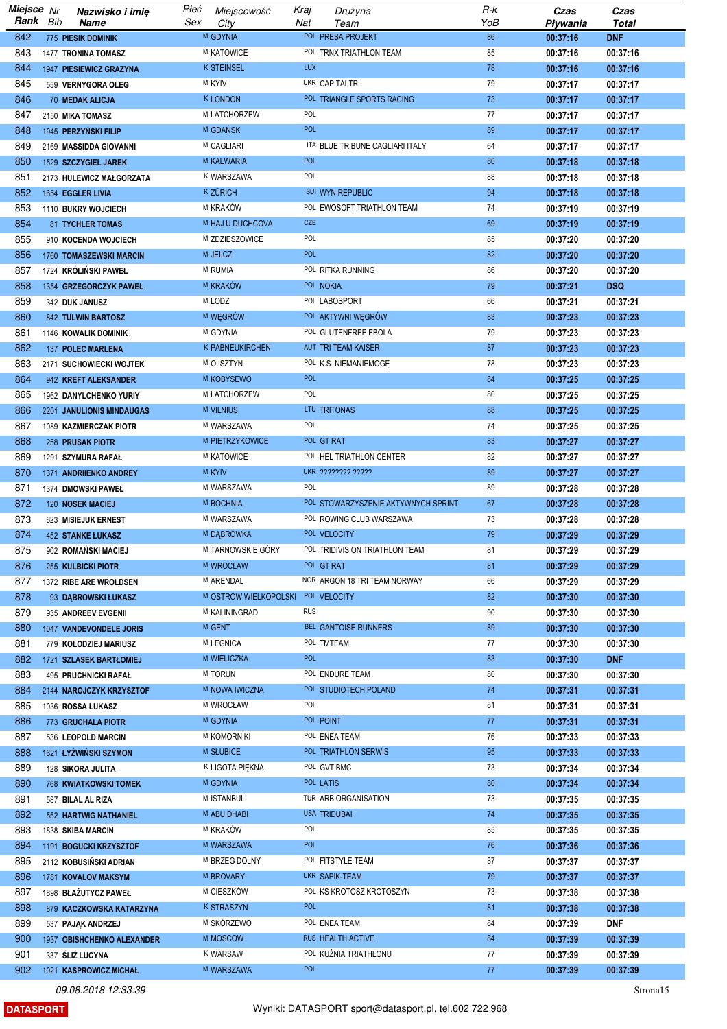| Miejsce Nr |     | Nazwisko i imię              | Płeć | Miejscowość                        | Kraj       | Drużyna                             | $R-k$ | Czas     | Czas         |
|------------|-----|------------------------------|------|------------------------------------|------------|-------------------------------------|-------|----------|--------------|
| Rank       | Bib | <b>Name</b>                  | Sex  | City                               | Nat        | Team                                | YoB   | Pływania | <b>Total</b> |
| 842        |     | <b>775 PIESIK DOMINIK</b>    |      | M GDYNIA                           |            | POL PRESA PROJEKT                   | 86    | 00:37:16 | <b>DNF</b>   |
| 843        |     | 1477 TRONINA TOMASZ          |      | M KATOWICE                         |            | POL TRNX TRIATHLON TEAM             | 85    | 00:37:16 | 00:37:16     |
| 844        |     | 1947 PIESIEWICZ GRAZYNA      |      | <b>K STEINSEL</b>                  | <b>LUX</b> |                                     | 78    | 00:37:16 | 00:37:16     |
| 845        |     | 559 VERNYGORA OLEG           |      | <b>M KYIV</b>                      |            | <b>UKR CAPITALTRI</b>               | 79    | 00:37:17 | 00:37:17     |
| 846        |     | 70 MEDAK ALICJA              |      | <b>K LONDON</b>                    |            | POL TRIANGLE SPORTS RACING          | 73    | 00:37:17 | 00:37:17     |
| 847        |     | 2150 MIKA TOMASZ             |      | M LATCHORZEW                       | <b>POL</b> |                                     | 77    | 00:37:17 | 00:37:17     |
| 848        |     | 1945 PERZYŃSKI FILIP         |      | M GDANSK                           | POL        |                                     | 89    | 00:37:17 | 00:37:17     |
| 849        |     | 2169 MASSIDDA GIOVANNI       |      | <b>M CAGLIARI</b>                  |            | ITA BLUE TRIBUNE CAGLIARI ITALY     | 64    | 00:37:17 | 00:37:17     |
|            |     |                              |      | <b>M KALWARIA</b>                  | <b>POL</b> |                                     |       |          |              |
| 850        |     | 1529 SZCZYGIEŁ JAREK         |      |                                    |            |                                     | 80    | 00:37:18 | 00:37:18     |
| 851        |     | 2173 HULEWICZ MAŁGORZATA     |      | K WARSZAWA                         | POL        |                                     | 88    | 00:37:18 | 00:37:18     |
| 852        |     | 1654 EGGLER LIVIA            |      | <b>K ZÜRICH</b>                    |            | SUI WYN REPUBLIC                    | 94    | 00:37:18 | 00:37:18     |
| 853        |     | 1110 BUKRY WOJCIECH          |      | M KRAKÓW                           |            | POL EWOSOFT TRIATHLON TEAM          | 74    | 00:37:19 | 00:37:19     |
| 854        |     | <b>81 TYCHLER TOMAS</b>      |      | M HAJ U DUCHCOVA                   | <b>CZE</b> |                                     | 69    | 00:37:19 | 00:37:19     |
| 855        |     | 910 KOCENDA WOJCIECH         |      | M ZDZIESZOWICE                     | POL        |                                     | 85    | 00:37:20 | 00:37:20     |
| 856        |     | 1760 TOMASZEWSKI MARCIN      |      | M JELCZ                            | <b>POL</b> |                                     | 82    | 00:37:20 | 00:37:20     |
| 857        |     | 1724 KRÓLIŃSKI PAWEŁ         |      | M RUMIA                            |            | POL RITKA RUNNING                   | 86    | 00:37:20 | 00:37:20     |
| 858        |     | 1354 GRZEGORCZYK PAWEŁ       |      | M KRAKÓW                           |            | POL NOKIA                           | 79    | 00:37:21 | <b>DSQ</b>   |
| 859        |     | 342 DUK JANUSZ               |      | M LODZ                             |            | POL LABOSPORT                       | 66    | 00:37:21 | 00:37:21     |
| 860        |     | <b>842 TULWIN BARTOSZ</b>    |      | M WĘGRÓW                           |            | POL AKTYWNI WĘGRÓW                  | 83    | 00:37:23 | 00:37:23     |
| 861        |     | 1146 KOWALIK DOMINIK         |      | M GDYNIA                           |            | POL GLUTENFREE EBOLA                | 79    | 00:37:23 | 00:37:23     |
| 862        |     | 137 POLEC MARLENA            |      | K PABNEUKIRCHEN                    |            | AUT TRI TEAM KAISER                 | 87    | 00:37:23 | 00:37:23     |
| 863        |     | 2171 SUCHOWIECKI WOJTEK      |      | M OLSZTYN                          |            | POL K.S. NIEMANIEMOGĘ               | 78    | 00:37:23 | 00:37:23     |
| 864        |     | 942 KREFT ALEKSANDER         |      | M KOBYSEWO                         | <b>POL</b> |                                     | 84    | 00:37:25 | 00:37:25     |
|            |     |                              |      |                                    | POL        |                                     | 80    |          |              |
| 865        |     | 1962 DANYLCHENKO YURIY       |      | M LATCHORZEW                       |            |                                     |       | 00:37:25 | 00:37:25     |
| 866        |     | 2201 JANULIONIS MINDAUGAS    |      | M VILNIUS                          |            | LTU TRITONAS                        | 88    | 00:37:25 | 00:37:25     |
| 867        |     | 1089 KAZMIERCZAK PIOTR       |      | M WARSZAWA                         | POL        |                                     | 74    | 00:37:25 | 00:37:25     |
| 868        |     | 258 PRUSAK PIOTR             |      | M PIETRZYKOWICE                    |            | POL GT RAT                          | 83    | 00:37:27 | 00:37:27     |
| 869        |     | 1291 SZYMURA RAFAŁ           |      | M KATOWICE                         |            | POL HEL TRIATHLON CENTER            | 82    | 00:37:27 | 00:37:27     |
| 870        |     | 1371 ANDRIIENKO ANDREY       |      | <b>M KYIV</b>                      |            | UKR ???????? ?????                  | 89    | 00:37:27 | 00:37:27     |
| 871        |     | 1374 DMOWSKI PAWEŁ           |      | M WARSZAWA                         | POL        |                                     | 89    | 00:37:28 | 00:37:28     |
| 872        |     | 120 NOSEK MACIEJ             |      | M BOCHNIA                          |            | POL STOWARZYSZENIE AKTYWNYCH SPRINT | 67    | 00:37:28 | 00:37:28     |
| 873        |     | 623 MISIEJUK ERNEST          |      | M WARSZAWA                         |            | POL ROWING CLUB WARSZAWA            | 73    | 00:37:28 | 00:37:28     |
| 874        |     | <b>452 STANKE ŁUKASZ</b>     |      | M DABRÓWKA                         |            | POL VELOCITY                        | 79    | 00:37:29 | 00:37:29     |
| 875        |     | 902 ROMAŃSKI MACIEJ          |      | M TARNOWSKIE GÓRY                  |            | POL TRIDIVISION TRIATHLON TEAM      | 81    | 00:37:29 | 00:37:29     |
| 876        |     | 255 KULBICKI PIOTR           |      | M WROCŁAW                          |            | POL GT RAT                          | 81    | 00:37:29 | 00:37:29     |
| 877        |     | 1372 RIBE ARE WROLDSEN       |      | <b>M ARENDAL</b>                   |            | NOR ARGON 18 TRI TEAM NORWAY        | 66    | 00:37:29 | 00:37:29     |
| 878        |     | 93 DABROWSKI ŁUKASZ          |      | M OSTRÓW WIELKOPOLSKI POL VELOCITY |            |                                     | 82    | 00:37:30 | 00:37:30     |
| 879        |     | 935 ANDREEV EVGENII          |      | M KALININGRAD                      | <b>RUS</b> |                                     | 90    | 00:37:30 | 00:37:30     |
| 880        |     | 1047 VANDEVONDELE JORIS      |      | M GENT                             |            | BEL GANTOISE RUNNERS                | 89    | 00:37:30 | 00:37:30     |
| 881        |     |                              |      | M LEGNICA                          |            | POL TMTEAM                          | 77    | 00:37:30 | 00:37:30     |
|            |     | 779 KOŁODZIEJ MARIUSZ        |      |                                    | <b>POL</b> |                                     |       |          |              |
| 882        |     | 1721 SZLASEK BARTŁOMIEJ      |      | M WIELICZKA                        |            |                                     | 83    | 00:37:30 | <b>DNF</b>   |
| 883        |     | 495 PRUCHNICKI RAFAŁ         |      | M TORUŃ                            |            | POL ENDURE TEAM                     | 80    | 00:37:30 | 00:37:30     |
| 884        |     | 2144 NAROJCZYK KRZYSZTOF     |      | M NOWA IWICZNA                     |            | POL STUDIOTECH POLAND               | 74    | 00:37:31 | 00:37:31     |
| 885        |     | 1036 ROSSA ŁUKASZ            |      | M WROCŁAW                          | POL        |                                     | 81    | 00:37:31 | 00:37:31     |
| 886        |     | <b>773 GRUCHALA PIOTR</b>    |      | M GDYNIA                           |            | POL POINT                           | 77    | 00:37:31 | 00:37:31     |
| 887        |     | 536 LEOPOLD MARCIN           |      | M KOMORNIKI                        |            | POL ENEA TEAM                       | 76    | 00:37:33 | 00:37:33     |
| 888        |     | 1621 ŁYŻWIŃSKI SZYMON        |      | <b>M SŁUBICE</b>                   |            | POL TRIATHLON SERWIS                | 95    | 00:37:33 | 00:37:33     |
| 889        |     | 128 SIKORA JULITA            |      | K LIGOTA PIĘKNA                    |            | POL GVT BMC                         | 73    | 00:37:34 | 00:37:34     |
| 890        |     | <b>768 KWIATKOWSKI TOMEK</b> |      | <b>M GDYNIA</b>                    |            | POL LATIS                           | 80    | 00:37:34 | 00:37:34     |
| 891        |     | 587 BILAL AL RIZA            |      | M ISTANBUL                         |            | TUR ARB ORGANISATION                | 73    | 00:37:35 | 00:37:35     |
| 892        |     | 552 HARTWIG NATHANIEL        |      | M ABU DHABI                        |            | <b>USA TRIDUBAI</b>                 | 74    | 00:37:35 | 00:37:35     |
| 893        |     | 1838 SKIBA MARCIN            |      | M KRAKÓW                           | POL        |                                     | 85    | 00:37:35 | 00:37:35     |
| 894        |     | 1191 BOGUCKI KRZYSZTOF       |      | M WARSZAWA                         | <b>POL</b> |                                     | 76    | 00:37:36 | 00:37:36     |
| 895        |     | 2112 KOBUSIŃSKI ADRIAN       |      | M BRZEG DOLNY                      |            | POL FITSTYLE TEAM                   | 87    | 00:37:37 | 00:37:37     |
| 896        |     | 1781 KOVALOV MAKSYM          |      | M BROVARY                          |            | <b>UKR SAPIK-TEAM</b>               | 79    | 00:37:37 | 00:37:37     |
| 897        |     | 1898 BŁAŻUTYCZ PAWEŁ         |      | M CIESZKÓW                         |            | POL KS KROTOSZ KROTOSZYN            | 73    | 00:37:38 | 00:37:38     |
| 898        |     |                              |      | <b>K STRASZYN</b>                  | <b>POL</b> |                                     | 81    |          |              |
|            |     | 879 KACZKOWSKA KATARZYNA     |      |                                    |            |                                     |       | 00:37:38 | 00:37:38     |
| 899        |     | 537 PAJAK ANDRZEJ            |      | M SKÓRZEWO                         |            | POL ENEA TEAM                       | 84    | 00:37:39 | <b>DNF</b>   |
| 900        |     | 1937 OBISHCHENKO ALEXANDER   |      | M MOSCOW                           |            | RUS HEALTH ACTIVE                   | 84    | 00:37:39 | 00:37:39     |
| 901        |     | 337 ŚLIŻ LUCYNA              |      | <b>K WARSAW</b>                    |            | POL KUŽNIA TRIATHLONU               | 77    | 00:37:39 | 00:37:39     |
| 902        |     | 1021 KASPROWICZ MICHAŁ       |      | M WARSZAWA                         | POL        |                                     | 77    | 00:37:39 | 00:37:39     |

**DATASPORT**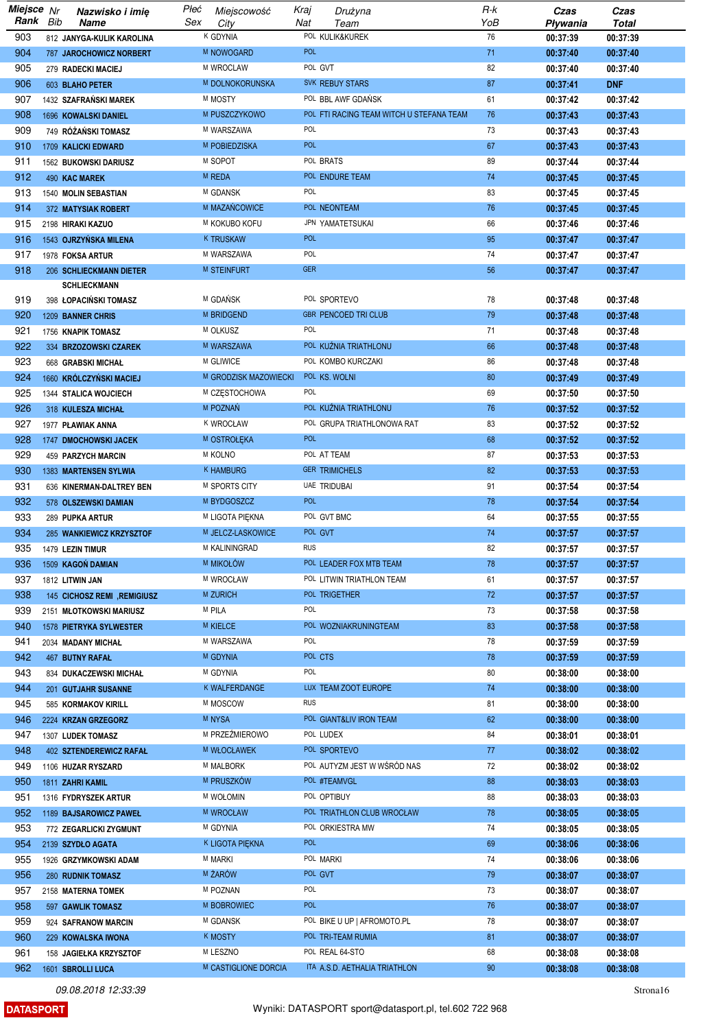| Miejsce Nr |     | Nazwisko i imię                                      | Płeć<br>Miejscowość      | Kraj                         | Drużyna                                  | R-k       | Czas                 | Czas                 |
|------------|-----|------------------------------------------------------|--------------------------|------------------------------|------------------------------------------|-----------|----------------------|----------------------|
| Rank       | Bib | Name                                                 | Sex<br>City<br>K GDYNIA  | Nat                          | Team<br>POL KULIK&KUREK                  | YoB<br>76 | Pływania             | <b>Total</b>         |
| 903<br>904 |     | 812 JANYGA-KULIK KAROLINA                            | M NOWOGARD               | POL                          |                                          | 71        | 00:37:39<br>00:37:40 | 00:37:39<br>00:37:40 |
| 905        |     | <b>787 JAROCHOWICZ NORBERT</b><br>279 RADECKI MACIEJ | M WROCLAW                |                              | POL GVT                                  | 82        | 00:37:40             | 00:37:40             |
| 906        |     | 603 BLAHO PETER                                      | M DOLNOKORUNSKA          |                              | SVK REBUY STARS                          | 87        | 00:37:41             | <b>DNF</b>           |
| 907        |     | 1432 SZAFRAŃSKI MAREK                                | M MOSTY                  |                              | POL BBL AWF GDAŃSK                       | 61        | 00:37:42             | 00:37:42             |
| 908        |     | 1696 KOWALSKI DANIEL                                 | M PUSZCZYKOWO            |                              | POL FTI RACING TEAM WITCH U STEFANA TEAM | 76        | 00:37:43             | 00:37:43             |
| 909        |     | 749 RÓŻAŃSKI TOMASZ                                  | M WARSZAWA               | POL                          |                                          | 73        | 00:37:43             | 00:37:43             |
| 910        |     | 1709 KALICKI EDWARD                                  | M POBIEDZISKA            | <b>POL</b>                   |                                          | 67        | 00:37:43             | 00:37:43             |
| 911        |     | 1562 BUKOWSKI DARIUSZ                                | M SOPOT                  |                              | POL BRATS                                | 89        | 00:37:44             | 00:37:44             |
| 912        |     | 490 KAC MAREK                                        | M REDA                   |                              | POL ENDURE TEAM                          | 74        | 00:37:45             | 00:37:45             |
| 913        |     | 1540 MOLIN SEBASTIAN                                 | M GDANSK                 | POL                          |                                          | 83        | 00:37:45             | 00:37:45             |
| 914        |     | 372 MATYSIAK ROBERT                                  | M MAZAŃCOWICE            |                              | POL NEONTEAM                             | 76        | 00:37:45             | 00:37:45             |
| 915        |     | 2198 HIRAKI KAZUO                                    | M KOKUBO KOFU            |                              | JPN YAMATETSUKAI                         | 66        | 00:37:46             | 00:37:46             |
| 916        |     | 1543 OJRZYŃSKA MILENA                                | <b>K TRUSKAW</b>         | <b>POL</b>                   |                                          | 95        | 00:37:47             | 00:37:47             |
| 917        |     | 1978 FOKSA ARTUR                                     | M WARSZAWA               | POL                          |                                          | 74        | 00:37:47             | 00:37:47             |
| 918        |     | 206 SCHLIECKMANN DIETER                              | M STEINFURT              | <b>GER</b>                   |                                          | 56        | 00:37:47             | 00:37:47             |
|            |     | <b>SCHLIECKMANN</b>                                  |                          |                              |                                          |           |                      |                      |
| 919        |     | 398 ŁOPACIŃSKI TOMASZ                                | M GDAŃSK                 |                              | POL SPORTEVO                             | 78        | 00:37:48             | 00:37:48             |
| 920        |     | 1209 BANNER CHRIS                                    | M BRIDGEND               |                              | <b>GBR PENCOED TRICLUB</b>               | 79        | 00:37:48             | 00:37:48             |
| 921        |     | 1756 KNAPIK TOMASZ                                   | M OLKUSZ                 | POL                          |                                          | 71        | 00:37:48             | 00:37:48             |
| 922        |     | 334 BRZOZOWSKI CZAREK                                | M WARSZAWA               |                              | POL KUŻNIA TRIATHLONU                    | 66        | 00:37:48             | 00:37:48             |
| 923        |     | 668 GRABSKI MICHAŁ                                   | M GLIWICE                |                              | POL KOMBO KURCZAKI                       | 86        | 00:37:48             | 00:37:48             |
| 924<br>925 |     | 1660 KRÓLCZYŃSKI MACIEJ                              | M CZĘSTOCHOWA            | M GRODZISK MAZOWIECKI<br>POL | POL KS. WOLNI                            | 80<br>69  | 00:37:49<br>00:37:50 | 00:37:49<br>00:37:50 |
| 926        |     | 1344 STALICA WOJCIECH<br>318 KULESZA MICHAŁ          | M POZNAŃ                 |                              | POL KUŻNIA TRIATHLONU                    | 76        | 00:37:52             | 00:37:52             |
| 927        |     | 1977 PLAWIAK ANNA                                    | <b>K WROCŁAW</b>         |                              | POL GRUPA TRIATHLONOWA RAT               | 83        | 00:37:52             | 00:37:52             |
| 928        |     | 1747 DMOCHOWSKI JACEK                                | M OSTROŁĘKA              | <b>POL</b>                   |                                          | 68        | 00:37:52             | 00:37:52             |
| 929        |     | 459 PARZYCH MARCIN                                   | <b>M KOLNO</b>           |                              | POL AT TEAM                              | 87        | 00:37:53             | 00:37:53             |
| 930        |     | 1383 MARTENSEN SYLWIA                                | K HAMBURG                |                              | <b>GER TRIMICHELS</b>                    | 82        | 00:37:53             | 00:37:53             |
| 931        |     | 636 KINERMAN-DALTREY BEN                             | M SPORTS CITY            |                              | UAE TRIDUBAI                             | 91        | 00:37:54             | 00:37:54             |
| 932        |     | 578 OLSZEWSKI DAMIAN                                 | M BYDGOSZCZ              | <b>POL</b>                   |                                          | 78        | 00:37:54             | 00:37:54             |
| 933        |     | 289 PUPKA ARTUR                                      | M LIGOTA PIĘKNA          |                              | POL GVT BMC                              | 64        | 00:37:55             | 00:37:55             |
| 934        |     | 285 WANKIEWICZ KRZYSZTOF                             | M JELCZ-LASKOWICE        |                              | POL GVT                                  | 74        | 00:37:57             | 00:37:57             |
| 935        |     | 1479 LEZIN TIMUR                                     | M KALININGRAD            | <b>RUS</b>                   |                                          | 82        | 00:37:57             | 00:37:57             |
| 936        |     | 1509 KAGOŃ DAMIAN                                    | <b>M MIKOŁÓW</b>         |                              | POL LEADER FOX MTB TEAM                  | 78        | 00:37:57             | 00:37:57             |
| 937        |     | 1812 LITWIN JAN                                      | M WROCŁAW                |                              | POL LITWIN TRIATHLON TEAM                | 61        | 00:37:57             | 00:37:57             |
| 938        |     | 145 CICHOSZ REMI , REMIGIUSZ                         | M ZURICH                 |                              | POL TRIGETHER                            | 72        | 00:37:57             | 00:37:57             |
| 939        |     | 2151 MŁOTKOWSKI MARIUSZ                              | M PILA                   | POL                          |                                          | 73        | 00:37:58             | 00:37:58             |
| 940        |     | 1578 PIETRYKA SYLWESTER                              | <b>M KIELCE</b>          |                              | POL WOZNIAKRUNINGTEAM                    | 83        | 00:37:58             | 00:37:58             |
| 941        |     | 2034 MADANY MICHAŁ                                   | M WARSZAWA               | POL                          |                                          | 78        | 00:37:59             | 00:37:59             |
| 942        |     | <b>467 BUTNY RAFAL</b>                               | M GDYNIA                 |                              | POL CTS                                  | 78        | 00:37:59             | 00:37:59             |
| 943        |     | 834 DUKACZEWSKI MICHAŁ                               | M GDYNIA                 | POL                          |                                          | 80        | 00:38:00             | 00:38:00             |
| 944        |     | 201 GUTJAHR SUSANNE                                  | K WALFERDANGE            |                              | LUX TEAM ZOOT EUROPE                     | 74        | 00:38:00             | 00:38:00             |
| 945        |     | 585 KORMAKOV KIRILL                                  | M MOSCOW                 | <b>RUS</b>                   |                                          | 81        | 00:38:00             | 00:38:00             |
| 946        |     | 2224 KRZAN GRZEGORZ                                  | M NYSA                   |                              | POL GIANT&LIV IRON TEAM                  | 62        | 00:38:00             | 00:38:00             |
| 947<br>948 |     | 1307 LUDEK TOMASZ                                    | M PRZEŹMIEROWO           |                              | POL LUDEX<br>POL SPORTEVO                | 84        | 00:38:01             | 00:38:01             |
| 949        |     | 402 SZTENDEREWICZ RAFAŁ                              | M WŁOCŁAWEK<br>M MALBORK |                              | POL AUTYZM JEST W WŚRÓD NAS              | 77<br>72  | 00:38:02<br>00:38:02 | 00:38:02<br>00:38:02 |
| 950        |     | 1106 HUZAR RYSZARD<br>1811 ZAHRI KAMIL               | M PRUSZKÓW               |                              | POL #TEAMVGL                             | 88        | 00:38:03             | 00:38:03             |
| 951        |     | 1316 FYDRYSZEK ARTUR                                 | <b>M WOŁOMIN</b>         |                              | POL OPTIBUY                              | 88        | 00:38:03             | 00:38:03             |
| 952        |     | 1189 BAJSAROWICZ PAWEŁ                               | <b>M WROCŁAW</b>         |                              | POL TRIATHLON CLUB WROCŁAW               | 78        | 00:38:05             | 00:38:05             |
| 953        |     | 772 ZEGARLICKI ZYGMUNT                               | M GDYNIA                 |                              | POL ORKIESTRA MW                         | 74        | 00:38:05             | 00:38:05             |
| 954        |     | 2139 SZYDŁO AGATA                                    | K LIGOTA PIĘKNA          | <b>POL</b>                   |                                          | 69        | 00:38:06             | 00:38:06             |
| 955        |     | 1926 GRZYMKOWSKI ADAM                                | <b>M MARKI</b>           |                              | POL MARKI                                | 74        | 00:38:06             | 00:38:06             |
| 956        |     | 280 RUDNIK TOMASZ                                    | M ŻARÓW                  |                              | POL GVT                                  | 79        | 00:38:07             | 00:38:07             |
| 957        |     | 2158 MATERNA TOMEK                                   | M POZNAN                 | POL                          |                                          | 73        | 00:38:07             | 00:38:07             |
| 958        |     | 597 GAWLIK TOMASZ                                    | M BOBROWIEC              | <b>POL</b>                   |                                          | 76        | 00:38:07             | 00:38:07             |
| 959        |     | 924 SAFRANOW MARCIN                                  | M GDANSK                 |                              | POL BIKE U UP   AFROMOTO.PL              | 78        | 00:38:07             | 00:38:07             |
| 960        |     | 229 KOWALSKA IWONA                                   | <b>K MOSTY</b>           |                              | POL TRI-TEAM RUMIA                       | 81        | 00:38:07             | 00:38:07             |
| 961        |     | 158 JAGIEŁKA KRZYSZTOF                               | M LESZNO                 |                              | POL REAL 64-STO                          | 68        | 00:38:08             | 00:38:08             |
| 962        |     | 1601 SBROLLI LUCA                                    | M CASTIGLIONE DORCIA     |                              | ITA A.S.D. AETHALIA TRIATHLON            | 90        | 00:38:08             | 00:38:08             |

**DATASPORT**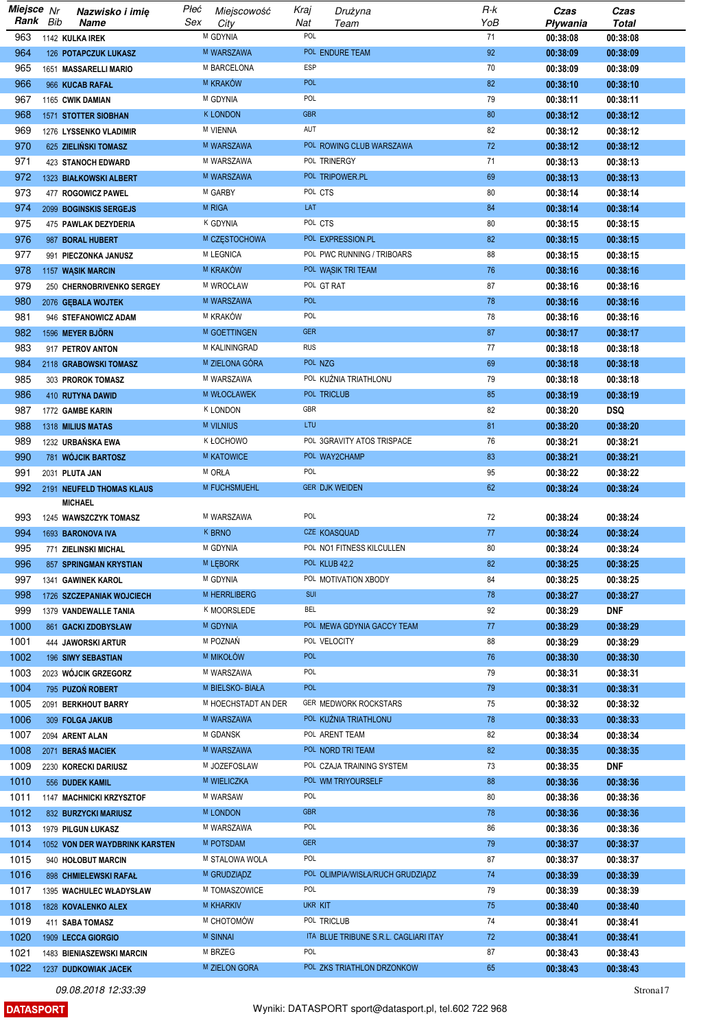| Miejsce Nr |     | Nazwisko i imię                | Płeć | Miejscowość         | Kraj       | Drużyna                               | R-k | Czas     | Czas         |
|------------|-----|--------------------------------|------|---------------------|------------|---------------------------------------|-----|----------|--------------|
| Rank       | Bib | <b>Name</b>                    | Sex  | City                | Nat        | Team                                  | YoB | Pływania | <b>Total</b> |
| 963        |     | 1142 KULKA IREK                |      | M GDYNIA            | POL        |                                       | 71  | 00:38:08 | 00:38:08     |
| 964        |     | 126 POTAPCZUK LUKASZ           |      | M WARSZAWA          |            | POL ENDURE TEAM                       | 92  | 00:38:09 | 00:38:09     |
| 965        |     | 1651 MASSARELLI MARIO          |      | M BARCELONA         | <b>ESP</b> |                                       | 70  | 00:38:09 | 00:38:09     |
| 966        |     | 966 KUCAB RAFAŁ                |      | M KRAKÓW            | <b>POL</b> |                                       | 82  | 00:38:10 | 00:38:10     |
| 967        |     | 1165 CWIK DAMIAN               |      | M GDYNIA            | POL        |                                       | 79  | 00:38:11 | 00:38:11     |
| 968        |     | 1571 STOTTER SIOBHAN           |      | <b>K LONDON</b>     | <b>GBR</b> |                                       | 80  | 00:38:12 | 00:38:12     |
| 969        |     | 1276 LYSSENKO VLADIMIR         |      | <b>M VIENNA</b>     | AUT        |                                       | 82  | 00:38:12 | 00:38:12     |
| 970        |     | 625 ZIELIŃSKI TOMASZ           |      | M WARSZAWA          |            | POL ROWING CLUB WARSZAWA              | 72  | 00:38:12 | 00:38:12     |
| 971        |     | <b>423 STANOCH EDWARD</b>      |      | M WARSZAWA          |            | POL TRINERGY                          | 71  | 00:38:13 | 00:38:13     |
| 972        |     | 1323 BIAŁKOWSKI ALBERT         |      | M WARSZAWA          |            | POL TRIPOWER.PL                       | 69  | 00:38:13 | 00:38:13     |
| 973        |     | 477 ROGOWICZ PAWEL             |      | M GARBY             | POL CTS    |                                       | 80  | 00:38:14 | 00:38:14     |
| 974        |     | 2099 BOGINSKIS SERGEJS         |      | M RIGA              | LAT        |                                       | 84  | 00:38:14 | 00:38:14     |
| 975        |     | 475 PAWLAK DEZYDERIA           |      | K GDYNIA            | POL CTS    |                                       | 80  | 00:38:15 | 00:38:15     |
| 976        |     | 987 BORAL HUBERT               |      | M CZĘSTOCHOWA       |            | POL EXPRESSION.PL                     | 82  | 00:38:15 | 00:38:15     |
| 977        |     | 991 PIECZONKA JANUSZ           |      | M LEGNICA           |            | POL PWC RUNNING / TRIBOARS            | 88  | 00:38:15 | 00:38:15     |
| 978        |     | 1157 WĄSIK MARCIN              |      | M KRAKÓW            |            | POL WĄSIK TRI TEAM                    | 76  | 00:38:16 | 00:38:16     |
| 979        |     | 250 CHERNOBRIVENKO SERGEY      |      | M WROCŁAW           |            | POL GT RAT                            | 87  | 00:38:16 | 00:38:16     |
| 980        |     | 2076 GEBALA WOJTEK             |      | M WARSZAWA          | <b>POL</b> |                                       | 78  | 00:38:16 | 00:38:16     |
| 981        |     | 946 STEFANOWICZ ADAM           |      | M KRAKÓW            | POL        |                                       | 78  | 00:38:16 | 00:38:16     |
| 982        |     | 1596 MEYER BJÖRN               |      | M GOETTINGEN        | <b>GER</b> |                                       | 87  | 00:38:17 | 00:38:17     |
| 983        |     | 917 PETROV ANTON               |      | M KALININGRAD       | <b>RUS</b> |                                       | 77  | 00:38:18 | 00:38:18     |
| 984        |     | 2118 GRABOWSKI TOMASZ          |      | M ZIELONA GÓRA      | POL NZG    |                                       | 69  | 00:38:18 | 00:38:18     |
| 985        |     | 303 PROROK TOMASZ              |      | M WARSZAWA          |            | POL KUŹNIA TRIATHLONU                 | 79  | 00:38:18 | 00:38:18     |
| 986        |     | 410 RUTYNA DAWID               |      | <b>M WŁOCŁAWEK</b>  |            | POL TRICLUB                           | 85  | 00:38:19 | 00:38:19     |
| 987        |     | 1772 GAMBE KARIN               |      | <b>K LONDON</b>     | GBR        |                                       | 82  | 00:38:20 | <b>DSQ</b>   |
| 988        |     | 1318 MILIUS MATAS              |      | M VILNIUS           | LTU        |                                       | 81  | 00:38:20 | 00:38:20     |
| 989        |     | 1232 URBAŃSKA EWA              |      | K FOCHOMO           |            | POL 3GRAVITY ATOS TRISPACE            | 76  | 00:38:21 | 00:38:21     |
| 990        |     | 781 WÓJCIK BARTOSZ             |      | M KATOWICE          |            | POL WAY2CHAMP                         | 83  | 00:38:21 | 00:38:21     |
| 991        |     | 2031 PLUTA JAN                 |      | M ORŁA              | POL        |                                       | 95  | 00:38:22 | 00:38:22     |
| 992        |     | 2191 NEUFELD THOMAS KLAUS      |      | M FUCHSMUEHL        |            | GER DJK WEIDEN                        | 62  | 00:38:24 | 00:38:24     |
|            |     | <b>MICHAEL</b>                 |      |                     |            |                                       |     |          |              |
| 993        |     | 1245 WAWSZCZYK TOMASZ          |      | M WARSZAWA          | POL        |                                       | 72  | 00:38:24 | 00:38:24     |
| 994        |     | 1693 BARONOVA IVA              |      | <b>K BRNO</b>       |            | CZE KOASQUAD                          | 77  | 00:38:24 | 00:38:24     |
| 995        |     | 771 ZIELINSKI MICHAL           |      | M GDYNIA            |            | POL NO1 FITNESS KILCULLEN             | 80  | 00:38:24 | 00:38:24     |
| 996        |     | 857 SPRINGMAN KRYSTIAN         |      | <b>M LEBORK</b>     |            | POL KLUB 42,2                         | 82  | 00:38:25 | 00:38:25     |
| 997        |     | 1341 GAWINEK KAROL             |      | M GDYNIA            |            | POL MOTIVATION XBODY                  | 84  | 00:38:25 | 00:38:25     |
| 998        |     | 1726 SZCZEPANIAK WOJCIECH      |      | <b>M HERRLIBERG</b> | <b>SUI</b> |                                       | 78  | 00:38:27 | 00:38:27     |
| 999        |     | 1379 VANDEWALLE TANIA          |      | K MOORSLEDE         | BEL        |                                       | 92  | 00:38:29 | <b>DNF</b>   |
| 1000       |     | 861 GACKI ZDOBYSŁAW            |      | M GDYNIA            |            | POL MEWA GDYNIA GACCY TEAM            | 77  | 00:38:29 | 00:38:29     |
| 1001       |     | 444 JAWORSKI ARTUR             |      | M POZNAŃ            |            | POL VELOCITY                          | 88  | 00:38:29 | 00:38:29     |
| 1002       |     | 196 SIWY SEBASTIAN             |      | M MIKOŁÓW           | <b>POL</b> |                                       | 76  | 00:38:30 | 00:38:30     |
| 1003       |     | 2023 WÓJCIK GRZEGORZ           |      | M WARSZAWA          | POL        |                                       | 79  | 00:38:31 | 00:38:31     |
| 1004       |     | 795 PUZOŃ ROBERT               |      | M BIELSKO-BIAŁA     | <b>POL</b> |                                       | 79  | 00:38:31 | 00:38:31     |
| 1005       |     | 2091 BERKHOUT BARRY            |      | M HOECHSTADT AN DER |            | GER MEDWORK ROCKSTARS                 | 75  | 00:38:32 | 00:38:32     |
| 1006       |     | 309 FOLGA JAKUB                |      | M WARSZAWA          |            | POL KUŽNIA TRIATHLONU                 | 78  | 00:38:33 | 00:38:33     |
| 1007       |     | 2094 ARENT ALAN                |      | M GDANSK            |            | POL ARENT TEAM                        | 82  | 00:38:34 | 00:38:34     |
| 1008       |     | 2071 BERAŚ MACIEK              |      | M WARSZAWA          |            | POL NORD TRI TEAM                     | 82  | 00:38:35 | 00:38:35     |
| 1009       |     | 2230 KORECKI DARIUSZ           |      | M JOZEFOSLAW        |            | POL CZAJA TRAINING SYSTEM             | 73  | 00:38:35 | <b>DNF</b>   |
| 1010       |     | 556 DUDEK KAMIL                |      | M WIELICZKA         |            | POL WM TRIYOURSELF                    | 88  | 00:38:36 | 00:38:36     |
| 1011       |     | 1147 MACHNICKI KRZYSZTOF       |      | M WARSAW            | POL        |                                       | 80  | 00:38:36 | 00:38:36     |
| 1012       |     | 832 BURZYCKI MARIUSZ           |      | <b>M LONDON</b>     | <b>GBR</b> |                                       | 78  | 00:38:36 | 00:38:36     |
| 1013       |     | 1979 PILGUN ŁUKASZ             |      | M WARSZAWA          | POL        |                                       | 86  | 00:38:36 | 00:38:36     |
| 1014       |     | 1052 VON DER WAYDBRINK KARSTEN |      | M POTSDAM           | <b>GER</b> |                                       | 79  | 00:38:37 | 00:38:37     |
| 1015       |     | 940 HOLOBUT MARCIN             |      | M STALOWA WOLA      | POL        |                                       | 87  | 00:38:37 | 00:38:37     |
| 1016       |     | 898 CHMIELEWSKI RAFAŁ          |      | M GRUDZIĄDZ         |            | POL OLIMPIA/WISŁA/RUCH GRUDZIĄDZ      | 74  | 00:38:39 | 00:38:39     |
| 1017       |     | 1395 WACHULEC WŁADYSŁAW        |      | M TOMASZOWICE       | POL        |                                       | 79  | 00:38:39 | 00:38:39     |
| 1018       |     | 1828 KOVALENKO ALEX            |      | <b>M KHARKIV</b>    | UKR KIT    |                                       | 75  | 00:38:40 | 00:38:40     |
| 1019       |     | 411 SABA TOMASZ                |      | M CHOTOMÓW          |            | POL TRICLUB                           | 74  | 00:38:41 | 00:38:41     |
| 1020       |     | 1909 LECCA GIORGIO             |      | <b>M SINNAI</b>     |            | ITA BLUE TRIBUNE S.R.L. CAGLIARI ITAY | 72  | 00:38:41 | 00:38:41     |
| 1021       |     | 1483 BIENIASZEWSKI MARCIN      |      | M BRZEG             | POL        |                                       | 87  | 00:38:43 | 00:38:43     |
| 1022       |     | 1237 DUDKOWIAK JACEK           |      | M ZIELON GORA       |            | POL ZKS TRIATHLON DRZONKOW            | 65  | 00:38:43 | 00:38:43     |
|            |     |                                |      |                     |            |                                       |     |          |              |

**DATASPORT**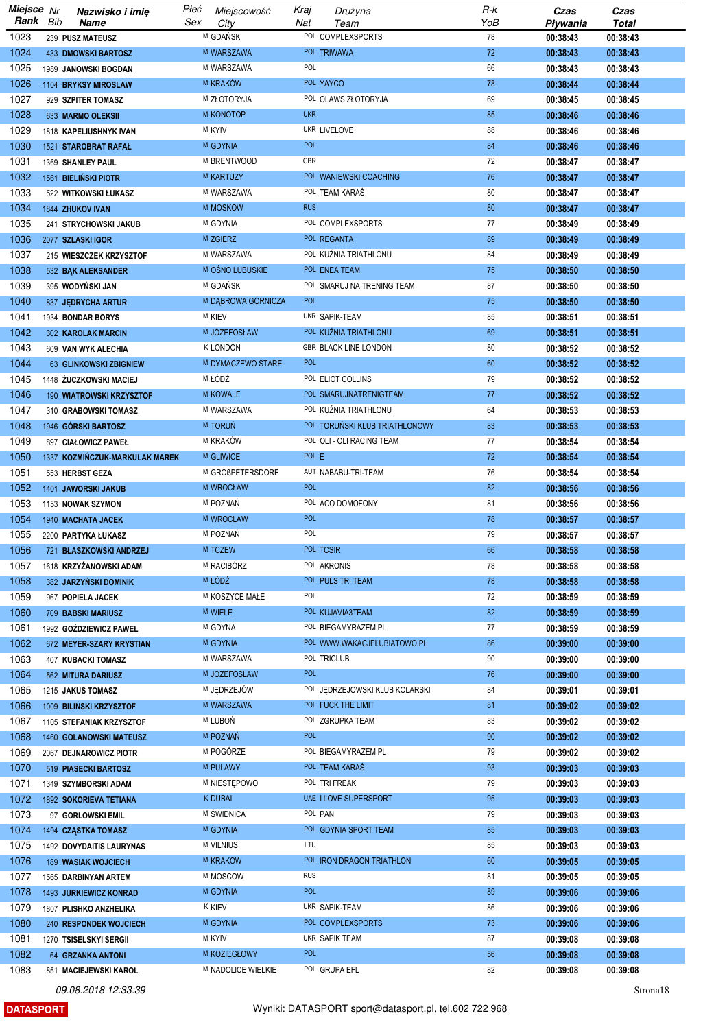| Miejsce Nr |     | Nazwisko i imię                | Płeć | Miejscowość        | Kraj       | Drużyna                        | $R-K$    | Czas     | Czas         |
|------------|-----|--------------------------------|------|--------------------|------------|--------------------------------|----------|----------|--------------|
| Rank       | Bib | Name                           | Sex  | City               | Nat        | Team                           | YoB      | Pływania | <b>Total</b> |
| 1023       |     | 239 PUSZ MATEUSZ               |      | M GDAŃSK           |            | POL COMPLEXSPORTS              | 78       | 00:38:43 | 00:38:43     |
| 1024       |     | <b>433 DMOWSKI BARTOSZ</b>     |      | M WARSZAWA         |            | POL TRIWAWA                    | 72       | 00:38:43 | 00:38:43     |
| 1025       |     | 1989 JANOWSKI BOGDAN           |      | M WARSZAWA         | POL        |                                | 66       | 00:38:43 | 00:38:43     |
| 1026       |     | 1104 BRYKSY MIROSLAW           |      | <b>M KRAKÓW</b>    |            | POL YAYCO                      | 78       | 00:38:44 | 00:38:44     |
| 1027       |     | 929 SZPITER TOMASZ             |      | M ZŁOTORYJA        |            | POL OLAWS ZŁOTORYJA            | 69       | 00:38:45 | 00:38:45     |
| 1028       |     | 633 MARMO OLEKSII              |      | M KONOTOP          | <b>UKR</b> |                                | 85       | 00:38:46 | 00:38:46     |
| 1029       |     | 1818 KAPELIUSHNYK IVAN         |      | <b>M KYIV</b>      |            | UKR LIVELOVE                   | 88       | 00:38:46 | 00:38:46     |
| 1030       |     | 1521 STAROBRAT RAFAŁ           |      | <b>M GDYNIA</b>    | <b>POL</b> |                                | 84       | 00:38:46 | 00:38:46     |
| 1031       |     | 1369 SHANLEY PAUL              |      | M BRENTWOOD        | GBR        |                                | 72       | 00:38:47 | 00:38:47     |
| 1032       |     | 1561 BIELIŃSKI PIOTR           |      | M KARTUZY          |            | POL WANIEWSKI COACHING         | 76       | 00:38:47 | 00:38:47     |
| 1033       |     | 522 WITKOWSKI ŁUKASZ           |      | M WARSZAWA         |            | POL TEAM KARAS                 | 80       | 00:38:47 | 00:38:47     |
| 1034       |     | 1844 ZHUKOV IVAN               |      | M MOSKOW           | <b>RUS</b> |                                | 80       | 00:38:47 | 00:38:47     |
| 1035       |     | 241 STRYCHOWSKI JAKUB          |      | M GDYNIA           |            | POL COMPLEXSPORTS              | 77       | 00:38:49 | 00:38:49     |
| 1036       |     | 2077 SZLASKI IGOR              |      | M ZGIERZ           |            | POL REGANTA                    | 89       | 00:38:49 | 00:38:49     |
| 1037       |     |                                |      | M WARSZAWA         |            | POL KUŹNIA TRIATHLONU          | 84       | 00:38:49 | 00:38:49     |
|            |     | 215 WIESZCZEK KRZYSZTOF        |      |                    |            |                                |          |          |              |
| 1038       |     | 532 BAK ALEKSANDER             |      | M OŚNO LUBUSKIE    |            | POL ENEA TEAM                  | 75       | 00:38:50 | 00:38:50     |
| 1039       |     | 395 WODYŃSKI JAN               |      | M GDAŃSK           |            | POL SMARUJ NA TRENING TEAM     | 87       | 00:38:50 | 00:38:50     |
| 1040       |     | 837 JEDRYCHA ARTUR             |      | M DABROWA GÓRNICZA | <b>POL</b> |                                | 75       | 00:38:50 | 00:38:50     |
| 1041       |     | 1934 BONDAR BORYS              |      | <b>M KIEV</b>      |            | UKR SAPIK-TEAM                 | 85       | 00:38:51 | 00:38:51     |
| 1042       |     | 302 KAROLAK MARCIN             |      | M JOZEFOSŁAW       |            | POL KUŻNIA TRIATHLONU          | 69       | 00:38:51 | 00:38:51     |
| 1043       |     | 609 VAN WYK ALECHIA            |      | <b>K LONDON</b>    |            | <b>GBR BLACK LINE LONDON</b>   | 80       | 00:38:52 | 00:38:52     |
| 1044       |     | 63 GLINKOWSKI ZBIGNIEW         |      | M DYMACZEWO STARE  | <b>POL</b> |                                | 60       | 00:38:52 | 00:38:52     |
| 1045       |     | 1448 ŻUCZKOWSKI MACIEJ         |      | M ŁÓDŹ             |            | POL ELIOT COLLINS              | 79       | 00:38:52 | 00:38:52     |
| 1046       |     | 190 WIATROWSKI KRZYSZTOF       |      | <b>M KOWALE</b>    |            | POL SMARUJNATRENIGTEAM         | 77       | 00:38:52 | 00:38:52     |
| 1047       |     | 310 GRABOWSKI TOMASZ           |      | M WARSZAWA         |            | POL KUŹNIA TRIATHLONU          | 64       | 00:38:53 | 00:38:53     |
| 1048       |     | 1946 GÓRSKI BARTOSZ            |      | M TORUŃ            |            | POL TORUŃSKI KLUB TRIATHLONOWY | 83       | 00:38:53 | 00:38:53     |
| 1049       |     | 897 CIAŁOWICZ PAWEŁ            |      | M KRAKÓW           |            | POL OLI - OLI RACING TEAM      | 77       | 00:38:54 | 00:38:54     |
| 1050       |     | 1337 KOZMIŃCZUK-MARKULAK MAREK |      | <b>M GLIWICE</b>   | POL E      |                                | 72       | 00:38:54 | 00:38:54     |
| 1051       |     | 553 HERBST GEZA                |      | M GROßPETERSDORF   |            | AUT NABABU-TRI-TEAM            | 76       | 00:38:54 | 00:38:54     |
| 1052       |     | 1401 JAWORSKI JAKUB            |      | M WROCŁAW          | <b>POL</b> |                                | 82       | 00:38:56 | 00:38:56     |
| 1053       |     | 1153 NOWAK SZYMON              |      | M POZNAŃ           |            | POL ACO DOMOFONY               | 81       | 00:38:56 | 00:38:56     |
| 1054       |     | 1940 MACHATA JACEK             |      | M WROCLAW          | <b>POL</b> |                                | 78       | 00:38:57 | 00:38:57     |
| 1055       |     | 2200 PARTYKA ŁUKASZ            |      | M POZNAŃ           | POL        |                                | 79       | 00:38:57 | 00:38:57     |
| 1056       |     | 721 BŁASZKOWSKI ANDRZEJ        |      | M TCZEW            |            | POL TCSIR                      | 66       | 00:38:58 | 00:38:58     |
| 1057       |     | 1618 KRZYŻANOWSKI ADAM         |      | M RACIBÓRZ         |            | POL AKRONIS                    | 78       | 00:38:58 | 00:38:58     |
| 1058       |     | 382 JARZYŃSKI DOMINIK          |      | M ŁÓDŹ             |            | POL PULS TRI TEAM              | 78       | 00:38:58 | 00:38:58     |
| 1059       |     | 967 POPIELA JACEK              |      | M KOSZYCE MAŁE     | POL        |                                | 72       | 00:38:59 | 00:38:59     |
| 1060       |     | 709 BABSKI MARIUSZ             |      | M WIELE            |            | POL KUJAVIA3TEAM               | 82       | 00:38:59 | 00:38:59     |
| 1061       |     | 1992 GOŹDZIEWICZ PAWEŁ         |      | M GDYNA            |            | POL BIEGAMYRAZEM.PL            | 77       | 00:38:59 | 00:38:59     |
| 1062       |     | 672 MEYER-SZARY KRYSTIAN       |      | M GDYNIA           |            | POL WWW.WAKACJELUBIATOWO.PL    | 86       | 00:39:00 | 00:39:00     |
| 1063       |     | <b>407 KUBACKI TOMASZ</b>      |      | M WARSZAWA         |            | POL TRICLUB                    | 90       | 00:39:00 | 00:39:00     |
| 1064       |     | 562 MITURA DARIUSZ             |      | M JOZEFOSLAW       | <b>POL</b> |                                | 76       | 00:39:00 | 00:39:00     |
| 1065       |     | 1215 JAKUS TOMASZ              |      | M JEDRZEJÓW        |            | POL JĘDRZEJOWSKI KLUB KOLARSKI | 84       | 00:39:01 | 00:39:01     |
| 1066       |     |                                |      | M WARSZAWA         |            | POL FUCK THE LIMIT             | 81       | 00:39:02 |              |
| 1067       |     | 1009 BILIŃSKI KRZYSZTOF        |      | M LUBOŃ            |            | POL ZGRUPKA TEAM               | 83       |          | 00:39:02     |
|            |     | 1105 STEFANIAK KRZYSZTOF       |      | M POZNAŃ           | <b>POL</b> |                                |          | 00:39:02 | 00:39:02     |
| 1068       |     | 1460 GOLANOWSKI MATEUSZ        |      | M POGÓRZE          |            | POL BIEGAMYRAZEM.PL            | 90<br>79 | 00:39:02 | 00:39:02     |
| 1069       |     | 2067 DEJNAROWICZ PIOTR         |      |                    |            |                                |          | 00:39:02 | 00:39:02     |
| 1070       |     | 519 PIASECKI BARTOSZ           |      | M PUŁAWY           |            | POL TEAM KARAŚ                 | 93       | 00:39:03 | 00:39:03     |
| 1071       |     | 1349 SZYMBORSKI ADAM           |      | M NIESTĘPOWO       |            | POL TRI FREAK                  | 79       | 00:39:03 | 00:39:03     |
| 1072       |     | 1892 SOKORIEVA TETIANA         |      | <b>K DUBAI</b>     |            | UAE I LOVE SUPERSPORT          | 95       | 00:39:03 | 00:39:03     |
| 1073       |     | 97 GORLOWSKI EMIL              |      | M ŚWIDNICA         |            | POL PAN                        | 79       | 00:39:03 | 00:39:03     |
| 1074       |     | 1494 CZĄSTKA TOMASZ            |      | M GDYNIA           |            | POL GDYNIA SPORT TEAM          | 85       | 00:39:03 | 00:39:03     |
| 1075       |     | 1492 DOVYDAITIS LAURYNAS       |      | <b>M VILNIUS</b>   | LTU        |                                | 85       | 00:39:03 | 00:39:03     |
| 1076       |     | <b>189 WASIAK WOJCIECH</b>     |      | M KRAKOW           |            | POL IRON DRAGON TRIATHLON      | 60       | 00:39:05 | 00:39:05     |
| 1077       |     | 1565 DARBINYAN ARTEM           |      | M MOSCOW           | <b>RUS</b> |                                | 81       | 00:39:05 | 00:39:05     |
| 1078       |     | 1493 JURKIEWICZ KONRAD         |      | M GDYNIA           | <b>POL</b> |                                | 89       | 00:39:06 | 00:39:06     |
| 1079       |     | 1807 PLISHKO ANZHELIKA         |      | <b>K KIEV</b>      |            | UKR SAPIK-TEAM                 | 86       | 00:39:06 | 00:39:06     |
| 1080       |     | 240 RESPONDEK WOJCIECH         |      | M GDYNIA           |            | POL COMPLEXSPORTS              | 73       | 00:39:06 | 00:39:06     |
| 1081       |     | 1270 TSISELSKYI SERGII         |      | <b>M KYIV</b>      |            | UKR SAPIK TEAM                 | 87       | 00:39:08 | 00:39:08     |
| 1082       |     | <b>64 GRZANKA ANTONI</b>       |      | M KOZIEGŁOWY       | <b>POL</b> |                                | 56       | 00:39:08 | 00:39:08     |
| 1083       |     | 851 MACIEJEWSKI KAROL          |      | M NADOLICE WIELKIE |            | POL GRUPA EFL                  | 82       | 00:39:08 | 00:39:08     |

**DATASPORT**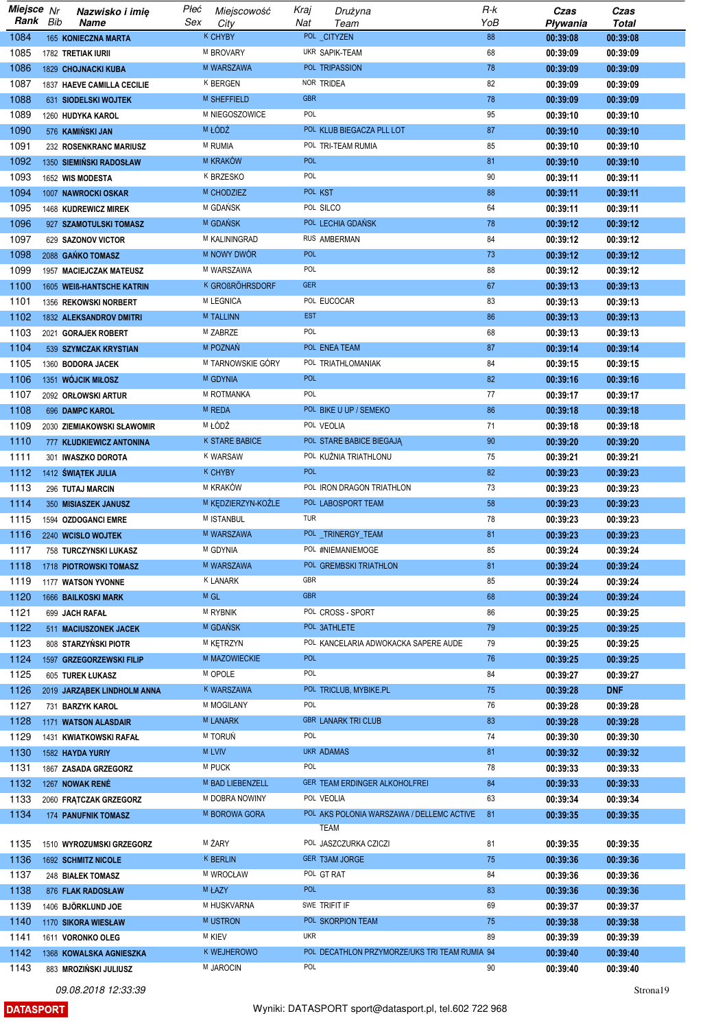| Miejsce Nr |     | Nazwisko i imię             | Płeć | Miejscowość            | Kraj       | Drużyna                                       | R-k | Czas     | Czas       |
|------------|-----|-----------------------------|------|------------------------|------------|-----------------------------------------------|-----|----------|------------|
| Rank       | Bib | Name                        | Sex  | City                   | Nat        | Team                                          | YoB | Pływania | Total      |
| 1084       |     | 165 KONIECZNA MARTA         |      | <b>K CHYBY</b>         |            | POL_CITYZEN                                   | 88  | 00:39:08 | 00:39:08   |
| 1085       |     | 1782 TRETIAK IURII          |      | M BROVARY              |            | UKR SAPIK-TEAM                                | 68  | 00:39:09 | 00:39:09   |
| 1086       |     |                             |      | M WARSZAWA             |            | POL TRIPASSION                                | 78  |          |            |
|            |     | 1829 CHOJNACKI KUBA         |      |                        |            |                                               |     | 00:39:09 | 00:39:09   |
| 1087       |     | 1837 HAEVE CAMILLA CECILIE  |      | <b>K BERGEN</b>        |            | NOR TRIDEA                                    | 82  | 00:39:09 | 00:39:09   |
| 1088       |     | 631 SIODELSKI WOJTEK        |      | M SHEFFIELD            | <b>GBR</b> |                                               | 78  | 00:39:09 | 00:39:09   |
| 1089       |     | 1260 HUDYKA KAROL           |      | M NIEGOSZOWICE         | POL        |                                               | 95  | 00:39:10 | 00:39:10   |
| 1090       |     | 576 KAMIŃSKI JAN            |      | M ŁÓDŹ                 |            | POL KLUB BIEGACZA PLL LOT                     | 87  | 00:39:10 | 00:39:10   |
| 1091       |     | 232 ROSENKRANC MARIUSZ      |      | M RUMIA                |            | POL TRI-TEAM RUMIA                            | 85  | 00:39:10 | 00:39:10   |
| 1092       |     | 1350 SIEMIŃSKI RADOSŁAW     |      | M KRAKÓW               | <b>POL</b> |                                               | 81  | 00:39:10 | 00:39:10   |
| 1093       |     | 1652 WIS MODESTA            |      | K BRZESKO              | POL        |                                               | 90  | 00:39:11 | 00:39:11   |
|            |     |                             |      |                        |            |                                               |     |          |            |
| 1094       |     | 1007 NAWROCKI OSKAR         |      | M CHODZIEZ             |            | POL KST                                       | 88  | 00:39:11 | 00:39:11   |
| 1095       |     | 1468 KUDREWICZ MIREK        |      | M GDAŃSK               |            | POL SILCO                                     | 64  | 00:39:11 | 00:39:11   |
| 1096       |     | 927 SZAMOTULSKI TOMASZ      |      | M GDANSK               |            | POL LECHIA GDAŃSK                             | 78  | 00:39:12 | 00:39:12   |
| 1097       |     | 629 SAZONOV VICTOR          |      | M KALININGRAD          |            | RUS AMBERMAN                                  | 84  | 00:39:12 | 00:39:12   |
| 1098       |     | 2088 GAŃKO TOMASZ           |      | M NOWY DWÓR            | <b>POL</b> |                                               | 73  | 00:39:12 | 00:39:12   |
| 1099       |     | 1957 MACIEJCZAK MATEUSZ     |      | M WARSZAWA             | POL        |                                               | 88  | 00:39:12 | 00:39:12   |
| 1100       |     | 1605 WEIß-HANTSCHE KATRIN   |      | <b>K GROßRÖHRSDORF</b> | <b>GER</b> |                                               | 67  | 00:39:13 | 00:39:13   |
| 1101       |     |                             |      | M LEGNICA              |            | POL EUCOCAR                                   | 83  |          |            |
|            |     | 1356 REKOWSKI NORBERT       |      |                        |            |                                               |     | 00:39:13 | 00:39:13   |
| 1102       |     | 1832 ALEKSANDROV DMITRI     |      | <b>M TALLINN</b>       | <b>EST</b> |                                               | 86  | 00:39:13 | 00:39:13   |
| 1103       |     | 2021 GORAJEK ROBERT         |      | M ZABRZE               | POL        |                                               | 68  | 00:39:13 | 00:39:13   |
| 1104       |     | 539 SZYMCZAK KRYSTIAN       |      | M POZNAŃ               |            | POL ENEA TEAM                                 | 87  | 00:39:14 | 00:39:14   |
| 1105       |     | 1360 BODORA JACEK           |      | M TARNOWSKIE GÓRY      |            | POL TRIATHLOMANIAK                            | 84  | 00:39:15 | 00:39:15   |
| 1106       |     | 1351 WÓJCIK MIŁOSZ          |      | M GDYNIA               | <b>POL</b> |                                               | 82  | 00:39:16 | 00:39:16   |
| 1107       |     | 2092 ORŁOWSKI ARTUR         |      | M ROTMANKA             | POL        |                                               | 77  | 00:39:17 | 00:39:17   |
| 1108       |     |                             |      | M REDA                 |            | POL BIKE U UP / SEMEKO                        | 86  |          | 00:39:18   |
|            |     | 696 DAMPC KAROL             |      |                        |            |                                               |     | 00:39:18 |            |
| 1109       |     | 2030 ZIEMIAKOWSKI SŁAWOMIR  |      | M ŁÓDŹ                 |            | POL VEOLIA                                    | 71  | 00:39:18 | 00:39:18   |
| 1110       |     | 777 KŁUDKIEWICZ ANTONINA    |      | K STARE BABICE         |            | POL STARE BABICE BIEGAJA                      | 90  | 00:39:20 | 00:39:20   |
| 1111       |     | 301 IWASZKO DOROTA          |      | K WARSAW               |            | POL KUŹNIA TRIATHLONU                         | 75  | 00:39:21 | 00:39:21   |
| 1112       |     | 1412 SWIĄTEK JULIA          |      | K CHYBY                | <b>POL</b> |                                               | 82  | 00:39:23 | 00:39:23   |
| 1113       |     | 296 TUTAJ MARCIN            |      | M KRAKÓW               |            | POL IRON DRAGON TRIATHLON                     | 73  | 00:39:23 | 00:39:23   |
| 1114       |     | 350 MISIASZEK JANUSZ        |      | M KEDZIERZYN-KOŹLE     |            | POL LABOSPORT TEAM                            | 58  | 00:39:23 | 00:39:23   |
| 1115       |     | 1594 OZDOGANCI EMRE         |      | M ISTANBUL             | TUR        |                                               | 78  | 00:39:23 | 00:39:23   |
|            |     |                             |      | M WARSZAWA             |            | POL _TRINERGY_TEAM                            | 81  |          |            |
| 1116       |     | 2240 WCISLO WOJTEK          |      |                        |            |                                               |     | 00:39:23 | 00:39:23   |
| 1117       |     | 758 TURCZYNSKI LUKASZ       |      | M GDYNIA               |            | POL #NIEMANIEMOGE                             | 85  | 00:39:24 | 00:39:24   |
| 1118       |     | 1718 PIOTROWSKI TOMASZ      |      | M WARSZAWA             |            | POL GREMBSKI TRIATHLON                        | 81  | 00:39:24 | 00:39:24   |
| 1119       |     | 1177 WATSON YVONNE          |      | <b>K LANARK</b>        | GBR        |                                               | 85  | 00:39:24 | 00:39:24   |
| 1120       |     | <b>1666 BAILKOSKI MARK</b>  |      | M GL                   | <b>GBR</b> |                                               | 68  | 00:39:24 | 00:39:24   |
| 1121       |     | 699 JACH RAFAŁ              |      | <b>M RYBNIK</b>        |            | POL CROSS - SPORT                             | 86  | 00:39:25 | 00:39:25   |
| 1122       |     | 511 MACIUSZONEK JACEK       |      | M GDAŃSK               |            | POL 3ATHLETE                                  | 79  | 00:39:25 | 00:39:25   |
| 1123       |     | 808 STARZYŃSKI PIOTR        |      | M KĘTRZYN              |            | POL KANCELARIA ADWOKACKA SAPERE AUDE          | 79  | 00:39:25 | 00:39:25   |
|            |     |                             |      |                        | <b>POL</b> |                                               |     |          |            |
| 1124       |     | 1597 GRZEGORZEWSKI FILIP    |      | M MAZOWIECKIE          |            |                                               | 76  | 00:39:25 | 00:39:25   |
| 1125       |     | 605 TUREK ŁUKASZ            |      | M OPOLE                | POL        |                                               | 84  | 00:39:27 | 00:39:27   |
| 1126       |     | 2019 JARZĄBEK LINDHOLM ANNA |      | K WARSZAWA             |            | POL TRICLUB, MYBIKE.PL                        | 75  | 00:39:28 | <b>DNF</b> |
| 1127       |     | 731 BARZYK KAROL            |      | M MOGILANY             | POL        |                                               | 76  | 00:39:28 | 00:39:28   |
| 1128       |     | 1171 WATSON ALASDAIR        |      | M LANARK               |            | <b>GBR LANARK TRI CLUB</b>                    | 83  | 00:39:28 | 00:39:28   |
| 1129       |     | 1431 KWIATKOWSKI RAFAŁ      |      | M TORUŃ                | POL        |                                               | 74  | 00:39:30 | 00:39:30   |
| 1130       |     | 1582 HAYDA YURIY            |      | <b>M LVIV</b>          |            | <b>UKR ADAMAS</b>                             | 81  | 00:39:32 | 00:39:32   |
| 1131       |     | 1867 ZASADA GRZEGORZ        |      | <b>M PUCK</b>          | POL        |                                               | 78  | 00:39:33 | 00:39:33   |
|            |     |                             |      |                        |            |                                               |     |          |            |
| 1132       |     | 1267 NOWAK RENÉ             |      | M BAD LIEBENZELL       |            | GER TEAM ERDINGER ALKOHOLFREI                 | 84  | 00:39:33 | 00:39:33   |
| 1133       |     | 2060 FRĄTCZAK GRZEGORZ      |      | M DOBRA NOWINY         |            | POL VEOLIA                                    | 63  | 00:39:34 | 00:39:34   |
| 1134       |     | <b>174 PANUFNIK TOMASZ</b>  |      | M BOROWA GORA          |            | POL AKS POLONIA WARSZAWA / DELLEMC ACTIVE     | 81  | 00:39:35 | 00:39:35   |
|            |     |                             |      |                        |            | TEAM                                          |     |          |            |
| 1135       |     | 1510 WYROZUMSKI GRZEGORZ    |      | M ŻARY                 |            | POL JASZCZURKA CZICZI                         | 81  | 00:39:35 | 00:39:35   |
| 1136       |     | 1692 SCHMITZ NICOLE         |      | <b>K BERLIN</b>        |            | GER T3AM JORGE                                | 75  | 00:39:36 | 00:39:36   |
| 1137       |     | 248 BIAŁEK TOMASZ           |      | M WROCŁAW              |            | POL GT RAT                                    | 84  | 00:39:36 | 00:39:36   |
| 1138       |     | 876 FLAK RADOSŁAW           |      | M ŁAZY                 | <b>POL</b> |                                               | 83  | 00:39:36 | 00:39:36   |
|            |     |                             |      | M HUSKVARNA            |            | SWE TRIFIT IF                                 | 69  |          |            |
| 1139       |     | 1406 BJÖRKLUND JOE          |      |                        |            |                                               |     | 00:39:37 | 00:39:37   |
| 1140       |     | 1170 SIKORA WIESŁAW         |      | <b>MUSTRON</b>         |            | POL SKORPION TEAM                             | 75  | 00:39:38 | 00:39:38   |
| 1141       |     | 1611 VORONKO OLEG           |      | <b>M KIEV</b>          | <b>UKR</b> |                                               | 89  | 00:39:39 | 00:39:39   |
| 1142       |     | 1368 KOWALSKA AGNIESZKA     |      | K WEJHEROWO            |            | POL DECATHLON PRZYMORZE/UKS TRI TEAM RUMIA 94 |     | 00:39:40 | 00:39:40   |
| 1143       |     | 883 MROZIŃSKI JULIUSZ       |      | M JAROCIN              | POL        |                                               | 90  | 00:39:40 | 00:39:40   |
|            |     |                             |      |                        |            |                                               |     |          |            |

**DATASPORT**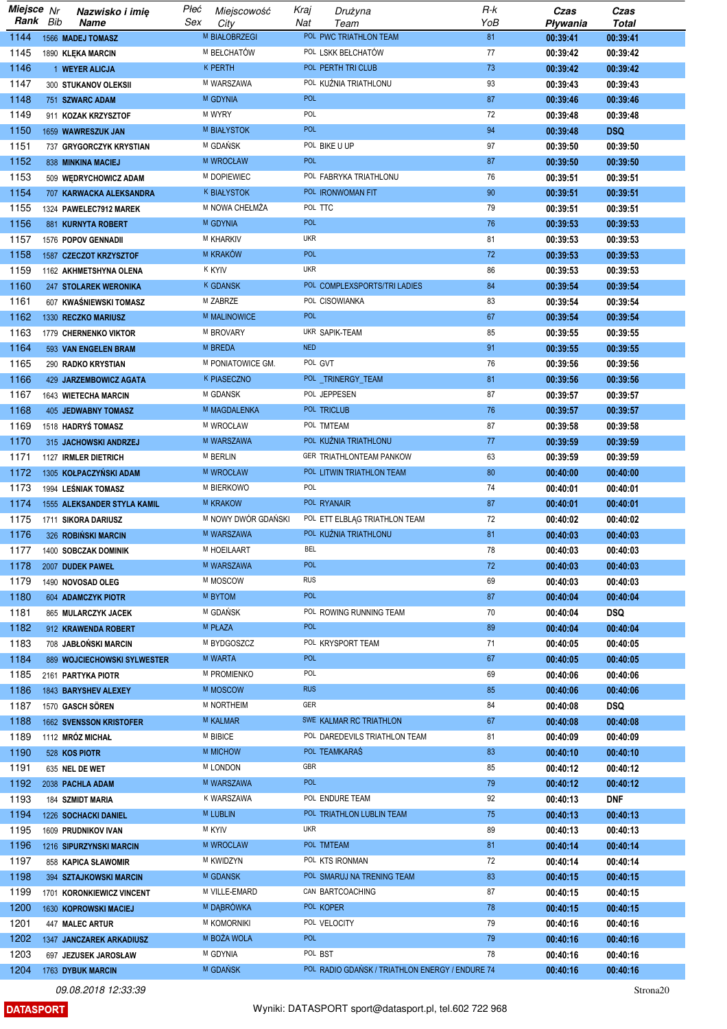| Miejsce Nr |     | Nazwisko i imię                | Płeć | Miejscowość         | Kraj       | Drużyna                                         | R-k | Czas     | Czas       |
|------------|-----|--------------------------------|------|---------------------|------------|-------------------------------------------------|-----|----------|------------|
| Rank       | Bib | Name                           | Sex  | City                | Nat        | Team                                            | YoB | Pływania | Total      |
| 1144       |     | 1566 MADEJ TOMASZ              |      | M BIAŁOBRZEGI       |            | POL PWC TRIATHLON TEAM                          | 81  | 00:39:41 | 00:39:41   |
| 1145       |     | 1890 KLEKA MARCIN              |      | M BEŁCHATÓW         |            | POL LSKK BEŁCHATÓW                              | 77  | 00:39:42 | 00:39:42   |
| 1146       |     | 1 WEYER ALICJA                 |      | <b>K PERTH</b>      |            | POL PERTH TRI CLUB                              | 73  | 00:39:42 | 00:39:42   |
|            |     |                                |      |                     |            |                                                 |     |          |            |
| 1147       |     | 300 STUKANOV OLEKSII           |      | M WARSZAWA          |            | POL KUŹNIA TRIATHLONU                           | 93  | 00:39:43 | 00:39:43   |
| 1148       |     | 751 SZWARC ADAM                |      | M GDYNIA            | <b>POL</b> |                                                 | 87  | 00:39:46 | 00:39:46   |
| 1149       |     | 911 KOZAK KRZYSZTOF            |      | M WYRY              | POL        |                                                 | 72  | 00:39:48 | 00:39:48   |
| 1150       |     | 1659 WAWRESZUK JAN             |      | <b>M BIAŁYSTOK</b>  | POL        |                                                 | 94  | 00:39:48 | <b>DSQ</b> |
| 1151       |     | 737 GRYGORCZYK KRYSTIAN        |      | M GDAŃSK            |            | POL BIKE U UP                                   | 97  | 00:39:50 | 00:39:50   |
| 1152       |     | 838 MINKINA MACIEJ             |      | M WROCŁAW           | <b>POL</b> |                                                 | 87  | 00:39:50 | 00:39:50   |
| 1153       |     | 509 WEDRYCHOWICZ ADAM          |      | M DOPIEWIEC         |            | POL FABRYKA TRIATHLONU                          | 76  | 00:39:51 | 00:39:51   |
|            |     |                                |      |                     |            |                                                 |     |          |            |
| 1154       |     | 707 KARWACKA ALEKSANDRA        |      | K BIAŁYSTOK         |            | POL IRONWOMAN FIT                               | 90  | 00:39:51 | 00:39:51   |
| 1155       |     | 1324 PAWELEC7912 MAREK         |      | M NOWA CHEŁMŻA      | POL TTC    |                                                 | 79  | 00:39:51 | 00:39:51   |
| 1156       |     | 881 KURNYTA ROBERT             |      | M GDYNIA            | <b>POL</b> |                                                 | 76  | 00:39:53 | 00:39:53   |
| 1157       |     | 1576 POPOV GENNADII            |      | M KHARKIV           | <b>UKR</b> |                                                 | 81  | 00:39:53 | 00:39:53   |
| 1158       |     | 1587 CZECZOT KRZYSZTOF         |      | M KRAKÓW            | <b>POL</b> |                                                 | 72  | 00:39:53 | 00:39:53   |
| 1159       |     | 1162 AKHMETSHYNA OLENA         |      | <b>K KYIV</b>       | <b>UKR</b> |                                                 | 86  | 00:39:53 | 00:39:53   |
| 1160       |     | 247 STOLAREK WERONIKA          |      | <b>K GDANSK</b>     |            | POL COMPLEXSPORTS/TRI LADIES                    | 84  | 00:39:54 | 00:39:54   |
| 1161       |     | 607 KWAŚNIEWSKI TOMASZ         |      | M ZABRZE            |            | POL CISOWIANKA                                  | 83  |          | 00:39:54   |
|            |     |                                |      |                     |            |                                                 |     | 00:39:54 |            |
| 1162       |     | 1330 RECZKO MARIUSZ            |      | <b>M MALINOWICE</b> | <b>POL</b> |                                                 | 67  | 00:39:54 | 00:39:54   |
| 1163       |     | 1779 CHERNENKO VIKTOR          |      | M BROVARY           |            | UKR SAPIK-TEAM                                  | 85  | 00:39:55 | 00:39:55   |
| 1164       |     | 593 VAN ENGELEN BRAM           |      | M BREDA             | <b>NED</b> |                                                 | 91  | 00:39:55 | 00:39:55   |
| 1165       |     | 290 RADKO KRYSTIAN             |      | M PONIATOWICE GM.   |            | POL GVT                                         | 76  | 00:39:56 | 00:39:56   |
| 1166       |     | 429 JARZEMBOWICZ AGATA         |      | K PIASECZNO         |            | POL_TRINERGY_TEAM                               | 81  | 00:39:56 | 00:39:56   |
| 1167       |     | 1643 WIETECHA MARCIN           |      | M GDANSK            |            | POL JEPPESEN                                    | 87  | 00:39:57 | 00:39:57   |
| 1168       |     | 405 JEDWABNY TOMASZ            |      | M MAGDALENKA        |            | POL TRICLUB                                     | 76  | 00:39:57 | 00:39:57   |
|            |     |                                |      | M WROCŁAW           |            | POL TMTEAM                                      | 87  |          |            |
| 1169       |     | 1518 HADRYS TOMASZ             |      |                     |            |                                                 |     | 00:39:58 | 00:39:58   |
| 1170       |     | 315 JACHOWSKI ANDRZEJ          |      | M WARSZAWA          |            | POL KUŹNIA TRIATHLONU                           | 77  | 00:39:59 | 00:39:59   |
| 1171       |     | 1127 IRMLER DIETRICH           |      | M BERLIN            |            | GER TRIATHLONTEAM PANKOW                        | 63  | 00:39:59 | 00:39:59   |
| 1172       |     | 1305 KOŁPACZYŃSKI ADAM         |      | M WROCŁAW           |            | POL LITWIN TRIATHLON TEAM                       | 80  | 00:40:00 | 00:40:00   |
| 1173       |     | 1994 LEŚNIAK TOMASZ            |      | M BIERKOWO          | POL        |                                                 | 74  | 00:40:01 | 00:40:01   |
| 1174       |     | 1555 ALEKSANDER STYLA KAMIL    |      | M KRAKOW            |            | POL RYANAIR                                     | 87  | 00:40:01 | 00:40:01   |
| 1175       |     | 1711 SIKORA DARIUSZ            |      | M NOWY DWÓR GDAŃSKI |            | POL ETT ELBLAG TRIATHLON TEAM                   | 72  | 00:40:02 | 00:40:02   |
| 1176       |     | 326 ROBIŃSKI MARCIN            |      | M WARSZAWA          |            | POL KUŹNIA TRIATHLONU                           | 81  | 00:40:03 | 00:40:03   |
| 1177       |     |                                |      | M HOEILAART         | <b>BEL</b> |                                                 | 78  |          |            |
|            |     | 1400 SOBCZAK DOMINIK           |      |                     |            |                                                 |     | 00:40:03 | 00:40:03   |
| 1178       |     | 2007 DUDEK PAWEŁ               |      | M WARSZAWA          | <b>POL</b> |                                                 | 72  | 00:40:03 | 00:40:03   |
| 1179       |     | 1490 NOVOSAD OLEG              |      | M MOSCOW            | <b>RUS</b> |                                                 | 69  | 00:40:03 | 00:40:03   |
| 1180       |     | 604 ADAMCZYK PIOTR             |      | M BYTOM             | <b>POL</b> |                                                 | 87  | 00:40:04 | 00:40:04   |
| 1181       |     | 865 MULARCZYK JACEK            |      | M GDAŃSK            |            | POL ROWING RUNNING TEAM                         | 70  | 00:40:04 | <b>DSQ</b> |
| 1182       |     | 912 KRAWENDA ROBERT            |      | M PŁAZA             | <b>POL</b> |                                                 | 89  | 00:40:04 | 00:40:04   |
| 1183       |     | 708 JABŁOŃSKI MARCIN           |      | M BYDGOSZCZ         |            | POL KRYSPORT TEAM                               | 71  | 00:40:05 | 00:40:05   |
| 1184       |     | 889 WOJCIECHOWSKI SYLWESTER    |      | <b>M WARTA</b>      | <b>POL</b> |                                                 | 67  | 00:40:05 | 00:40:05   |
|            |     |                                |      | M PROMIENKO         | POL        |                                                 |     |          |            |
| 1185       |     | 2161 PARTYKA PIOTR             |      |                     | <b>RUS</b> |                                                 | 69  | 00:40:06 | 00:40:06   |
| 1186       |     | 1843 BARYSHEV ALEXEY           |      | M MOSCOW            |            |                                                 | 85  | 00:40:06 | 00:40:06   |
| 1187       |     | 1570 GASCH SÖREN               |      | M NORTHEIM          | GER        |                                                 | 84  | 00:40:08 | <b>DSQ</b> |
| 1188       |     | <b>1662 SVENSSON KRISTOFER</b> |      | M KALMAR            |            | SWE KALMAR RC TRIATHLON                         | 67  | 00:40:08 | 00:40:08   |
| 1189       |     | 1112 MRÓZ MICHAŁ               |      | <b>M BIBICE</b>     |            | POL DAREDEVILS TRIATHLON TEAM                   | 81  | 00:40:09 | 00:40:09   |
| 1190       |     | 528 KOS PIOTR                  |      | <b>M MICHOW</b>     |            | POL TEAMKARAS                                   | 83  | 00:40:10 | 00:40:10   |
| 1191       |     | 635 NEL DE WET                 |      | <b>M LONDON</b>     | GBR        |                                                 | 85  | 00:40:12 | 00:40:12   |
| 1192       |     | 2038 PACHLA ADAM               |      | M WARSZAWA          | <b>POL</b> |                                                 | 79  | 00:40:12 | 00:40:12   |
| 1193       |     |                                |      | K WARSZAWA          |            | POL ENDURE TEAM                                 | 92  |          |            |
|            |     | 184 SZMIDT MARIA               |      |                     |            |                                                 |     | 00:40:13 | <b>DNF</b> |
| 1194       |     | 1226 SOCHACKI DANIEL           |      | <b>M LUBLIN</b>     |            | POL TRIATHLON LUBLIN TEAM                       | 75  | 00:40:13 | 00:40:13   |
| 1195       |     | 1609 PRUDNIKOV IVAN            |      | <b>M KYIV</b>       | <b>UKR</b> |                                                 | 89  | 00:40:13 | 00:40:13   |
| 1196       |     | 1216 SIPURZYNSKI MARCIN        |      | M WROCLAW           |            | POL TMTEAM                                      | 81  | 00:40:14 | 00:40:14   |
| 1197       |     | 858 KAPICA SŁAWOMIR            |      | M KWIDZYN           |            | POL KTS IRONMAN                                 | 72  | 00:40:14 | 00:40:14   |
| 1198       |     | 394 SZTAJKOWSKI MARCIN         |      | M GDANSK            |            | POL SMARUJ NA TRENING TEAM                      | 83  | 00:40:15 | 00:40:15   |
| 1199       |     | 1701 KORONKIEWICZ VINCENT      |      | M VILLE-EMARD       |            | CAN BARTCOACHING                                | 87  | 00:40:15 | 00:40:15   |
| 1200       |     | 1630 KOPROWSKI MACIEJ          |      | M DABRÓWKA          |            | POL KOPER                                       | 78  | 00:40:15 | 00:40:15   |
| 1201       |     |                                |      | M KOMORNIKI         |            | POL VELOCITY                                    | 79  |          |            |
|            |     | 447 MALEC ARTUR                |      |                     |            |                                                 |     | 00:40:16 | 00:40:16   |
| 1202       |     | 1347 JANCZAREK ARKADIUSZ       |      | M BOŻA WOLA         | <b>POL</b> |                                                 | 79  | 00:40:16 | 00:40:16   |
| 1203       |     | 697 JEZUSEK JAROSŁAW           |      | M GDYNIA            |            | POL BST                                         | 78  | 00:40:16 | 00:40:16   |
| 1204       |     | 1763 DYBUK MARCIN              |      | M GDAŃSK            |            | POL RADIO GDAŃSK / TRIATHLON ENERGY / ENDURE 74 |     | 00:40:16 | 00:40:16   |

**DATASPORT** 

Strona<sub>20</sub>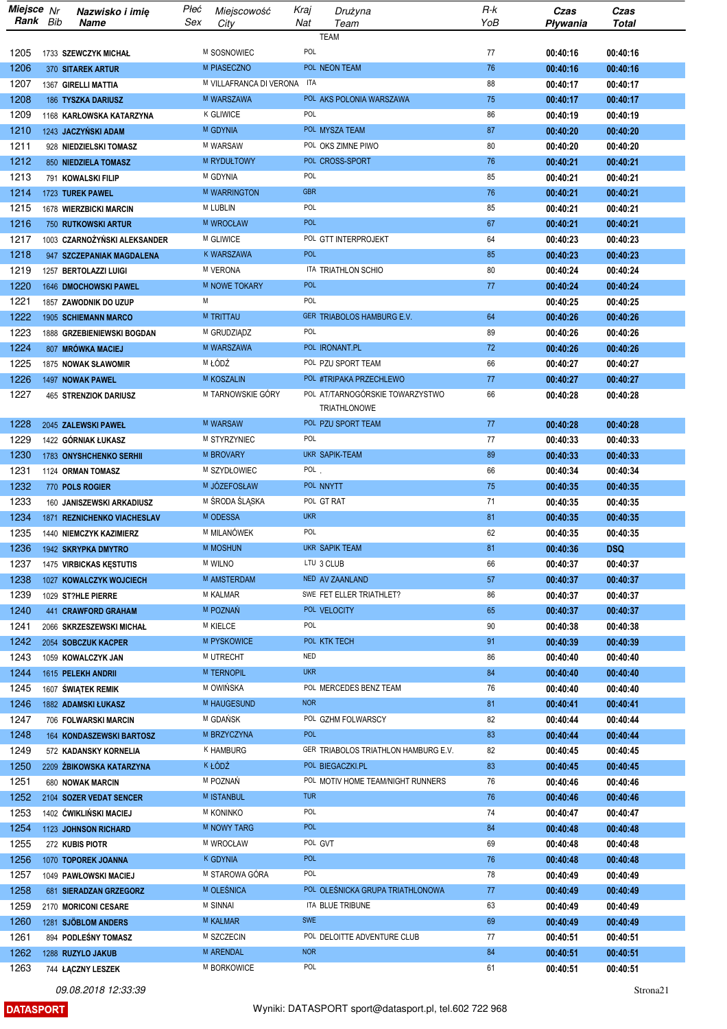| Miejsce Nr<br>Rank Bib | Nazwisko i imię<br>Name                             | Płeć<br>Sex | Miejscowość<br>City         | Kraj<br>Nat              | Drużyna<br>Team                      | R-k<br>YoB | Czas<br>Pływania     | Czas<br><b>Total</b> |
|------------------------|-----------------------------------------------------|-------------|-----------------------------|--------------------------|--------------------------------------|------------|----------------------|----------------------|
|                        |                                                     |             |                             |                          | <b>TEAM</b>                          |            |                      |                      |
| 1205                   | 1733 SZEWCZYK MICHAŁ                                |             | M SOSNOWIEC                 | POL                      |                                      | 77         | 00:40:16             | 00:40:16             |
| 1206                   | 370 SITAREK ARTUR                                   |             | M PIASECZNO                 |                          | POL NEON TEAM                        | 76         | 00:40:16             | 00:40:16             |
| 1207                   | 1367 GIRELLI MATTIA                                 |             | M VILLAFRANCA DI VERONA ITA |                          |                                      | 88         | 00:40:17             | 00:40:17             |
| 1208                   | 186 TYSZKA DARIUSZ                                  |             | M WARSZAWA                  |                          | POL AKS POLONIA WARSZAWA             | 75         | 00:40:17             | 00:40:17             |
| 1209                   | 1168 KARŁOWSKA KATARZYNA                            |             | <b>K GLIWICE</b>            | POL                      |                                      | 86         | 00:40:19             | 00:40:19             |
| 1210                   | 1243 JACZYŃSKI ADAM                                 |             | M GDYNIA                    |                          | POL MYSZA TEAM                       | 87         | 00:40:20             | 00:40:20             |
| 1211                   | 928 NIEDZIELSKI TOMASZ                              |             | M WARSAW                    |                          | POL OKS ZIMNE PIWO                   | 80         | 00:40:20             | 00:40:20             |
| 1212                   | 850 NIEDZIELA TOMASZ                                |             | M RYDUŁTOWY                 |                          | POL CROSS-SPORT                      | 76         | 00:40:21             | 00:40:21             |
| 1213                   | 791 KOWALSKI FILIP                                  |             | M GDYNIA                    | POL                      |                                      | 85         | 00:40:21             | 00:40:21             |
| 1214                   | 1723 TUREK PAWEL                                    |             | M WARRINGTON                | <b>GBR</b>               |                                      | 76         | 00:40:21             | 00:40:21             |
| 1215<br>1216           | 1678 WIERZBICKI MARCIN                              |             | M LUBLIN<br>M WROCŁAW       | POL<br><b>POL</b>        |                                      | 85<br>67   | 00:40:21             | 00:40:21             |
| 1217                   | 750 RUTKOWSKI ARTUR<br>1003 CZARNOŻYŃSKI ALEKSANDER |             | M GLIWICE                   |                          | POL GTT INTERPROJEKT                 | 64         | 00:40:21<br>00:40:23 | 00:40:21<br>00:40:23 |
| 1218                   | 947 SZCZEPANIAK MAGDALENA                           |             | <b>K WARSZAWA</b>           | <b>POL</b>               |                                      | 85         | 00:40:23             | 00:40:23             |
| 1219                   | 1257 BERTOLAZZI LUIGI                               |             | M VERONA                    |                          | ITA TRIATHLON SCHIO                  | 80         | 00:40:24             | 00:40:24             |
| 1220                   | 1646 DMOCHOWSKI PAWEL                               |             | M NOWE TOKARY               | <b>POL</b>               |                                      | 77         | 00:40:24             | 00:40:24             |
| 1221                   | 1857 ZAWODNIK DO UZUP                               | М           |                             | POL                      |                                      |            | 00:40:25             | 00:40:25             |
| 1222                   | 1905 SCHIEMANN MARCO                                |             | <b>M TRITTAU</b>            |                          | GER TRIABOLOS HAMBURG E.V.           | 64         | 00:40:26             | 00:40:26             |
| 1223                   | 1888 GRZEBIENIEWSKI BOGDAN                          |             | M GRUDZIĄDZ                 | POL                      |                                      | 89         | 00:40:26             | 00:40:26             |
| 1224                   | 807 MRÓWKA MACIEJ                                   |             | M WARSZAWA                  |                          | POL IRONANT.PL                       | 72         | 00:40:26             | 00:40:26             |
| 1225                   | 1875 NOWAK SŁAWOMIR                                 |             | M ŁÓDŹ                      |                          | POL PZU SPORT TEAM                   | 66         | 00:40:27             | 00:40:27             |
| 1226                   | 1497 NOWAK PAWEL                                    |             | M KOSZALIN                  |                          | POL #TRIPAKA PRZECHLEWO              | 77         | 00:40:27             | 00:40:27             |
| 1227                   | 465 STRENZIOK DARIUSZ                               |             | M TARNOWSKIE GÓRY           |                          | POL AT/TARNOGÓRSKIE TOWARZYSTWO      | 66         | 00:40:28             | 00:40:28             |
|                        |                                                     |             |                             |                          | <b>TRIATHLONOWE</b>                  |            |                      |                      |
| 1228                   | 2045 ZALEWSKI PAWEŁ                                 |             | <b>M WARSAW</b>             | POL                      | POL PZU SPORT TEAM                   | 77         | 00:40:28             | 00:40:28             |
| 1229                   | 1422 GÓRNIAK ŁUKASZ                                 |             | M STYRZYNIEC                |                          | <b>UKR SAPIK-TEAM</b>                | 77<br>89   | 00:40:33             | 00:40:33             |
| 1230<br>1231           | 1783 ONYSHCHENKO SERHII<br>1124 ORMAN TOMASZ        |             | M BROVARY<br>M SZYDŁOWIEC   | $POL$ .                  |                                      | 66         | 00:40:33<br>00:40:34 | 00:40:33<br>00:40:34 |
| 1232                   | 770 POLS ROGIER                                     |             | M JÓZEFOSŁAW                |                          | POL NNYTT                            | 75         | 00:40:35             | 00:40:35             |
| 1233                   | 160 JANISZEWSKI ARKADIUSZ                           |             | M ŚRODA ŚLĄSKA              |                          | POL GT RAT                           | 71         | 00:40:35             | 00:40:35             |
| 1234                   | 1871 REZNICHENKO VIACHESLAV                         |             | M ODESSA                    | <b>UKR</b>               |                                      | 81         | 00:40:35             | 00:40:35             |
| 1235                   | 1440 NIEMCZYK KAZIMIERZ                             |             | M MILANÓWEK                 | POL                      |                                      | 62         | 00:40:35             | 00:40:35             |
| 1236                   | 1942 SKRYPKA DMYTRO                                 |             | M MOSHUN                    |                          | UKR SAPIK TEAM                       | 81         | 00:40:36             | <b>DSQ</b>           |
| 1237                   | 1475 VIRBICKAS KESTUTIS                             |             | <b>M WILNO</b>              |                          | LTU 3 CLUB                           | 66         | 00:40:37             | 00:40:37             |
| 1238                   | 1027 KOWALCZYK WOJCIECH                             |             | M AMSTERDAM                 |                          | NED AV ZAANLAND                      | 57         | 00:40:37             | 00:40:37             |
| 1239                   | 1029 ST?HLE PIERRE                                  |             | M KALMAR                    |                          | SWE FET ELLER TRIATHLET?             | 86         | 00:40:37             | 00:40:37             |
| 1240                   | 441 CRAWFORD GRAHAM                                 |             | M POZNAŃ                    |                          | POL VELOCITY                         | 65         | 00:40:37             | 00:40:37             |
| 1241                   | 2066 SKRZESZEWSKI MICHAŁ                            |             | <b>M KIELCE</b>             | POL                      |                                      | 90         | 00:40:38             | 00:40:38             |
| 1242                   | 2054 SOBCZUK KACPER                                 |             | <b>M PYSKOWICE</b>          |                          | POL KTK TECH                         | 91         | 00:40:39             | 00:40:39             |
| 1243                   | 1059 KOWALCZYK JAN                                  |             | M UTRECHT                   | <b>NED</b><br><b>UKR</b> |                                      | 86         | 00:40:40             | 00:40:40             |
| 1244                   | 1615 PELEKH ANDRII                                  |             | M TERNOPIL<br>M OWIŃSKA     |                          | POL MERCEDES BENZ TEAM               | 84<br>76   | 00:40:40             | 00:40:40             |
| 1245<br>1246           | 1607 ŚWIĄTEK REMIK<br>1882 ADAMSKI ŁUKASZ           |             | M HAUGESUND                 | <b>NOR</b>               |                                      | 81         | 00:40:40<br>00:40:41 | 00:40:40<br>00:40:41 |
| 1247                   | 706 FOLWARSKI MARCIN                                |             | M GDAŃSK                    |                          | POL GZHM FOLWARSCY                   | 82         | 00:40:44             | 00:40:44             |
| 1248                   | 164 KONDASZEWSKI BARTOSZ                            |             | M BRZYCZYNA                 | <b>POL</b>               |                                      | 83         | 00:40:44             | 00:40:44             |
| 1249                   | 572 KADANSKY KORNELIA                               |             | K HAMBURG                   |                          | GER TRIABOLOS TRIATHLON HAMBURG E.V. | 82         | 00:40:45             | 00:40:45             |
| 1250                   | 2209 ŻBIKOWSKA KATARZYNA                            |             | K ŁÓDŹ                      |                          | POL BIEGACZKI.PL                     | 83         | 00:40:45             | 00:40:45             |
| 1251                   | 680 NOWAK MARCIN                                    |             | M POZNAŃ                    |                          | POL MOTIV HOME TEAM/NIGHT RUNNERS    | 76         | 00:40:46             | 00:40:46             |
| 1252                   | 2104 SOZER VEDAT SENCER                             |             | <b>M ISTANBUL</b>           | <b>TUR</b>               |                                      | 76         | 00:40:46             | 00:40:46             |
| 1253                   | 1402 ĆWIKLIŃSKI MACIEJ                              |             | <b>M KONINKO</b>            | POL                      |                                      | 74         | 00:40:47             | 00:40:47             |
| 1254                   | 1123 JOHNSON RICHARD                                |             | M NOWY TARG                 | <b>POL</b>               |                                      | 84         | 00:40:48             | 00:40:48             |
| 1255                   | 272 KUBIS PIOTR                                     |             | M WROCŁAW                   |                          | POL GVT                              | 69         | 00:40:48             | 00:40:48             |
| 1256                   | 1070 TOPOREK JOANNA                                 |             | <b>K GDYNIA</b>             | <b>POL</b>               |                                      | 76         | 00:40:48             | 00:40:48             |
| 1257                   | 1049 PAWŁOWSKI MACIEJ                               |             | M STAROWA GÓRA              | POL                      |                                      | 78         | 00:40:49             | 00:40:49             |
| 1258                   | 681 SIERADZAN GRZEGORZ                              |             | M OLEŚNICA                  |                          | POL OLEŚNICKA GRUPA TRIATHLONOWA     | 77         | 00:40:49             | 00:40:49             |
| 1259<br>1260           | 2170 MORICONI CESARE                                |             | M SINNAI<br>M KALMAR        | <b>SWE</b>               | ITA BLUE TRIBUNE                     | 63         | 00:40:49             | 00:40:49             |
| 1261                   | 1281 SJÖBLOM ANDERS<br>894 PODLEŚNY TOMASZ          |             | M SZCZECIN                  |                          | POL DELOITTE ADVENTURE CLUB          | 69<br>77   | 00:40:49<br>00:40:51 | 00:40:49<br>00:40:51 |
| 1262                   | 1288 RUZYLO JAKUB                                   |             | M ARENDAL                   | <b>NOR</b>               |                                      | 84         | 00:40:51             | 00:40:51             |
| 1263                   | 744 ŁĄCZNY LESZEK                                   |             | M BORKOWICE                 | POL                      |                                      | 61         | 00:40:51             | 00:40:51             |

**DATASPORT** 

Strona<sub>21</sub>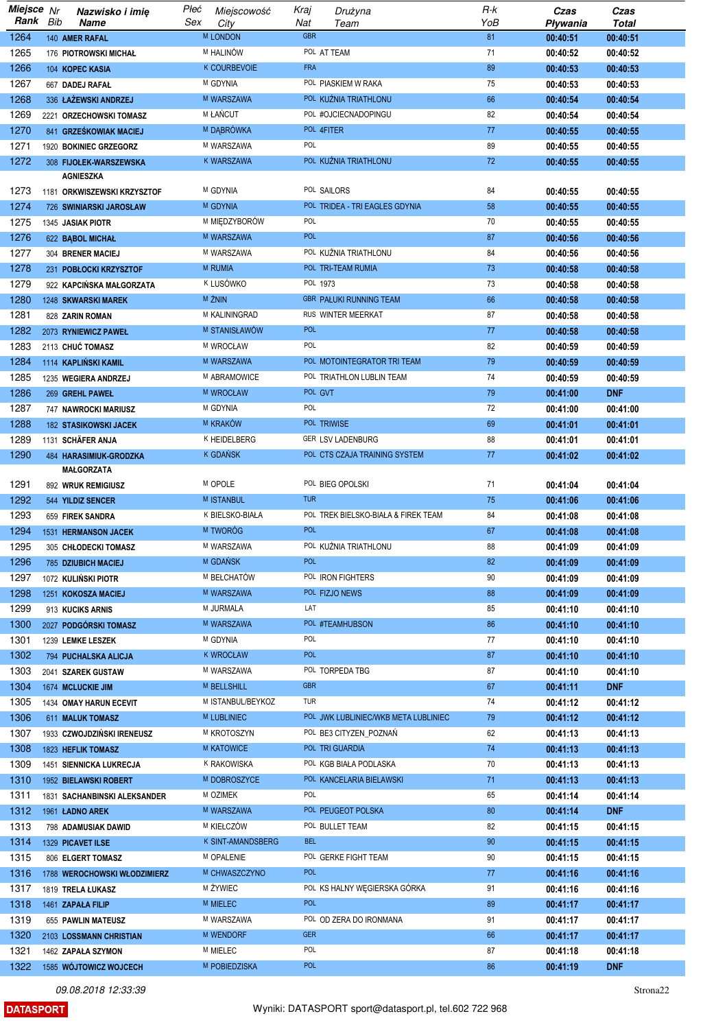| Miejsce Nr |     | Nazwisko i imię              | Płeć | Miejscowość          | Kraj       | Drużyna                              | R-k | Czas     | Czas       |
|------------|-----|------------------------------|------|----------------------|------------|--------------------------------------|-----|----------|------------|
| Rank       | Bib | Name                         | Sex  | City                 | Nat        | Team                                 | YoB | Pływania | Total      |
| 1264       |     | 140 AMER RAFAL               |      | <b>M LONDON</b>      | <b>GBR</b> |                                      | 81  | 00:40:51 | 00:40:51   |
| 1265       |     | <b>176 PIOTROWSKI MICHAŁ</b> |      | M HALINÓW            |            | POL AT TEAM                          | 71  | 00:40:52 | 00:40:52   |
| 1266       |     | 104 KOPEC KASIA              |      | K COURBEVOIE         | <b>FRA</b> |                                      | 89  | 00:40:53 | 00:40:53   |
| 1267       |     | 667 DADEJ RAFAŁ              |      | M GDYNIA             |            | POL PIASKIEM W RAKA                  | 75  | 00:40:53 | 00:40:53   |
|            |     |                              |      |                      |            |                                      |     |          |            |
| 1268       |     | 336 ŁAŻEWSKI ANDRZEJ         |      | M WARSZAWA           |            | POL KUŽNIA TRIATHLONU                | 66  | 00:40:54 | 00:40:54   |
| 1269       |     | 2221 ORZECHOWSKI TOMASZ      |      | M ŁAŃCUT             |            | POL #OJCIECNADOPINGU                 | 82  | 00:40:54 | 00:40:54   |
| 1270       |     | 841 GRZEŚKOWIAK MACIEJ       |      | M DĄBRÓWKA           |            | POL 4FITER                           | 77  | 00:40:55 | 00:40:55   |
| 1271       |     | 1920 BOKINIEC GRZEGORZ       |      | M WARSZAWA           | POL        |                                      | 89  | 00:40:55 | 00:40:55   |
| 1272       |     | 308 FIJOŁEK-WARSZEWSKA       |      | <b>K WARSZAWA</b>    |            | POL KUŹNIA TRIATHLONU                | 72  | 00:40:55 | 00:40:55   |
|            |     | <b>AGNIESZKA</b>             |      |                      |            |                                      |     |          |            |
| 1273       |     | 1181 ORKWISZEWSKI KRZYSZTOF  |      | M GDYNIA             |            | POL SAILORS                          | 84  | 00:40:55 | 00:40:55   |
| 1274       |     | 726 SWINIARSKI JAROSŁAW      |      | M GDYNIA             |            | POL TRIDEA - TRI EAGLES GDYNIA       | 58  | 00:40:55 | 00:40:55   |
| 1275       |     | 1345 JASIAK PIOTR            |      | M MIĘDZYBORÓW        | POL        |                                      | 70  | 00:40:55 | 00:40:55   |
| 1276       |     | 622 BABOL MICHAŁ             |      | M WARSZAWA           | <b>POL</b> |                                      | 87  | 00:40:56 | 00:40:56   |
|            |     |                              |      |                      |            |                                      |     |          |            |
| 1277       |     | 304 BRENER MACIEJ            |      | M WARSZAWA           |            | POL KUŻNIA TRIATHLONU                | 84  | 00:40:56 | 00:40:56   |
| 1278       |     | 231 POBLOCKI KRZYSZTOF       |      | M RUMIA              |            | POL TRI-TEAM RUMIA                   | 73  | 00:40:58 | 00:40:58   |
| 1279       |     | 922 KAPCIŃSKA MAŁGORZATA     |      | <sup>K</sup> LUSÓWKO |            | POL 1973                             | 73  | 00:40:58 | 00:40:58   |
| 1280       |     | 1248 SKWARSKI MAREK          |      | M ŻNIN               |            | <b>GBR PAŁUKI RUNNING TEAM</b>       | 66  | 00:40:58 | 00:40:58   |
| 1281       |     | 828 ZARIN ROMAN              |      | M KALININGRAD        |            | RUS WINTER MEERKAT                   | 87  | 00:40:58 | 00:40:58   |
| 1282       |     | 2073 RYNIEWICZ PAWEŁ         |      | M STANISŁAWÓW        | <b>POL</b> |                                      | 77  | 00:40:58 | 00:40:58   |
| 1283       |     | 2113 CHUĆ TOMASZ             |      | M WROCŁAW            | POL        |                                      | 82  | 00:40:59 | 00:40:59   |
| 1284       |     | 1114 KAPLINSKI KAMIL         |      | M WARSZAWA           |            | POL MOTOINTEGRATOR TRI TEAM          | 79  | 00:40:59 | 00:40:59   |
| 1285       |     |                              |      | M ABRAMOWICE         |            | POL TRIATHLON LUBLIN TEAM            | 74  |          | 00:40:59   |
|            |     | 1235 WEGIERA ANDRZEJ         |      |                      |            |                                      |     | 00:40:59 |            |
| 1286       |     | 269 GREHL PAWEŁ              |      | M WROCŁAW            |            | POL GVT                              | 79  | 00:41:00 | <b>DNF</b> |
| 1287       |     | 747 NAWROCKI MARIUSZ         |      | M GDYNIA             | POL        |                                      | 72  | 00:41:00 | 00:41:00   |
| 1288       |     | <b>182 STASIKOWSKI JACEK</b> |      | <b>M KRAKÓW</b>      |            | POL TRIWISE                          | 69  | 00:41:01 | 00:41:01   |
| 1289       |     | 1131 SCHÄFER ANJA            |      | K HEIDELBERG         |            | <b>GER LSV LADENBURG</b>             | 88  | 00:41:01 | 00:41:01   |
| 1290       |     | 484 HARASIMIUK-GRODZKA       |      | <sup>K</sup> GDAÑSK  |            | POL CTS CZAJA TRAINING SYSTEM        | 77  | 00:41:02 | 00:41:02   |
|            |     | MAŁGORZATA                   |      |                      |            |                                      |     |          |            |
| 1291       |     | 892 WRUK REMIGIUSZ           |      | M OPOLE              |            | POL BIEG OPOLSKI                     | 71  | 00:41:04 | 00:41:04   |
| 1292       |     | 544 YILDIZ SENCER            |      | M ISTANBUL           | <b>TUR</b> |                                      | 75  | 00:41:06 | 00:41:06   |
| 1293       |     | 659 FIREK SANDRA             |      | K BIELSKO-BIAŁA      |            | POL TREK BIELSKO-BIAŁA & FIREK TEAM  | 84  | 00:41:08 | 00:41:08   |
| 1294       |     | 1531 HERMANSON JACEK         |      | M TWORÓG             | <b>POL</b> |                                      | 67  | 00:41:08 | 00:41:08   |
| 1295       |     | 305 CHŁODECKI TOMASZ         |      | M WARSZAWA           |            | POL KUŽNIA TRIATHLONU                | 88  | 00:41:09 | 00:41:09   |
| 1296       |     |                              |      | M GDAŃSK             | <b>POL</b> |                                      | 82  |          |            |
|            |     | <b>785 DZIUBICH MACIEJ</b>   |      |                      |            |                                      |     | 00:41:09 | 00:41:09   |
| 1297       |     | 1072 KULIŃSKI PIOTR          |      | M BEŁCHATÓW          |            | POL IRON FIGHTERS                    | 90  | 00:41:09 | 00:41:09   |
| 1298       |     | 1251 KOKOSZA MACIEJ          |      | M WARSZAWA           |            | POL FIZJO NEWS                       | 88  | 00:41:09 | 00:41:09   |
| 1299       |     | 913 KUCIKS ARNIS             |      | M JURMALA            | LAT        |                                      | 85  | 00:41:10 | 00:41:10   |
| 1300       |     | 2027 PODGÓRSKI TOMASZ        |      | M WARSZAWA           |            | POL #TEAMHUBSON                      | 86  | 00:41:10 | 00:41:10   |
| 1301       |     | 1239 LEMKE LESZEK            |      | M GDYNIA             | POL        |                                      | 77  | 00:41:10 | 00:41:10   |
| 1302       |     | 794 PUCHALSKA ALICJA         |      | <b>K WROCŁAW</b>     | <b>POL</b> |                                      | 87  | 00:41:10 | 00:41:10   |
| 1303       |     | 2041 SZAREK GUSTAW           |      | M WARSZAWA           |            | POL TORPEDA TBG                      | 87  | 00:41:10 | 00:41:10   |
| 1304       |     | 1674 MCLUCKIE JIM            |      | M BELLSHILL          | <b>GBR</b> |                                      | 67  | 00:41:11 | <b>DNF</b> |
| 1305       |     | 1434 OMAY HARUN ECEVIT       |      | M ISTANBUL/BEYKOZ    | TUR        |                                      | 74  | 00:41:12 | 00:41:12   |
|            |     |                              |      | M LUBLINIEC          |            | POL JWK LUBLINIEC/WKB META LUBLINIEC | 79  |          |            |
| 1306       |     | 611 MALUK TOMASZ             |      |                      |            |                                      |     | 00:41:12 | 00:41:12   |
| 1307       |     | 1933 CZWOJDZIŃSKI IRENEUSZ   |      | M KROTOSZYN          |            | POL BE3 CITYZEN_POZNAŃ               | 62  | 00:41:13 | 00:41:13   |
| 1308       |     | 1823 HEFLIK TOMASZ           |      | M KATOWICE           |            | POL TRI GUARDIA                      | 74  | 00:41:13 | 00:41:13   |
| 1309       |     | 1451 SIENNICKA LUKRECJA      |      | K RAKOWISKA          |            | POL KGB BIAŁA PODLASKA               | 70  | 00:41:13 | 00:41:13   |
| 1310       |     | 1952 BIELAWSKI ROBERT        |      | M DOBROSZYCE         |            | POL KANCELARIA BIELAWSKI             | 71  | 00:41:13 | 00:41:13   |
| 1311       |     | 1831 SACHANBINSKI ALEKSANDER |      | M OZIMEK             | POL        |                                      | 65  | 00:41:14 | 00:41:14   |
| 1312       |     | 1961 ŁADNO AREK              |      | M WARSZAWA           |            | POL PEUGEOT POLSKA                   | 80  | 00:41:14 | <b>DNF</b> |
| 1313       |     | 798 ADAMUSIAK DAWID          |      | M KIEŁCZÓW           |            | POL BULLET TEAM                      | 82  | 00:41:15 | 00:41:15   |
| 1314       |     | 1329 PICAVET ILSE            |      | K SINT-AMANDSBERG    | <b>BEL</b> |                                      | 90  | 00:41:15 | 00:41:15   |
| 1315       |     |                              |      | M OPALENIE           |            | POL GERKE FIGHT TEAM                 | 90  |          |            |
|            |     | 806 ELGERT TOMASZ            |      |                      | <b>POL</b> |                                      |     | 00:41:15 | 00:41:15   |
| 1316       |     | 1788 WEROCHOWSKI WŁODZIMIERZ |      | M CHWASZCZYNO        |            |                                      | 77  | 00:41:16 | 00:41:16   |
| 1317       |     | 1819 TRELA ŁUKASZ            |      | M ŻYWIEC             |            | POL KS HALNY WEGIERSKA GÓRKA         | 91  | 00:41:16 | 00:41:16   |
| 1318       |     | 1461 ZAPAŁA FILIP            |      | M MIELEC             | <b>POL</b> |                                      | 89  | 00:41:17 | 00:41:17   |
| 1319       |     | 655 PAWLIN MATEUSZ           |      | M WARSZAWA           |            | POL OD ZERA DO IRONMANA              | 91  | 00:41:17 | 00:41:17   |
| 1320       |     | 2103 LOSSMANN CHRISTIAN      |      | M WENDORF            | <b>GER</b> |                                      | 66  | 00:41:17 | 00:41:17   |
| 1321       |     | 1462 ZAPAŁA SZYMON           |      | M MIELEC             | POL        |                                      | 87  | 00:41:18 | 00:41:18   |
| 1322       |     | 1585 WÓJTOWICZ WOJCECH       |      | M POBIEDZISKA        | POL        |                                      | 86  | 00:41:19 | <b>DNF</b> |

**DATASPORT**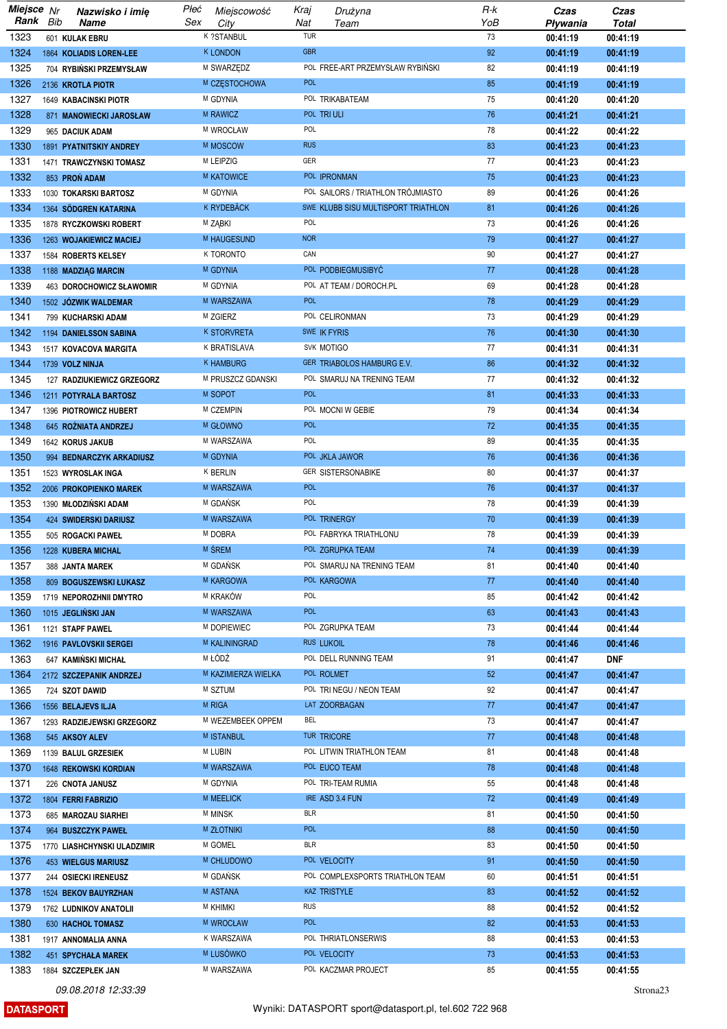| Miejsce Nr   |     | Nazwisko i imię                              | Płeć | Miejscowość             | Kraj       | Drużyna                             | $R-k$ | Czas                 | Czas                 |
|--------------|-----|----------------------------------------------|------|-------------------------|------------|-------------------------------------|-------|----------------------|----------------------|
| Rank         | Bib | Name                                         | Sex  | City                    | Nat        | Team                                | YoB   | Pływania             | <b>Total</b>         |
| 1323         |     | 601 KULAK EBRU                               |      | K ?STANBUL              | <b>TUR</b> |                                     | 73    | 00:41:19             | 00:41:19             |
| 1324         |     | 1864 KOLIADIS LOREN-LEE                      |      | <b>K LONDON</b>         | <b>GBR</b> |                                     | 92    | 00:41:19             | 00:41:19             |
| 1325         |     | 704 RYBIŃSKI PRZEMYSŁAW                      |      | M SWARZĘDZ              |            | POL FREE-ART PRZEMYSŁAW RYBIŃSKI    | 82    | 00:41:19             | 00:41:19             |
| 1326         |     | 2136 KROTLA PIOTR                            |      | M CZĘSTOCHOWA           | <b>POL</b> |                                     | 85    | 00:41:19             | 00:41:19             |
| 1327         |     | 1649 KABACINSKI PIOTR                        |      | M GDYNIA                |            | POL TRIKABATEAM                     | 75    | 00:41:20             | 00:41:20             |
| 1328         |     | 871 MANOWIECKI JAROSŁAW                      |      | <b>M RAWICZ</b>         |            | POL TRIULI                          | 76    | 00:41:21             | 00:41:21             |
| 1329         |     | 965 DACIUK ADAM                              |      | M WROCŁAW               | POL        |                                     | 78    | 00:41:22             | 00:41:22             |
| 1330         |     | 1891 PYATNITSKIY ANDREY                      |      | M MOSCOW                | <b>RUS</b> |                                     | 83    | 00:41:23             | 00:41:23             |
| 1331         |     | 1471 TRAWCZYNSKI TOMASZ                      |      | M LEIPZIG               | GER        |                                     | 77    | 00:41:23             | 00:41:23             |
| 1332         |     | 853 PRON ADAM                                |      | <b>M KATOWICE</b>       |            | POL IPRONMAN                        | 75    | 00:41:23             | 00:41:23             |
| 1333         |     | 1030 TOKARSKI BARTOSZ                        |      | M GDYNIA                |            | POL SAILORS / TRIATHLON TRÓJMIASTO  | 89    | 00:41:26             | 00:41:26             |
| 1334         |     | 1364 SÖDGREN KATARINA                        |      | <b>K RYDEBÄCK</b>       |            | SWE KLUBB SISU MULTISPORT TRIATHLON | 81    | 00:41:26             | 00:41:26             |
| 1335         |     | 1878 RYCZKOWSKI ROBERT                       |      | M ZĄBKI                 | POL        |                                     | 73    | 00:41:26             | 00:41:26             |
| 1336         |     | 1263 WOJAKIEWICZ MACIEJ                      |      | M HAUGESUND             | <b>NOR</b> |                                     | 79    | 00:41:27             | 00:41:27             |
| 1337         |     | 1584 ROBERTS KELSEY                          |      | K TORONTO               | CAN        |                                     | 90    | 00:41:27             | 00:41:27             |
| 1338         |     | 1188 MADZIĄG MARCIN                          |      | M GDYNIA                |            | POL PODBIEGMUSIBYC                  | 77    | 00:41:28             | 00:41:28             |
| 1339         |     | 463 DOROCHOWICZ SŁAWOMIR                     |      | M GDYNIA                |            | POL AT TEAM / DOROCH.PL             | 69    | 00:41:28             | 00:41:28             |
| 1340         |     | 1502 JOZWIK WALDEMAR                         |      | M WARSZAWA              | <b>POL</b> |                                     | 78    | 00:41:29             | 00:41:29             |
| 1341         |     | 799 KUCHARSKI ADAM                           |      | M ZGIERZ                |            | POL CELIRONMAN                      | 73    | 00:41:29             | 00:41:29             |
| 1342         |     | <b>1194 DANIELSSON SABINA</b>                |      | <b>K STORVRETA</b>      |            | SWE IK FYRIS                        | 76    | 00:41:30             | 00:41:30             |
| 1343         |     | 1517 KOVACOVA MARGITA                        |      | K BRATISLAVA            |            | SVK MOTIGO                          | 77    | 00:41:31             | 00:41:31             |
| 1344         |     | 1739 VOLZ NINJA                              |      | <b>K HAMBURG</b>        |            | GER TRIABOLOS HAMBURG E.V.          | 86    | 00:41:32             | 00:41:32             |
| 1345         |     | 127 RADZIUKIEWICZ GRZEGORZ                   |      | M PRUSZCZ GDANSKI       |            | POL SMARUJ NA TRENING TEAM          | 77    | 00:41:32             | 00:41:32             |
| 1346         |     | 1211 POTYRALA BARTOSZ                        |      | M SOPOT                 | <b>POL</b> |                                     | 81    | 00:41:33             | 00:41:33             |
| 1347         |     | 1396 PIOTROWICZ HUBERT                       |      | M CZEMPIN               |            | POL MOCNI W GEBIE                   | 79    | 00:41:34             | 00:41:34             |
| 1348         |     | 645 ROŻNIATA ANDRZEJ                         |      | M GŁOWNO                | <b>POL</b> |                                     | 72    | 00:41:35             | 00:41:35             |
| 1349         |     | 1642 KORUS JAKUB                             |      | M WARSZAWA              | POL        |                                     | 89    | 00:41:35             | 00:41:35             |
| 1350         |     | 994 BEDNARCZYK ARKADIUSZ                     |      | M GDYNIA                |            | POL JKLA JAWOR                      | 76    |                      | 00:41:36             |
| 1351         |     |                                              |      | <b>K BERLIN</b>         |            | <b>GER SISTERSONABIKE</b>           | 80    | 00:41:36             | 00:41:37             |
| 1352         |     | 1523 WYROSLAK INGA<br>2006 PROKOPIENKO MAREK |      | M WARSZAWA              | <b>POL</b> |                                     | 76    | 00:41:37<br>00:41:37 | 00:41:37             |
| 1353         |     | 1390 MŁODZIŃSKI ADAM                         |      | M GDAŃSK                | POL        |                                     | 78    | 00:41:39             | 00:41:39             |
| 1354         |     | <b>424 SWIDERSKI DARIUSZ</b>                 |      | M WARSZAWA              |            | POL TRINERGY                        | 70    | 00:41:39             | 00:41:39             |
| 1355         |     |                                              |      | M DOBRA                 |            | POL FABRYKA TRIATHLONU              | 78    |                      |                      |
| 1356         |     | 505 ROGACKI PAWEŁ                            |      | M ŚREM                  |            | POL ZGRUPKA TEAM                    | 74    | 00:41:39<br>00:41:39 | 00:41:39<br>00:41:39 |
|              |     | 1228 KUBERA MICHAL                           |      | M GDAŃSK                |            | POL SMARUJ NA TRENING TEAM          | 81    |                      |                      |
| 1357         |     | 388 JANTA MAREK                              |      | <b>M KARGOWA</b>        |            | POL KARGOWA                         | 77    | 00:41:40             | 00:41:40             |
| 1358<br>1359 |     | 809 BOGUSZEWSKI ŁUKASZ                       |      | M KRAKÓW                | POL        |                                     | 85    | 00:41:40<br>00:41:42 | 00:41:40<br>00:41:42 |
|              |     | 1719 NEPOROZHNII DMYTRO                      |      | M WARSZAWA              | <b>POL</b> |                                     | 63    |                      |                      |
| 1360         |     | 1015 JEGLIŃSKI JAN                           |      | M DOPIEWIEC             |            | POL ZGRUPKA TEAM                    | 73    | 00:41:43             | 00:41:43<br>00:41:44 |
| 1361         |     | 1121 STAPF PAWEL                             |      |                         |            |                                     |       | 00:41:44             |                      |
| 1362         |     | 1916 PAVLOVSKII SERGEI                       |      | M KALININGRAD<br>M ŁÓDŹ |            | RUS LUKOIL<br>POL DELL RUNNING TEAM | 78    | 00:41:46             | 00:41:46             |
| 1363         |     | 647 KAMINSKI MICHAŁ                          |      |                         |            |                                     | 91    | 00:41:47             | <b>DNF</b>           |
| 1364         |     | 2172 SZCZEPANIK ANDRZEJ                      |      | M KAZIMIERZA WIELKA     |            | POL ROLMET                          | 52    | 00:41:47             | 00:41:47             |
| 1365         |     | 724 SZOT DAWID                               |      | M SZTUM                 |            | POL TRI NEGU / NEON TEAM            | 92    | 00:41:47             | 00:41:47             |
| 1366         |     | 1556 BELAJEVS ILJA                           |      | M RIGA                  |            | LAT ZOORBAGAN                       | 77    | 00:41:47             | 00:41:47             |
| 1367         |     | 1293 RADZIEJEWSKI GRZEGORZ                   |      | M WEZEMBEEK OPPEM       | BEL        |                                     | 73    | 00:41:47             | 00:41:47             |
| 1368         |     | 545 AKSOY ALEV                               |      | M ISTANBUL              |            | TUR TRICORE                         | 77    | 00:41:48             | 00:41:48             |
| 1369         |     | 1139 BALUL GRZESIEK                          |      | M LUBIN                 |            | POL LITWIN TRIATHLON TEAM           | 81    | 00:41:48             | 00:41:48             |
| 1370         |     | 1648 REKOWSKI KORDIAN                        |      | M WARSZAWA              |            | POL EUCO TEAM                       | 78    | 00:41:48             | 00:41:48             |
| 1371         |     | 226 CNOTA JANUSZ                             |      | M GDYNIA                |            | POL TRI-TEAM RUMIA                  | 55    | 00:41:48             | 00:41:48             |
| 1372         |     | 1804 FERRI FABRIZIO                          |      | <b>M MEELICK</b>        |            | IRE ASD 3.4 FUN                     | 72    | 00:41:49             | 00:41:49             |
| 1373         |     | 685 MAROZAU SIARHEI                          |      | <b>M MINSK</b>          | <b>BLR</b> |                                     | 81    | 00:41:50             | 00:41:50             |
| 1374         |     | 964 BUSZCZYK PAWEŁ                           |      | <b>M ZŁOTNIKI</b>       | <b>POL</b> |                                     | 88    | 00:41:50             | 00:41:50             |
| 1375         |     | 1770 LIASHCHYNSKI ULADZIMIR                  |      | M GOMEL                 | <b>BLR</b> |                                     | 83    | 00:41:50             | 00:41:50             |
| 1376         |     | <b>453 WIELGUS MARIUSZ</b>                   |      | M CHLUDOWO              |            | POL VELOCITY                        | 91    | 00:41:50             | 00:41:50             |
| 1377         |     | 244 OSIECKI IRENEUSZ                         |      | M GDAŃSK                |            | POL COMPLEXSPORTS TRIATHLON TEAM    | 60    | 00:41:51             | 00:41:51             |
| 1378         |     | 1524 BEKOV BAUYRZHAN                         |      | M ASTANA                |            | KAZ TRISTYLE                        | 83    | 00:41:52             | 00:41:52             |
| 1379         |     | 1762 LUDNIKOV ANATOLII                       |      | <b>M KHIMKI</b>         | <b>RUS</b> |                                     | 88    | 00:41:52             | 00:41:52             |
| 1380         |     | 630 HACHOL TOMASZ                            |      | M WROCŁAW               | <b>POL</b> |                                     | 82    | 00:41:53             | 00:41:53             |
| 1381         |     | 1917 ANNOMALIA ANNA                          |      | K WARSZAWA              |            | POL THRIATLONSERWIS                 | 88    | 00:41:53             | 00:41:53             |
| 1382         |     | 451 SPYCHAŁA MAREK                           |      | M LUSÓWKO               |            | POL VELOCITY                        | 73    | 00:41:53             | 00:41:53             |
| 1383         |     | 1884 SZCZEPŁEK JAN                           |      | M WARSZAWA              |            | POL KACZMAR PROJECT                 | 85    | 00:41:55             | 00:41:55             |

**DATASPORT** 

Strona<sub>23</sub>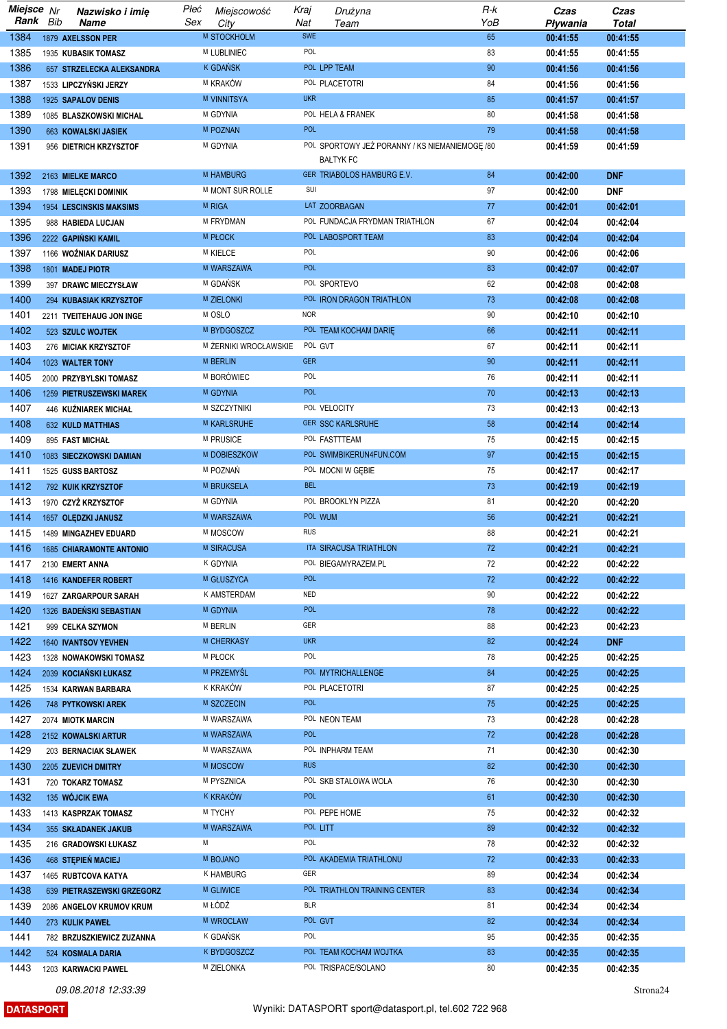| Miejsce Nr |     | Nazwisko i imię                 | Płeć | Miejscowość              | Kraj       | Drużyna                                                            | $R-k$ | Czas     | Czas         |
|------------|-----|---------------------------------|------|--------------------------|------------|--------------------------------------------------------------------|-------|----------|--------------|
| Rank       | Bib | <b>Name</b>                     | Sex  | City                     | Nat        | Team                                                               | YoB   | Pływania | <b>Total</b> |
| 1384       |     | 1879 AXELSSON PER               |      | M STOCKHOLM              | <b>SWE</b> |                                                                    | 65    | 00:41:55 | 00:41:55     |
| 1385       |     | 1935 KUBASIK TOMASZ             |      | <b>M LUBLINIEC</b>       | POL        |                                                                    | 83    | 00:41:55 | 00:41:55     |
| 1386       |     | 657 STRZELECKA ALEKSANDRA       |      | <sup>K</sup> GDAŃSK      |            | POL LPP TEAM                                                       | 90    | 00:41:56 | 00:41:56     |
| 1387       |     | 1533 LIPCZYŃSKI JERZY           |      | M KRAKÓW                 |            | POL PLACETOTRI                                                     | 84    | 00:41:56 | 00:41:56     |
| 1388       |     | 1925 SAPALOV DENIS              |      | <b>M VINNITSYA</b>       | <b>UKR</b> |                                                                    | 85    | 00:41:57 | 00:41:57     |
| 1389       |     | 1085 BLASZKOWSKI MICHAL         |      | M GDYNIA                 |            | POL HELA & FRANEK                                                  | 80    | 00:41:58 | 00:41:58     |
| 1390       |     | 663 KOWALSKI JASIEK             |      | M POZNAN                 | <b>POL</b> |                                                                    | 79    | 00:41:58 | 00:41:58     |
| 1391       |     | 956 DIETRICH KRZYSZTOF          |      | M GDYNIA                 |            | POL SPORTOWY JEŻ PORANNY / KS NIEMANIEMOGĘ /80<br><b>BALTYK FC</b> |       | 00:41:59 | 00:41:59     |
| 1392       |     | 2163 MIELKE MARCO               |      | <b>M HAMBURG</b>         |            | GER TRIABOLOS HAMBURG E.V.                                         | 84    | 00:42:00 | <b>DNF</b>   |
| 1393       |     | 1798 MIELĘCKI DOMINIK           |      | M MONT SUR ROLLE         | SUI        |                                                                    | 97    | 00:42:00 | <b>DNF</b>   |
| 1394       |     | <b>1954 LESCINSKIS MAKSIMS</b>  |      | <b>M RIGA</b>            |            | LAT ZOORBAGAN                                                      | 77    | 00:42:01 | 00:42:01     |
| 1395       |     | 988 HABIEDA LUCJAN              |      | M FRYDMAN                |            | POL FUNDACJA FRYDMAN TRIATHLON                                     | 67    | 00:42:04 | 00:42:04     |
| 1396       |     | 2222 GAPIŃSKI KAMIL             |      | <b>M PLOCK</b>           |            | POL LABOSPORT TEAM                                                 | 83    | 00:42:04 | 00:42:04     |
| 1397       |     | 1166 WOŻNIAK DARIUSZ            |      | <b>M KIELCE</b>          | POL        |                                                                    | 90    | 00:42:06 | 00:42:06     |
| 1398       |     | 1801 MADEJ PIOTR                |      | M WARSZAWA               | <b>POL</b> |                                                                    | 83    | 00:42:07 | 00:42:07     |
| 1399       |     | 397 DRAWC MIECZYSŁAW            |      | M GDAŃSK                 |            | POL SPORTEVO                                                       | 62    | 00:42:08 | 00:42:08     |
| 1400       |     | 294 KUBASIAK KRZYSZTOF          |      | <b>M ZIELONKI</b>        |            | POL IRON DRAGON TRIATHLON                                          | 73    | 00:42:08 | 00:42:08     |
| 1401       |     | 2211 TVEITEHAUG JON INGE        |      | M OSLO                   | <b>NOR</b> |                                                                    | 90    | 00:42:10 | 00:42:10     |
| 1402       |     | 523 SZULC WOJTEK                |      | M BYDGOSZCZ              |            | POL TEAM KOCHAM DARIE                                              | 66    | 00:42:11 | 00:42:11     |
| 1403       |     | 276 MICIAK KRZYSZTOF            |      | M ŻERNIKI WROCŁAWSKIE    | POL GVT    |                                                                    | 67    | 00:42:11 | 00:42:11     |
| 1404       |     |                                 |      | <b>M BERLIN</b>          | <b>GER</b> |                                                                    | 90    | 00:42:11 | 00:42:11     |
| 1405       |     | 1023 WALTER TONY                |      | M BORÓWIEC               | POL        |                                                                    | 76    |          |              |
|            |     | 2000 PRZYBYLSKI TOMASZ          |      |                          | <b>POL</b> |                                                                    |       | 00:42:11 | 00:42:11     |
| 1406       |     | 1259 PIETRUSZEWSKI MAREK        |      | M GDYNIA<br>M SZCZYTNIKI |            | POL VELOCITY                                                       | 70    | 00:42:13 | 00:42:13     |
| 1407       |     | 446 KUŹNIAREK MICHAŁ            |      |                          |            |                                                                    | 73    | 00:42:13 | 00:42:13     |
| 1408       |     | <b>632 KULD MATTHIAS</b>        |      | <b>M KARLSRUHE</b>       |            | <b>GER SSC KARLSRUHE</b>                                           | 58    | 00:42:14 | 00:42:14     |
| 1409       |     | 895 FAST MICHAL                 |      | M PRUSICE                |            | POL FASTTTEAM                                                      | 75    | 00:42:15 | 00:42:15     |
| 1410       |     | 1083 SIECZKOWSKI DAMIAN         |      | M DOBIESZKOW             |            | POL SWIMBIKERUN4FUN.COM                                            | 97    | 00:42:15 | 00:42:15     |
| 1411       |     | 1525 GUSS BARTOSZ               |      | M POZNAŃ                 | <b>BEL</b> | POL MOCNI W GEBIE                                                  | 75    | 00:42:17 | 00:42:17     |
| 1412       |     | 792 KUIK KRZYSZTOF              |      | M BRUKSELA               |            |                                                                    | 73    | 00:42:19 | 00:42:19     |
| 1413       |     | 1970 CZYŻ KRZYSZTOF             |      | M GDYNIA                 |            | POL BROOKLYN PIZZA                                                 | 81    | 00:42:20 | 00:42:20     |
| 1414       |     | 1657 OLEDZKI JANUSZ             |      | M WARSZAWA               |            | POL WUM                                                            | 56    | 00:42:21 | 00:42:21     |
| 1415       |     | 1489 MINGAZHEV EDUARD           |      | M MOSCOW                 | <b>RUS</b> |                                                                    | 88    | 00:42:21 | 00:42:21     |
| 1416       |     | <b>1685 CHIARAMONTE ANTONIO</b> |      | <b>M SIRACUSA</b>        |            | ITA SIRACUSA TRIATHLON                                             | 72    | 00:42:21 | 00:42:21     |
| 1417       |     | 2130 EMERT ANNA                 |      | K GDYNIA                 |            | POL BIEGAMYRAZEM.PL                                                | 72    | 00:42:22 | 00:42:22     |
| 1418       |     | 1416 KANDEFER ROBERT            |      | M GŁUSZYCA               | <b>POL</b> |                                                                    | 72    | 00:42:22 | 00:42:22     |
| 1419       |     | 1627 ZARGARPOUR SARAH           |      | K AMSTERDAM              | NED        |                                                                    | 90    | 00:42:22 | 00:42:22     |
| 1420       |     | 1326 BADENSKI SEBASTIAN         |      | M GDYNIA                 | <b>POL</b> |                                                                    | 78    | 00:42:22 | 00:42:22     |
| 1421       |     | 999 CELKA SZYMON                |      | <b>M BERLIN</b>          | GER        |                                                                    | 88    | 00:42:23 | 00:42:23     |
| 1422       |     | <b>1640 IVANTSOV YEVHEN</b>     |      | M CHERKASY               | <b>UKR</b> |                                                                    | 82    | 00:42:24 | <b>DNF</b>   |
| 1423       |     | 1328 NOWAKOWSKI TOMASZ          |      | M PŁOCK                  | POL        |                                                                    | 78    | 00:42:25 | 00:42:25     |
| 1424       |     | 2039 KOCIAŃSKI ŁUKASZ           |      | M PRZEMYŚL               |            | POL MYTRICHALLENGE                                                 | 84    | 00:42:25 | 00:42:25     |
| 1425       |     | 1534 KARWAN BARBARA             |      | <b>K KRAKÓW</b>          |            | POL PLACETOTRI                                                     | 87    | 00:42:25 | 00:42:25     |
| 1426       |     | 748 PYTKOWSKI AREK              |      | M SZCZECIN               | <b>POL</b> |                                                                    | 75    | 00:42:25 | 00:42:25     |
| 1427       |     | 2074 MIOTK MARCIN               |      | M WARSZAWA               |            | POL NEON TEAM                                                      | 73    | 00:42:28 | 00:42:28     |
| 1428       |     | 2152 KOWALSKI ARTUR             |      | M WARSZAWA               | POL        |                                                                    | 72    | 00:42:28 | 00:42:28     |
| 1429       |     | 203 BERNACIAK SŁAWEK            |      | M WARSZAWA               |            | POL INPHARM TEAM                                                   | 71    | 00:42:30 | 00:42:30     |
| 1430       |     | 2205 ZUEVICH DMITRY             |      | M MOSCOW                 | <b>RUS</b> |                                                                    | 82    | 00:42:30 | 00:42:30     |
| 1431       |     | 720 TOKARZ TOMASZ               |      | M PYSZNICA               |            | POL SKB STALOWA WOLA                                               | 76    | 00:42:30 | 00:42:30     |
| 1432       |     | 135 WÓJCIK EWA                  |      | k kraków                 | <b>POL</b> |                                                                    | 61    | 00:42:30 | 00:42:30     |
| 1433       |     | 1413 KASPRZAK TOMASZ            |      | M TYCHY                  |            | POL PEPE HOME                                                      | 75    | 00:42:32 | 00:42:32     |
| 1434       |     | 355 SKŁADANEK JAKUB             |      | M WARSZAWA               |            | POL LITT                                                           | 89    | 00:42:32 | 00:42:32     |
| 1435       |     | 216 GRADOWSKI ŁUKASZ            | M    |                          | POL        |                                                                    | 78    | 00:42:32 | 00:42:32     |
| 1436       |     | 468 STEPIEŃ MACIEJ              |      | M BOJANO                 |            | POL AKADEMIA TRIATHLONU                                            | 72    | 00:42:33 | 00:42:33     |
| 1437       |     | 1465 RUBTCOVA KATYA             |      | K HAMBURG                | GER        |                                                                    | 89    | 00:42:34 | 00:42:34     |
| 1438       |     | 639 PIETRASZEWSKI GRZEGORZ      |      | <b>M GLIWICE</b>         |            | POL TRIATHLON TRAINING CENTER                                      | 83    | 00:42:34 | 00:42:34     |
| 1439       |     | 2086 ANGELOV KRUMOV KRUM        |      | M ŁÓDŹ                   | <b>BLR</b> |                                                                    | 81    | 00:42:34 | 00:42:34     |
| 1440       |     | 273 KULIK PAWEŁ                 |      | M WROCLAW                |            | POL GVT                                                            | 82    | 00:42:34 | 00:42:34     |
| 1441       |     | 782 BRZUSZKIEWICZ ZUZANNA       |      | K GDAŃSK                 | POL        |                                                                    | 95    | 00:42:35 | 00:42:35     |
| 1442       |     | 524 KOSMALA DARIA               |      | <b>K BYDGOSZCZ</b>       |            | POL TEAM KOCHAM WOJTKA                                             | 83    | 00:42:35 | 00:42:35     |
| 1443       |     | 1203 KARWACKI PAWEL             |      | M ZIELONKA               |            | POL TRISPACE/SOLANO                                                | 80    | 00:42:35 | 00:42:35     |

**DATASPORT** 

Strona<sub>24</sub>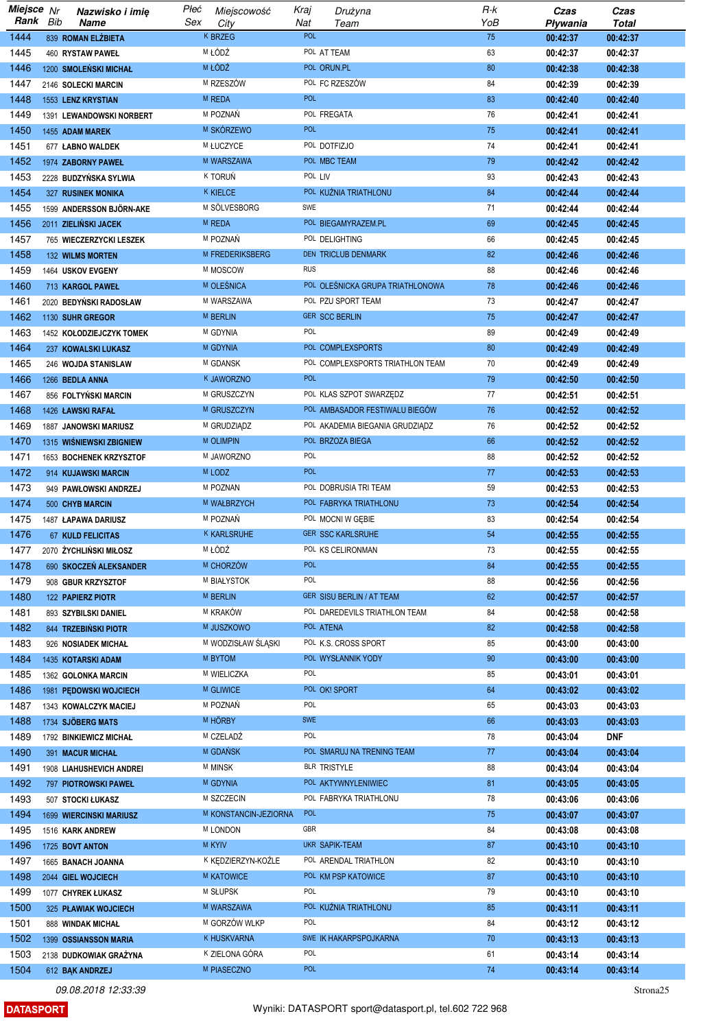| Miejsce Nr |     | Nazwisko i imię                | Płeć | Miejscowość            | Kraj       | Drużyna                          | R-k | Czas     | Czas       |
|------------|-----|--------------------------------|------|------------------------|------------|----------------------------------|-----|----------|------------|
| Rank       | Bib | <b>Name</b>                    | Sex  | City                   | Nat        | Team                             | YoB | Pływania | Total      |
| 1444       |     | 839 ROMAN ELZBIETA             |      | <b>K BRZEG</b>         | <b>POL</b> |                                  | 75  | 00:42:37 | 00:42:37   |
| 1445       |     | 460 RYSTAW PAWEŁ               |      | M ŁÓDŹ                 |            | POL AT TEAM                      | 63  | 00:42:37 | 00:42:37   |
| 1446       |     |                                |      | M ŁÓDŹ                 |            | POL ORUN.PL                      | 80  |          | 00:42:38   |
|            |     | 1200 SMOLEŃSKI MICHAŁ          |      |                        |            |                                  |     | 00:42:38 |            |
| 1447       |     | 2146 SOLECKI MARCIN            |      | M RZESZÓW              |            | POL FC RZESZÓW                   | 84  | 00:42:39 | 00:42:39   |
| 1448       |     | <b>1553 LENZ KRYSTIAN</b>      |      | M REDA                 | <b>POL</b> |                                  | 83  | 00:42:40 | 00:42:40   |
| 1449       |     | 1391 LEWANDOWSKI NORBERT       |      | M POZNAŃ               |            | POL FREGATA                      | 76  | 00:42:41 | 00:42:41   |
| 1450       |     | 1455 ADAM MAREK                |      | M SKÓRZEWO             | <b>POL</b> |                                  | 75  | 00:42:41 | 00:42:41   |
| 1451       |     | 677 ŁABNO WALDEK               |      | M ŁUCZYCE              |            | POL DOTFIZJO                     | 74  | 00:42:41 | 00:42:41   |
| 1452       |     | 1974 ZABORNY PAWEŁ             |      | M WARSZAWA             |            | POL MBC TEAM                     | 79  | 00:42:42 | 00:42:42   |
| 1453       |     | 2228 BUDZYŃSKA SYLWIA          |      | K TORUŃ                | POL LIV    |                                  | 93  | 00:42:43 | 00:42:43   |
|            |     |                                |      |                        |            |                                  |     |          |            |
| 1454       |     | <b>327 RUSINEK MONIKA</b>      |      | <b>K KIELCE</b>        |            | POL KUŽNIA TRIATHLONU            | 84  | 00:42:44 | 00:42:44   |
| 1455       |     | 1599 ANDERSSON BJÖRN-AKE       |      | M SÖLVESBORG           | SWE        |                                  | 71  | 00:42:44 | 00:42:44   |
| 1456       |     | 2011 ZIELIŃSKI JACEK           |      | M REDA                 |            | POL BIEGAMYRAZEM.PL              | 69  | 00:42:45 | 00:42:45   |
| 1457       |     | 765 WIECZERZYCKI LESZEK        |      | M POZNAŃ               |            | POL DELIGHTING                   | 66  | 00:42:45 | 00:42:45   |
| 1458       |     | <b>132 WILMS MORTEN</b>        |      | <b>M FREDERIKSBERG</b> |            | DEN TRICLUB DENMARK              | 82  | 00:42:46 | 00:42:46   |
| 1459       |     | 1464 USKOV EVGENY              |      | M MOSCOW               | <b>RUS</b> |                                  | 88  | 00:42:46 | 00:42:46   |
| 1460       |     | 713 KARGOL PAWEŁ               |      | M OLEŚNICA             |            | POL OLEŚNICKA GRUPA TRIATHLONOWA | 78  | 00:42:46 | 00:42:46   |
| 1461       |     | 2020 BEDYNSKI RADOSŁAW         |      | M WARSZAWA             |            | POL PZU SPORT TEAM               | 73  | 00:42:47 | 00:42:47   |
|            |     |                                |      | <b>M BERLIN</b>        |            |                                  |     |          |            |
| 1462       |     | 1130 SUHR GREGOR               |      |                        |            | <b>GER SCC BERLIN</b>            | 75  | 00:42:47 | 00:42:47   |
| 1463       |     | 1452 KOŁODZIEJCZYK TOMEK       |      | M GDYNIA               | POL        |                                  | 89  | 00:42:49 | 00:42:49   |
| 1464       |     | 237 KOWALSKI LUKASZ            |      | M GDYNIA               |            | POL COMPLEXSPORTS                | 80  | 00:42:49 | 00:42:49   |
| 1465       |     | 246 WOJDA STANISLAW            |      | M GDANSK               |            | POL COMPLEXSPORTS TRIATHLON TEAM | 70  | 00:42:49 | 00:42:49   |
| 1466       |     | 1266 BEDLA ANNA                |      | K JAWORZNO             | <b>POL</b> |                                  | 79  | 00:42:50 | 00:42:50   |
| 1467       |     | 856 FOLTYŃSKI MARCIN           |      | M GRUSZCZYN            |            | POL KLAS SZPOT SWARZĘDZ          | 77  | 00:42:51 | 00:42:51   |
| 1468       |     | 1426 ŁAWSKI RAFAŁ              |      | M GRUSZCZYN            |            | POL AMBASADOR FESTIWALU BIEGÓW   | 76  | 00:42:52 | 00:42:52   |
| 1469       |     |                                |      | M GRUDZIĄDZ            |            | POL AKADEMIA BIEGANIA GRUDZIĄDZ  | 76  |          |            |
|            |     | <b>1887 JANOWSKI MARIUSZ</b>   |      |                        |            |                                  |     | 00:42:52 | 00:42:52   |
| 1470       |     | 1315 WIŚNIEWSKI ZBIGNIEW       |      | <b>M OLIMPIN</b>       |            | POL BRZOZA BIEGA                 | 66  | 00:42:52 | 00:42:52   |
| 1471       |     | 1653 BOCHENEK KRZYSZTOF        |      | M JAWORZNO             | POL        |                                  | 88  | 00:42:52 | 00:42:52   |
| 1472       |     | 914 KUJAWSKI MARCIN            |      | M LODZ                 | <b>POL</b> |                                  | 77  | 00:42:53 | 00:42:53   |
| 1473       |     | 949 PAWŁOWSKI ANDRZEJ          |      | M POZNAN               |            | POL DOBRUSIA TRI TEAM            | 59  | 00:42:53 | 00:42:53   |
| 1474       |     | 500 CHYB MARCIN                |      | M WAŁBRZYCH            |            | POL FABRYKA TRIATHLONU           | 73  | 00:42:54 | 00:42:54   |
| 1475       |     | 1487 LAPAWA DARIUSZ            |      | M POZNAŃ               |            | POL MOCNI W GEBIE                | 83  | 00:42:54 | 00:42:54   |
| 1476       |     | <b>67 KULD FELICITAS</b>       |      | <b>K KARLSRUHE</b>     |            | <b>GER SSC KARLSRUHE</b>         | 54  | 00:42:55 | 00:42:55   |
| 1477       |     |                                |      | M ŁÓDŹ                 |            | POL KS CELIRONMAN                | 73  | 00:42:55 | 00:42:55   |
|            |     | 2070 ŻYCHLIŃSKI MIŁOSZ         |      |                        |            |                                  |     |          |            |
| 1478       |     | 690 SKOCZEŃ ALEKSANDER         |      | M CHORZÓW              | <b>POL</b> |                                  | 84  | 00:42:55 | 00:42:55   |
| 1479       |     | 908 GBUR KRZYSZTOF             |      | M BIAŁYSTOK            | POL        |                                  | 88  | 00:42:56 | 00:42:56   |
| 1480       |     | <b>122 PAPIERZ PIOTR</b>       |      | <b>M BERLIN</b>        |            | GER SISU BERLIN / AT TEAM        | 62  | 00:42:57 | 00:42:57   |
| 1481       |     | 893 SZYBILSKI DANIEL           |      | M KRAKÓW               |            | POL DAREDEVILS TRIATHLON TEAM    | 84  | 00:42:58 | 00:42:58   |
| 1482       |     | 844 TRZEBIŃSKI PIOTR           |      | M JUSZKOWO             |            | POL ATENA                        | 82  | 00:42:58 | 00:42:58   |
| 1483       |     | 926 NOSIADEK MICHAŁ            |      | M WODZISŁAW ŚLĄSKI     |            | POL K.S. CROSS SPORT             | 85  | 00:43:00 | 00:43:00   |
| 1484       |     | 1435 KOTARSKI ADAM             |      | M BYTOM                |            | POL WYSŁANNIK YODY               | 90  | 00:43:00 | 00:43:00   |
| 1485       |     | 1362 GOLONKA MARCIN            |      | M WIELICZKA            | POL        |                                  | 85  | 00:43:01 | 00:43:01   |
| 1486       |     |                                |      | <b>M GLIWICE</b>       |            | POL OK! SPORT                    | 64  |          |            |
|            |     | 1981 PEDOWSKI WOJCIECH         |      |                        |            |                                  |     | 00:43:02 | 00:43:02   |
| 1487       |     | 1343 KOWALCZYK MACIEJ          |      | M POZNAŃ               | POL        |                                  | 65  | 00:43:03 | 00:43:03   |
| 1488       |     | 1734 SJÖBERG MATS              |      | M HÖRBY                | <b>SWE</b> |                                  | 66  | 00:43:03 | 00:43:03   |
| 1489       |     | 1792 BINKIEWICZ MICHAŁ         |      | M CZELADŹ              | POL        |                                  | 78  | 00:43:04 | <b>DNF</b> |
| 1490       |     | 391 MACUR MICHAŁ               |      | M GDAŃSK               |            | POL SMARUJ NA TRENING TEAM       | 77  | 00:43:04 | 00:43:04   |
| 1491       |     | 1908 LIAHUSHEVICH ANDREI       |      | <b>M MINSK</b>         |            | BLR TRISTYLE                     | 88  | 00:43:04 | 00:43:04   |
| 1492       |     | 797 PIOTROWSKI PAWEŁ           |      | M GDYNIA               |            | POL AKTYWNYLENIWIEC              | 81  | 00:43:05 | 00:43:05   |
| 1493       |     | 507 STOCKI ŁUKASZ              |      | M SZCZECIN             |            | POL FABRYKA TRIATHLONU           | 78  | 00:43:06 | 00:43:06   |
|            |     |                                |      | M KONSTANCIN-JEZIORNA  | <b>POL</b> |                                  |     |          |            |
| 1494       |     | <b>1699 WIERCINSKI MARIUSZ</b> |      |                        |            |                                  | 75  | 00:43:07 | 00:43:07   |
| 1495       |     | 1516 KARK ANDREW               |      | <b>M LONDON</b>        | GBR        |                                  | 84  | 00:43:08 | 00:43:08   |
| 1496       |     | 1725 BOVT ANTON                |      | <b>M KYIV</b>          |            | UKR SAPIK-TEAM                   | 87  | 00:43:10 | 00:43:10   |
| 1497       |     | 1665 BANACH JOANNA             |      | K KEDZIERZYN-KOŹLE     |            | POL ARENDAL TRIATHLON            | 82  | 00:43:10 | 00:43:10   |
| 1498       |     | 2044 GIEL WOJCIECH             |      | <b>M KATOWICE</b>      |            | POL KM PSP KATOWICE              | 87  | 00:43:10 | 00:43:10   |
| 1499       |     | 1077 CHYREK ŁUKASZ             |      | M SŁUPSK               | POL        |                                  | 79  | 00:43:10 | 00:43:10   |
| 1500       |     | 325 PLAWIAK WOJCIECH           |      | M WARSZAWA             |            | POL KUŹNIA TRIATHLONU            | 85  | 00:43:11 | 00:43:11   |
| 1501       |     | 888 WINDAK MICHAŁ              |      | M GORZÓW WLKP          | POL        |                                  | 84  | 00:43:12 | 00:43:12   |
|            |     |                                |      |                        |            |                                  |     |          |            |
| 1502       |     | 1399 OSSIANSSON MARIA          |      | K HUSKVARNA            |            | SWE IK HAKARPSPOJKARNA           | 70  | 00:43:13 | 00:43:13   |
| 1503       |     | 2138 DUDKOWIAK GRAŻYNA         |      | K ZIELONA GÓRA         | POL        |                                  | 61  | 00:43:14 | 00:43:14   |
| 1504       |     | 612 BAK ANDRZEJ                |      | M PIASECZNO            | POL        |                                  | 74  | 00:43:14 | 00:43:14   |

**DATASPORT** 

Strona<sub>25</sub>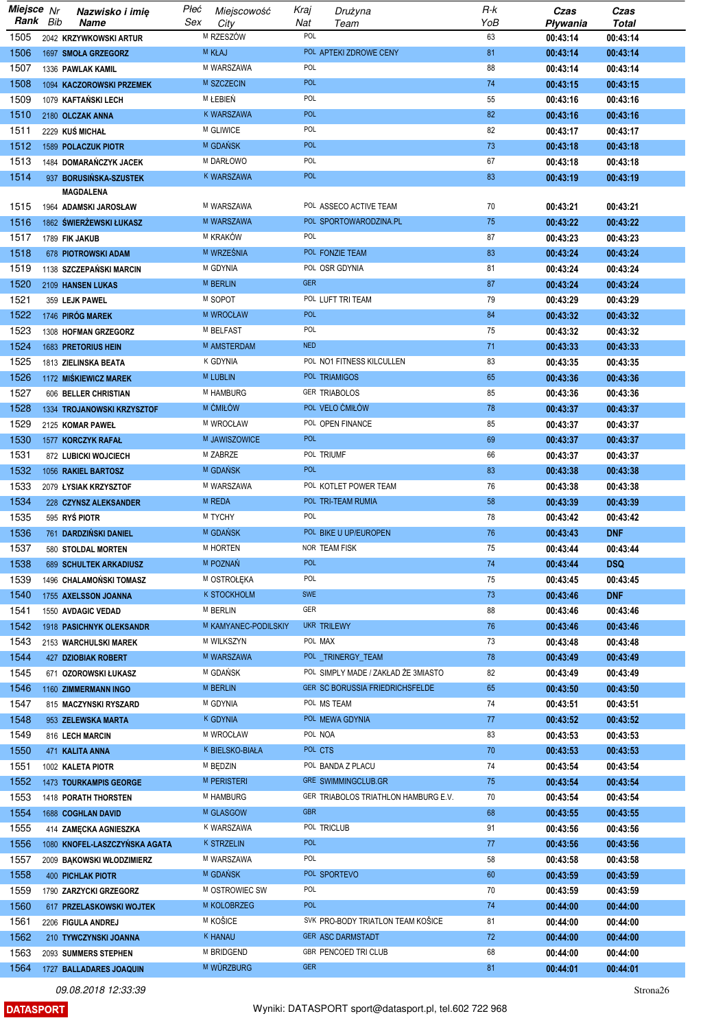| Miejsce Nr   |     | Nazwisko i imię                              | Płeć<br>Miejscowość         | Kraj       | Drużyna                                | R-k      | Czas                 | Czas                   |
|--------------|-----|----------------------------------------------|-----------------------------|------------|----------------------------------------|----------|----------------------|------------------------|
| Rank         | Bib | Name                                         | Sex<br>City<br>M RZESZÓW    | Nat<br>POL | Team                                   | YoB      | Pływania             | <b>Total</b>           |
| 1505<br>1506 |     | 2042 KRZYWKOWSKI ARTUR                       | <b>M KŁAJ</b>               |            | POL APTEKI ZDROWE CENY                 | 63<br>81 | 00:43:14             | 00:43:14               |
| 1507         |     | 1697 SMOŁA GRZEGORZ<br>1336 PAWLAK KAMIL     | M WARSZAWA                  | POL        |                                        | 88       | 00:43:14             | 00:43:14<br>00:43:14   |
| 1508         |     | 1094 KACZOROWSKI PRZEMEK                     | M SZCZECIN                  | <b>POL</b> |                                        | 74       | 00:43:14<br>00:43:15 | 00:43:15               |
| 1509         |     | 1079 KAFTAŃSKI LECH                          | M LEBIEŃ                    | POL        |                                        | 55       | 00:43:16             | 00:43:16               |
| 1510         |     | 2180 OLCZAK ANNA                             | <b>K WARSZAWA</b>           | <b>POL</b> |                                        | 82       | 00:43:16             | 00:43:16               |
| 1511         |     | 2229 KUŚ MICHAŁ                              | M GLIWICE                   | POL        |                                        | 82       | 00:43:17             | 00:43:17               |
| 1512         |     | <b>1589 POLACZUK PIOTR</b>                   | M GDAŃSK                    | <b>POL</b> |                                        | 73       | 00:43:18             | 00:43:18               |
| 1513         |     | 1484 DOMARAŃCZYK JACEK                       | M DARŁOWO                   | POL        |                                        | 67       | 00:43:18             | 00:43:18               |
| 1514         |     | 937 BORUSIŃSKA-SZUSTEK                       | K WARSZAWA                  | <b>POL</b> |                                        | 83       | 00:43:19             | 00:43:19               |
|              |     | MAGDALENA                                    |                             |            |                                        |          |                      |                        |
| 1515         |     | 1964 ADAMSKI JAROSŁAW                        | M WARSZAWA                  |            | POL ASSECO ACTIVE TEAM                 | 70       | 00:43:21             | 00:43:21               |
| 1516         |     | 1862 ŚWIERŻEWSKI ŁUKASZ                      | M WARSZAWA                  |            | POL SPORTOWARODZINA.PL                 | 75       | 00:43:22             | 00:43:22               |
| 1517         |     | 1789 FIK JAKUB                               | M KRAKÓW                    | <b>POL</b> |                                        | 87       | 00:43:23             | 00:43:23               |
| 1518         |     | 678 PIOTROWSKI ADAM                          | M WRZEŚNIA                  |            | POL FONZIE TEAM                        | 83       | 00:43:24             | 00:43:24               |
| 1519         |     | 1138 SZCZEPAŃSKI MARCIN                      | M GDYNIA<br><b>M BERLIN</b> | <b>GER</b> | POL OSR GDYNIA                         | 81       | 00:43:24             | 00:43:24               |
| 1520<br>1521 |     | 2109 HANSEN LUKAS<br>359 LEJK PAWEL          | M SOPOT                     |            | POL LUFT TRI TEAM                      | 87<br>79 | 00:43:24<br>00:43:29 | 00:43:24<br>00:43:29   |
| 1522         |     | 1746 PIRÓG MAREK                             | M WROCŁAW                   | <b>POL</b> |                                        | 84       | 00:43:32             | 00:43:32               |
| 1523         |     | 1308 HOFMAN GRZEGORZ                         | M BELFAST                   | POL        |                                        | 75       | 00:43:32             | 00:43:32               |
| 1524         |     | <b>1683 PRETORIUS HEIN</b>                   | M AMSTERDAM                 | <b>NED</b> |                                        | 71       | 00:43:33             | 00:43:33               |
| 1525         |     | 1813 ZIELINSKA BEATA                         | <b>K GDYNIA</b>             |            | POL NO1 FITNESS KILCULLEN              | 83       | 00:43:35             | 00:43:35               |
| 1526         |     | 1172 MIŚKIEWICZ MAREK                        | <b>M LUBLIN</b>             |            | POL TRIAMIGOS                          | 65       | 00:43:36             | 00:43:36               |
| 1527         |     | 606 BELLER CHRISTIAN                         | M HAMBURG                   |            | <b>GER TRIABOLOS</b>                   | 85       | 00:43:36             | 00:43:36               |
| 1528         |     | 1334 TROJANOWSKI KRZYSZTOF                   | M CMIŁÓW                    |            | POL VELO ĆMIŁÓW                        | 78       | 00:43:37             | 00:43:37               |
| 1529         |     | 2125 KOMAR PAWEŁ                             | M WROCŁAW                   |            | POL OPEN FINANCE                       | 85       | 00:43:37             | 00:43:37               |
| 1530         |     | 1577 KORCZYK RAFAŁ                           | M JAWISZOWICE               | <b>POL</b> |                                        | 69       | 00:43:37             | 00:43:37               |
| 1531         |     | 872 LUBICKI WOJCIECH                         | M ZABRZE                    |            | POL TRIUMF                             | 66       | 00:43:37             | 00:43:37               |
| 1532         |     | 1056 RAKIEL BARTOSZ                          | M GDANSK                    | <b>POL</b> |                                        | 83       | 00:43:38             | 00:43:38               |
| 1533         |     | 2079 LYSIAK KRZYSZTOF                        | M WARSZAWA                  |            | POL KOTLET POWER TEAM                  | 76       | 00:43:38             | 00:43:38               |
| 1534         |     | 228 CZYNSZ ALEKSANDER                        | M REDA                      |            | POL TRI-TEAM RUMIA                     | 58       | 00:43:39             | 00:43:39               |
| 1535         |     | 595 RYŚ PIOTR                                | M TYCHY                     | POL        |                                        | 78       | 00:43:42             | 00:43:42               |
| 1536<br>1537 |     | 761 DARDZIŃSKI DANIEL                        | M GDAŃSK<br>M HORTEN        |            | POL BIKE U UP/EUROPEN<br>NOR TEAM FISK | 76<br>75 | 00:43:43             | <b>DNF</b>             |
| 1538         |     | 580 STOLDAL MORTEN<br>689 SCHULTEK ARKADIUSZ | M POZNAŃ                    | <b>POL</b> |                                        | 74       | 00:43:44<br>00:43:44 | 00:43:44<br><b>DSQ</b> |
| 1539         |     | 1496 CHALAMONSKI TOMASZ                      | M OSTROŁĘKA                 | POL        |                                        | 75       | 00:43:45             | 00:43:45               |
| 1540         |     | 1755 AXELSSON JOANNA                         | <b>K STOCKHOLM</b>          | <b>SWE</b> |                                        | 73       | 00:43:46             | <b>DNF</b>             |
| 1541         |     | 1550 AVDAGIC VEDAD                           | <b>M BERLIN</b>             | GER        |                                        | 88       | 00:43:46             | 00:43:46               |
| 1542         |     | 1918 PASICHNYK OLEKSANDR                     | M KAMYANEC-PODILSKIY        |            | UKR TRILEWY                            | 76       | 00:43:46             | 00:43:46               |
| 1543         |     | 2153 WARCHULSKI MAREK                        | M WILKSZYN                  | POL MAX    |                                        | 73       | 00:43:48             | 00:43:48               |
| 1544         |     | 427 DZIOBIAK ROBERT                          | M WARSZAWA                  |            | POL _TRINERGY_TEAM                     | 78       | 00:43:49             | 00:43:49               |
| 1545         |     | 671 OZOROWSKI ŁUKASZ                         | M GDAŃSK                    |            | POL SIMPLY MADE / ZAKŁAD ŻE 3MIASTO    | 82       | 00:43:49             | 00:43:49               |
| 1546         |     | 1160 ZIMMERMANN INGO                         | M BERLIN                    |            | GER SC BORUSSIA FRIEDRICHSFELDE        | 65       | 00:43:50             | 00:43:50               |
| 1547         |     | 815 MACZYNSKI RYSZARD                        | M GDYNIA                    |            | POL MS TEAM                            | 74       | 00:43:51             | 00:43:51               |
| 1548         |     | 953 ZELEWSKA MARTA                           | k gdynia                    |            | POL MEWA GDYNIA                        | 77       | 00:43:52             | 00:43:52               |
| 1549         |     | 816 LECH MARCIN                              | M WROCŁAW                   | POL NOA    |                                        | 83       | 00:43:53             | 00:43:53               |
| 1550<br>1551 |     | 471 KALITA ANNA                              | K BIELSKO-BIAŁA<br>M BEDZIN | POL CTS    | POL BANDA Z PLACU                      | 70<br>74 | 00:43:53<br>00:43:54 | 00:43:53<br>00:43:54   |
| 1552         |     | 1002 KALETA PIOTR<br>1473 TOURKAMPIS GEORGE  | <b>M PERISTERI</b>          |            | <b>GRE SWIMMINGCLUB.GR</b>             | 75       | 00:43:54             | 00:43:54               |
| 1553         |     | 1418 PORATH THORSTEN                         | M HAMBURG                   |            | GER TRIABOLOS TRIATHLON HAMBURG E.V.   | 70       | 00:43:54             | 00:43:54               |
| 1554         |     | 1688 COGHLAN DAVID                           | M GLASGOW                   | <b>GBR</b> |                                        | 68       | 00:43:55             | 00:43:55               |
| 1555         |     | 414 ZAMECKA AGNIESZKA                        | K WARSZAWA                  |            | POL TRICLUB                            | 91       | 00:43:56             | 00:43:56               |
| 1556         |     | 1080 KNOFEL-LASZCZYŃSKA AGATA                | k strzelin                  | <b>POL</b> |                                        | 77       | 00:43:56             | 00:43:56               |
| 1557         |     | 2009 BAKOWSKI WŁODZIMIERZ                    | M WARSZAWA                  | POL        |                                        | 58       | 00:43:58             | 00:43:58               |
| 1558         |     | 400 PICHLAK PIOTR                            | M GDANSK                    |            | POL SPORTEVO                           | 60       | 00:43:59             | 00:43:59               |
| 1559         |     | 1790 ZARZYCKI GRZEGORZ                       | M OSTROWIEC SW              | POL        |                                        | 70       | 00:43:59             | 00:43:59               |
| 1560         |     | 617 PRZELASKOWSKI WOJTEK                     | M KOLOBRZEG                 | <b>POL</b> |                                        | 74       | 00:44:00             | 00:44:00               |
| 1561         |     | 2206 FIGULA ANDREJ                           | M KOŠICE                    |            | SVK PRO-BODY TRIATLON TEAM KOŠICE      | 81       | 00:44:00             | 00:44:00               |
| 1562         |     | 210 TYWCZYNSKI JOANNA                        | K HANAU                     |            | GER ASC DARMSTADT                      | 72       | 00:44:00             | 00:44:00               |
| 1563         |     | 2093 SUMMERS STEPHEN                         | M BRIDGEND                  |            | GBR PENCOED TRICLUB                    | 68       | 00:44:00             | 00:44:00               |
| 1564         |     | 1727 BALLADARES JOAQUIN                      | M WURZBURG                  | <b>GER</b> |                                        | 81       | 00:44:01             | 00:44:01               |

**DATASPORT**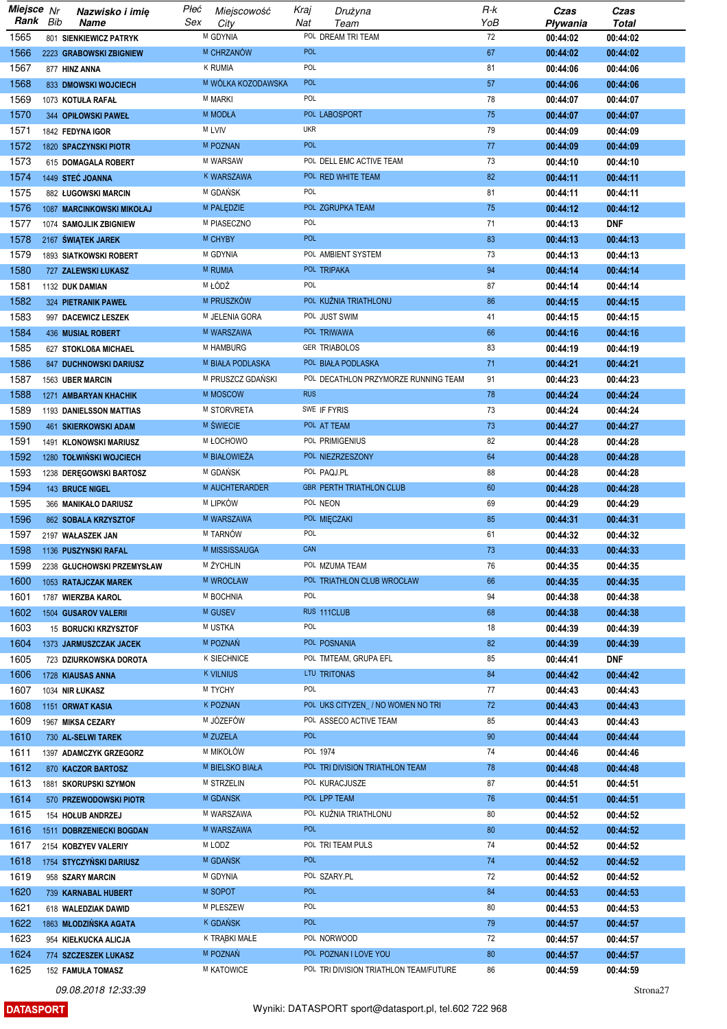| Miejsce Nr   |     | Nazwisko i imię                                     | Płeć | Miejscowość             | Kraj       | Drużyna                                | R-k       | Czas                 | Czas                 |
|--------------|-----|-----------------------------------------------------|------|-------------------------|------------|----------------------------------------|-----------|----------------------|----------------------|
| Rank         | Bib | <b>Name</b>                                         | Sex  | City<br>M GDYNIA        | Nat        | Team<br>POL DREAM TRI TEAM             | YoB<br>72 | Pływania             | <b>Total</b>         |
| 1565<br>1566 |     | 801 SIENKIEWICZ PATRYK                              |      | M CHRZANÓW              | <b>POL</b> |                                        | 67        | 00:44:02             | 00:44:02<br>00:44:02 |
| 1567         |     | 2223 GRABOWSKI ZBIGNIEW<br>877 HINZ ANNA            |      | <b>K RUMIA</b>          | POL        |                                        | 81        | 00:44:02<br>00:44:06 | 00:44:06             |
| 1568         |     | 833 DMOWSKI WOJCIECH                                |      | M WÓLKA KOZODAWSKA      | <b>POL</b> |                                        | 57        | 00:44:06             | 00:44:06             |
| 1569         |     | 1073 KOTUŁA RAFAŁ                                   |      | <b>M MARKI</b>          | POL        |                                        | 78        | 00:44:07             | 00:44:07             |
| 1570         |     | 344 OPIŁOWSKI PAWEŁ                                 |      | <b>M MODŁA</b>          |            | POL LABOSPORT                          | 75        | 00:44:07             | 00:44:07             |
| 1571         |     | 1842 FEDYNA IGOR                                    |      | M LVIV                  | <b>UKR</b> |                                        | 79        | 00:44:09             | 00:44:09             |
| 1572         |     | 1820 SPACZYNSKI PIOTR                               |      | <b>M POZNAN</b>         | <b>POL</b> |                                        | 77        | 00:44:09             | 00:44:09             |
| 1573         |     | 615 DOMAGALA ROBERT                                 |      | M WARSAW                |            | POL DELL EMC ACTIVE TEAM               | 73        | 00:44:10             | 00:44:10             |
| 1574         |     | 1449 STEĆ JOANNA                                    |      | K WARSZAWA              |            | POL RED WHITE TEAM                     | 82        | 00:44:11             | 00:44:11             |
| 1575         |     | 882 ŁUGOWSKI MARCIN                                 |      | M GDAŃSK                | POL        |                                        | 81        | 00:44:11             | 00:44:11             |
| 1576         |     | 1087 MARCINKOWSKI MIKOŁAJ                           |      | M PALEDZIE              |            | POL ZGRUPKA TEAM                       | 75        | 00:44:12             | 00:44:12             |
| 1577         |     | 1074 SAMOJLIK ZBIGNIEW                              |      | M PIASECZNO             | POL        |                                        | 71        | 00:44:13             | <b>DNF</b>           |
| 1578         |     | 2167 ŚWIĄTEK JAREK                                  |      | M CHYBY                 | <b>POL</b> |                                        | 83        | 00:44:13             | 00:44:13             |
| 1579         |     | 1893 SIATKOWSKI ROBERT                              |      | M GDYNIA                |            | POL AMBIENT SYSTEM                     | 73        | 00:44:13             | 00:44:13             |
| 1580         |     | 727 ZALEWSKI ŁUKASZ                                 |      | M RUMIA                 |            | POL TRIPAKA                            | 94        | 00:44:14             | 00:44:14             |
| 1581         |     | 1132 DUK DAMIAN                                     |      | M ŁÓDŹ                  | POL        |                                        | 87        | 00:44:14             | 00:44:14             |
| 1582         |     | 324 PIETRANIK PAWEŁ                                 |      | M PRUSZKÓW              |            | POL KUŻNIA TRIATHLONU                  | 86        | 00:44:15             | 00:44:15             |
| 1583         |     | 997 DACEWICZ LESZEK                                 |      | M JELENIA GORA          |            | POL JUST SWIM                          | 41        | 00:44:15             | 00:44:15             |
| 1584         |     | 436 MUSIAŁ ROBERT                                   |      | M WARSZAWA<br>M HAMBURG |            | POL TRIWAWA<br><b>GER TRIABOLOS</b>    | 66<br>83  | 00:44:16             | 00:44:16             |
| 1585<br>1586 |     | 627 STOKLOßA MICHAEL<br>847 DUCHNOWSKI DARIUSZ      |      | M BIAŁA PODLASKA        |            | POL BIAŁA PODLASKA                     | 71        | 00:44:19<br>00:44:21 | 00:44:19<br>00:44:21 |
| 1587         |     | 1563 UBER MARCIN                                    |      | M PRUSZCZ GDAŃSKI       |            | POL DECATHLON PRZYMORZE RUNNING TEAM   | 91        | 00:44:23             | 00:44:23             |
| 1588         |     | 1271 AMBARYAN KHACHIK                               |      | M MOSCOW                | <b>RUS</b> |                                        | 78        | 00:44:24             | 00:44:24             |
| 1589         |     | 1193 DANIELSSON MATTIAS                             |      | M STORVRETA             |            | SWE IF FYRIS                           | 73        | 00:44:24             | 00:44:24             |
| 1590         |     | 461 SKIERKOWSKI ADAM                                |      | <b>M SWIECIE</b>        |            | POL AT TEAM                            | 73        | 00:44:27             | 00:44:27             |
| 1591         |     | 1491 KLONOWSKI MARIUSZ                              |      | <b>M ŁOCHOWO</b>        |            | POL PRIMIGENIUS                        | 82        | 00:44:28             | 00:44:28             |
| 1592         |     | 1280 TOŁWIŃSKI WOJCIECH                             |      | M BIAŁOWIEŻA            |            | POL NIEZRZESZONY                       | 64        | 00:44:28             | 00:44:28             |
| 1593         |     | 1238 DEREGOWSKI BARTOSZ                             |      | M GDAŃSK                |            | POL PAQJ.PL                            | 88        | 00:44:28             | 00:44:28             |
| 1594         |     | 143 BRUCE NIGEL                                     |      | M AUCHTERARDER          |            | <b>GBR PERTH TRIATHLON CLUB</b>        | 60        | 00:44:28             | 00:44:28             |
| 1595         |     | 366 MANIKAŁO DARIUSZ                                |      | M LIPKÓW                |            | POL NEON                               | 69        | 00:44:29             | 00:44:29             |
| 1596         |     | 862 SOBALA KRZYSZTOF                                |      | M WARSZAWA              |            | POL MIECZAKI                           | 85        | 00:44:31             | 00:44:31             |
| 1597         |     | 2197 WAŁASZEK JAN                                   |      | M TARNÓW                | POL        |                                        | 61        | 00:44:32             | 00:44:32             |
| 1598         |     | 1136 PUSZYNSKI RAFAL                                |      | M MISSISSAUGA           | CAN        |                                        | 73        | 00:44:33             | 00:44:33             |
| 1599         |     | 2238 GLUCHOWSKI PRZEMYSŁAW                          |      | M ŻYCHLIN               |            | POL MZUMA TEAM                         | 76        | 00:44:35             | 00:44:35             |
| 1600         |     | 1053 RATAJCZAK MAREK                                |      | <b>M WROCŁAW</b>        |            | POL TRIATHLON CLUB WROCŁAW             | 66        | 00:44:35             | 00:44:35             |
| 1601         |     | 1787 WIERZBA KAROL                                  |      | M BOCHNIA               | POL        | RUS 111CLUB                            | 94        | 00:44:38             | 00:44:38             |
| 1602<br>1603 |     | <b>1504 GUSAROV VALERII</b><br>15 BORUCKI KRZYSZTOF |      | M GUSEV<br>M USTKA      | POL        |                                        | 68<br>18  | 00:44:38<br>00:44:39 | 00:44:38<br>00:44:39 |
| 1604         |     | 1373 JARMUSZCZAK JACEK                              |      | M POZNAŃ                |            | POL POSNANIA                           | 82        | 00:44:39             | 00:44:39             |
| 1605         |     | 723 DZIURKOWSKA DOROTA                              |      | K SIECHNICE             |            | POL TMTEAM, GRUPA EFL                  | 85        | 00:44:41             | <b>DNF</b>           |
| 1606         |     | 1728 KIAUSAS ANNA                                   |      | <b>K VILNIUS</b>        |            | LTU TRITONAS                           | 84        | 00:44:42             | 00:44:42             |
| 1607         |     | 1034 NIR ŁUKASZ                                     |      | M TYCHY                 | POL        |                                        | 77        | 00:44:43             | 00:44:43             |
| 1608         |     | 1151 ORWAT KASIA                                    |      | K POZNAN                |            | POL UKS CITYZEN_/ NO WOMEN NO TRI      | 72        | 00:44:43             | 00:44:43             |
| 1609         |     | 1967 MIKSA CEZARY                                   |      | M JÓZEFÓW               |            | POL ASSECO ACTIVE TEAM                 | 85        | 00:44:43             | 00:44:43             |
| 1610         |     | 730 AL-SELWI TAREK                                  |      | M ZUZELA                | <b>POL</b> |                                        | 90        | 00:44:44             | 00:44:44             |
| 1611         |     | 1397 ADAMCZYK GRZEGORZ                              |      | M MIKOŁÓW               |            | POL 1974                               | 74        | 00:44:46             | 00:44:46             |
| 1612         |     | 870 KACZOR BARTOSZ                                  |      | M BIELSKO BIAŁA         |            | POL TRI DIVISION TRIATHLON TEAM        | 78        | 00:44:48             | 00:44:48             |
| 1613         |     | 1881 SKORUPSKI SZYMON                               |      | M STRZELIN              |            | POL KURACJUSZE                         | 87        | 00:44:51             | 00:44:51             |
| 1614         |     | 570 PRZEWODOWSKI PIOTR                              |      | M GDANSK                |            | POL LPP TEAM                           | 76        | 00:44:51             | 00:44:51             |
| 1615         |     | 154 HOLUB ANDRZEJ                                   |      | M WARSZAWA              |            | POL KUŹNIA TRIATHLONU                  | 80        | 00:44:52             | 00:44:52             |
| 1616         |     | 1511 DOBRZENIECKI BOGDAN                            |      | M WARSZAWA              | <b>POL</b> |                                        | 80        | 00:44:52             | 00:44:52             |
| 1617         |     | 2154 KOBZYEV VALERIY                                |      | M LODZ                  | <b>POL</b> | POL TRI TEAM PULS                      | 74        | 00:44:52             | 00:44:52             |
| 1618         |     | 1754 STYCZYŃSKI DARIUSZ                             |      | M GDAŃSK<br>M GDYNIA    |            | POL SZARY.PL                           | 74<br>72  | 00:44:52             | 00:44:52             |
| 1619<br>1620 |     | 958 SZARY MARCIN<br>739 KARNABAL HUBERT             |      | M SOPOT                 | <b>POL</b> |                                        | 84        | 00:44:52<br>00:44:53 | 00:44:52<br>00:44:53 |
| 1621         |     | 618 WALEDZIAK DAWID                                 |      | M PLESZEW               | POL        |                                        | 80        | 00:44:53             | 00:44:53             |
| 1622         |     | 1863 MŁODZIŃSKA AGATA                               |      | <sup>K</sup> GDAŃSK     | <b>POL</b> |                                        | 79        | 00:44:57             | 00:44:57             |
| 1623         |     | 954 KIEŁKUCKA ALICJA                                |      | K TRĄBKI MAŁE           |            | POL NORWOOD                            | 72        | 00:44:57             | 00:44:57             |
| 1624         |     | 774 SZCZESZEK LUKASZ                                |      | M POZNAŃ                |            | POL POZNAN I LOVE YOU                  | 80        | 00:44:57             | 00:44:57             |
| 1625         |     | 152 FAMUŁA TOMASZ                                   |      | M KATOWICE              |            | POL TRI DIVISION TRIATHLON TEAM/FUTURE | 86        | 00:44:59             | 00:44:59             |

**DATASPORT** 

Strona<sub>27</sub>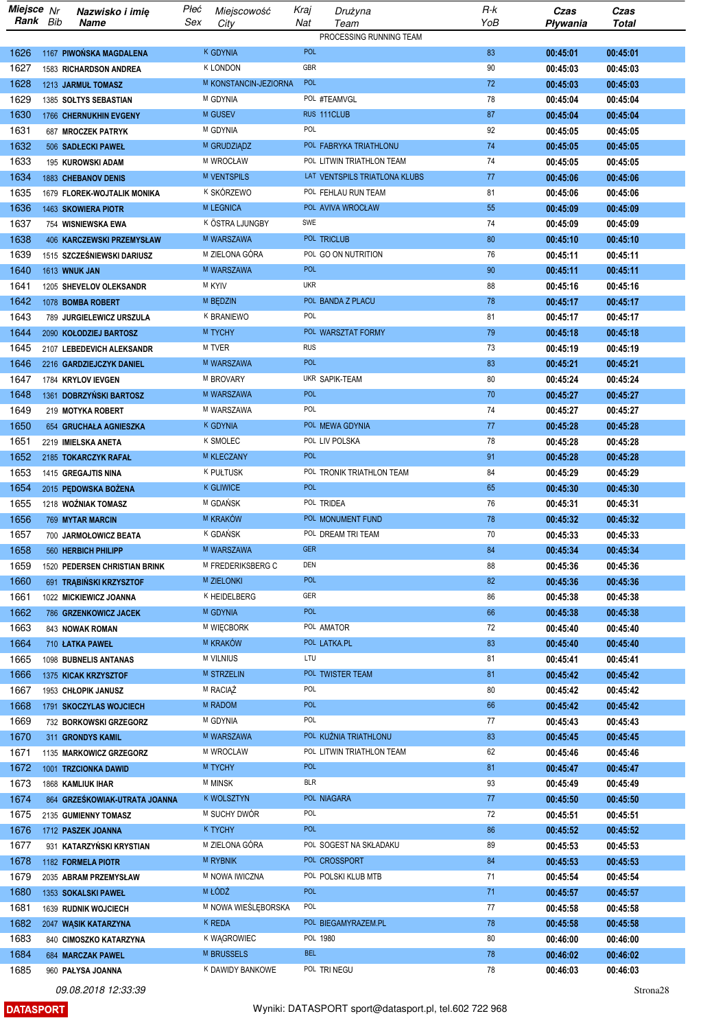|              | Miejsce Nr<br>Rank Bib | Nazwisko i imię                                      | Płeć | Miejscowość                   | Kraj              | Drużyna                         | R-k      | Czas                 | Czas                 |
|--------------|------------------------|------------------------------------------------------|------|-------------------------------|-------------------|---------------------------------|----------|----------------------|----------------------|
|              |                        | Name                                                 | Sex  | City                          | Nat               | Team<br>PROCESSING RUNNING TEAM | YoB      | Pływania             | Total                |
| 1626         |                        | 1167 PIWOŃSKA MAGDALENA                              |      | k gdynia                      | <b>POL</b>        |                                 | 83       | 00:45:01             | 00:45:01             |
| 1627         |                        | 1583 RICHARDSON ANDREA                               |      | <b>K LONDON</b>               | GBR               |                                 | 90       | 00:45:03             | 00:45:03             |
| 1628         |                        | 1213 JARMUŁ TOMASZ                                   |      | M KONSTANCIN-JEZIORNA         | POL               |                                 | 72       | 00:45:03             | 00:45:03             |
| 1629         |                        | 1385 SOLTYS SEBASTIAN                                |      | M GDYNIA                      |                   | POL #TEAMVGL                    | 78       | 00:45:04             | 00:45:04             |
| 1630         |                        | 1766 CHERNUKHIN EVGENY                               |      | M GUSEV                       |                   | RUS 111CLUB                     | 87       | 00:45:04             | 00:45:04             |
| 1631         |                        | 687 MROCZEK PATRYK                                   |      | M GDYNIA                      | POL               |                                 | 92       | 00:45:05             | 00:45:05             |
| 1632         |                        | 506 SADŁECKI PAWEŁ                                   |      | M GRUDZIĄDZ                   |                   | POL FABRYKA TRIATHLONU          | 74       | 00:45:05             | 00:45:05             |
| 1633         |                        | 195 KUROWSKI ADAM                                    |      | M WROCŁAW                     |                   | POL LITWIN TRIATHLON TEAM       | 74       | 00:45:05             | 00:45:05             |
| 1634         |                        | 1883 CHEBANOV DENIS                                  |      | <b>M VENTSPILS</b>            |                   | LAT VENTSPILS TRIATLONA KLUBS   | 77       | 00:45:06             | 00:45:06             |
| 1635         |                        | 1679 FLOREK-WOJTALIK MONIKA                          |      | K SKÓRZEWO                    |                   | POL FEHLAU RUN TEAM             | 81       | 00:45:06             | 00:45:06             |
| 1636         |                        | 1463 SKOWIERA PIOTR                                  |      | M LEGNICA                     |                   | POL AVIVA WROCŁAW               | 55       | 00:45:09             | 00:45:09             |
| 1637         |                        | 754 WISNIEWSKA EWA                                   |      | K ÖSTRA LJUNGBY               | SWE               |                                 | 74       | 00:45:09             | 00:45:09             |
| 1638         |                        | 406 KARCZEWSKI PRZEMYSŁAW                            |      | M WARSZAWA                    |                   | POL TRICLUB                     | 80       | 00:45:10             | 00:45:10             |
| 1639         |                        | 1515 SZCZEŚNIEWSKI DARIUSZ                           |      | M ZIELONA GÓRA                |                   | POL GO ON NUTRITION             | 76       | 00:45:11             | 00:45:11             |
| 1640         |                        | 1613 WNUK JAN                                        |      | M WARSZAWA                    | <b>POL</b>        |                                 | 90       | 00:45:11             | 00:45:11             |
| 1641         |                        | 1205 SHEVELOV OLEKSANDR                              |      | M KYIV                        | <b>UKR</b>        |                                 | 88       | 00:45:16             | 00:45:16             |
| 1642         |                        | 1078 BOMBA ROBERT                                    |      | M BEDZIN                      |                   | POL BANDA Z PLACU               | 78       | 00:45:17             | 00:45:17             |
| 1643         |                        | 789 JURGIELEWICZ URSZULA                             |      | K BRANIEWO                    | POL               |                                 | 81       | 00:45:17             | 00:45:17             |
| 1644         |                        | 2090 KOŁODZIEJ BARTOSZ                               |      | M TYCHY                       |                   | POL WARSZTAT FORMY              | 79       | 00:45:18             | 00:45:18             |
| 1645         |                        | 2107 LEBEDEVICH ALEKSANDR                            |      | M TVER                        | <b>RUS</b>        |                                 | 73       | 00:45:19             | 00:45:19             |
| 1646         |                        | 2216 GARDZIEJCZYK DANIEL                             |      | M WARSZAWA                    | POL               |                                 | 83       | 00:45:21             | 00:45:21             |
| 1647         |                        | 1784 KRYLOV IEVGEN                                   |      | M BROVARY                     |                   | UKR SAPIK-TEAM                  | 80       | 00:45:24             | 00:45:24             |
| 1648         |                        | 1361 DOBRZYŃSKI BARTOSZ                              |      | M WARSZAWA                    | <b>POL</b>        |                                 | 70       | 00:45:27             | 00:45:27             |
| 1649         |                        | 219 MOTYKA ROBERT                                    |      | M WARSZAWA                    | POL               |                                 | 74       | 00:45:27             | 00:45:27             |
| 1650         |                        | 654 GRUCHAŁA AGNIESZKA                               |      | <b>K GDYNIA</b>               |                   | POL MEWA GDYNIA                 | 77       | 00:45:28             | 00:45:28             |
| 1651         |                        | 2219 IMIELSKA ANETA                                  |      | K SMOLEC                      |                   | POL LIV POLSKA                  | 78       | 00:45:28             | 00:45:28             |
| 1652         |                        | 2185 TOKARCZYK RAFAŁ                                 |      | M KLECZANY                    | <b>POL</b>        |                                 | 91       | 00:45:28             | 00:45:28             |
| 1653         |                        | 1415 GREGAJTIS NINA                                  |      | <b>K PUŁTUSK</b>              |                   | POL TRONIK TRIATHLON TEAM       | 84       | 00:45:29             | 00:45:29             |
| 1654         |                        | 2015 PEDOWSKA BOŻENA                                 |      | <b>K GLIWICE</b>              | <b>POL</b>        |                                 | 65       | 00:45:30             | 00:45:30             |
| 1655         |                        | 1218 WOŹNIAK TOMASZ                                  |      | M GDAŃSK<br>M KRAKÓW          |                   | POL TRIDEA<br>POL MONUMENT FUND | 76       | 00:45:31             | 00:45:31             |
| 1656<br>1657 |                        | 769 MYTAR MARCIN                                     |      | K GDAŃSK                      |                   | POL DREAM TRI TEAM              | 78<br>70 | 00:45:32<br>00:45:33 | 00:45:32             |
|              |                        | 700 JARMOŁOWICZ BEATA                                |      | M WARSZAWA                    | GER               |                                 | 84       |                      | 00:45:33             |
| 1658<br>1659 |                        | 560 HERBICH PHILIPP<br>1520 PEDERSEN CHRISTIAN BRINK |      | M FREDERIKSBERG C             | DEN               |                                 | 88       | 00:45:34<br>00:45:36 | 00:45:34<br>00:45:36 |
| 1660         |                        | 691 TRĄBIŃSKI KRZYSZTOF                              |      | <b>M ZIELONKI</b>             | POL               |                                 | 82       | 00:45:36             | 00:45:36             |
| 1661         |                        | 1022 MICKIEWICZ JOANNA                               |      | K HEIDELBERG                  | GER               |                                 | 86       | 00:45:38             | 00:45:38             |
| 1662         |                        | 786 GRZENKOWICZ JACEK                                |      | M GDYNIA                      | <b>POL</b>        |                                 | 66       | 00:45:38             | 00:45:38             |
| 1663         |                        | 843 NOWAK ROMAN                                      |      | M WIECBORK                    |                   | POL AMATOR                      | 72       | 00:45:40             | 00:45:40             |
| 1664         |                        | 710 LATKA PAWEL                                      |      | M KRAKÓW                      |                   | POL LATKA.PL                    | 83       | 00:45:40             | 00:45:40             |
| 1665         |                        | 1098 BUBNELIS ANTANAS                                |      | <b>M VILNIUS</b>              | LTU               |                                 | 81       | 00:45:41             | 00:45:41             |
| 1666         |                        | 1375 KICAK KRZYSZTOF                                 |      | <b>M STRZELIN</b>             |                   | POL TWISTER TEAM                | 81       | 00:45:42             | 00:45:42             |
| 1667         |                        | 1953 CHŁOPIK JANUSZ                                  |      | M RACIAZ                      | POL               |                                 | 80       | 00:45:42             | 00:45:42             |
| 1668         |                        | 1791 SKOCZYLAS WOJCIECH                              |      | M RADOM                       | <b>POL</b>        |                                 | 66       | 00:45:42             | 00:45:42             |
| 1669         |                        | 732 BORKOWSKI GRZEGORZ                               |      | M GDYNIA                      | POL               |                                 | 77       | 00:45:43             | 00:45:43             |
| 1670         |                        | 311 GRONDYS KAMIL                                    |      | M WARSZAWA                    |                   | POL KUŹNIA TRIATHLONU           | 83       | 00:45:45             | 00:45:45             |
| 1671         |                        | 1135 MARKOWICZ GRZEGORZ                              |      | M WROCLAW                     |                   | POL LITWIN TRIATHLON TEAM       | 62       | 00:45:46             | 00:45:46             |
| 1672         |                        | 1001 TRZCIONKA DAWID                                 |      | M TYCHY                       | <b>POL</b>        |                                 | 81       | 00:45:47             | 00:45:47             |
| 1673         |                        | 1868 KAMLIUK IHAR                                    |      | <b>M MINSK</b>                | <b>BLR</b>        |                                 | 93       | 00:45:49             | 00:45:49             |
| 1674         |                        | 864 GRZEŚKOWIAK-UTRATA JOANNA                        |      | <b>K WOLSZTYN</b>             |                   | POL NIAGARA                     | 77       | 00:45:50             | 00:45:50             |
| 1675         |                        | 2135 GUMIENNY TOMASZ                                 |      | M SUCHY DWÓR                  | POL               |                                 | 72       | 00:45:51             | 00:45:51             |
| 1676         |                        | 1712 PASZEK JOANNA                                   |      | <b>K TYCHY</b>                | <b>POL</b>        |                                 | 86       | 00:45:52             | 00:45:52             |
| 1677         |                        | 931 KATARZYŃSKI KRYSTIAN                             |      | M ZIELONA GÓRA                |                   | POL SOGEST NA SKŁADAKU          | 89       | 00:45:53             | 00:45:53             |
| 1678         |                        | 1182 FORMELA PIOTR                                   |      | <b>M RYBNIK</b>               |                   | POL CROSSPORT                   | 84       | 00:45:53             | 00:45:53             |
| 1679         |                        | 2035 ABRAM PRZEMYSŁAW                                |      | M NOWA IWICZNA                |                   | POL POLSKI KLUB MTB             | 71       | 00:45:54             | 00:45:54             |
| 1680         |                        | 1353 SOKALSKI PAWEŁ                                  |      | M ŁÓDŹ                        | <b>POL</b><br>POL |                                 | 71       | 00:45:57             | 00:45:57             |
| 1681<br>1682 |                        | 1639 RUDNIK WOJCIECH                                 |      | M NOWA WIEŚLĘBORSKA<br>K REDA |                   | POL BIEGAMYRAZEM.PL             | 77       | 00:45:58             | 00:45:58             |
| 1683         |                        | 2047 WASIK KATARZYNA                                 |      | K WAGROWIEC                   |                   | POL 1980                        | 78<br>80 | 00:45:58<br>00:46:00 | 00:45:58<br>00:46:00 |
| 1684         |                        | 840 CIMOSZKO KATARZYNA<br>684 MARCZAK PAWEL          |      | M BRUSSELS                    | <b>BEL</b>        |                                 | 78       | 00:46:02             | 00:46:02             |
| 1685         |                        | 960 PAŁYSA JOANNA                                    |      | K DAWIDY BANKOWE              |                   | POL TRINEGU                     | 78       | 00:46:03             | 00:46:03             |
|              |                        |                                                      |      |                               |                   |                                 |          |                      |                      |

**DATASPORT**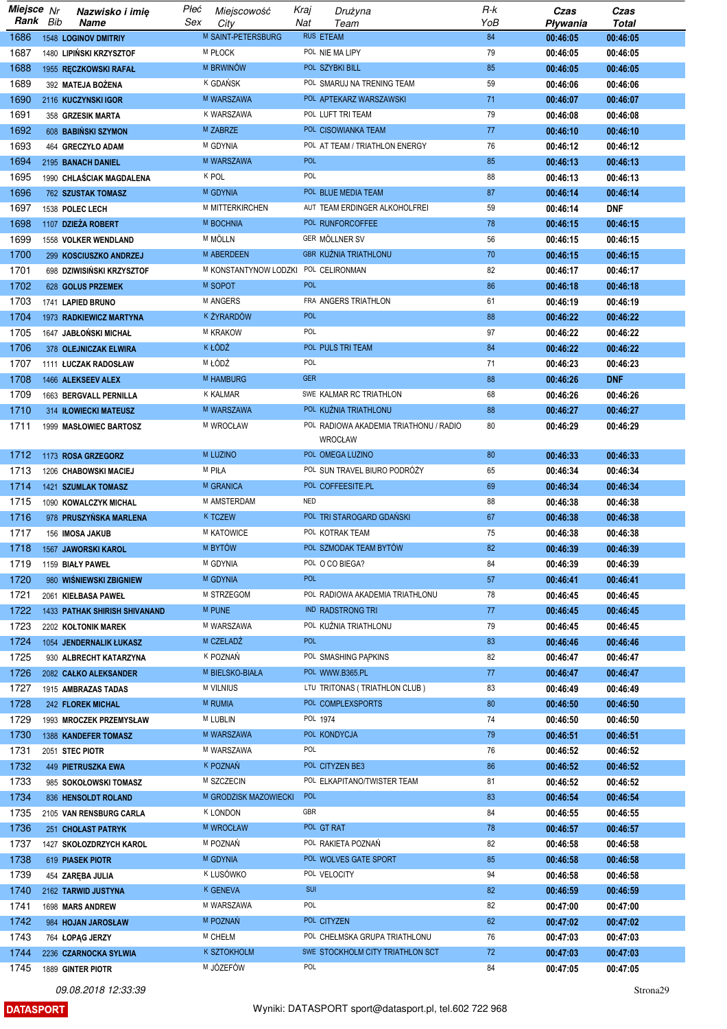| Miejsce Nr   |     | Nazwisko i imię                      | Płeć | Miejscowość           | Kraj       | Drużyna                                | R-k | Czas     | Czas       |
|--------------|-----|--------------------------------------|------|-----------------------|------------|----------------------------------------|-----|----------|------------|
| Rank         | Bib | Name                                 | Sex  | City                  | Nat        | Team                                   | YoB | Pływania | Total      |
| 1686         |     | <b>1548 LOGINOV DMITRIY</b>          |      | M SAINT-PETERSBURG    |            | <b>RUS ETEAM</b>                       | 84  | 00:46:05 | 00:46:05   |
| 1687         |     | 1480 LIPIŃSKI KRZYSZTOF              |      | M PŁOCK               |            | POL NIE MA LIPY                        | 79  | 00:46:05 | 00:46:05   |
| 1688         |     | 1955 RECZKOWSKI RAFAŁ                |      | M BRWINOW             |            | POL SZYBKI BILL                        | 85  | 00:46:05 | 00:46:05   |
| 1689         |     | 392 MATEJA BOŻENA                    |      | K GDAŃSK              |            | POL SMARUJ NA TRENING TEAM             | 59  | 00:46:06 | 00:46:06   |
| 1690         |     | 2116 KUCZYNSKI IGOR                  |      | M WARSZAWA            |            | POL APTEKARZ WARSZAWSKI                | 71  | 00:46:07 | 00:46:07   |
| 1691         |     | 358 GRZESIK MARTA                    |      | K WARSZAWA            |            | POL LUFT TRI TEAM                      | 79  | 00:46:08 | 00:46:08   |
| 1692         |     | 608 BABINSKI SZYMON                  |      | M ZABRZE              |            | POL CISOWIANKA TEAM                    | 77  | 00:46:10 | 00:46:10   |
| 1693         |     | 464 GRECZYŁO ADAM                    |      | M GDYNIA              |            | POL AT TEAM / TRIATHLON ENERGY         | 76  | 00:46:12 | 00:46:12   |
| 1694         |     | 2195 BANACH DANIEL                   |      | M WARSZAWA            | <b>POL</b> |                                        | 85  | 00:46:13 | 00:46:13   |
| 1695         |     | 1990 CHLAŚCIAK MAGDALENA             |      | K POL                 | POL        |                                        | 88  | 00:46:13 | 00:46:13   |
| 1696         |     | 762 SZUSTAK TOMASZ                   |      | M GDYNIA              |            | POL BLUE MEDIA TEAM                    | 87  | 00:46:14 | 00:46:14   |
| 1697         |     |                                      |      | M MITTERKIRCHEN       |            | AUT TEAM ERDINGER ALKOHOLFREI          | 59  |          | <b>DNF</b> |
| 1698         |     | 1538 POLEC LECH                      |      |                       |            |                                        | 78  | 00:46:14 |            |
|              |     | 1107 DZIEŻA ROBERT                   |      | M BOCHNIA             |            | POL RUNFORCOFFEE                       |     | 00:46:15 | 00:46:15   |
| 1699         |     | 1558 VOLKER WENDLAND                 |      | M MÖLLN               |            | GER MÖLLNER SV                         | 56  | 00:46:15 | 00:46:15   |
| 1700         |     | 299 KOSCIUSZKO ANDRZEJ               |      | M ABERDEEN            |            | <b>GBR KUŹNIA TRIATHLONU</b>           | 70  | 00:46:15 | 00:46:15   |
| 1701         |     | 698 DZIWISIŃSKI KRZYSZTOF            |      | M KONSTANTYNOW LODZKI |            | POL CELIRONMAN                         | 82  | 00:46:17 | 00:46:17   |
| 1702         |     | 628 GOLUS PRZEMEK                    |      | M SOPOT               | <b>POL</b> |                                        | 86  | 00:46:18 | 00:46:18   |
| 1703         |     | 1741 LAPIED BRUNO                    |      | M ANGERS              |            | FRA ANGERS TRIATHLON                   | 61  | 00:46:19 | 00:46:19   |
| 1704         |     | 1973 RADKIEWICZ MARTYNA              |      | k żyrardów            | <b>POL</b> |                                        | 88  | 00:46:22 | 00:46:22   |
| 1705         |     | 1647 JABŁOŃSKI MICHAŁ                |      | M KRAKOW              | POL        |                                        | 97  | 00:46:22 | 00:46:22   |
| 1706         |     | 378 OLEJNICZAK ELWIRA                |      | K ŁÓDŹ                |            | POL PULS TRI TEAM                      | 84  | 00:46:22 | 00:46:22   |
| 1707         |     | 1111 ŁUCZAK RADOSŁAW                 |      | M ŁÓDŹ                | POL        |                                        | 71  | 00:46:23 | 00:46:23   |
| 1708         |     | 1466 ALEKSEEV ALEX                   |      | <b>M HAMBURG</b>      | <b>GER</b> |                                        | 88  | 00:46:26 | <b>DNF</b> |
| 1709         |     | 1663 BERGVALL PERNILLA               |      | <b>K KALMAR</b>       |            | SWE KALMAR RC TRIATHLON                | 68  | 00:46:26 | 00:46:26   |
| 1710         |     | 314 IŁOWIECKI MATEUSZ                |      | M WARSZAWA            |            | POL KUŹNIA TRIATHLONU                  | 88  | 00:46:27 | 00:46:27   |
| 1711         |     | 1999 MASŁOWIEC BARTOSZ               |      | M WROCŁAW             |            | POL RADIOWA AKADEMIA TRIATHONU / RADIO | 80  | 00:46:29 | 00:46:29   |
|              |     |                                      |      |                       |            | <b>WROCŁAW</b>                         |     |          |            |
| 1712         |     | 1173 ROSA GRZEGORZ                   |      | M LUZINO              |            | POL OMEGA LUZINO                       | 80  | 00:46:33 | 00:46:33   |
| 1713         |     | 1206 CHABOWSKI MACIEJ                |      | M PIŁA                |            | POL SUN TRAVEL BIURO PODRÓŻY           | 65  | 00:46:34 | 00:46:34   |
| 1714         |     | 1421 SZUMLAK TOMASZ                  |      | M GRANICA             |            | POL COFFEESITE.PL                      | 69  | 00:46:34 | 00:46:34   |
| 1715         |     | 1090 KOWALCZYK MICHAL                |      | M AMSTERDAM           | <b>NED</b> |                                        | 88  | 00:46:38 | 00:46:38   |
| 1716         |     | 978 PRUSZYŃSKA MARLENA               |      | <b>K TCZEW</b>        |            | POL TRI STAROGARD GDAŃSKI              | 67  | 00:46:38 | 00:46:38   |
| 1717         |     | 156 IMOSA JAKUB                      |      | M KATOWICE            |            | POL KOTRAK TEAM                        | 75  | 00:46:38 | 00:46:38   |
|              |     |                                      |      | M BYTÓW               |            | POL SZMODAK TEAM BYTÓW                 | 82  |          |            |
| 1718<br>1719 |     | 1567 JAWORSKI KAROL                  |      | M GDYNIA              |            | POL O CO BIEGA?                        | 84  | 00:46:39 | 00:46:39   |
|              |     | 1159 BIAŁY PAWEŁ                     |      |                       | <b>POL</b> |                                        |     | 00:46:39 | 00:46:39   |
| 1720         |     | 980 WIŚNIEWSKI ZBIGNIEW              |      | <b>M GDYNIA</b>       |            |                                        | 57  | 00:46:41 | 00:46:41   |
| 1721         |     | 2061 KIEŁBASA PAWEŁ                  |      | M STRZEGOM            |            | POL RADIOWA AKADEMIA TRIATHLONU        | 78  | 00:46:45 | 00:46:45   |
| 1722         |     | <b>1433 PATHAK SHIRISH SHIVANAND</b> |      | M PUNE                |            | <b>IND RADSTRONG TRI</b>               | 77  | 00:46:45 | 00:46:45   |
| 1723         |     | 2202 KOŁTONIK MAREK                  |      | M WARSZAWA            |            | POL KUŹNIA TRIATHLONU                  | 79  | 00:46:45 | 00:46:45   |
| 1724         |     | 1054 JENDERNALIK ŁUKASZ              |      | M CZELADŹ             | <b>POL</b> |                                        | 83  | 00:46:46 | 00:46:46   |
| 1725         |     | 930 ALBRECHT KATARZYNA               |      | K POZNAŃ              |            | POL SMASHING PAPKINS                   | 82  | 00:46:47 | 00:46:47   |
| 1726         |     | 2082 CAŁKO ALEKSANDER                |      | M BIELSKO-BIAŁA       |            | POL WWW.B365.PL                        | 77  | 00:46:47 | 00:46:47   |
| 1727         |     | 1915 AMBRAZAS TADAS                  |      | <b>M VILNIUS</b>      |            | LTU TRITONAS (TRIATHLON CLUB)          | 83  | 00:46:49 | 00:46:49   |
| 1728         |     | 242 FLOREK MICHAL                    |      | M RUMIA               |            | POL COMPLEXSPORTS                      | 80  | 00:46:50 | 00:46:50   |
| 1729         |     | 1993 MROCZEK PRZEMYSŁAW              |      | M LUBLIN              |            | POL 1974                               | 74  | 00:46:50 | 00:46:50   |
| 1730         |     | 1388 KANDEFER TOMASZ                 |      | M WARSZAWA            |            | POL KONDYCJA                           | 79  | 00:46:51 | 00:46:51   |
| 1731         |     | 2051 STEC PIOTR                      |      | M WARSZAWA            | POL        |                                        | 76  | 00:46:52 | 00:46:52   |
| 1732         |     | 449 PIETRUSZKA EWA                   |      | K POZNAŃ              |            | POL CITYZEN BE3                        | 86  | 00:46:52 | 00:46:52   |
| 1733         |     | 985 SOKOŁOWSKI TOMASZ                |      | M SZCZECIN            |            | POL ELKAPITANO/TWISTER TEAM            | 81  | 00:46:52 | 00:46:52   |
| 1734         |     | 836 HENSOLDT ROLAND                  |      | M GRODZISK MAZOWIECKI | <b>POL</b> |                                        | 83  | 00:46:54 | 00:46:54   |
| 1735         |     | 2105 VAN RENSBURG CARLA              |      | <b>K LONDON</b>       | GBR        |                                        | 84  | 00:46:55 | 00:46:55   |
| 1736         |     | 251 CHOŁAST PATRYK                   |      | M WROCŁAW             |            | POL GT RAT                             | 78  | 00:46:57 | 00:46:57   |
| 1737         |     | 1427 SKOŁOZDRZYCH KAROL              |      | M POZNAŃ              |            | POL RAKIETA POZNAŃ                     | 82  | 00:46:58 | 00:46:58   |
| 1738         |     | 619 PIASEK PIOTR                     |      | M GDYNIA              |            | POL WOLVES GATE SPORT                  | 85  | 00:46:58 | 00:46:58   |
| 1739         |     | 454 ZAREBA JULIA                     |      | k lusówko             |            | POL VELOCITY                           | 94  | 00:46:58 | 00:46:58   |
| 1740         |     |                                      |      | <b>K GENEVA</b>       | <b>SUI</b> |                                        | 82  |          | 00:46:59   |
|              |     | 2162 TARWID JUSTYNA                  |      | M WARSZAWA            | POL        |                                        |     | 00:46:59 |            |
| 1741         |     | 1698 MARS ANDREW                     |      |                       |            |                                        | 82  | 00:47:00 | 00:47:00   |
| 1742         |     | 984 HOJAN JAROSŁAW                   |      | M POZNAŃ              |            | POL CITYZEN                            | 62  | 00:47:02 | 00:47:02   |
| 1743         |     | 764 ŁOPĄG JERZY                      |      | M CHEŁM               |            | POL CHEŁMSKA GRUPA TRIATHLONU          | 76  | 00:47:03 | 00:47:03   |
| 1744         |     | 2236 CZARNOCKA SYLWIA                |      | <b>K SZTOKHOLM</b>    |            | SWE STOCKHOLM CITY TRIATHLON SCT       | 72  | 00:47:03 | 00:47:03   |
| 1745         |     | 1889 GINTER PIOTR                    |      | M JÓZEFÓW             | POL        |                                        | 84  | 00:47:05 | 00:47:05   |

**DATASPORT** 

Strona<sub>29</sub>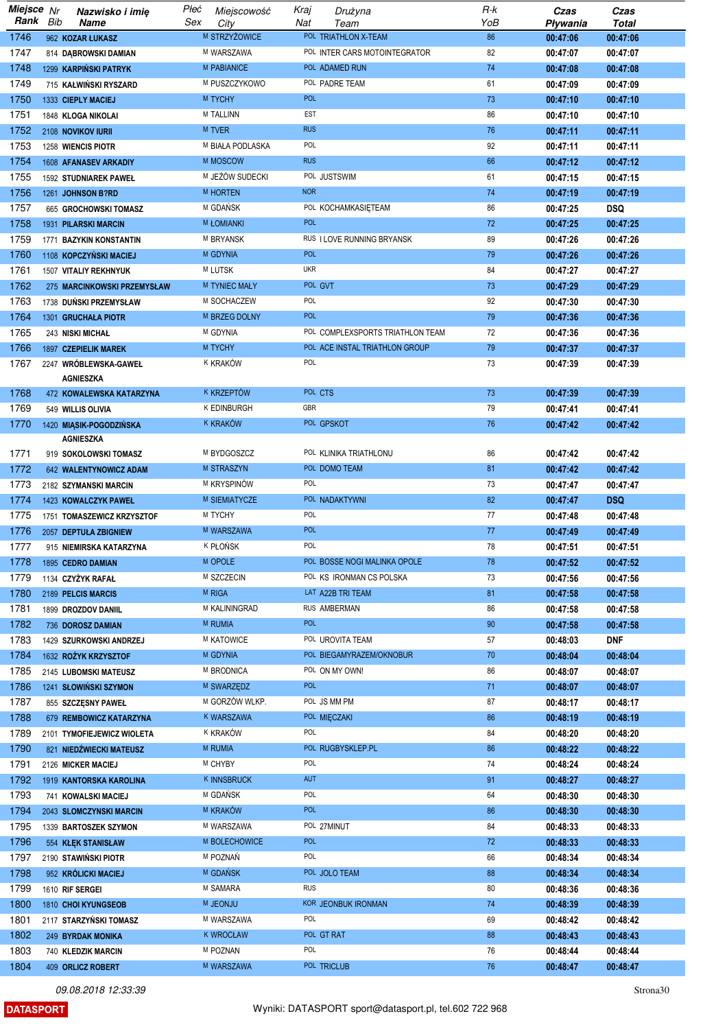| Miejsce Nr |     | Nazwisko i imię             | Płeć | Miejscowość         | Kraj       | Drużyna                          | R-k    | Czas     | Czas         |
|------------|-----|-----------------------------|------|---------------------|------------|----------------------------------|--------|----------|--------------|
| Rank       | Bib | <b>Name</b>                 | Sex  | City                | Nat        | Team                             | YoB    | Pływania | <b>Total</b> |
| 1746       |     | 962 KOZAR ŁUKASZ            |      | M STRZYŻOWICE       |            | POL TRIATHLON X-TEAM             | 86     | 00:47:06 | 00:47:06     |
| 1747       |     | 814 DABROWSKI DAMIAN        |      | M WARSZAWA          |            | POL INTER CARS MOTOINTEGRATOR    | 82     | 00:47:07 | 00:47:07     |
| 1748       |     | 1299 KARPIŃSKI PATRYK       |      | <b>M PABIANICE</b>  |            | POL ADAMED RUN                   | 74     | 00:47:08 | 00:47:08     |
| 1749       |     | 715 KAŁWIŃSKI RYSZARD       |      | M PUSZCZYKOWO       |            | POL PADRE TEAM                   | 61     | 00:47:09 | 00:47:09     |
| 1750       |     | 1333 CIEPLY MACIEJ          |      | M TYCHY             | <b>POL</b> |                                  | 73     | 00:47:10 | 00:47:10     |
| 1751       |     | 1848 KLOGA NIKOLAI          |      | <b>M TALLINN</b>    | EST        |                                  | 86     | 00:47:10 | 00:47:10     |
| 1752       |     | 2108 NOVIKOV IURII          |      | <b>M TVER</b>       | <b>RUS</b> |                                  | 76     | 00:47:11 | 00:47:11     |
| 1753       |     | 1258 WIENCIS PIOTR          |      | M BIAŁA PODLASKA    | POL        |                                  | 92     | 00:47:11 | 00:47:11     |
| 1754       |     | 1608 AFANASEV ARKADIY       |      | M MOSCOW            | <b>RUS</b> |                                  | 66     | 00:47:12 | 00:47:12     |
| 1755       |     | 1592 STUDNIAREK PAWEŁ       |      | M JEŻÓW SUDECKI     |            | POL JUSTSWIM                     | 61     | 00:47:15 | 00:47:15     |
| 1756       |     | 1261 JOHNSON B?RD           |      | M HORTEN            | <b>NOR</b> |                                  | 74     | 00:47:19 | 00:47:19     |
| 1757       |     | 665 GROCHOWSKI TOMASZ       |      | M GDAŃSK            |            | POL KOCHAMKASIETEAM              | 86     | 00:47:25 | <b>DSQ</b>   |
| 1758       |     | 1931 PILARSKI MARCIN        |      | <b>M ŁOMIANKI</b>   | <b>POL</b> |                                  | 72     | 00:47:25 | 00:47:25     |
| 1759       |     | 1771 BAZYKIN KONSTANTIN     |      | M BRYANSK           |            | RUS I LOVE RUNNING BRYANSK       | 89     | 00:47:26 | 00:47:26     |
| 1760       |     | 1108 KOPCZYŃSKI MACIEJ      |      | M GDYNIA            | <b>POL</b> |                                  | 79     | 00:47:26 | 00:47:26     |
| 1761       |     | 1507 VITALIY REKHNYUK       |      | M LUTSK             | <b>UKR</b> |                                  | 84     | 00:47:27 | 00:47:27     |
| 1762       |     | 275 MARCINKOWSKI PRZEMYSŁAW |      | M TYNIEC MAŁY       | POL GVT    |                                  | 73     | 00:47:29 | 00:47:29     |
| 1763       |     | 1738 DUŃSKI PRZEMYSŁAW      |      | M SOCHACZEW         | POL        |                                  | 92     | 00:47:30 | 00:47:30     |
| 1764       |     | 1301 GRUCHAŁA PIOTR         |      | M BRZEG DOLNY       | <b>POL</b> |                                  | 79     | 00:47:36 | 00:47:36     |
| 1765       |     | 243 NISKI MICHAŁ            |      | M GDYNIA            |            | POL COMPLEXSPORTS TRIATHLON TEAM | 72     | 00:47:36 | 00:47:36     |
| 1766       |     | 1897 CZEPIELIK MAREK        |      | M TYCHY             |            | POL ACE INSTAL TRIATHLON GROUP   | 79     | 00:47:37 | 00:47:37     |
| 1767       |     | 2247 WRÓBLEWSKA-GAWEŁ       |      | K KRAKÓW            | POL        |                                  | 73     | 00:47:39 | 00:47:39     |
|            |     | <b>AGNIESZKA</b>            |      |                     |            |                                  |        |          |              |
| 1768       |     | 472 KOWALEWSKA KATARZYNA    |      | K KRZEPTÓW          | POL CTS    |                                  | 73     | 00:47:39 | 00:47:39     |
| 1769       |     | 549 WILLIS OLIVIA           |      | <b>K EDINBURGH</b>  | GBR        |                                  | 79     | 00:47:41 | 00:47:41     |
| 1770       |     | 1420 MIĄSIK-POGODZIŃSKA     |      | k kraków            |            | POL GPSKOT                       | 76     | 00:47:42 | 00:47:42     |
|            |     | <b>AGNIESZKA</b>            |      |                     |            |                                  |        |          |              |
| 1771       |     | 919 SOKOLOWSKI TOMASZ       |      | M BYDGOSZCZ         |            | POL KLINIKA TRIATHLONU           | 86     | 00:47:42 | 00:47:42     |
| 1772       |     | 642 WALENTYNOWICZ ADAM      |      | <b>M STRASZYN</b>   |            | POL DOMO TEAM                    | 81     | 00:47:42 | 00:47:42     |
| 1773       |     | 2182 SZYMANSKI MARCIN       |      | M KRYSPINÓW         | POL        |                                  | 73     | 00:47:47 | 00:47:47     |
| 1774       |     | 1423 KOWALCZYK PAWEŁ        |      | M SIEMIATYCZE       |            | POL NADAKTYWNI                   | 82     | 00:47:47 | <b>DSQ</b>   |
| 1775       |     | 1751 TOMASZEWICZ KRZYSZTOF  |      | M TYCHY             | POL        |                                  | 77     | 00:47:48 | 00:47:48     |
| 1776       |     | 2057 DEPTUŁA ZBIGNIEW       |      | M WARSZAWA          | <b>POL</b> |                                  | 77     | 00:47:49 | 00:47:49     |
| 1777       |     | 915 NIEMIRSKA KATARZYNA     |      | K PŁOŃSK            | POL        |                                  | 78     | 00:47:51 | 00:47:51     |
| 1778       |     | 1895 CEDRO DAMIAN           |      | M OPOLE             |            | POL BOSSE NOGI MALINKA OPOLE     | 78     | 00:47:52 | 00:47:52     |
| 1779       |     | 1134 CZYŻYK RAFAŁ           |      | M SZCZECIN          |            | POL KS IRONMAN CS POLSKA         | 73     | 00:47:56 | 00:47:56     |
| 1780       |     | 2189 PELCIS MARCIS          |      | M RIGA              |            | LAT A22B TRI TEAM                | 81     | 00:47:58 | 00:47:58     |
| 1781       |     | 1899 DROZDOV DANIIL         |      | M KALININGRAD       |            | RUS AMBERMAN                     | 86     | 00:47:58 | 00:47:58     |
| 1782       |     | 736 DOROSZ DAMIAN           |      | <b>M RUMIA</b>      | <b>POL</b> |                                  | 90     | 00:47:58 | 00:47:58     |
| 1783       |     | 1429 SZURKOWSKI ANDRZEJ     |      | M KATOWICE          |            | POL UROVITA TEAM                 | 57     | 00:48:03 | <b>DNF</b>   |
| 1784       |     | 1632 ROŻYK KRZYSZTOF        |      | M GDYNIA            |            | POL BIEGAMYRAZEM/OKNOBUR         | $70\,$ | 00:48:04 | 00:48:04     |
| 1785       |     | 2145 LUBOMSKI MATEUSZ       |      | M BRODNICA          |            | POL ON MY OWN!                   | 86     | 00:48:07 | 00:48:07     |
| 1786       |     | 1241 SŁOWIŃSKI SZYMON       |      | M SWARZĘDZ          | <b>POL</b> |                                  | 71     | 00:48:07 | 00:48:07     |
| 1787       |     | 855 SZCZESNY PAWEŁ          |      | M GORZÓW WLKP.      |            | POL JS MM PM                     | 87     | 00:48:17 | 00:48:17     |
| 1788       |     | 679 REMBOWICZ KATARZYNA     |      | K WARSZAWA          |            | POL MIECZAKI                     | 86     | 00:48:19 | 00:48:19     |
| 1789       |     | 2101 TYMOFIEJEWICZ WIOLETA  |      | <sup>K</sup> KRAKÓW | POL        |                                  | 84     | 00:48:20 | 00:48:20     |
| 1790       |     | 821 NIEDŻWIECKI MATEUSZ     |      | M RUMIA             |            | POL RUGBYSKLEP.PL                | 86     | 00:48:22 | 00:48:22     |
| 1791       |     | 2126 MICKER MACIEJ          |      | M CHYBY             | POL        |                                  | 74     | 00:48:24 | 00:48:24     |
| 1792       |     | 1919 KANTORSKA KAROLINA     |      | K INNSBRUCK         | AUT        |                                  | 91     | 00:48:27 | 00:48:27     |
| 1793       |     | 741 KOWALSKI MACIEJ         |      | M GDAŃSK            | POL        |                                  | 64     | 00:48:30 | 00:48:30     |
| 1794       |     | 2043 SLOMCZYNSKI MARCIN     |      | M KRAKÓW            | <b>POL</b> |                                  | 86     | 00:48:30 | 00:48:30     |
| 1795       |     | 1339 BARTOSZEK SZYMON       |      | M WARSZAWA          |            | POL 27MINUT                      | 84     | 00:48:33 | 00:48:33     |
| 1796       |     |                             |      | M BOLECHOWICE       | <b>POL</b> |                                  | 72     | 00:48:33 | 00:48:33     |
| 1797       |     | 554 KŁĘK STANISŁAW          |      | M POZNAŃ            | POL        |                                  | 66     |          |              |
|            |     | 2190 STAWIŃSKI PIOTR        |      | M GDANSK            |            | POL JOLO TEAM                    | 88     | 00:48:34 | 00:48:34     |
| 1798       |     | 952 KRÓLICKI MACIEJ         |      |                     | <b>RUS</b> |                                  |        | 00:48:34 | 00:48:34     |
| 1799       |     | 1610 RIF SERGEI             |      | M SAMARA            |            |                                  | 80     | 00:48:36 | 00:48:36     |
| 1800       |     | 1810 CHOI KYUNGSEOB         |      | <b>M JEONJU</b>     | POL        | KOR JEONBUK IRONMAN              | 74     | 00:48:39 | 00:48:39     |
| 1801       |     | 2117 STARZYŃSKI TOMASZ      |      | M WARSZAWA          |            |                                  | 69     | 00:48:42 | 00:48:42     |
| 1802       |     | 249 BYRDAK MONIKA           |      | <b>K WROCŁAW</b>    |            | POL GT RAT                       | 88     | 00:48:43 | 00:48:43     |
| 1803       |     | 740 KLEDZIK MARCIN          |      | M POZNAN            | POL        |                                  | 76     | 00:48:44 | 00:48:44     |
| 1804       |     | 409 ORLICZ ROBERT           |      | M WARSZAWA          |            | POL TRICLUB                      | 76     | 00:48:47 | 00:48:47     |

**DATASPORT** 

Strona<sup>30</sup>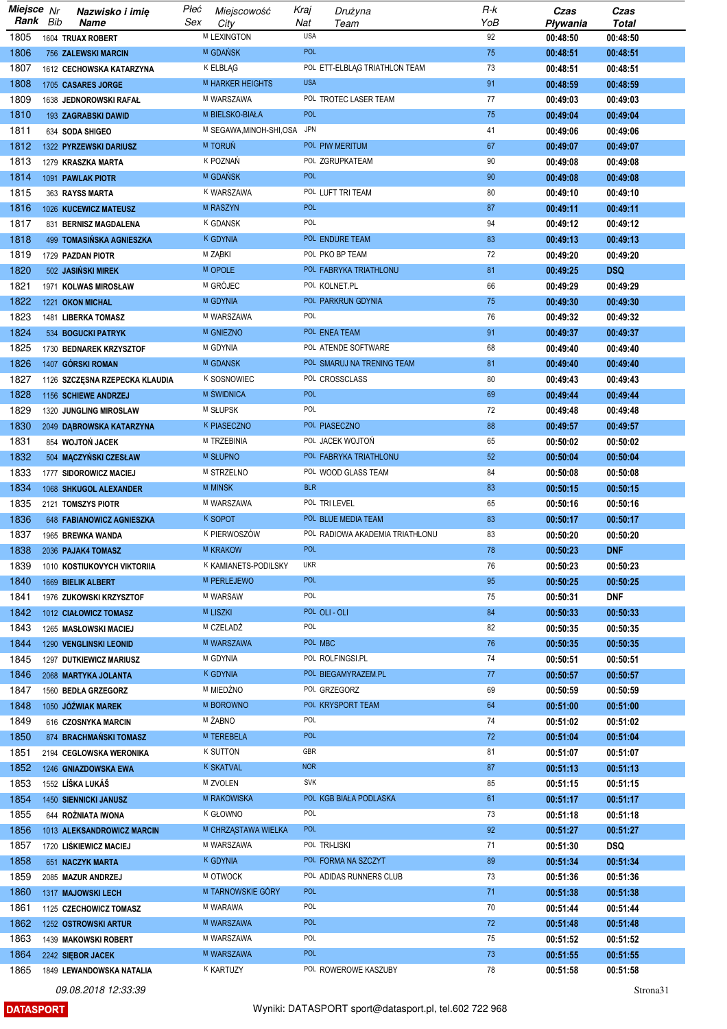| Miejsce Nr |     | Nazwisko i imię                | Płeć | Miejscowość              | Kraj       | Drużyna                         | R-k | Czas     | Czas         |
|------------|-----|--------------------------------|------|--------------------------|------------|---------------------------------|-----|----------|--------------|
| Rank       | Bib | Name                           | Sex  | City                     | Nat        | Team                            | YoB | Pływania | <b>Total</b> |
| 1805       |     | 1604 TRUAX ROBERT              |      | <b>M LEXINGTON</b>       | <b>USA</b> |                                 | 92  | 00:48:50 | 00:48:50     |
| 1806       |     | <b>756 ZALEWSKI MARCIN</b>     |      | M GDAŃSK                 | <b>POL</b> |                                 | 75  | 00:48:51 | 00:48:51     |
| 1807       |     | 1612 CECHOWSKA KATARZYNA       |      | K ELBLAG                 |            | POL ETT-ELBLAG TRIATHLON TEAM   | 73  | 00:48:51 | 00:48:51     |
| 1808       |     |                                |      | <b>M HARKER HEIGHTS</b>  | <b>USA</b> |                                 | 91  |          |              |
|            |     | 1705 CASARES JORGE             |      |                          |            |                                 |     | 00:48:59 | 00:48:59     |
| 1809       |     | 1638 JEDNOROWSKI RAFAŁ         |      | M WARSZAWA               |            | POL TROTEC LASER TEAM           | 77  | 00:49:03 | 00:49:03     |
| 1810       |     | 193 ZAGRABSKI DAWID            |      | M BIELSKO-BIAŁA          | <b>POL</b> |                                 | 75  | 00:49:04 | 00:49:04     |
| 1811       |     | 634 SODA SHIGEO                |      | M SEGAWA, MINOH-SHI, OSA | <b>JPN</b> |                                 | 41  | 00:49:06 | 00:49:06     |
| 1812       |     | 1322 PYRZEWSKI DARIUSZ         |      | <b>M TORUŃ</b>           |            | POL PIW MERITUM                 | 67  | 00:49:07 | 00:49:07     |
| 1813       |     | 1279 KRASZKA MARTA             |      | K POZNAŃ                 |            | POL ZGRUPKATEAM                 | 90  | 00:49:08 | 00:49:08     |
| 1814       |     | 1091 PAWLAK PIOTR              |      | M GDANSK                 | <b>POL</b> |                                 | 90  | 00:49:08 | 00:49:08     |
| 1815       |     | 363 RAYSS MARTA                |      | K WARSZAWA               |            | POL LUFT TRI TEAM               | 80  | 00:49:10 | 00:49:10     |
| 1816       |     | 1026 KUCEWICZ MATEUSZ          |      | M RASZYN                 | <b>POL</b> |                                 | 87  | 00:49:11 | 00:49:11     |
| 1817       |     | 831 BERNISZ MAGDALENA          |      | K GDANSK                 | POL        |                                 | 94  | 00:49:12 | 00:49:12     |
| 1818       |     |                                |      | <b>K GDYNIA</b>          |            |                                 | 83  |          |              |
|            |     | 499 TOMASIŃSKA AGNIESZKA       |      |                          |            | POL ENDURE TEAM                 |     | 00:49:13 | 00:49:13     |
| 1819       |     | 1729 PAZDAN PIOTR              |      | M ZĄBKI                  |            | POL PKO BP TEAM                 | 72  | 00:49:20 | 00:49:20     |
| 1820       |     | 502 JASIŃSKI MIREK             |      | M OPOLE                  |            | POL FABRYKA TRIATHLONU          | 81  | 00:49:25 | <b>DSQ</b>   |
| 1821       |     | 1971 KOLWAS MIROSŁAW           |      | M GRÓJEC                 |            | POL KOLNET.PL                   | 66  | 00:49:29 | 00:49:29     |
| 1822       |     | 1221 OKON MICHAL               |      | <b>M GDYNIA</b>          |            | POL PARKRUN GDYNIA              | 75  | 00:49:30 | 00:49:30     |
| 1823       |     | 1481 LIBERKA TOMASZ            |      | M WARSZAWA               | POL        |                                 | 76  | 00:49:32 | 00:49:32     |
| 1824       |     | 534 BOGUCKI PATRYK             |      | <b>M GNIEZNO</b>         |            | POL ENEA TEAM                   | 91  | 00:49:37 | 00:49:37     |
| 1825       |     | 1730 BEDNAREK KRZYSZTOF        |      | M GDYNIA                 |            | POL ATENDE SOFTWARE             | 68  | 00:49:40 | 00:49:40     |
| 1826       |     | 1407 GÓRSKI ROMAN              |      | M GDANSK                 |            | POL SMARUJ NA TRENING TEAM      | 81  | 00:49:40 | 00:49:40     |
| 1827       |     | 1126 SZCZĘSNA RZEPECKA KLAUDIA |      | <b>K SOSNOWIEC</b>       |            | POL CROSSCLASS                  | 80  | 00:49:43 | 00:49:43     |
|            |     |                                |      |                          | <b>POL</b> |                                 |     |          |              |
| 1828       |     | 1156 SCHIEWE ANDRZEJ           |      | M SWIDNICA               |            |                                 | 69  | 00:49:44 | 00:49:44     |
| 1829       |     | 1320 JUNGLING MIROSLAW         |      | M SŁUPSK                 | POL        |                                 | 72  | 00:49:48 | 00:49:48     |
| 1830       |     | 2049 DĄBROWSKA KATARZYNA       |      | K PIASECZNO              |            | POL PIASECZNO                   | 88  | 00:49:57 | 00:49:57     |
| 1831       |     | 854 WOJTOŃ JACEK               |      | M TRZEBINIA              |            | POL JACEK WOJTOŃ                | 65  | 00:50:02 | 00:50:02     |
| 1832       |     | 504 MĄCZYŃSKI CZESŁAW          |      | M SŁUPNO                 |            | POL FABRYKA TRIATHLONU          | 52  | 00:50:04 | 00:50:04     |
| 1833       |     | 1777 SIDOROWICZ MACIEJ         |      | M STRZELNO               |            | POL WOOD GLASS TEAM             | 84  | 00:50:08 | 00:50:08     |
| 1834       |     | 1068 SHKUGOL ALEXANDER         |      | M MINSK                  | <b>BLR</b> |                                 | 83  | 00:50:15 | 00:50:15     |
| 1835       |     | 2121 TOMSZYS PIOTR             |      | M WARSZAWA               |            | POL TRI LEVEL                   | 65  | 00:50:16 | 00:50:16     |
| 1836       |     | 648 FABIANOWICZ AGNIESZKA      |      | K SOPOT                  |            | POL BLUE MEDIA TEAM             | 83  | 00:50:17 | 00:50:17     |
| 1837       |     | 1965 BREWKA WANDA              |      | K PIERWOSZÓW             |            | POL RADIOWA AKADEMIA TRIATHLONU | 83  | 00:50:20 | 00:50:20     |
| 1838       |     | 2036 PAJAK4 TOMASZ             |      | <b>M KRAKOW</b>          | <b>POL</b> |                                 | 78  | 00:50:23 | <b>DNF</b>   |
| 1839       |     | 1010 KOSTIUKOVYCH VIKTORIIA    |      | K KAMIANETS-PODILSKY     | <b>UKR</b> |                                 | 76  | 00:50:23 | 00:50:23     |
| 1840       |     | 1669 BIELIK ALBERT             |      | M PERLEJEWO              | <b>POL</b> |                                 | 95  | 00:50:25 | 00:50:25     |
| 1841       |     |                                |      | M WARSAW                 | POL        |                                 | 75  | 00:50:31 | DNF          |
|            |     | 1976 ZUKOWSKI KRZYSZTOF        |      |                          |            |                                 |     |          |              |
| 1842       |     | 1012 CIAŁOWICZ TOMASZ          |      | <b>M LISZKI</b>          |            | POL OLI - OLI                   | 84  | 00:50:33 | 00:50:33     |
| 1843       |     | 1265 MASŁOWSKI MACIEJ          |      | M CZELADŹ                | POL        |                                 | 82  | 00:50:35 | 00:50:35     |
| 1844       |     | 1290 VENGLINSKI LEONID         |      | M WARSZAWA               | POL MBC    |                                 | 76  | 00:50:35 | 00:50:35     |
| 1845       |     | 1297 DUTKIEWICZ MARIUSZ        |      | M GDYNIA                 |            | POL ROLFINGSI.PL                | 74  | 00:50:51 | 00:50:51     |
| 1846       |     | 2068 MARTYKA JOLANTA           |      | <b>K GDYNIA</b>          |            | POL BIEGAMYRAZEM.PL             | 77  | 00:50:57 | 00:50:57     |
| 1847       |     | 1560 BEDŁA GRZEGORZ            |      | M MIEDŻNO                |            | POL GRZEGORZ                    | 69  | 00:50:59 | 00:50:59     |
| 1848       |     | 1050 JÓŹWIAK MAREK             |      | M BOROWNO                |            | POL KRYSPORT TEAM               | 64  | 00:51:00 | 00:51:00     |
| 1849       |     | 616 CZOSNYKA MARCIN            |      | M ŻABNO                  | POL        |                                 | 74  | 00:51:02 | 00:51:02     |
| 1850       |     | 874 BRACHMAŃSKI TOMASZ         |      | M TEREBELA               | <b>POL</b> |                                 | 72  | 00:51:04 | 00:51:04     |
| 1851       |     | 2194 CEGLOWSKA WERONIKA        |      | <b>K SUTTON</b>          | GBR        |                                 | 81  | 00:51:07 | 00:51:07     |
| 1852       |     |                                |      | <b>K SKATVAL</b>         | <b>NOR</b> |                                 | 87  |          |              |
|            |     | 1246 GNIAZDOWSKA EWA           |      | M ZVOLEN                 | <b>SVK</b> |                                 |     | 00:51:13 | 00:51:13     |
| 1853       |     | 1552 LÍŠKA LUKÁŠ               |      |                          |            |                                 | 85  | 00:51:15 | 00:51:15     |
| 1854       |     | <b>1450 SIENNICKI JANUSZ</b>   |      | M RAKOWISKA              |            | POL KGB BIAŁA PODLASKA          | 61  | 00:51:17 | 00:51:17     |
| 1855       |     | 644 ROŻNIATA IWONA             |      | K GŁOWNO                 | POL        |                                 | 73  | 00:51:18 | 00:51:18     |
| 1856       |     | 1013 ALEKSANDROWICZ MARCIN     |      | M CHRZĄSTAWA WIELKA      | <b>POL</b> |                                 | 92  | 00:51:27 | 00:51:27     |
| 1857       |     | 1720 LISKIEWICZ MACIEJ         |      | M WARSZAWA               |            | POL TRI-LISKI                   | 71  | 00:51:30 | <b>DSQ</b>   |
| 1858       |     | 651 NACZYK MARTA               |      | K GDYNIA                 |            | POL FORMA NA SZCZYT             | 89  | 00:51:34 | 00:51:34     |
| 1859       |     | 2085 MAZUR ANDRZEJ             |      | M OTWOCK                 |            | POL ADIDAS RUNNERS CLUB         | 73  | 00:51:36 | 00:51:36     |
| 1860       |     | 1317 MAJOWSKI LECH             |      | M TARNOWSKIE GÓRY        | <b>POL</b> |                                 | 71  | 00:51:38 | 00:51:38     |
| 1861       |     | 1125 CZECHOWICZ TOMASZ         |      | M WARAWA                 | POL        |                                 | 70  | 00:51:44 | 00:51:44     |
| 1862       |     | 1252 OSTROWSKI ARTUR           |      | M WARSZAWA               | <b>POL</b> |                                 | 72  | 00:51:48 | 00:51:48     |
| 1863       |     | 1439 MAKOWSKI ROBERT           |      | M WARSZAWA               | POL        |                                 | 75  | 00:51:52 | 00:51:52     |
| 1864       |     |                                |      | M WARSZAWA               | <b>POL</b> |                                 | 73  | 00:51:55 | 00:51:55     |
|            |     | 2242 SIEBOR JACEK              |      |                          |            |                                 |     |          |              |
| 1865       |     | 1849 LEWANDOWSKA NATALIA       |      | K KARTUZY                |            | POL ROWEROWE KASZUBY            | 78  | 00:51:58 | 00:51:58     |

**DATASPORT**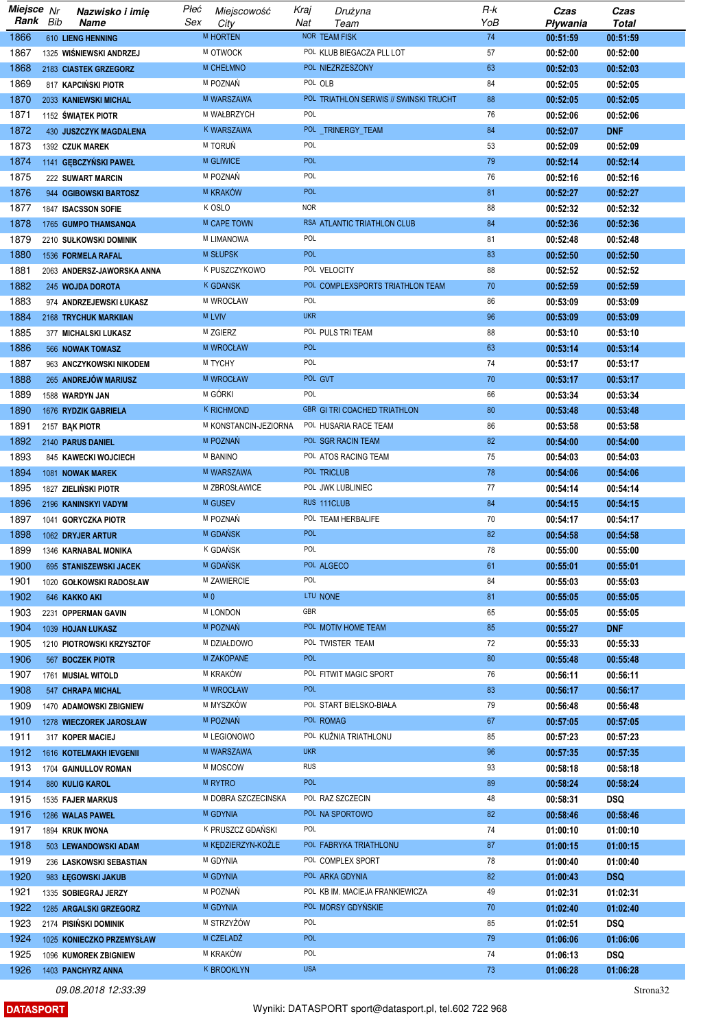| Miejsce Nr |     | Nazwisko i imię            | Płeć           | Miejscowość           | Kraj       | Drużyna                                | $R-k$ | Czas     | Czas       |
|------------|-----|----------------------------|----------------|-----------------------|------------|----------------------------------------|-------|----------|------------|
| Rank       | Bib | Name                       | Sex            | City                  | Nat        | Team                                   | YoB   | Pływania | Total      |
| 1866       |     | <b>610 LIENG HENNING</b>   |                | M HORTEN              |            | NOR TEAM FISK                          | 74    | 00:51:59 | 00:51:59   |
| 1867       |     | 1325 WIŚNIEWSKI ANDRZEJ    |                | M OTWOCK              |            | POL KLUB BIEGACZA PLL LOT              | 57    | 00:52:00 | 00:52:00   |
| 1868       |     | 2183 CIASTEK GRZEGORZ      |                | M CHEŁMNO             |            | POL NIEZRZESZONY                       | 63    | 00:52:03 | 00:52:03   |
| 1869       |     | 817 KAPCIŃSKI PIOTR        |                | M POZNAŃ              |            | POL OLB                                | 84    | 00:52:05 | 00:52:05   |
| 1870       |     | 2033 KANIEWSKI MICHAL      |                | M WARSZAWA            |            | POL TRIATHLON SERWIS // SWINSKI TRUCHT | 88    | 00:52:05 | 00:52:05   |
| 1871       |     | 1152 ŚWIĄTEK PIOTR         |                | M WAŁBRZYCH           | POL        |                                        | 76    | 00:52:06 | 00:52:06   |
| 1872       |     | 430 JUSZCZYK MAGDALENA     |                | K WARSZAWA            |            | POL TRINERGY_TEAM                      | 84    | 00:52:07 | <b>DNF</b> |
|            |     |                            |                | M TORUŃ               | POL        |                                        | 53    |          |            |
| 1873       |     | 1392 CZUK MAREK            |                |                       |            |                                        |       | 00:52:09 | 00:52:09   |
| 1874       |     | 1141 GEBCZYŃSKI PAWEŁ      |                | <b>M GLIWICE</b>      | <b>POL</b> |                                        | 79    | 00:52:14 | 00:52:14   |
| 1875       |     | <b>222 SUWART MARCIN</b>   |                | M POZNAŃ              | POL        |                                        | 76    | 00:52:16 | 00:52:16   |
| 1876       |     | 944 OGIBOWSKI BARTOSZ      |                | M KRAKÓW              | <b>POL</b> |                                        | 81    | 00:52:27 | 00:52:27   |
| 1877       |     | 1847 ISACSSON SOFIE        |                | K OSLO                | <b>NOR</b> |                                        | 88    | 00:52:32 | 00:52:32   |
| 1878       |     | 1765 GUMPO THAMSANQA       |                | M CAPE TOWN           |            | RSA ATLANTIC TRIATHLON CLUB            | 84    | 00:52:36 | 00:52:36   |
| 1879       |     | 2210 SUŁKOWSKI DOMINIK     |                | M LIMANOWA            | POL        |                                        | 81    | 00:52:48 | 00:52:48   |
| 1880       |     | 1536 FORMELA RAFAL         |                | <b>M SŁUPSK</b>       | <b>POL</b> |                                        | 83    | 00:52:50 | 00:52:50   |
| 1881       |     | 2063 ANDERSZ-JAWORSKA ANNA |                | K PUSZCZYKOWO         |            | POL VELOCITY                           | 88    | 00:52:52 | 00:52:52   |
| 1882       |     | 245 WOJDA DOROTA           |                | <b>K GDANSK</b>       |            | POL COMPLEXSPORTS TRIATHLON TEAM       | 70    | 00:52:59 | 00:52:59   |
| 1883       |     | 974 ANDRZEJEWSKI ŁUKASZ    |                | M WROCŁAW             | POL        |                                        | 86    | 00:53:09 | 00:53:09   |
| 1884       |     | 2168 TRYCHUK MARKIIAN      |                | <b>M LVIV</b>         | <b>UKR</b> |                                        | 96    | 00:53:09 | 00:53:09   |
| 1885       |     | 377 MICHALSKI LUKASZ       |                | M ZGIERZ              |            | POL PULS TRI TEAM                      | 88    |          |            |
|            |     |                            |                |                       | <b>POL</b> |                                        |       | 00:53:10 | 00:53:10   |
| 1886       |     | 566 NOWAK TOMASZ           |                | <b>M WROCŁAW</b>      |            |                                        | 63    | 00:53:14 | 00:53:14   |
| 1887       |     | 963 ANCZYKOWSKI NIKODEM    |                | M TYCHY               | POL        |                                        | 74    | 00:53:17 | 00:53:17   |
| 1888       |     | 265 ANDREJÓW MARIUSZ       |                | <b>M WROCŁAW</b>      |            | POL GVT                                | 70    | 00:53:17 | 00:53:17   |
| 1889       |     | 1588 WARDYN JAN            |                | M GÓRKI               | POL        |                                        | 66    | 00:53:34 | 00:53:34   |
| 1890       |     | 1676 RYDZIK GABRIELA       |                | <b>K RICHMOND</b>     |            | <b>GBR GI TRI COACHED TRIATHLON</b>    | 80    | 00:53:48 | 00:53:48   |
| 1891       |     | 2157 BAK PIOTR             |                | M KONSTANCIN-JEZIORNA |            | POL HUSARIA RACE TEAM                  | 86    | 00:53:58 | 00:53:58   |
| 1892       |     | 2140 PARUS DANIEL          |                | M POZNAŃ              |            | POL SGR RACIN TEAM                     | 82    | 00:54:00 | 00:54:00   |
| 1893       |     | 845 KAWECKI WOJCIECH       |                | M BANINO              |            | POL ATOS RACING TEAM                   | 75    | 00:54:03 | 00:54:03   |
| 1894       |     | 1081 NOWAK MAREK           |                | M WARSZAWA            |            | POL TRICLUB                            | 78    | 00:54:06 | 00:54:06   |
| 1895       |     | 1827 ZIELIŃSKI PIOTR       |                | M ZBROSŁAWICE         |            | POL JWK LUBLINIEC                      | 77    | 00:54:14 | 00:54:14   |
| 1896       |     | 2196 KANINSKYI VADYM       |                | M GUSEV               |            | RUS 111CLUB                            | 84    | 00:54:15 | 00:54:15   |
| 1897       |     | 1041 GORYCZKA PIOTR        |                | M POZNAŃ              |            | POL TEAM HERBALIFE                     | 70    | 00:54:17 | 00:54:17   |
| 1898       |     |                            |                | M GDAŃSK              | <b>POL</b> |                                        | 82    |          |            |
|            |     | 1062 DRYJER ARTUR          |                | <b>K GDAŃSK</b>       | POL        |                                        |       | 00:54:58 | 00:54:58   |
| 1899       |     | 1346 KARNABAL MONIKA       |                |                       |            |                                        | 78    | 00:55:00 | 00:55:00   |
| 1900       |     | 695 STANISZEWSKI JACEK     |                | M GDANSK              |            | POL ALGECO                             | 61    | 00:55:01 | 00:55:01   |
| 1901       |     | 1020 GOŁKOWSKI RADOSŁAW    |                | M ZAWIERCIE           | POL        |                                        | 84    | 00:55:03 | 00:55:03   |
| 1902       |     | 646 KAKKO AKI              | M <sub>0</sub> |                       |            | LTU NONE                               | 81    | 00:55:05 | 00:55:05   |
| 1903       |     | 2231 OPPERMAN GAVIN        |                | <b>M LONDON</b>       | GBR        |                                        | 65    | 00:55:05 | 00:55:05   |
| 1904       |     | 1039 HOJAN ŁUKASZ          |                | M POZNAŃ              |            | POL MOTIV HOME TEAM                    | 85    | 00:55:27 | <b>DNF</b> |
| 1905       |     | 1210 PIOTROWSKI KRZYSZTOF  |                | M DZIAŁDOWO           |            | POL TWISTER TEAM                       | 72    | 00:55:33 | 00:55:33   |
| 1906       |     | 567 BOCZEK PIOTR           |                | M ZAKOPANE            | <b>POL</b> |                                        | 80    | 00:55:48 | 00:55:48   |
| 1907       |     | 1761 MUSIAŁ WITOLD         |                | M KRAKÓW              |            | POL FITWIT MAGIC SPORT                 | 76    | 00:56:11 | 00:56:11   |
| 1908       |     | 547 CHRAPA MICHAL          |                | <b>M WROCŁAW</b>      | <b>POL</b> |                                        | 83    | 00:56:17 | 00:56:17   |
| 1909       |     | 1470 ADAMOWSKI ZBIGNIEW    |                | M MYSZKÓW             |            | POL START BIELSKO-BIAŁA                | 79    | 00:56:48 | 00:56:48   |
| 1910       |     | 1278 WIECZOREK JAROSŁAW    |                | M POZNAŃ              |            | POL ROMAG                              | 67    | 00:57:05 | 00:57:05   |
|            |     |                            |                |                       |            |                                        |       |          |            |
| 1911       |     | 317 KOPER MACIEJ           |                | M LEGIONOWO           |            | POL KUŹNIA TRIATHLONU                  | 85    | 00:57:23 | 00:57:23   |
| 1912       |     | 1616 KOTELMAKH IEVGENII    |                | M WARSZAWA            | <b>UKR</b> |                                        | 96    | 00:57:35 | 00:57:35   |
| 1913       |     | 1704 GAINULLOV ROMAN       |                | M MOSCOW              | <b>RUS</b> |                                        | 93    | 00:58:18 | 00:58:18   |
| 1914       |     | 880 KULIG KAROL            |                | <b>M RYTRO</b>        | <b>POL</b> |                                        | 89    | 00:58:24 | 00:58:24   |
| 1915       |     | 1535 FAJER MARKUS          |                | M DOBRA SZCZECINSKA   |            | POL RAZ SZCZECIN                       | 48    | 00:58:31 | <b>DSQ</b> |
| 1916       |     | 1286 WALAS PAWEŁ           |                | M GDYNIA              |            | POL NA SPORTOWO                        | 82    | 00:58:46 | 00:58:46   |
| 1917       |     | 1894 KRUK IWONA            |                | K PRUSZCZ GDAŃSKI     | POL        |                                        | 74    | 01:00:10 | 01:00:10   |
| 1918       |     | 503 LEWANDOWSKI ADAM       |                | M KEDZIERZYN-KOŻLE    |            | POL FABRYKA TRIATHLONU                 | 87    | 01:00:15 | 01:00:15   |
| 1919       |     | 236 LASKOWSKI SEBASTIAN    |                | M GDYNIA              |            | POL COMPLEX SPORT                      | 78    | 01:00:40 | 01:00:40   |
| 1920       |     | 983 ŁĘGOWSKI JAKUB         |                | M GDYNIA              |            | POL ARKA GDYNIA                        | 82    | 01:00:43 | <b>DSQ</b> |
| 1921       |     | 1335 SOBIEGRAJ JERZY       |                | M POZNAŃ              |            | POL KB IM. MACIEJA FRANKIEWICZA        | 49    | 01:02:31 | 01:02:31   |
| 1922       |     |                            |                | M GDYNIA              |            | POL MORSY GDYŃSKIE                     | 70    |          |            |
|            |     | 1285 ARGALSKI GRZEGORZ     |                |                       |            |                                        |       | 01:02:40 | 01:02:40   |
| 1923       |     | 2174 PISIŃSKI DOMINIK      |                | M STRZYŻÓW            | POL        |                                        | 85    | 01:02:51 | <b>DSQ</b> |
| 1924       |     | 1025 KONIECZKO PRZEMYSŁAW  |                | M CZELADŹ             | POL        |                                        | 79    | 01:06:06 | 01:06:06   |
| 1925       |     | 1096 KUMOREK ZBIGNIEW      |                | M KRAKÓW              | POL        |                                        | 74    | 01:06:13 | <b>DSQ</b> |
| 1926       |     | 1403 PANCHYRZ ANNA         |                | K BROOKLYN            | <b>USA</b> |                                        | 73    | 01:06:28 | 01:06:28   |

**DATASPORT** 

Strona<sup>32</sup>